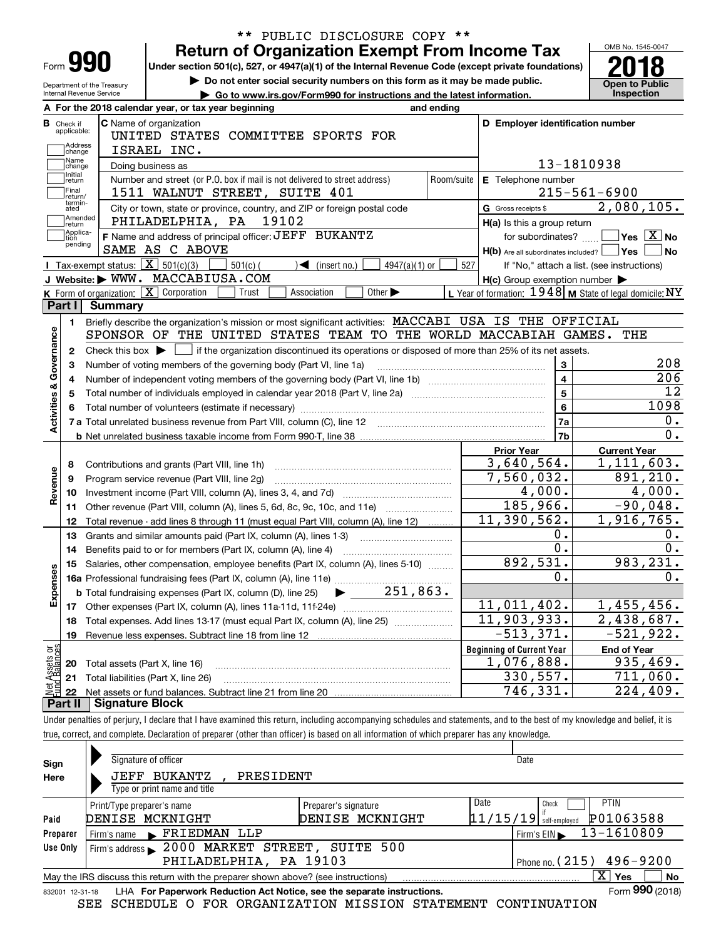|                                                                                      | Internal Revenue Service                                             | Do not enter social security numbers on this form as it may be made public.<br>Department of the Treasury                                                                                                        |            |                                                                   | <b>Open to Public</b><br>Inspection                                                                                                                                      |
|--------------------------------------------------------------------------------------|----------------------------------------------------------------------|------------------------------------------------------------------------------------------------------------------------------------------------------------------------------------------------------------------|------------|-------------------------------------------------------------------|--------------------------------------------------------------------------------------------------------------------------------------------------------------------------|
|                                                                                      |                                                                      | Go to www.irs.gov/Form990 for instructions and the latest information.<br>A For the 2018 calendar year, or tax year beginning<br>and ending                                                                      |            |                                                                   |                                                                                                                                                                          |
|                                                                                      | <b>B</b> Check if<br>applicable:<br><b>Address</b><br>change<br>Name | C Name of organization<br>UNITED STATES COMMITTEE SPORTS FOR<br>ISRAEL INC.                                                                                                                                      |            | D Employer identification number                                  |                                                                                                                                                                          |
|                                                                                      | change<br>Initial                                                    | Doing business as                                                                                                                                                                                                |            | 13-1810938                                                        |                                                                                                                                                                          |
|                                                                                      | return<br>Final<br>return/                                           | Number and street (or P.O. box if mail is not delivered to street address)<br>1511 WALNUT STREET, SUITE 401                                                                                                      | Room/suite | E Telephone number                                                | $215 - 561 - 6900$                                                                                                                                                       |
|                                                                                      | termin-<br>ated<br>Amended                                           | City or town, state or province, country, and ZIP or foreign postal code                                                                                                                                         |            | G Gross receipts \$                                               | 2,080,105.                                                                                                                                                               |
|                                                                                      | return<br>Applica-                                                   | PHILADELPHIA, PA 19102                                                                                                                                                                                           |            | H(a) Is this a group return                                       |                                                                                                                                                                          |
|                                                                                      | tion<br>pending                                                      | F Name and address of principal officer: JEFF BUKANTZ                                                                                                                                                            |            | for subordinates?                                                 | $\sqrt{}$ Yes $\sqrt{}$ X $\sqrt{}$ No                                                                                                                                   |
|                                                                                      |                                                                      | SAME AS C ABOVE<br>Tax-exempt status: $\boxed{\mathbf{X}}$ 501(c)(3)<br>$501(c)$ (<br>$\blacktriangleleft$ (insert no.)                                                                                          | 527        | $H(b)$ Are all subordinates included? $\Box$ Yes                  | No                                                                                                                                                                       |
|                                                                                      |                                                                      | $4947(a)(1)$ or<br>J Website: WWW. MACCABIUSA.COM                                                                                                                                                                |            | $H(c)$ Group exemption number $\blacktriangleright$               | If "No," attach a list. (see instructions)                                                                                                                               |
|                                                                                      |                                                                      | K Form of organization: X Corporation<br>Trust<br>Other $\blacktriangleright$<br>Association                                                                                                                     |            | L Year of formation: $1948$ M State of legal domicile: NY         |                                                                                                                                                                          |
|                                                                                      | Part I                                                               | <b>Summary</b>                                                                                                                                                                                                   |            |                                                                   |                                                                                                                                                                          |
|                                                                                      | 1.                                                                   | Briefly describe the organization's mission or most significant activities: MACCABI USA IS THE OFFICIAL                                                                                                          |            |                                                                   |                                                                                                                                                                          |
|                                                                                      |                                                                      | SPONSOR OF THE UNITED STATES TEAM TO THE WORLD MACCABIAH GAMES.                                                                                                                                                  |            |                                                                   | THE                                                                                                                                                                      |
|                                                                                      | 2<br>з                                                               | Check this box $\blacktriangleright$ $\Box$ if the organization discontinued its operations or disposed of more than 25% of its net assets.<br>Number of voting members of the governing body (Part VI, line 1a) |            | 3                                                                 |                                                                                                                                                                          |
|                                                                                      | 4<br>5                                                               | 7 a Total unrelated business revenue from Part VIII, column (C), line 12 [11] [12] [11] [12] [11] [11] [12] [1                                                                                                   |            | $\overline{\mathbf{4}}$<br>$\overline{5}$<br>$6\phantom{a}$<br>7a |                                                                                                                                                                          |
|                                                                                      |                                                                      |                                                                                                                                                                                                                  |            | 7b                                                                |                                                                                                                                                                          |
|                                                                                      |                                                                      |                                                                                                                                                                                                                  |            | <b>Prior Year</b>                                                 | <b>Current Year</b>                                                                                                                                                      |
|                                                                                      | 8                                                                    |                                                                                                                                                                                                                  |            | 3,640,564.                                                        |                                                                                                                                                                          |
|                                                                                      | 9                                                                    | Program service revenue (Part VIII, line 2g)                                                                                                                                                                     |            | 7,560,032.                                                        |                                                                                                                                                                          |
|                                                                                      | 10                                                                   |                                                                                                                                                                                                                  |            | 4,000.                                                            |                                                                                                                                                                          |
|                                                                                      | 11                                                                   | Other revenue (Part VIII, column (A), lines 5, 6d, 8c, 9c, 10c, and 11e)                                                                                                                                         |            | 185,966.                                                          |                                                                                                                                                                          |
|                                                                                      | 12                                                                   | Total revenue - add lines 8 through 11 (must equal Part VIII, column (A), line 12)                                                                                                                               |            | 11,390,562.<br>0.                                                 |                                                                                                                                                                          |
|                                                                                      | 13<br>14                                                             | Grants and similar amounts paid (Part IX, column (A), lines 1-3)                                                                                                                                                 |            | $\overline{0}$ .                                                  |                                                                                                                                                                          |
|                                                                                      | 15                                                                   | Benefits paid to or for members (Part IX, column (A), line 4)                                                                                                                                                    |            | 892,531.                                                          |                                                                                                                                                                          |
|                                                                                      |                                                                      | Salaries, other compensation, employee benefits (Part IX, column (A), lines 5-10)                                                                                                                                |            | $\mathbf 0$ .                                                     |                                                                                                                                                                          |
|                                                                                      |                                                                      |                                                                                                                                                                                                                  |            |                                                                   | 208<br>206<br>12<br>1098<br>0.<br>$\overline{0}$ .<br>$\overline{1,111},603.$<br>891,210.<br>4,000.<br>$-90,048.$<br>1,916,765.<br>0.<br>0.<br>983,231.<br>$\mathbf 0$ . |
|                                                                                      | 17                                                                   | $251,863$ .<br><b>b</b> Total fundraising expenses (Part IX, column (D), line 25)                                                                                                                                |            | 11,011,402.                                                       | 1,455,456.                                                                                                                                                               |
|                                                                                      | 18                                                                   |                                                                                                                                                                                                                  |            |                                                                   |                                                                                                                                                                          |
|                                                                                      | 19                                                                   | Total expenses. Add lines 13-17 (must equal Part IX, column (A), line 25) [11, 11, 1201, 1301, 1301, 1301, 130<br>Revenue less expenses. Subtract line 18 from line 12                                           |            | 11,903,933.<br>$-513,371.$                                        | $\overline{2,438,687}$ .<br>-521,922.                                                                                                                                    |
|                                                                                      |                                                                      |                                                                                                                                                                                                                  |            | <b>Beginning of Current Year</b>                                  | <b>End of Year</b>                                                                                                                                                       |
|                                                                                      | 20                                                                   | Total assets (Part X, line 16)                                                                                                                                                                                   |            | 1,076,888.                                                        | 935,469.                                                                                                                                                                 |
| Activities & Governance<br>Revenue<br>δĝ<br>Expens<br>Net Assets or<br>Fund Balances | 21                                                                   | Total liabilities (Part X, line 26)                                                                                                                                                                              |            | 330,557.<br>$\overline{74}6$ , 331.                               | 711,060.<br>224,409.                                                                                                                                                     |

\*\* PUBLIC DISCLOSURE COPY \*\*

| Sign            | Signature of officer                                                              |                      | Date                                  |
|-----------------|-----------------------------------------------------------------------------------|----------------------|---------------------------------------|
| Here            | BUKANTZ<br>PRESIDENT<br>JEFF                                                      |                      |                                       |
|                 | Type or print name and title                                                      |                      |                                       |
|                 | Print/Type preparer's name                                                        | Preparer's signature | Date<br><b>PTIN</b><br>Check          |
| Paid            | DENISE MCKNIGHT                                                                   | DENISE MCKNIGHT      | P01063588<br>$11/15/19$ self-employed |
| Preparer        | $\blacktriangleright$ FRIEDMAN LLP<br>Firm's name                                 |                      | 13-1610809<br>Firm's EIN              |
| Use Only        | Firm's address > 2000 MARKET STREET, SUITE 500                                    |                      |                                       |
|                 | PHILADELPHIA, PA 19103                                                            |                      | Phone no. $(215)$ 496-9200            |
|                 | May the IRS discuss this return with the preparer shown above? (see instructions) |                      | X<br>No<br>Yes                        |
| 832001 12-31-18 | LHA For Paperwork Reduction Act Notice, see the separate instructions.            |                      | Form 990 (2018)                       |

SEE SCHEDULE O FOR ORGANIZATION MISSION STATEMENT CONTINUATION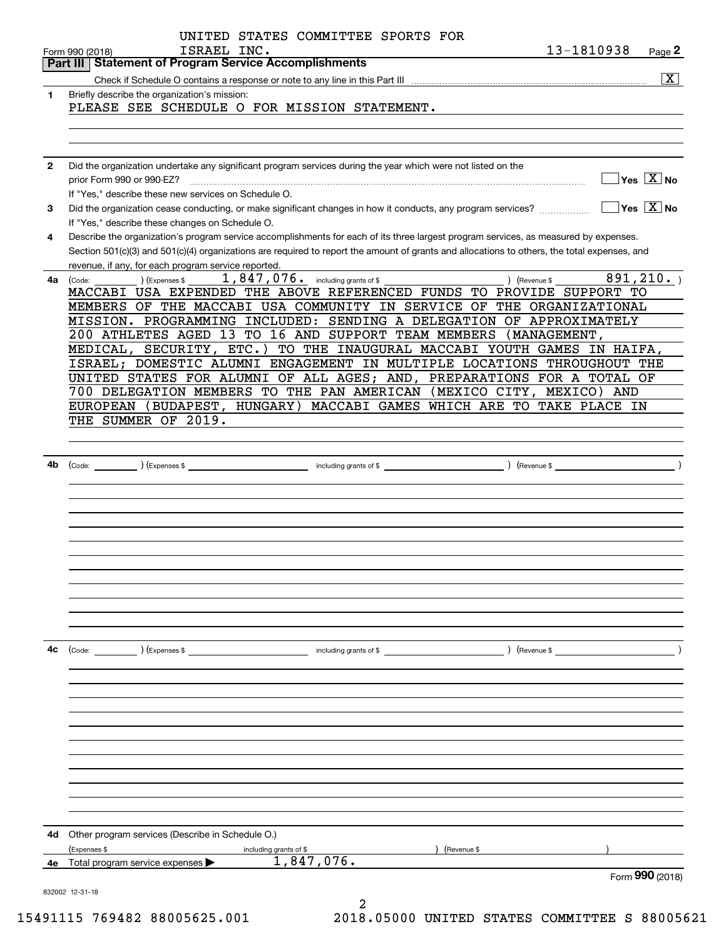| Part III     | UNITED STATES COMMITTEE SPORTS FOR<br>13-1810938<br>ISRAEL INC.<br>Page 2<br>Form 990 (2018)<br><b>Statement of Program Service Accomplishments</b>                                                                                                                                                                                                                                                                                                                                                                                                                                                                                |
|--------------|------------------------------------------------------------------------------------------------------------------------------------------------------------------------------------------------------------------------------------------------------------------------------------------------------------------------------------------------------------------------------------------------------------------------------------------------------------------------------------------------------------------------------------------------------------------------------------------------------------------------------------|
|              | $\overline{\mathbf{x}}$                                                                                                                                                                                                                                                                                                                                                                                                                                                                                                                                                                                                            |
| 1            | Briefly describe the organization's mission:<br>PLEASE SEE SCHEDULE O FOR MISSION STATEMENT.                                                                                                                                                                                                                                                                                                                                                                                                                                                                                                                                       |
|              |                                                                                                                                                                                                                                                                                                                                                                                                                                                                                                                                                                                                                                    |
|              |                                                                                                                                                                                                                                                                                                                                                                                                                                                                                                                                                                                                                                    |
| $\mathbf{2}$ | Did the organization undertake any significant program services during the year which were not listed on the<br>$\sqrt{}$ Yes $\sqrt{}$ X $\sqrt{}$ No<br>prior Form 990 or 990-EZ?                                                                                                                                                                                                                                                                                                                                                                                                                                                |
| 3            | If "Yes," describe these new services on Schedule O.<br>$ Yes X $ No                                                                                                                                                                                                                                                                                                                                                                                                                                                                                                                                                               |
| 4            | If "Yes," describe these changes on Schedule O.<br>Describe the organization's program service accomplishments for each of its three largest program services, as measured by expenses.                                                                                                                                                                                                                                                                                                                                                                                                                                            |
|              | Section 501(c)(3) and 501(c)(4) organizations are required to report the amount of grants and allocations to others, the total expenses, and<br>revenue, if any, for each program service reported.                                                                                                                                                                                                                                                                                                                                                                                                                                |
| 4a -         | 1,847,076. including grants of \$<br>891, 210.<br>) (Revenue \$<br>) (Expenses \$<br>(Code:<br>MACCABI USA EXPENDED THE ABOVE REFERENCED FUNDS TO PROVIDE SUPPORT TO<br>MEMBERS OF THE MACCABI USA COMMUNITY IN SERVICE OF THE ORGANIZATIONAL<br>MISSION. PROGRAMMING INCLUDED: SENDING A DELEGATION OF APPROXIMATELY<br>TO 16 AND SUPPORT TEAM MEMBERS<br>200 ATHLETES AGED 13<br>(MANAGEMENT,<br>MEDICAL, SECURITY, ETC.) TO THE INAUGURAL MACCABI YOUTH GAMES IN HAIFA,<br>ISRAEL; DOMESTIC ALUMNI ENGAGEMENT IN MULTIPLE LOCATIONS THROUGHOUT<br>THE<br>UNITED STATES FOR ALUMNI OF ALL AGES; AND, PREPARATIONS FOR A TOTAL OF |
|              | 700 DELEGATION MEMBERS TO THE PAN AMERICAN (MEXICO CITY, MEXICO) AND                                                                                                                                                                                                                                                                                                                                                                                                                                                                                                                                                               |
|              | EUROPEAN (BUDAPEST, HUNGARY) MACCABI GAMES WHICH ARE TO TAKE PLACE IN<br>THE SUMMER OF 2019.                                                                                                                                                                                                                                                                                                                                                                                                                                                                                                                                       |
|              |                                                                                                                                                                                                                                                                                                                                                                                                                                                                                                                                                                                                                                    |
|              |                                                                                                                                                                                                                                                                                                                                                                                                                                                                                                                                                                                                                                    |
| 4b           |                                                                                                                                                                                                                                                                                                                                                                                                                                                                                                                                                                                                                                    |
|              |                                                                                                                                                                                                                                                                                                                                                                                                                                                                                                                                                                                                                                    |
|              |                                                                                                                                                                                                                                                                                                                                                                                                                                                                                                                                                                                                                                    |
|              |                                                                                                                                                                                                                                                                                                                                                                                                                                                                                                                                                                                                                                    |
|              |                                                                                                                                                                                                                                                                                                                                                                                                                                                                                                                                                                                                                                    |
|              |                                                                                                                                                                                                                                                                                                                                                                                                                                                                                                                                                                                                                                    |
|              |                                                                                                                                                                                                                                                                                                                                                                                                                                                                                                                                                                                                                                    |
| 4с           | $\left(\text{Revenue }$                                                                                                                                                                                                                                                                                                                                                                                                                                                                                                                                                                                                            |
|              |                                                                                                                                                                                                                                                                                                                                                                                                                                                                                                                                                                                                                                    |
|              |                                                                                                                                                                                                                                                                                                                                                                                                                                                                                                                                                                                                                                    |
|              |                                                                                                                                                                                                                                                                                                                                                                                                                                                                                                                                                                                                                                    |
|              |                                                                                                                                                                                                                                                                                                                                                                                                                                                                                                                                                                                                                                    |
|              |                                                                                                                                                                                                                                                                                                                                                                                                                                                                                                                                                                                                                                    |
|              |                                                                                                                                                                                                                                                                                                                                                                                                                                                                                                                                                                                                                                    |
|              |                                                                                                                                                                                                                                                                                                                                                                                                                                                                                                                                                                                                                                    |
| 4d           | Other program services (Describe in Schedule O.)                                                                                                                                                                                                                                                                                                                                                                                                                                                                                                                                                                                   |
|              | ) (Revenue \$<br>(Expenses \$<br>including grants of \$<br>1,847,076.                                                                                                                                                                                                                                                                                                                                                                                                                                                                                                                                                              |
| 4е           | Total program service expenses $\blacktriangleright$<br>Form 990 (2018)                                                                                                                                                                                                                                                                                                                                                                                                                                                                                                                                                            |
|              | 832002 12-31-18<br>2                                                                                                                                                                                                                                                                                                                                                                                                                                                                                                                                                                                                               |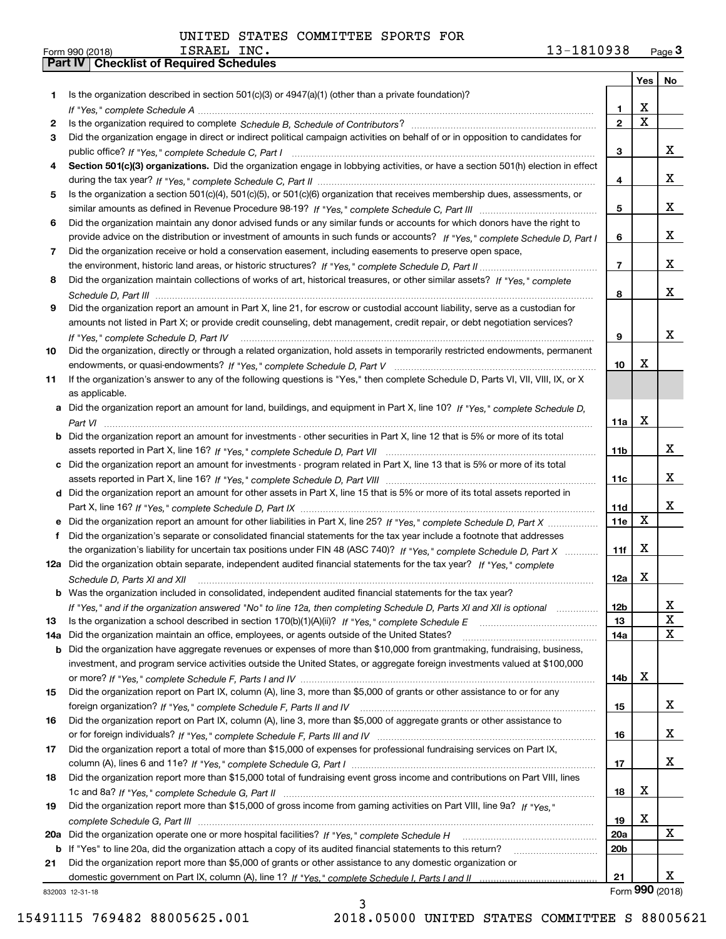|     |                                                                                                                                      |                 |             | Yes   No        |
|-----|--------------------------------------------------------------------------------------------------------------------------------------|-----------------|-------------|-----------------|
| 1   | Is the organization described in section $501(c)(3)$ or $4947(a)(1)$ (other than a private foundation)?                              |                 |             |                 |
|     |                                                                                                                                      | 1.              | X           |                 |
| 2   |                                                                                                                                      | $\mathbf{2}$    | $\mathbf X$ |                 |
| З   | Did the organization engage in direct or indirect political campaign activities on behalf of or in opposition to candidates for      |                 |             |                 |
|     |                                                                                                                                      | 3               |             | x               |
| 4   | Section 501(c)(3) organizations. Did the organization engage in lobbying activities, or have a section 501(h) election in effect     |                 |             |                 |
|     |                                                                                                                                      | 4               |             | x               |
| 5   | Is the organization a section 501(c)(4), 501(c)(5), or 501(c)(6) organization that receives membership dues, assessments, or         |                 |             |                 |
|     |                                                                                                                                      | 5               |             | x               |
| 6   | Did the organization maintain any donor advised funds or any similar funds or accounts for which donors have the right to            |                 |             |                 |
|     | provide advice on the distribution or investment of amounts in such funds or accounts? If "Yes," complete Schedule D, Part I         | 6               |             | x               |
| 7   | Did the organization receive or hold a conservation easement, including easements to preserve open space,                            |                 |             |                 |
|     |                                                                                                                                      | $\overline{7}$  |             | x               |
| 8   | Did the organization maintain collections of works of art, historical treasures, or other similar assets? If "Yes," complete         |                 |             |                 |
|     |                                                                                                                                      | 8               |             | X               |
| 9   | Did the organization report an amount in Part X, line 21, for escrow or custodial account liability, serve as a custodian for        |                 |             |                 |
|     | amounts not listed in Part X; or provide credit counseling, debt management, credit repair, or debt negotiation services?            |                 |             |                 |
|     | If "Yes." complete Schedule D. Part IV                                                                                               | 9               |             | x               |
| 10  | Did the organization, directly or through a related organization, hold assets in temporarily restricted endowments, permanent        |                 |             |                 |
|     |                                                                                                                                      | 10              | x           |                 |
| 11  | If the organization's answer to any of the following questions is "Yes," then complete Schedule D, Parts VI, VII, VIII, IX, or X     |                 |             |                 |
|     | as applicable.                                                                                                                       |                 |             |                 |
|     | a Did the organization report an amount for land, buildings, and equipment in Part X, line 10? If "Yes," complete Schedule D.        |                 |             |                 |
|     |                                                                                                                                      | 11a             | X           |                 |
|     | <b>b</b> Did the organization report an amount for investments - other securities in Part X, line 12 that is 5% or more of its total |                 |             |                 |
|     |                                                                                                                                      | 11 <sub>b</sub> |             | x               |
|     | c Did the organization report an amount for investments - program related in Part X, line 13 that is 5% or more of its total         |                 |             |                 |
|     |                                                                                                                                      | 11c             |             | x               |
|     | d Did the organization report an amount for other assets in Part X, line 15 that is 5% or more of its total assets reported in       |                 |             |                 |
|     |                                                                                                                                      | 11d             |             | x               |
|     | e Did the organization report an amount for other liabilities in Part X, line 25? If "Yes," complete Schedule D, Part X              | <b>11e</b>      | X           |                 |
| f   | Did the organization's separate or consolidated financial statements for the tax year include a footnote that addresses              |                 |             |                 |
|     | the organization's liability for uncertain tax positions under FIN 48 (ASC 740)? If "Yes," complete Schedule D, Part X               | 11f             | X           |                 |
|     | 12a Did the organization obtain separate, independent audited financial statements for the tax year? If "Yes," complete              |                 |             |                 |
|     | Schedule D, Parts XI and XII                                                                                                         | 12a             | x           |                 |
|     | <b>b</b> Was the organization included in consolidated, independent audited financial statements for the tax year?                   |                 |             |                 |
|     | If "Yes," and if the organization answered "No" to line 12a, then completing Schedule D, Parts XI and XII is optional                | 12 <sub>b</sub> |             | ▵               |
| 13  |                                                                                                                                      | 13              |             | X               |
| 14a | Did the organization maintain an office, employees, or agents outside of the United States?                                          | 14a             |             | X               |
| b   | Did the organization have aggregate revenues or expenses of more than \$10,000 from grantmaking, fundraising, business,              |                 |             |                 |
|     | investment, and program service activities outside the United States, or aggregate foreign investments valued at \$100,000           |                 |             |                 |
|     |                                                                                                                                      | 14b             | x           |                 |
| 15  | Did the organization report on Part IX, column (A), line 3, more than \$5,000 of grants or other assistance to or for any            |                 |             |                 |
|     |                                                                                                                                      | 15              |             | x               |
| 16  | Did the organization report on Part IX, column (A), line 3, more than \$5,000 of aggregate grants or other assistance to             |                 |             |                 |
|     |                                                                                                                                      | 16              |             | x               |
| 17  | Did the organization report a total of more than \$15,000 of expenses for professional fundraising services on Part IX,              |                 |             |                 |
|     |                                                                                                                                      | 17              |             | x               |
| 18  | Did the organization report more than \$15,000 total of fundraising event gross income and contributions on Part VIII, lines         |                 |             |                 |
|     |                                                                                                                                      | 18              | х           |                 |
| 19  | Did the organization report more than \$15,000 of gross income from gaming activities on Part VIII, line 9a? If "Yes."               |                 |             |                 |
|     |                                                                                                                                      | 19              | х           |                 |
| 20a |                                                                                                                                      | 20a             |             | X               |
| b   | If "Yes" to line 20a, did the organization attach a copy of its audited financial statements to this return?                         | 20 <sub>b</sub> |             |                 |
| 21  | Did the organization report more than \$5,000 of grants or other assistance to any domestic organization or                          |                 |             |                 |
|     |                                                                                                                                      | 21              |             | x               |
|     | 832003 12-31-18                                                                                                                      |                 |             | Form 990 (2018) |

3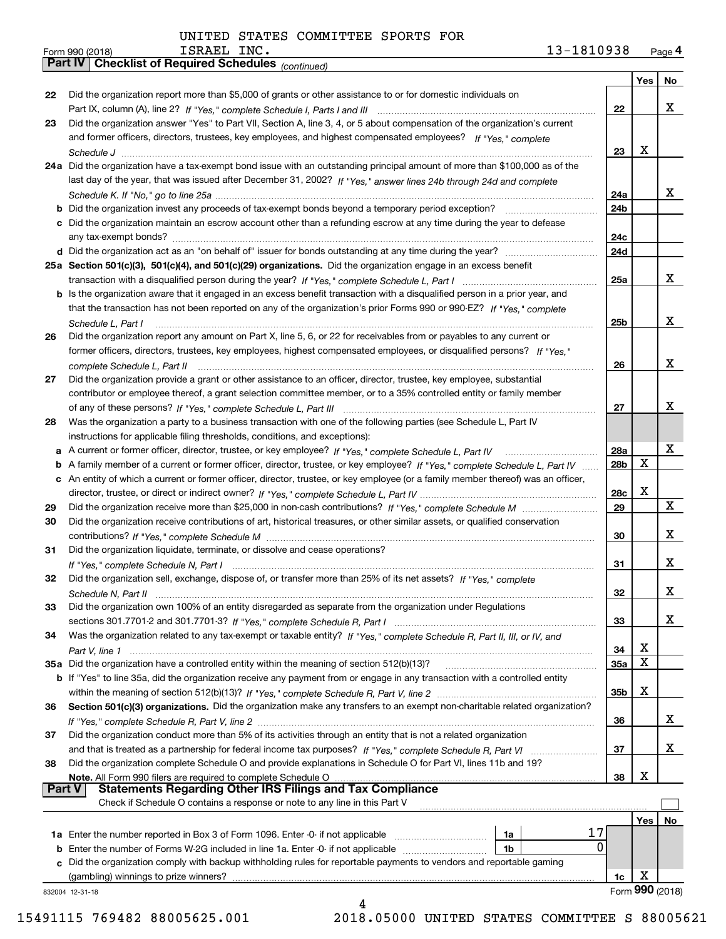*(continued)*

| Form 990 (2018) | ISRAEL                                                | INC. | 13-1810938 | Page 4 |
|-----------------|-------------------------------------------------------|------|------------|--------|
|                 | Part IV   Checklist of Required Schedules (continued) |      |            |        |

|               |                                                                                                                                                                                                                                           |                        | Yes | No              |
|---------------|-------------------------------------------------------------------------------------------------------------------------------------------------------------------------------------------------------------------------------------------|------------------------|-----|-----------------|
| 22            | Did the organization report more than \$5,000 of grants or other assistance to or for domestic individuals on                                                                                                                             |                        |     |                 |
|               |                                                                                                                                                                                                                                           | 22                     |     | x               |
| 23            | Did the organization answer "Yes" to Part VII, Section A, line 3, 4, or 5 about compensation of the organization's current                                                                                                                |                        |     |                 |
|               | and former officers, directors, trustees, key employees, and highest compensated employees? If "Yes," complete                                                                                                                            |                        |     |                 |
|               |                                                                                                                                                                                                                                           | 23                     | х   |                 |
|               | 24a Did the organization have a tax-exempt bond issue with an outstanding principal amount of more than \$100,000 as of the                                                                                                               |                        |     |                 |
|               | last day of the year, that was issued after December 31, 2002? If "Yes," answer lines 24b through 24d and complete                                                                                                                        |                        |     |                 |
|               |                                                                                                                                                                                                                                           | 24a                    |     | x               |
|               | <b>b</b> Did the organization invest any proceeds of tax-exempt bonds beyond a temporary period exception?                                                                                                                                | 24 <sub>b</sub>        |     |                 |
|               | c Did the organization maintain an escrow account other than a refunding escrow at any time during the year to defease                                                                                                                    |                        |     |                 |
|               |                                                                                                                                                                                                                                           | 24c                    |     |                 |
|               |                                                                                                                                                                                                                                           | 24d                    |     |                 |
|               | 25a Section 501(c)(3), 501(c)(4), and 501(c)(29) organizations. Did the organization engage in an excess benefit                                                                                                                          |                        |     |                 |
|               |                                                                                                                                                                                                                                           | 25a                    |     | x               |
|               | b Is the organization aware that it engaged in an excess benefit transaction with a disqualified person in a prior year, and                                                                                                              |                        |     |                 |
|               | that the transaction has not been reported on any of the organization's prior Forms 990 or 990-EZ? If "Yes," complete                                                                                                                     |                        |     |                 |
|               | Schedule L, Part I                                                                                                                                                                                                                        | 25 <sub>b</sub>        |     | x               |
| 26            | Did the organization report any amount on Part X, line 5, 6, or 22 for receivables from or payables to any current or                                                                                                                     |                        |     |                 |
|               | former officers, directors, trustees, key employees, highest compensated employees, or disqualified persons? If "Yes."                                                                                                                    |                        |     |                 |
|               | complete Schedule L, Part II                                                                                                                                                                                                              | 26                     |     | X               |
| 27            | Did the organization provide a grant or other assistance to an officer, director, trustee, key employee, substantial                                                                                                                      |                        |     |                 |
|               | contributor or employee thereof, a grant selection committee member, or to a 35% controlled entity or family member                                                                                                                       |                        |     | x               |
|               |                                                                                                                                                                                                                                           | 27                     |     |                 |
| 28            | Was the organization a party to a business transaction with one of the following parties (see Schedule L, Part IV                                                                                                                         |                        |     |                 |
|               | instructions for applicable filing thresholds, conditions, and exceptions):                                                                                                                                                               |                        |     | х               |
|               | a A current or former officer, director, trustee, or key employee? If "Yes," complete Schedule L, Part IV<br>b A family member of a current or former officer, director, trustee, or key employee? If "Yes," complete Schedule L, Part IV | 28a<br>28 <sub>b</sub> | X   |                 |
|               | c An entity of which a current or former officer, director, trustee, or key employee (or a family member thereof) was an officer,                                                                                                         |                        |     |                 |
|               |                                                                                                                                                                                                                                           | 28c                    | X   |                 |
| 29            |                                                                                                                                                                                                                                           | 29                     |     | X               |
| 30            | Did the organization receive contributions of art, historical treasures, or other similar assets, or qualified conservation                                                                                                               |                        |     |                 |
|               |                                                                                                                                                                                                                                           | 30                     |     | х               |
| 31            | Did the organization liquidate, terminate, or dissolve and cease operations?                                                                                                                                                              |                        |     |                 |
|               |                                                                                                                                                                                                                                           | 31                     |     | х               |
| 32            | Did the organization sell, exchange, dispose of, or transfer more than 25% of its net assets? If "Yes," complete                                                                                                                          |                        |     |                 |
|               |                                                                                                                                                                                                                                           | 32                     |     | х               |
|               | Did the organization own 100% of an entity disregarded as separate from the organization under Regulations                                                                                                                                |                        |     |                 |
|               |                                                                                                                                                                                                                                           | 33                     |     | x               |
| 34            | Was the organization related to any tax-exempt or taxable entity? If "Yes," complete Schedule R, Part II, III, or IV, and                                                                                                                 |                        |     |                 |
|               |                                                                                                                                                                                                                                           | 34                     | Χ   |                 |
|               | 35a Did the organization have a controlled entity within the meaning of section 512(b)(13)?                                                                                                                                               | 35a                    | X   |                 |
|               | b If "Yes" to line 35a, did the organization receive any payment from or engage in any transaction with a controlled entity                                                                                                               |                        |     |                 |
|               |                                                                                                                                                                                                                                           | 35b                    | х   |                 |
| 36            | Section 501(c)(3) organizations. Did the organization make any transfers to an exempt non-charitable related organization?                                                                                                                |                        |     |                 |
|               |                                                                                                                                                                                                                                           | 36                     |     | x               |
| 37            | Did the organization conduct more than 5% of its activities through an entity that is not a related organization                                                                                                                          |                        |     |                 |
|               |                                                                                                                                                                                                                                           | 37                     |     | x               |
| 38            | Did the organization complete Schedule O and provide explanations in Schedule O for Part VI, lines 11b and 19?                                                                                                                            |                        |     |                 |
|               | Note. All Form 990 filers are required to complete Schedule O                                                                                                                                                                             | 38                     | х   |                 |
| <b>Part V</b> | <b>Statements Regarding Other IRS Filings and Tax Compliance</b>                                                                                                                                                                          |                        |     |                 |
|               | Check if Schedule O contains a response or note to any line in this Part V                                                                                                                                                                |                        |     |                 |
|               |                                                                                                                                                                                                                                           |                        | Yes | No              |
|               | 17<br>1a<br>0                                                                                                                                                                                                                             |                        |     |                 |
| b             | Enter the number of Forms W-2G included in line 1a. Enter -0- if not applicable<br>1b                                                                                                                                                     |                        |     |                 |
|               | c Did the organization comply with backup withholding rules for reportable payments to vendors and reportable gaming                                                                                                                      |                        | Χ   |                 |
|               | (gambling) winnings to prize winners?                                                                                                                                                                                                     | 1c                     |     | Form 990 (2018) |
|               | 832004 12-31-18<br>4                                                                                                                                                                                                                      |                        |     |                 |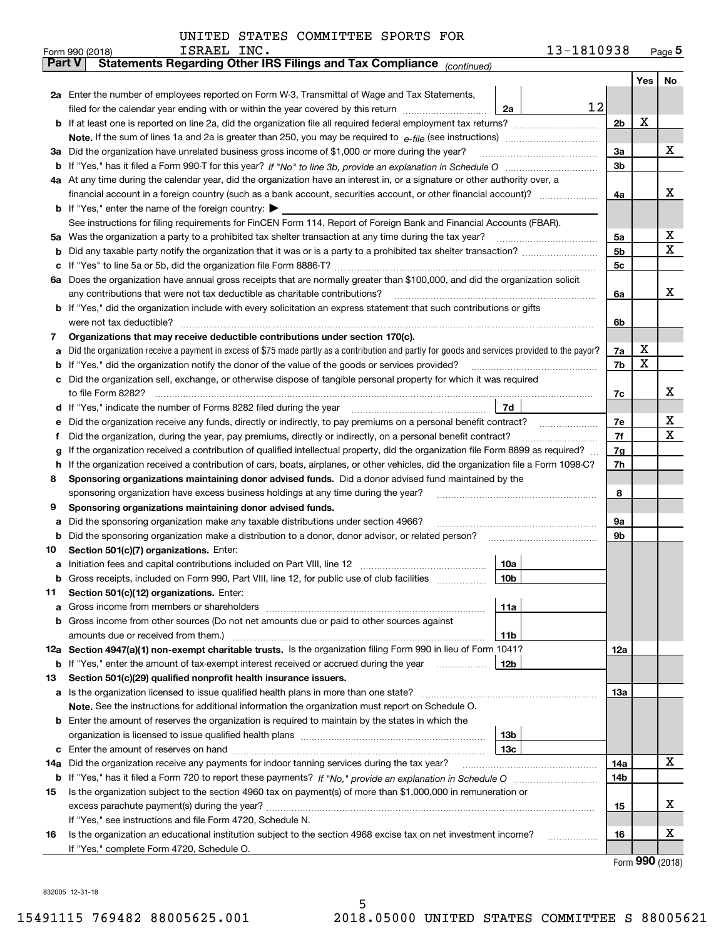|  | UNITED STATES COMMITTEE SPORTS FOR |  |  |
|--|------------------------------------|--|--|
|  |                                    |  |  |

ISRAEL INC.

|               | Form 990 (2018) | ISRAEL INC.                                                                                                                                                                                                                             |                 | 13-1810938 |                |     | Page 5 |
|---------------|-----------------|-----------------------------------------------------------------------------------------------------------------------------------------------------------------------------------------------------------------------------------------|-----------------|------------|----------------|-----|--------|
| <b>Part V</b> |                 | Statements Regarding Other IRS Filings and Tax Compliance (continued)                                                                                                                                                                   |                 |            |                |     |        |
|               |                 |                                                                                                                                                                                                                                         |                 |            |                | Yes | No     |
|               |                 | 2a Enter the number of employees reported on Form W-3, Transmittal of Wage and Tax Statements,                                                                                                                                          |                 |            |                |     |        |
|               |                 | filed for the calendar year ending with or within the year covered by this return                                                                                                                                                       | 2a              | 12         |                |     |        |
| b             |                 |                                                                                                                                                                                                                                         |                 |            | 2 <sub>b</sub> | х   |        |
|               |                 |                                                                                                                                                                                                                                         |                 |            |                |     |        |
| за            |                 | Did the organization have unrelated business gross income of \$1,000 or more during the year?                                                                                                                                           |                 |            | 3a             |     | X      |
| b             |                 |                                                                                                                                                                                                                                         |                 |            | 3b             |     |        |
|               |                 | 4a At any time during the calendar year, did the organization have an interest in, or a signature or other authority over, a                                                                                                            |                 |            |                |     |        |
|               |                 | financial account in a foreign country (such as a bank account, securities account, or other financial account)?                                                                                                                        |                 |            | 4a             |     | х      |
|               |                 | <b>b</b> If "Yes," enter the name of the foreign country: $\blacktriangleright$                                                                                                                                                         |                 |            |                |     |        |
|               |                 | See instructions for filing requirements for FinCEN Form 114, Report of Foreign Bank and Financial Accounts (FBAR).                                                                                                                     |                 |            |                |     |        |
| 5a            |                 | Was the organization a party to a prohibited tax shelter transaction at any time during the tax year?                                                                                                                                   |                 |            | 5a             |     | х      |
| b             |                 |                                                                                                                                                                                                                                         |                 |            | 5b             |     | Х      |
| с             |                 |                                                                                                                                                                                                                                         |                 |            | 5c             |     |        |
| 6а            |                 | Does the organization have annual gross receipts that are normally greater than \$100,000, and did the organization solicit                                                                                                             |                 |            |                |     |        |
|               |                 | any contributions that were not tax deductible as charitable contributions?                                                                                                                                                             |                 |            | 6a             |     | x      |
|               |                 | If "Yes," did the organization include with every solicitation an express statement that such contributions or gifts                                                                                                                    |                 |            |                |     |        |
|               |                 | were not tax deductible?                                                                                                                                                                                                                |                 |            | 6b             |     |        |
| 7             |                 | Organizations that may receive deductible contributions under section 170(c).                                                                                                                                                           |                 |            |                |     |        |
| a             |                 | Did the organization receive a payment in excess of \$75 made partly as a contribution and partly for goods and services provided to the payor?                                                                                         |                 |            | 7a             | x   |        |
| b             |                 | If "Yes," did the organization notify the donor of the value of the goods or services provided?                                                                                                                                         |                 |            | 7b             | х   |        |
|               |                 | Did the organization sell, exchange, or otherwise dispose of tangible personal property for which it was required                                                                                                                       |                 |            |                |     |        |
|               |                 | to file Form 8282?                                                                                                                                                                                                                      |                 |            | 7c             |     | х      |
| d             |                 |                                                                                                                                                                                                                                         | 7d              |            |                |     |        |
| е             |                 | Did the organization receive any funds, directly or indirectly, to pay premiums on a personal benefit contract?                                                                                                                         |                 |            | 7e             |     | х      |
| f             |                 | Did the organization, during the year, pay premiums, directly or indirectly, on a personal benefit contract?                                                                                                                            |                 |            | 7f             |     | x      |
| g             |                 | If the organization received a contribution of qualified intellectual property, did the organization file Form 8899 as required?                                                                                                        |                 |            | 7g             |     |        |
| h             |                 | If the organization received a contribution of cars, boats, airplanes, or other vehicles, did the organization file a Form 1098-C?                                                                                                      |                 |            | 7h             |     |        |
| 8             |                 | Sponsoring organizations maintaining donor advised funds. Did a donor advised fund maintained by the                                                                                                                                    |                 |            |                |     |        |
|               |                 | sponsoring organization have excess business holdings at any time during the year?                                                                                                                                                      |                 |            | 8              |     |        |
| 9             |                 | Sponsoring organizations maintaining donor advised funds.                                                                                                                                                                               |                 |            |                |     |        |
| а             |                 | Did the sponsoring organization make any taxable distributions under section 4966?                                                                                                                                                      |                 |            | 9а             |     |        |
| b             |                 | Did the sponsoring organization make a distribution to a donor, donor advisor, or related person?                                                                                                                                       |                 |            | 9b             |     |        |
| 10            |                 | Section 501(c)(7) organizations. Enter:                                                                                                                                                                                                 |                 |            |                |     |        |
| а             |                 | Initiation fees and capital contributions included on Part VIII, line 12 [100] [100] [100] [100] [100] [100] [                                                                                                                          | 10a             |            |                |     |        |
|               |                 | Gross receipts, included on Form 990, Part VIII, line 12, for public use of club facilities                                                                                                                                             | 10 <sub>b</sub> |            |                |     |        |
| 11            |                 | Section 501(c)(12) organizations. Enter:                                                                                                                                                                                                |                 |            |                |     |        |
| a             |                 | Gross income from members or shareholders                                                                                                                                                                                               | 11a             |            |                |     |        |
| b             |                 | Gross income from other sources (Do not net amounts due or paid to other sources against                                                                                                                                                |                 |            |                |     |        |
|               |                 | amounts due or received from them.)                                                                                                                                                                                                     | 11b             |            |                |     |        |
|               |                 | 12a Section 4947(a)(1) non-exempt charitable trusts. Is the organization filing Form 990 in lieu of Form 1041?                                                                                                                          |                 |            | 12a            |     |        |
|               |                 | <b>b</b> If "Yes," enter the amount of tax-exempt interest received or accrued during the year <i>manument</i> of the set of the set of the set of the set of the set of the set of the set of the set of the set of the set of the set | 12b             |            |                |     |        |
| 13            |                 | Section 501(c)(29) qualified nonprofit health insurance issuers.                                                                                                                                                                        |                 |            |                |     |        |
| a             |                 | Is the organization licensed to issue qualified health plans in more than one state?                                                                                                                                                    |                 |            | 13а            |     |        |
|               |                 | Note. See the instructions for additional information the organization must report on Schedule O.                                                                                                                                       |                 |            |                |     |        |
| b             |                 | Enter the amount of reserves the organization is required to maintain by the states in which the                                                                                                                                        |                 |            |                |     |        |
|               |                 |                                                                                                                                                                                                                                         | 13 <sub>b</sub> |            |                |     |        |
| c             |                 |                                                                                                                                                                                                                                         | 13 <sub>c</sub> |            |                |     |        |
| 14a           |                 | Did the organization receive any payments for indoor tanning services during the tax year?                                                                                                                                              |                 |            | 14a            |     | x      |
| b             |                 |                                                                                                                                                                                                                                         |                 |            | 14b            |     |        |
| 15            |                 | Is the organization subject to the section 4960 tax on payment(s) of more than \$1,000,000 in remuneration or                                                                                                                           |                 |            |                |     |        |
|               |                 | excess parachute payment(s) during the year?                                                                                                                                                                                            |                 |            | 15             |     | x      |
|               |                 | If "Yes," see instructions and file Form 4720, Schedule N.                                                                                                                                                                              |                 |            |                |     |        |
| 16            |                 | Is the organization an educational institution subject to the section 4968 excise tax on net investment income?                                                                                                                         |                 |            | 16             |     | х      |
|               |                 | If "Yes," complete Form 4720, Schedule O.                                                                                                                                                                                               |                 |            |                |     |        |

Form (2018) **990**

832005 12-31-18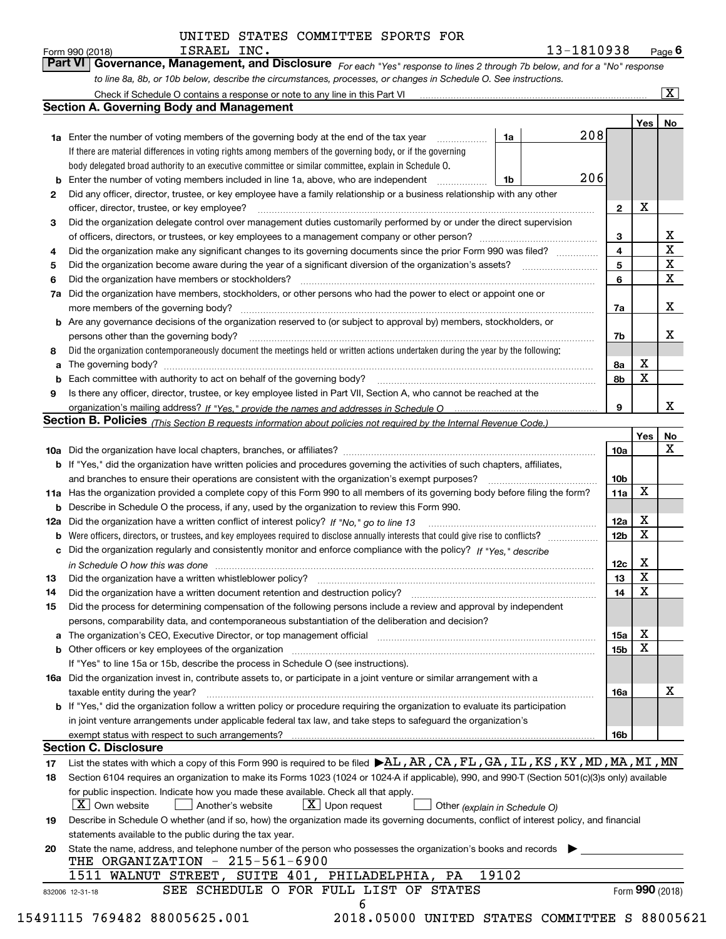*For each "Yes" response to lines 2 through 7b below, and for a "No" response to line 8a, 8b, or 10b below, describe the circumstances, processes, or changes in Schedule O. See instructions.* Form 990 (2018) **Form 990 (2018) Example 1 SRAEL INC.** The Sample of the set of the set of the set of the set of the set of the set of the set of the set of the set of the set of the set of the set of the set of the set

|              |                                                                                                                                                                            |       |  |                 | Yes <sub>1</sub> |  | No                           |  |  |
|--------------|----------------------------------------------------------------------------------------------------------------------------------------------------------------------------|-------|--|-----------------|------------------|--|------------------------------|--|--|
|              | <b>1a</b> Enter the number of voting members of the governing body at the end of the tax year                                                                              | 1a    |  | 208             |                  |  |                              |  |  |
|              | If there are material differences in voting rights among members of the governing body, or if the governing                                                                |       |  |                 |                  |  |                              |  |  |
|              | body delegated broad authority to an executive committee or similar committee, explain in Schedule O.                                                                      |       |  | 206             |                  |  |                              |  |  |
|              | <b>b</b> Enter the number of voting members included in line 1a, above, who are independent <i>manumum</i>                                                                 | 1b    |  |                 |                  |  |                              |  |  |
| $\mathbf{2}$ | Did any officer, director, trustee, or key employee have a family relationship or a business relationship with any other                                                   |       |  |                 |                  |  |                              |  |  |
|              | officer, director, trustee, or key employee?                                                                                                                               |       |  |                 |                  |  |                              |  |  |
| 3            | Did the organization delegate control over management duties customarily performed by or under the direct supervision                                                      |       |  |                 |                  |  |                              |  |  |
|              |                                                                                                                                                                            |       |  | 3               |                  |  | X<br>$\overline{\mathbf{x}}$ |  |  |
| 4            | Did the organization make any significant changes to its governing documents since the prior Form 990 was filed?                                                           |       |  | 4               |                  |  |                              |  |  |
| 5            |                                                                                                                                                                            |       |  | 5               |                  |  | $\mathbf X$                  |  |  |
| 6            |                                                                                                                                                                            |       |  | 6               |                  |  | $\mathbf X$                  |  |  |
|              | 7a Did the organization have members, stockholders, or other persons who had the power to elect or appoint one or                                                          |       |  |                 |                  |  |                              |  |  |
|              |                                                                                                                                                                            |       |  | 7a              |                  |  | X                            |  |  |
|              | <b>b</b> Are any governance decisions of the organization reserved to (or subject to approval by) members, stockholders, or                                                |       |  |                 |                  |  |                              |  |  |
|              | persons other than the governing body?                                                                                                                                     |       |  | 7b              |                  |  | X                            |  |  |
| 8            | Did the organization contemporaneously document the meetings held or written actions undertaken during the year by the following:                                          |       |  |                 |                  |  |                              |  |  |
| a            |                                                                                                                                                                            |       |  | 8a              | X                |  |                              |  |  |
|              |                                                                                                                                                                            |       |  | 8b              | X                |  |                              |  |  |
| 9            | Is there any officer, director, trustee, or key employee listed in Part VII, Section A, who cannot be reached at the                                                       |       |  |                 |                  |  |                              |  |  |
|              |                                                                                                                                                                            |       |  | 9               |                  |  | x                            |  |  |
|              | Section B. Policies (This Section B requests information about policies not required by the Internal Revenue Code.)                                                        |       |  |                 |                  |  |                              |  |  |
|              |                                                                                                                                                                            |       |  |                 | Yes∣             |  | No                           |  |  |
|              |                                                                                                                                                                            |       |  | 10a             |                  |  | X                            |  |  |
|              | <b>b</b> If "Yes," did the organization have written policies and procedures governing the activities of such chapters, affiliates,                                        |       |  |                 |                  |  |                              |  |  |
|              |                                                                                                                                                                            |       |  | 10 <sub>b</sub> |                  |  |                              |  |  |
|              | 11a Has the organization provided a complete copy of this Form 990 to all members of its governing body before filing the form?                                            |       |  | 11a             | X                |  |                              |  |  |
|              | <b>b</b> Describe in Schedule O the process, if any, used by the organization to review this Form 990.                                                                     |       |  |                 |                  |  |                              |  |  |
|              |                                                                                                                                                                            |       |  | 12a             | X                |  |                              |  |  |
| b            |                                                                                                                                                                            |       |  | 12b             | X                |  |                              |  |  |
|              | c Did the organization regularly and consistently monitor and enforce compliance with the policy? If "Yes," describe                                                       |       |  |                 |                  |  |                              |  |  |
|              | in Schedule O how this was done encourance and the control of the control of the control of the control of the                                                             |       |  | 12c             | X                |  |                              |  |  |
| 13           |                                                                                                                                                                            |       |  | 13              | X                |  |                              |  |  |
| 14           | Did the organization have a written document retention and destruction policy? manufactured and the organization have a written document retention and destruction policy? |       |  | 14              | $\mathbf X$      |  |                              |  |  |
| 15           | Did the process for determining compensation of the following persons include a review and approval by independent                                                         |       |  |                 |                  |  |                              |  |  |
|              | persons, comparability data, and contemporaneous substantiation of the deliberation and decision?                                                                          |       |  |                 |                  |  |                              |  |  |
|              |                                                                                                                                                                            |       |  | 15a             | X                |  |                              |  |  |
|              | <b>b</b> Other officers or key employees of the organization                                                                                                               |       |  | 15b             | $\mathbf X$      |  |                              |  |  |
|              | If "Yes" to line 15a or 15b, describe the process in Schedule O (see instructions).                                                                                        |       |  |                 |                  |  |                              |  |  |
|              | 16a Did the organization invest in, contribute assets to, or participate in a joint venture or similar arrangement with a                                                  |       |  |                 |                  |  |                              |  |  |
|              | taxable entity during the year?                                                                                                                                            |       |  | 16a             |                  |  | X                            |  |  |
|              | b If "Yes," did the organization follow a written policy or procedure requiring the organization to evaluate its participation                                             |       |  |                 |                  |  |                              |  |  |
|              | in joint venture arrangements under applicable federal tax law, and take steps to safeguard the organization's                                                             |       |  |                 |                  |  |                              |  |  |
|              | exempt status with respect to such arrangements?                                                                                                                           |       |  | 16b             |                  |  |                              |  |  |
|              | <b>Section C. Disclosure</b>                                                                                                                                               |       |  |                 |                  |  |                              |  |  |
| 17           | List the states with which a copy of this Form 990 is required to be filed $\blacktriangleright$ AL, AR, CA, FL, GA, IL, KS, KY, MD, MA, MI, MN                            |       |  |                 |                  |  |                              |  |  |
| 18           | Section 6104 requires an organization to make its Forms 1023 (1024 or 1024 A if applicable), 990, and 990-T (Section 501(c)(3)s only) available                            |       |  |                 |                  |  |                              |  |  |
|              | for public inspection. Indicate how you made these available. Check all that apply.                                                                                        |       |  |                 |                  |  |                              |  |  |
|              | $\boxed{\text{X}}$ Own website<br>$X$ Upon request<br>Another's website<br>Other (explain in Schedule O)                                                                   |       |  |                 |                  |  |                              |  |  |
| 19           | Describe in Schedule O whether (and if so, how) the organization made its governing documents, conflict of interest policy, and financial                                  |       |  |                 |                  |  |                              |  |  |
|              | statements available to the public during the tax year.                                                                                                                    |       |  |                 |                  |  |                              |  |  |
| 20           | State the name, address, and telephone number of the person who possesses the organization's books and records                                                             |       |  |                 |                  |  |                              |  |  |
|              | THE ORGANIZATION - 215-561-6900                                                                                                                                            |       |  |                 |                  |  |                              |  |  |
|              | 1511 WALNUT STREET, SUITE 401, PHILADELPHIA, PA                                                                                                                            | 19102 |  |                 |                  |  |                              |  |  |
|              | SEE SCHEDULE O FOR FULL LIST OF STATES                                                                                                                                     |       |  |                 | Form 990 (2018)  |  |                              |  |  |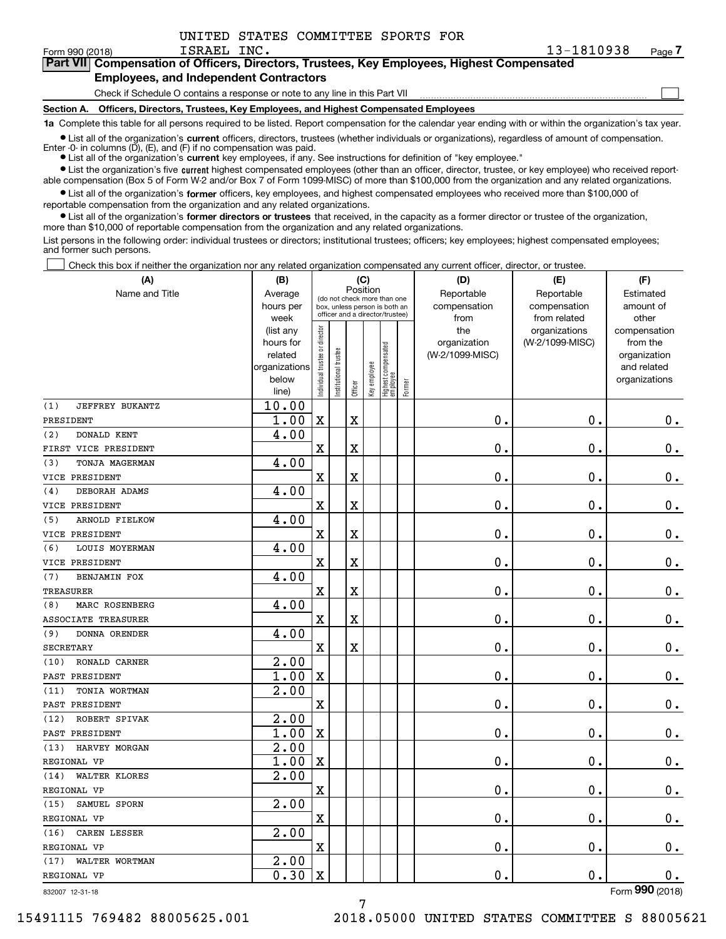$\mathcal{L}^{\text{max}}$ 

# **7Part VII Compensation of Officers, Directors, Trustees, Key Employees, Highest Compensated Employees, and Independent Contractors**

Check if Schedule O contains a response or note to any line in this Part VII

**Section A. Officers, Directors, Trustees, Key Employees, and Highest Compensated Employees**

**1a**  Complete this table for all persons required to be listed. Report compensation for the calendar year ending with or within the organization's tax year.

**•** List all of the organization's current officers, directors, trustees (whether individuals or organizations), regardless of amount of compensation. Enter -0- in columns  $(D)$ ,  $(E)$ , and  $(F)$  if no compensation was paid.

**(A)**

● List all of the organization's **current** key employees, if any. See instructions for definition of "key employee."

**•** List the organization's five current highest compensated employees (other than an officer, director, trustee, or key employee) who received reportable compensation (Box 5 of Form W-2 and/or Box 7 of Form 1099-MISC) of more than \$100,000 from the organization and any related organizations.

 $\bullet$  List all of the organization's **former** officers, key employees, and highest compensated employees who received more than \$100,000 of reportable compensation from the organization and any related organizations.

**•** List all of the organization's former directors or trustees that received, in the capacity as a former director or trustee of the organization, more than \$10,000 of reportable compensation from the organization and any related organizations.

List persons in the following order: individual trustees or directors; institutional trustees; officers; key employees; highest compensated employees; and former such persons.

Check this box if neither the organization nor any related organization compensated any current officer, director, or trustee.  $\mathcal{L}^{\text{max}}$ 

| (A)                           | (B)                                                                                 |                                |                                 | (C)     |              |                                 |        | (D)                 | (E)                              | (F)                      |
|-------------------------------|-------------------------------------------------------------------------------------|--------------------------------|---------------------------------|---------|--------------|---------------------------------|--------|---------------------|----------------------------------|--------------------------|
| Name and Title                | Position<br>Average<br>(do not check more than one<br>box, unless person is both an |                                |                                 |         |              |                                 |        | Reportable          | Reportable                       | Estimated                |
|                               | hours per                                                                           |                                | officer and a director/trustee) |         |              |                                 |        | compensation        | compensation                     | amount of                |
|                               | week                                                                                |                                |                                 |         |              |                                 |        | from                | from related                     | other                    |
|                               | (list any<br>hours for                                                              | Individual trustee or director |                                 |         |              |                                 |        | the<br>organization | organizations<br>(W-2/1099-MISC) | compensation<br>from the |
|                               | related                                                                             |                                |                                 |         |              |                                 |        | (W-2/1099-MISC)     |                                  | organization             |
|                               | organizations                                                                       |                                |                                 |         |              |                                 |        |                     |                                  | and related              |
|                               | below                                                                               |                                | Institutional trustee           |         | Key employee | Highest compensated<br>employee |        |                     |                                  | organizations            |
|                               | line)                                                                               |                                |                                 | Officer |              |                                 | Former |                     |                                  |                          |
| <b>JEFFREY BUKANTZ</b><br>(1) | 10.00                                                                               |                                |                                 |         |              |                                 |        |                     |                                  |                          |
| PRESIDENT                     | 1.00                                                                                | $\mathbf X$                    |                                 | X       |              |                                 |        | $\mathbf 0$ .       | 0.                               | $\mathbf 0$ .            |
| DONALD KENT<br>(2)            | 4.00                                                                                |                                |                                 |         |              |                                 |        |                     |                                  |                          |
| FIRST VICE PRESIDENT          |                                                                                     | $\mathbf X$                    |                                 | X       |              |                                 |        | $\mathbf{0}$ .      | $\mathbf 0$ .                    | $\mathbf 0$ .            |
| (3)<br>TONJA MAGERMAN         | 4.00                                                                                |                                |                                 |         |              |                                 |        |                     |                                  |                          |
| VICE PRESIDENT                |                                                                                     | $\mathbf X$                    |                                 | X       |              |                                 |        | $\mathbf 0$ .       | 0.                               | $\mathbf 0$ .            |
| (4)<br>DEBORAH ADAMS          | 4.00                                                                                |                                |                                 |         |              |                                 |        |                     |                                  |                          |
| VICE PRESIDENT                |                                                                                     | $\mathbf X$                    |                                 | X       |              |                                 |        | $\mathbf 0$ .       | $\mathbf 0$ .                    | $\mathbf 0$ .            |
| (5)<br>ARNOLD FIELKOW         | 4.00                                                                                |                                |                                 |         |              |                                 |        |                     |                                  |                          |
| VICE PRESIDENT                |                                                                                     | $\mathbf X$                    |                                 | X       |              |                                 |        | $\mathbf 0$ .       | $\mathbf 0$ .                    | $\mathbf 0$ .            |
| LOUIS MOYERMAN<br>(6)         | 4.00                                                                                |                                |                                 |         |              |                                 |        |                     |                                  |                          |
| VICE PRESIDENT                |                                                                                     | $\mathbf X$                    |                                 | X       |              |                                 |        | $\mathbf{0}$ .      | $\mathbf 0$ .                    | 0.                       |
| (7)<br>BENJAMIN FOX           | 4.00                                                                                |                                |                                 |         |              |                                 |        |                     |                                  |                          |
| <b>TREASURER</b>              |                                                                                     | $\mathbf x$                    |                                 | X       |              |                                 |        | $\mathbf 0$ .       | $\mathbf 0$ .                    | $\mathbf 0$ .            |
| MARC ROSENBERG<br>(8)         | 4.00                                                                                |                                |                                 |         |              |                                 |        |                     |                                  |                          |
| <b>ASSOCIATE TREASURER</b>    |                                                                                     | $\mathbf X$                    |                                 | X       |              |                                 |        | $\mathbf 0$ .       | $\mathbf 0$ .                    | $0$ .                    |
| (9)<br>DONNA ORENDER          | 4.00                                                                                |                                |                                 |         |              |                                 |        |                     |                                  |                          |
| <b>SECRETARY</b>              |                                                                                     | $\mathbf X$                    |                                 | X       |              |                                 |        | $\mathbf 0$ .       | $\mathbf 0$ .                    | $\mathbf 0$ .            |
| RONALD CARNER<br>(10)         | $\overline{2.00}$                                                                   |                                |                                 |         |              |                                 |        |                     |                                  |                          |
| PAST PRESIDENT                | 1.00                                                                                | $\mathbf X$                    |                                 |         |              |                                 |        | $\mathbf 0$ .       | $\mathbf 0$ .                    | $\mathbf 0$ .            |
| TONIA WORTMAN<br>(11)         | 2.00                                                                                |                                |                                 |         |              |                                 |        |                     |                                  |                          |
| PAST PRESIDENT                |                                                                                     | $\mathbf X$                    |                                 |         |              |                                 |        | $\mathbf 0$ .       | $\mathbf 0$ .                    | $\mathbf 0$ .            |
| ROBERT SPIVAK<br>(12)         | $\overline{2.00}$                                                                   |                                |                                 |         |              |                                 |        |                     |                                  |                          |
| PAST PRESIDENT                | 1.00                                                                                | $\mathbf X$                    |                                 |         |              |                                 |        | $\mathbf 0$ .       | $\mathbf 0$ .                    | $\mathbf 0$ .            |
| HARVEY MORGAN<br>(13)         | 2.00                                                                                |                                |                                 |         |              |                                 |        |                     |                                  |                          |
| REGIONAL VP                   | 1.00                                                                                | $\mathbf X$                    |                                 |         |              |                                 |        | $\mathbf 0$ .       | $\mathbf 0$ .                    | $\mathbf 0$ .            |
| (14)<br>WALTER KLORES         | 2.00                                                                                |                                |                                 |         |              |                                 |        |                     |                                  |                          |
| REGIONAL VP                   |                                                                                     | $\mathbf X$                    |                                 |         |              |                                 |        | $\mathbf 0$ .       | $\mathbf 0$ .                    | $\mathbf 0$ .            |
| (15)<br>SAMUEL SPORN          | 2.00                                                                                |                                |                                 |         |              |                                 |        |                     |                                  |                          |
| REGIONAL VP                   |                                                                                     | $\mathbf X$                    |                                 |         |              |                                 |        | $\mathbf 0$ .       | $\mathbf 0$ .                    | $\mathbf 0$ .            |
| (16)<br>CAREN LESSER          | 2.00                                                                                |                                |                                 |         |              |                                 |        |                     |                                  |                          |
| REGIONAL VP                   |                                                                                     | $\mathbf x$                    |                                 |         |              |                                 |        | $\mathbf 0$ .       | $\mathbf 0$                      | 0.                       |
| (17)<br>WALTER WORTMAN        | $\overline{2.00}$                                                                   |                                |                                 |         |              |                                 |        |                     |                                  |                          |
| REGIONAL VP                   | 0.30                                                                                | $\mathbf X$                    |                                 |         |              |                                 |        | $\mathbf 0$ .       | $\mathbf 0$ .                    | $0$ .                    |
| 832007 12-31-18               |                                                                                     |                                |                                 |         |              |                                 |        |                     |                                  | Form 990 (2018)          |

832007 12-31-18

15491115 769482 88005625.001 2018.05000 UNITED STATES COMMITTEE S 88005621

7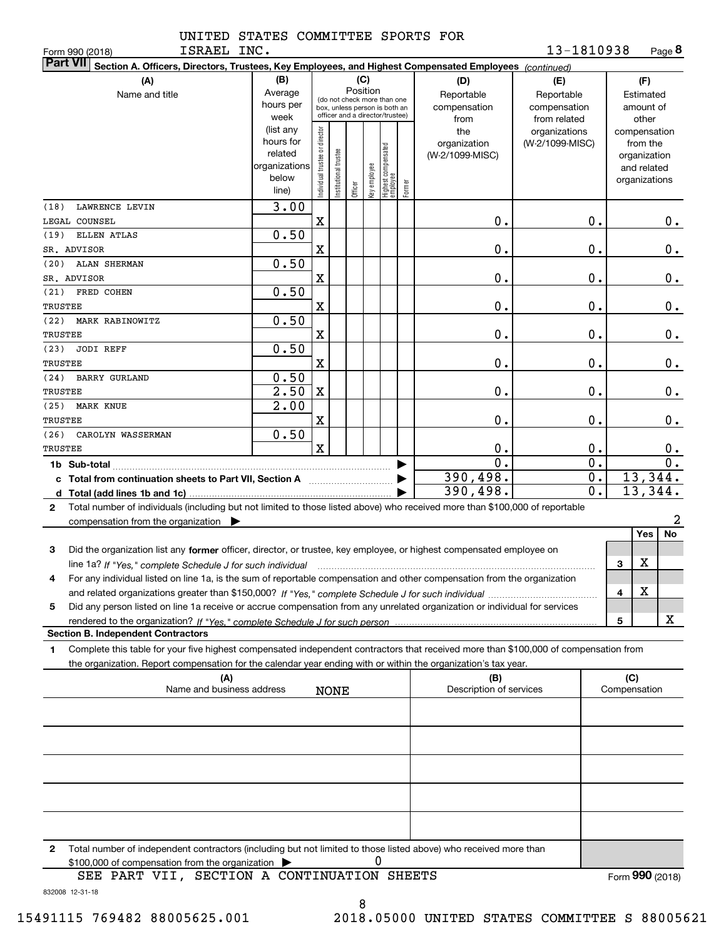ISRAEL INC.

Form 990 (2018) Page **8** 13-1810938

| Part VII<br>Section A. Officers, Directors, Trustees, Key Employees, and Highest Compensated Employees (continued)                                                       |                                                    |                                                                  |                       |         |              |                                 |        |                         |                                  |                 |               |                  |
|--------------------------------------------------------------------------------------------------------------------------------------------------------------------------|----------------------------------------------------|------------------------------------------------------------------|-----------------------|---------|--------------|---------------------------------|--------|-------------------------|----------------------------------|-----------------|---------------|------------------|
| (A)                                                                                                                                                                      | (B)<br>(C)                                         |                                                                  |                       |         |              |                                 |        | (D)                     | (E)                              |                 | (F)           |                  |
| Name and title                                                                                                                                                           | Position<br>Average<br>(do not check more than one |                                                                  |                       |         |              |                                 |        | Reportable              | Reportable                       |                 | Estimated     |                  |
|                                                                                                                                                                          | hours per                                          | box, unless person is both an<br>officer and a director/trustee) |                       |         |              |                                 |        | compensation            | compensation                     |                 | amount of     |                  |
|                                                                                                                                                                          | week<br>(list any                                  |                                                                  |                       |         |              |                                 |        | from                    | from related                     |                 | other         |                  |
|                                                                                                                                                                          | hours for                                          |                                                                  |                       |         |              |                                 |        | the<br>organization     | organizations<br>(W-2/1099-MISC) | compensation    | from the      |                  |
|                                                                                                                                                                          | related                                            |                                                                  |                       |         |              |                                 |        | (W-2/1099-MISC)         |                                  |                 | organization  |                  |
|                                                                                                                                                                          | organizations                                      | Individual trustee or director                                   | Institutional trustee |         |              | Highest compensated<br>employee |        |                         |                                  |                 | and related   |                  |
|                                                                                                                                                                          | below                                              |                                                                  |                       |         | Key employee |                                 | Former |                         |                                  |                 | organizations |                  |
|                                                                                                                                                                          | line)                                              |                                                                  |                       | Officer |              |                                 |        |                         |                                  |                 |               |                  |
| LAWRENCE LEVIN<br>(18)                                                                                                                                                   | 3.00                                               |                                                                  |                       |         |              |                                 |        |                         |                                  |                 |               |                  |
| LEGAL COUNSEL                                                                                                                                                            |                                                    | $\mathbf X$                                                      |                       |         |              |                                 |        | 0.                      | 0.                               |                 |               | $0$ .            |
| (19)<br><b>ELLEN ATLAS</b><br>SR. ADVISOR                                                                                                                                | 0.50                                               | $\mathbf X$                                                      |                       |         |              |                                 |        | 0.                      | 0.                               |                 |               | $0$ .            |
| (20) ALAN SHERMAN                                                                                                                                                        | 0.50                                               |                                                                  |                       |         |              |                                 |        |                         |                                  |                 |               |                  |
| SR. ADVISOR                                                                                                                                                              |                                                    | $\mathbf X$                                                      |                       |         |              |                                 |        | 0.                      | 0.                               |                 |               | $0$ .            |
| (21) FRED COHEN                                                                                                                                                          | 0.50                                               |                                                                  |                       |         |              |                                 |        |                         |                                  |                 |               |                  |
| TRUSTEE                                                                                                                                                                  |                                                    | $\mathbf X$                                                      |                       |         |              |                                 |        | 0.                      | 0.                               |                 |               | $\mathbf 0$ .    |
| (22) MARK RABINOWITZ                                                                                                                                                     | 0.50                                               |                                                                  |                       |         |              |                                 |        |                         |                                  |                 |               |                  |
| TRUSTEE                                                                                                                                                                  |                                                    | $\mathbf X$                                                      |                       |         |              |                                 |        | 0.                      | 0.                               |                 |               | 0.               |
| (23)<br>JODI REFF                                                                                                                                                        | 0.50                                               |                                                                  |                       |         |              |                                 |        |                         |                                  |                 |               |                  |
| TRUSTEE                                                                                                                                                                  |                                                    | $\mathbf X$                                                      |                       |         |              |                                 |        | 0.                      | $0$ .                            |                 |               | 0.               |
| (24)<br><b>BARRY GURLAND</b>                                                                                                                                             | 0.50                                               |                                                                  |                       |         |              |                                 |        |                         |                                  |                 |               |                  |
| TRUSTEE                                                                                                                                                                  | 2.50                                               | $\mathbf X$                                                      |                       |         |              |                                 |        | 0.                      | 0.                               |                 |               | 0.               |
| (25)<br><b>MARK KNUE</b>                                                                                                                                                 | 2.00                                               | $\mathbf X$                                                      |                       |         |              |                                 |        | 0.                      | 0.                               |                 |               | 0.               |
| TRUSTEE<br>(26)<br>CAROLYN WASSERMAN                                                                                                                                     | 0.50                                               |                                                                  |                       |         |              |                                 |        |                         |                                  |                 |               |                  |
| TRUSTEE                                                                                                                                                                  |                                                    | $\mathbf x$                                                      |                       |         |              |                                 |        | 0.                      | 0.                               |                 |               | $0\cdot$         |
|                                                                                                                                                                          |                                                    |                                                                  |                       |         |              |                                 | ▶      | 0.                      | $\overline{0}$ .                 |                 |               | $\overline{0}$ . |
| c Total from continuation sheets to Part VII, Section A [11, 11] [11] Total from continuation sheets to Part VII, Section A                                              |                                                    |                                                                  |                       |         |              |                                 |        | 390,498.                | 0.                               |                 | 13,344.       |                  |
|                                                                                                                                                                          |                                                    |                                                                  |                       |         |              |                                 |        | 390,498.                | 0.                               |                 | 13,344.       |                  |
| Total number of individuals (including but not limited to those listed above) who received more than \$100,000 of reportable<br>$\mathbf{2}$                             |                                                    |                                                                  |                       |         |              |                                 |        |                         |                                  |                 |               |                  |
| compensation from the organization $\blacktriangleright$                                                                                                                 |                                                    |                                                                  |                       |         |              |                                 |        |                         |                                  |                 |               | 2                |
|                                                                                                                                                                          |                                                    |                                                                  |                       |         |              |                                 |        |                         |                                  |                 | Yes           | No               |
| 3<br>Did the organization list any former officer, director, or trustee, key employee, or highest compensated employee on                                                |                                                    |                                                                  |                       |         |              |                                 |        |                         |                                  |                 |               |                  |
| line 1a? If "Yes," complete Schedule J for such individual manufactured contains and the 1a? If "Yes," complete Schedule J for such individual                           |                                                    |                                                                  |                       |         |              |                                 |        |                         |                                  | 3               | x             |                  |
| For any individual listed on line 1a, is the sum of reportable compensation and other compensation from the organization<br>4                                            |                                                    |                                                                  |                       |         |              |                                 |        |                         |                                  |                 |               |                  |
|                                                                                                                                                                          |                                                    |                                                                  |                       |         |              |                                 |        |                         |                                  | 4               | X             |                  |
| Did any person listed on line 1a receive or accrue compensation from any unrelated organization or individual for services<br>5                                          |                                                    |                                                                  |                       |         |              |                                 |        |                         |                                  |                 |               | x                |
| rendered to the organization? If "Yes." complete Schedule J for such person<br><b>Section B. Independent Contractors</b>                                                 |                                                    |                                                                  |                       |         |              |                                 |        |                         |                                  | 5               |               |                  |
| Complete this table for your five highest compensated independent contractors that received more than \$100,000 of compensation from<br>1                                |                                                    |                                                                  |                       |         |              |                                 |        |                         |                                  |                 |               |                  |
| the organization. Report compensation for the calendar year ending with or within the organization's tax year.                                                           |                                                    |                                                                  |                       |         |              |                                 |        |                         |                                  |                 |               |                  |
| (A)                                                                                                                                                                      |                                                    |                                                                  |                       |         |              |                                 |        | (B)                     |                                  | (C)             |               |                  |
| Name and business address                                                                                                                                                |                                                    |                                                                  | <b>NONE</b>           |         |              |                                 |        | Description of services |                                  | Compensation    |               |                  |
|                                                                                                                                                                          |                                                    |                                                                  |                       |         |              |                                 |        |                         |                                  |                 |               |                  |
|                                                                                                                                                                          |                                                    |                                                                  |                       |         |              |                                 |        |                         |                                  |                 |               |                  |
|                                                                                                                                                                          |                                                    |                                                                  |                       |         |              |                                 |        |                         |                                  |                 |               |                  |
|                                                                                                                                                                          |                                                    |                                                                  |                       |         |              |                                 |        |                         |                                  |                 |               |                  |
|                                                                                                                                                                          |                                                    |                                                                  |                       |         |              |                                 |        |                         |                                  |                 |               |                  |
|                                                                                                                                                                          |                                                    |                                                                  |                       |         |              |                                 |        |                         |                                  |                 |               |                  |
|                                                                                                                                                                          |                                                    |                                                                  |                       |         |              |                                 |        |                         |                                  |                 |               |                  |
|                                                                                                                                                                          |                                                    |                                                                  |                       |         |              |                                 |        |                         |                                  |                 |               |                  |
|                                                                                                                                                                          |                                                    |                                                                  |                       |         |              |                                 |        |                         |                                  |                 |               |                  |
| Total number of independent contractors (including but not limited to those listed above) who received more than<br>2<br>\$100,000 of compensation from the organization |                                                    |                                                                  |                       |         |              | 0                               |        |                         |                                  |                 |               |                  |
| SEE PART VII, SECTION A CONTINUATION SHEETS                                                                                                                              |                                                    |                                                                  |                       |         |              |                                 |        |                         |                                  | Form 990 (2018) |               |                  |

832008 12-31-18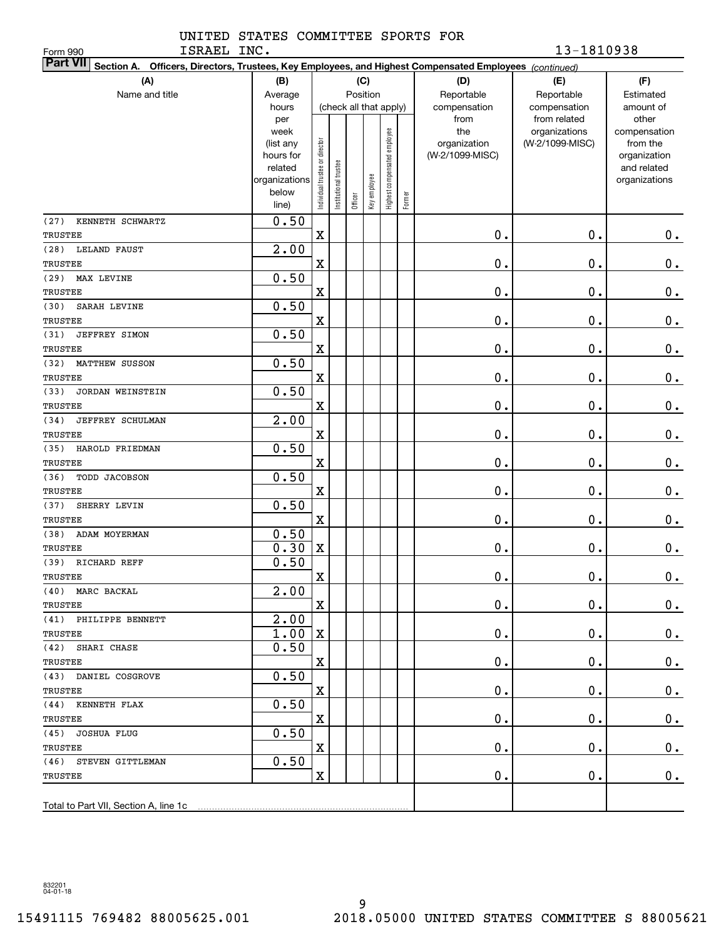|             | UNITED STATES COMMITTEE SPORTS FOR |  |            |
|-------------|------------------------------------|--|------------|
| ISRAEL INC. |                                    |  | 13-1810938 |

| ISRAEL INC.<br>Form 990                                                                                                   |                        |                                |                       |                        |              |                              |        |                 | 13-1810938      |               |
|---------------------------------------------------------------------------------------------------------------------------|------------------------|--------------------------------|-----------------------|------------------------|--------------|------------------------------|--------|-----------------|-----------------|---------------|
| <b>Part VII</b><br>Section A. Officers, Directors, Trustees, Key Employees, and Highest Compensated Employees (continued) |                        |                                |                       |                        |              |                              |        |                 |                 |               |
| (A)                                                                                                                       | (B)                    |                                |                       | (C)                    |              |                              |        | (D)             | (E)             | (F)           |
| Name and title                                                                                                            | Average                |                                |                       | Position               |              |                              |        | Reportable      | Reportable      | Estimated     |
|                                                                                                                           | hours                  |                                |                       | (check all that apply) |              |                              |        | compensation    | compensation    | amount of     |
|                                                                                                                           | per                    |                                |                       |                        |              |                              |        | from            | from related    | other         |
|                                                                                                                           | week                   |                                |                       |                        |              |                              |        | the             | organizations   | compensation  |
|                                                                                                                           | (list any              |                                |                       |                        |              |                              |        | organization    | (W-2/1099-MISC) | from the      |
|                                                                                                                           | hours for              |                                |                       |                        |              |                              |        | (W-2/1099-MISC) |                 | organization  |
|                                                                                                                           | related                |                                |                       |                        |              |                              |        |                 |                 | and related   |
|                                                                                                                           | organizations<br>below |                                |                       |                        |              |                              |        |                 |                 | organizations |
|                                                                                                                           | line)                  | Individual trustee or director | Institutional trustee | Officer                | Key employee | Highest compensated employee | Former |                 |                 |               |
| (27)<br>KENNETH SCHWARTZ                                                                                                  | 0.50                   |                                |                       |                        |              |                              |        |                 |                 |               |
| TRUSTEE                                                                                                                   |                        | $\mathbf X$                    |                       |                        |              |                              |        | 0.              | 0.              | $0$ .         |
|                                                                                                                           | 2.00                   |                                |                       |                        |              |                              |        |                 |                 |               |
| (28)<br>LELAND FAUST                                                                                                      |                        |                                |                       |                        |              |                              |        |                 |                 |               |
| <b>TRUSTEE</b>                                                                                                            |                        | $\mathbf X$                    |                       |                        |              |                              |        | 0.              | 0.              | $\mathbf 0$ . |
| (29)<br>MAX LEVINE                                                                                                        | 0.50                   |                                |                       |                        |              |                              |        |                 |                 |               |
| <b>TRUSTEE</b>                                                                                                            |                        | $\mathbf X$                    |                       |                        |              |                              |        | 0.              | 0.              | $\mathbf 0$ . |
| (30)<br>SARAH LEVINE                                                                                                      | 0.50                   |                                |                       |                        |              |                              |        |                 |                 |               |
| <b>TRUSTEE</b>                                                                                                            |                        | $\mathbf X$                    |                       |                        |              |                              |        | 0.              | 0.              | $\mathbf 0$ . |
| <b>JEFFREY SIMON</b><br>(31)                                                                                              | 0.50                   |                                |                       |                        |              |                              |        |                 |                 |               |
| <b>TRUSTEE</b>                                                                                                            |                        | $\mathbf X$                    |                       |                        |              |                              |        | 0.              | 0.              | $\mathbf 0$ . |
| (32)<br><b>MATTHEW SUSSON</b>                                                                                             | 0.50                   |                                |                       |                        |              |                              |        |                 |                 |               |
| <b>TRUSTEE</b>                                                                                                            |                        | X                              |                       |                        |              |                              |        | 0.              | 0.              | $\mathbf 0$ . |
| (33)<br>JORDAN WEINSTEIN                                                                                                  | 0.50                   |                                |                       |                        |              |                              |        |                 |                 |               |
| <b>TRUSTEE</b>                                                                                                            |                        | $\mathbf X$                    |                       |                        |              |                              |        | 0.              | 0.              | $\mathbf 0$ . |
| (34)<br>JEFFREY SCHULMAN                                                                                                  | 2.00                   |                                |                       |                        |              |                              |        |                 |                 |               |
| <b>TRUSTEE</b>                                                                                                            |                        | $\mathbf X$                    |                       |                        |              |                              |        | 0.              | 0.              | $\mathbf 0$ . |
| (35)<br>HAROLD FRIEDMAN                                                                                                   | 0.50                   |                                |                       |                        |              |                              |        |                 |                 |               |
| <b>TRUSTEE</b>                                                                                                            |                        | $\mathbf X$                    |                       |                        |              |                              |        | 0.              | 0.              | $\mathbf 0$ . |
| (36)<br>TODD JACOBSON                                                                                                     | 0.50                   |                                |                       |                        |              |                              |        |                 |                 |               |
| <b>TRUSTEE</b>                                                                                                            |                        | $\mathbf X$                    |                       |                        |              |                              |        | 0.              | 0.              | $\mathbf 0$ . |
| (37)<br>SHERRY LEVIN                                                                                                      | 0.50                   |                                |                       |                        |              |                              |        |                 |                 |               |
| <b>TRUSTEE</b>                                                                                                            |                        | $\mathbf X$                    |                       |                        |              |                              |        | 0.              | 0.              | $\mathbf 0$ . |
| (38)<br>ADAM MOYERMAN                                                                                                     | 0.50                   |                                |                       |                        |              |                              |        |                 |                 |               |
| TRUSTEE                                                                                                                   | 0.30                   | $\mathbf X$                    |                       |                        |              |                              |        | 0.              | 0.              | 0.            |
| (39) RICHARD REFF                                                                                                         | 0.50                   |                                |                       |                        |              |                              |        |                 |                 |               |
| TRUSTEE                                                                                                                   |                        | $\mathbf X$                    |                       |                        |              |                              |        | $\mathbf 0$ .   | $\mathbf 0$ .   | $0$ .         |
| (40) MARC BACKAL                                                                                                          | 2.00                   |                                |                       |                        |              |                              |        |                 |                 |               |
| TRUSTEE                                                                                                                   |                        | $\mathbf X$                    |                       |                        |              |                              |        | $\mathbf 0$ .   | $\mathbf 0$ .   | 0.            |
| (41) PHILIPPE BENNETT                                                                                                     | 2.00                   |                                |                       |                        |              |                              |        |                 |                 |               |
| TRUSTEE                                                                                                                   | $1.00 \, \mathrm{X}$   |                                |                       |                        |              |                              |        | 0.              | $\mathbf 0$ .   | 0.            |
| (42) SHARI CHASE                                                                                                          | 0.50                   |                                |                       |                        |              |                              |        |                 |                 |               |
| TRUSTEE                                                                                                                   |                        | $\mathbf X$                    |                       |                        |              |                              |        | 0.              | $\mathbf 0$ .   | 0.            |
| (43) DANIEL COSGROVE                                                                                                      | 0.50                   |                                |                       |                        |              |                              |        |                 |                 |               |
| TRUSTEE                                                                                                                   |                        | $\mathbf X$                    |                       |                        |              |                              |        | 0.              | $\mathbf 0$ .   | $0$ .         |
| (44) KENNETH FLAX                                                                                                         | 0.50                   |                                |                       |                        |              |                              |        |                 |                 |               |
| TRUSTEE                                                                                                                   |                        | $\mathbf X$                    |                       |                        |              |                              |        | 0.              | $\mathbf 0$ .   | 0.            |
| (45) JOSHUA FLUG                                                                                                          | 0.50                   |                                |                       |                        |              |                              |        |                 |                 |               |
| TRUSTEE                                                                                                                   |                        | $\mathbf x$                    |                       |                        |              |                              |        | 0.              | $\mathbf 0$ .   | $0_{.}$       |
| (46) STEVEN GITTLEMAN                                                                                                     | 0.50                   |                                |                       |                        |              |                              |        |                 |                 |               |
| TRUSTEE                                                                                                                   |                        | $\mathbf X$                    |                       |                        |              |                              |        | $\mathbf 0$ .   | $\mathbf 0$ .   | 0.            |
|                                                                                                                           |                        |                                |                       |                        |              |                              |        |                 |                 |               |
| Total to Part VII, Section A, line 1c                                                                                     |                        |                                |                       |                        |              |                              |        |                 |                 |               |
|                                                                                                                           |                        |                                |                       |                        |              |                              |        |                 |                 |               |

832201 04-01-18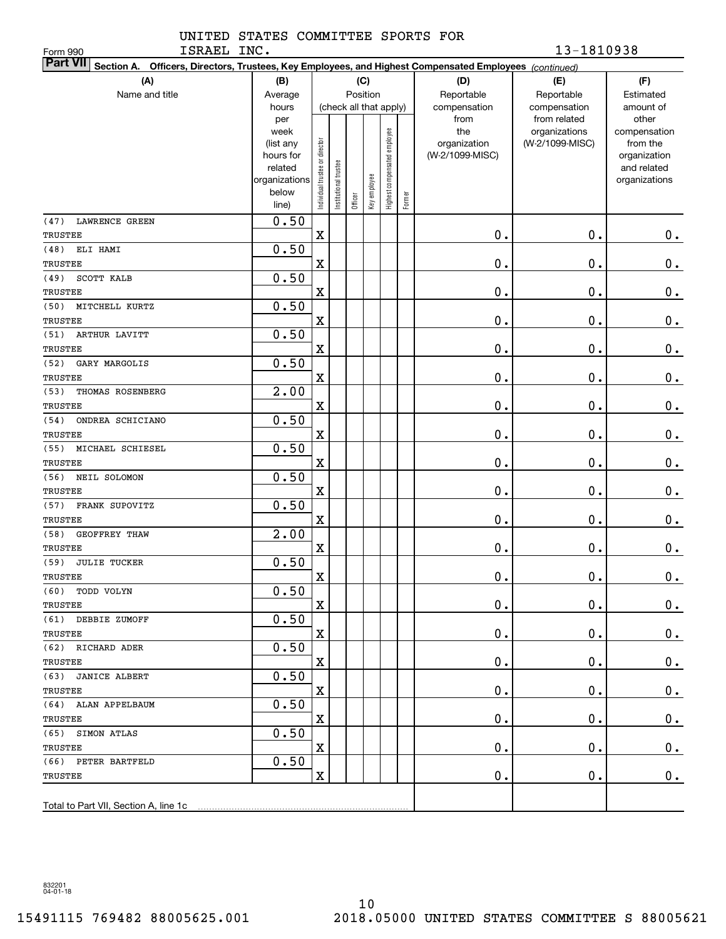|             | UNITED STATES COMMITTEE SPORTS FOR |  |            |
|-------------|------------------------------------|--|------------|
| ISRAEL INC. |                                    |  | 13-1810938 |

| Part VII Section A. Officers, Directors, Trustees, Key Employees, and Highest Compensated Employees (continued) |                   |                                |                        |         |              |                              |        |                     |                                  |                          |
|-----------------------------------------------------------------------------------------------------------------|-------------------|--------------------------------|------------------------|---------|--------------|------------------------------|--------|---------------------|----------------------------------|--------------------------|
| (A)                                                                                                             | (B)               |                                |                        |         | (C)          |                              |        | (D)                 | (E)                              | (F)                      |
| Name and title                                                                                                  | Average           |                                |                        |         | Position     |                              |        | Reportable          | Reportable                       | Estimated                |
|                                                                                                                 | hours             |                                | (check all that apply) |         |              |                              |        | compensation        | compensation                     | amount of                |
|                                                                                                                 | per               |                                |                        |         |              |                              |        | from                | from related                     | other                    |
|                                                                                                                 | week<br>(list any |                                |                        |         |              |                              |        | the<br>organization | organizations<br>(W-2/1099-MISC) | compensation<br>from the |
|                                                                                                                 | hours for         |                                |                        |         |              |                              |        | (W-2/1099-MISC)     |                                  | organization             |
|                                                                                                                 | related           |                                |                        |         |              |                              |        |                     |                                  | and related              |
|                                                                                                                 | organizations     |                                |                        |         |              |                              |        |                     |                                  | organizations            |
|                                                                                                                 | below             | Individual trustee or director | nstitutional trustee   | Officer | Key employee | Highest compensated employee | Former |                     |                                  |                          |
|                                                                                                                 | line)             |                                |                        |         |              |                              |        |                     |                                  |                          |
| <b>LAWRENCE GREEN</b><br>(47)                                                                                   | 0.50              |                                |                        |         |              |                              |        |                     |                                  |                          |
| <b>TRUSTEE</b>                                                                                                  |                   | $\mathbf X$                    |                        |         |              |                              |        | 0.                  | 0.                               | $\mathbf 0$ .            |
| ELI HAMI<br>(48)                                                                                                | 0.50              |                                |                        |         |              |                              |        |                     |                                  |                          |
| <b>TRUSTEE</b>                                                                                                  |                   | $\mathbf X$                    |                        |         |              |                              |        | 0.                  | 0.                               | $\mathbf 0$ .            |
| SCOTT KALB<br>(49)                                                                                              | 0.50              |                                |                        |         |              |                              |        |                     |                                  |                          |
| <b>TRUSTEE</b>                                                                                                  |                   | $\mathbf X$                    |                        |         |              |                              |        | 0.                  | 0.                               | $\mathbf 0$ .            |
| MITCHELL KURTZ<br>(50)                                                                                          | 0.50              |                                |                        |         |              |                              |        |                     |                                  |                          |
| <b>TRUSTEE</b>                                                                                                  |                   | $\mathbf X$                    |                        |         |              |                              |        | 0.                  | 0.                               | $\mathbf 0$ .            |
| ARTHUR LAVITT<br>(51)                                                                                           | 0.50              |                                |                        |         |              |                              |        |                     |                                  |                          |
| <b>TRUSTEE</b>                                                                                                  |                   | $\mathbf X$                    |                        |         |              |                              |        | 0.                  | 0.                               | $\mathbf 0$ .            |
| GARY MARGOLIS<br>(52)                                                                                           | 0.50              |                                |                        |         |              |                              |        |                     |                                  |                          |
| <b>TRUSTEE</b>                                                                                                  |                   | $\mathbf X$                    |                        |         |              |                              |        | 0.                  | 0.                               | $\mathbf 0$ .            |
| THOMAS ROSENBERG<br>(53)                                                                                        | 2.00              |                                |                        |         |              |                              |        |                     |                                  |                          |
| <b>TRUSTEE</b>                                                                                                  |                   | $\mathbf X$                    |                        |         |              |                              |        | 0.                  | 0.                               | $\mathbf 0$ .            |
| ONDREA SCHICIANO<br>(54)                                                                                        | 0.50              |                                |                        |         |              |                              |        |                     |                                  |                          |
| <b>TRUSTEE</b>                                                                                                  |                   | $\mathbf X$                    |                        |         |              |                              |        | 0.                  | 0.                               | $\mathbf 0$ .            |
| MICHAEL SCHIESEL<br>(55)                                                                                        | 0.50              |                                |                        |         |              |                              |        |                     |                                  |                          |
| <b>TRUSTEE</b>                                                                                                  |                   | $\mathbf X$                    |                        |         |              |                              |        | 0.                  | 0.                               | $\mathbf 0$ .            |
| NEIL SOLOMON<br>(56)                                                                                            | 0.50              |                                |                        |         |              |                              |        |                     |                                  |                          |
| <b>TRUSTEE</b>                                                                                                  | 0.50              | $\mathbf X$                    |                        |         |              |                              |        | 0.                  | 0.                               | $\mathbf 0$ .            |
| FRANK SUPOVITZ<br>(57)<br><b>TRUSTEE</b>                                                                        |                   | $\mathbf X$                    |                        |         |              |                              |        | 0.                  | 0.                               | $\mathbf 0$ .            |
| GEOFFREY THAW                                                                                                   | 2.00              |                                |                        |         |              |                              |        |                     |                                  |                          |
| (58)<br><b>TRUSTEE</b>                                                                                          |                   | $\mathbf X$                    |                        |         |              |                              |        | 0.                  | 0.                               | $\mathbf 0$ .            |
| <b>JULIE TUCKER</b><br>(59)                                                                                     | 0.50              |                                |                        |         |              |                              |        |                     |                                  |                          |
| TRUSTEE                                                                                                         |                   | $\mathbf X$                    |                        |         |              |                              |        | 0.                  | 0.                               | $\mathbf 0$ .            |
| (60) TODD VOLYN                                                                                                 | 0.50              |                                |                        |         |              |                              |        |                     |                                  |                          |
| TRUSTEE                                                                                                         |                   | X                              |                        |         |              |                              |        | $\mathbf 0$ .       | 0.                               | $0_{.}$                  |
| (61) DEBBIE ZUMOFF                                                                                              | 0.50              |                                |                        |         |              |                              |        |                     |                                  |                          |
| TRUSTEE                                                                                                         |                   | X                              |                        |         |              |                              |        | $0$ .               | 0.                               | 0.                       |
| (62) RICHARD ADER                                                                                               | 0.50              |                                |                        |         |              |                              |        |                     |                                  |                          |
| TRUSTEE                                                                                                         |                   | X                              |                        |         |              |                              |        | 0.                  | $0$ .                            | $\mathbf 0$ .            |
| (63) JANICE ALBERT                                                                                              | 0.50              |                                |                        |         |              |                              |        |                     |                                  |                          |
| TRUSTEE                                                                                                         |                   | X                              |                        |         |              |                              |        | 0.                  | $0$ .                            | $\mathbf 0$ .            |
| (64) ALAN APPELBAUM                                                                                             | 0.50              |                                |                        |         |              |                              |        |                     |                                  |                          |
| <b>TRUSTEE</b>                                                                                                  |                   | X                              |                        |         |              |                              |        | 0.                  | $0$ .                            | $\mathbf 0$ .            |
| (65) SIMON ATLAS                                                                                                | 0.50              |                                |                        |         |              |                              |        |                     |                                  |                          |
| TRUSTEE                                                                                                         |                   | X                              |                        |         |              |                              |        | 0.                  | $0$ .                            | $\mathbf 0$ .            |
| (66) PETER BARTFELD                                                                                             | 0.50              |                                |                        |         |              |                              |        |                     |                                  |                          |
| TRUSTEE                                                                                                         |                   | X                              |                        |         |              |                              |        | 0.                  | $0$ .                            | 0.                       |
|                                                                                                                 |                   |                                |                        |         |              |                              |        |                     |                                  |                          |
| Total to Part VII, Section A, line 1c                                                                           |                   |                                |                        |         |              |                              |        |                     |                                  |                          |
|                                                                                                                 |                   |                                |                        |         |              |                              |        |                     |                                  |                          |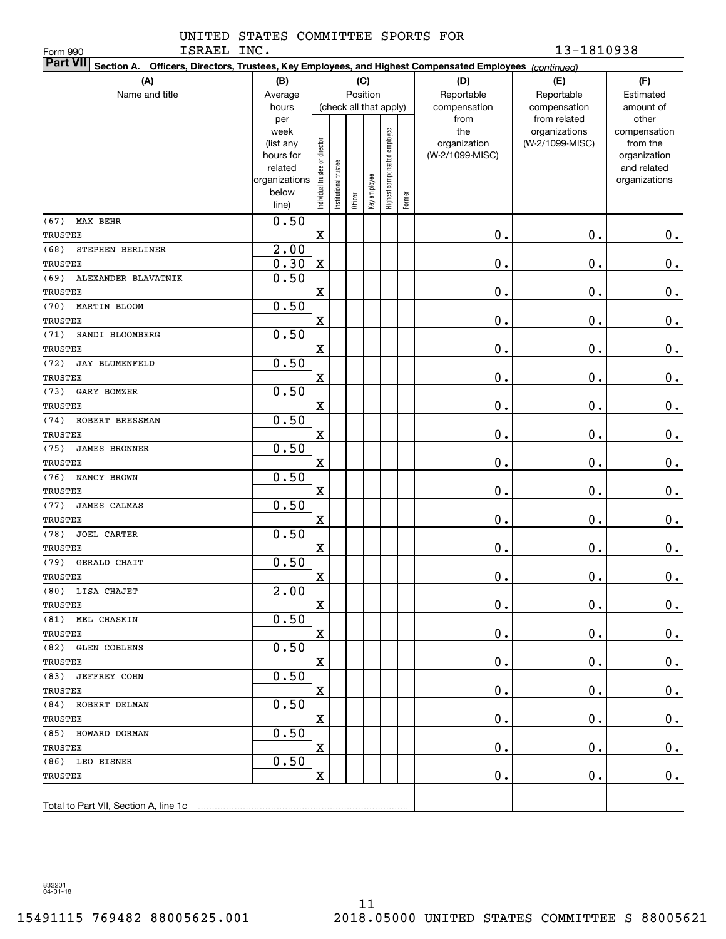|             | UNITED STATES COMMITTEE SPORTS FOR |  |            |
|-------------|------------------------------------|--|------------|
| ISRAEL INC. |                                    |  | 13-1810938 |

| Part VII Section A. Officers, Directors, Trustees, Key Employees, and Highest Compensated Employees (continued) |                   |                                |                       |                        |              |                              |        |                     |                                  |                          |
|-----------------------------------------------------------------------------------------------------------------|-------------------|--------------------------------|-----------------------|------------------------|--------------|------------------------------|--------|---------------------|----------------------------------|--------------------------|
| (A)                                                                                                             | (B)               |                                |                       | (C)                    |              |                              |        | (D)                 | (E)                              | (F)                      |
| Name and title                                                                                                  | Average           |                                |                       | Position               |              |                              |        | Reportable          | Reportable                       | Estimated                |
|                                                                                                                 | hours             |                                |                       | (check all that apply) |              |                              |        | compensation        | compensation                     | amount of                |
|                                                                                                                 | per               |                                |                       |                        |              |                              |        | from                | from related                     | other                    |
|                                                                                                                 | week<br>(list any |                                |                       |                        |              |                              |        | the<br>organization | organizations<br>(W-2/1099-MISC) | compensation<br>from the |
|                                                                                                                 | hours for         |                                |                       |                        |              |                              |        | (W-2/1099-MISC)     |                                  | organization             |
|                                                                                                                 | related           |                                |                       |                        |              |                              |        |                     |                                  | and related              |
|                                                                                                                 | organizations     |                                |                       |                        |              |                              |        |                     |                                  | organizations            |
|                                                                                                                 | below             | Individual trustee or director | Institutional trustee | Officer                | Key employee | Highest compensated employee | Former |                     |                                  |                          |
|                                                                                                                 | line)             |                                |                       |                        |              |                              |        |                     |                                  |                          |
| (67)<br>MAX BEHR                                                                                                | 0.50              |                                |                       |                        |              |                              |        |                     |                                  |                          |
| TRUSTEE                                                                                                         |                   | X                              |                       |                        |              |                              |        | 0.                  | $0$ .                            | 0.                       |
| (68)<br>STEPHEN BERLINER                                                                                        | 2.00              |                                |                       |                        |              |                              |        |                     |                                  |                          |
| TRUSTEE                                                                                                         | 0.30              | $\mathbf X$                    |                       |                        |              |                              |        | 0.                  | $0$ .                            | 0.                       |
| (69)<br>ALEXANDER BLAVATNIK                                                                                     | 0.50              |                                |                       |                        |              |                              |        |                     |                                  |                          |
| TRUSTEE                                                                                                         |                   | X                              |                       |                        |              |                              |        | 0.                  | $0$ .                            | 0.                       |
| (70)<br><b>MARTIN BLOOM</b>                                                                                     | 0.50              |                                |                       |                        |              |                              |        |                     |                                  |                          |
| TRUSTEE                                                                                                         |                   | X                              |                       |                        |              |                              |        | 0.                  | $0$ .                            | 0.                       |
| (71)<br>SANDI BLOOMBERG                                                                                         | 0.50              |                                |                       |                        |              |                              |        |                     |                                  |                          |
| TRUSTEE                                                                                                         |                   | X                              |                       |                        |              |                              |        | 0.                  | $0$ .                            | 0.                       |
| <b>JAY BLUMENFELD</b><br>(72)                                                                                   | 0.50              |                                |                       |                        |              |                              |        |                     |                                  |                          |
| <b>TRUSTEE</b>                                                                                                  |                   | X                              |                       |                        |              |                              |        | 0.                  | $0$ .                            | 0.                       |
| (73)<br>GARY BOMZER                                                                                             | 0.50              |                                |                       |                        |              |                              |        |                     |                                  |                          |
| <b>TRUSTEE</b>                                                                                                  |                   | X                              |                       |                        |              |                              |        | 0.                  | $0$ .                            | 0.                       |
| (74)<br>ROBERT BRESSMAN                                                                                         | 0.50              |                                |                       |                        |              |                              |        |                     |                                  |                          |
| TRUSTEE                                                                                                         |                   | X                              |                       |                        |              |                              |        | 0.                  | $0$ .                            | $\mathbf 0$ .            |
| (75)<br><b>JAMES BRONNER</b>                                                                                    | 0.50              |                                |                       |                        |              |                              |        |                     |                                  |                          |
| TRUSTEE                                                                                                         |                   | X                              |                       |                        |              |                              |        | 0.                  | $0$ .                            | $\mathbf 0$ .            |
| (76)<br>NANCY BROWN                                                                                             | 0.50              |                                |                       |                        |              |                              |        |                     |                                  |                          |
| TRUSTEE                                                                                                         |                   | X                              |                       |                        |              |                              |        | 0.                  | $0$ .                            | 0.                       |
| JAMES CALMAS<br>(77)                                                                                            | 0.50              |                                |                       |                        |              |                              |        |                     |                                  |                          |
| TRUSTEE                                                                                                         |                   | X                              |                       |                        |              |                              |        | 0.                  | $0$ .                            | 0.                       |
| (78)<br>JOEL CARTER                                                                                             | 0.50              |                                |                       |                        |              |                              |        |                     |                                  |                          |
| TRUSTEE                                                                                                         |                   | X                              |                       |                        |              |                              |        | 0.                  | $0$ .                            | $0$ .                    |
| <b>GERALD CHAIT</b><br>(79)                                                                                     | 0.50              |                                |                       |                        |              |                              |        |                     |                                  |                          |
| TRUSTEE                                                                                                         | 2.00              | $\mathbf X$                    |                       |                        |              |                              |        | 0.                  | $0$ .                            | $\mathbf 0$ .            |
| (80) LISA CHAJET                                                                                                |                   | X                              |                       |                        |              |                              |        | $\mathbf 0$ .       | $\mathbf 0$ .                    |                          |
| TRUSTEE<br>(81) MEL CHASKIN                                                                                     | 0.50              |                                |                       |                        |              |                              |        |                     |                                  | $0_{.}$                  |
| TRUSTEE                                                                                                         |                   | $\mathbf X$                    |                       |                        |              |                              |        | $\mathbf 0$ .       | О.                               | 0.                       |
| (82) GLEN COBLENS                                                                                               | 0.50              |                                |                       |                        |              |                              |        |                     |                                  |                          |
| TRUSTEE                                                                                                         |                   | $\mathbf X$                    |                       |                        |              |                              |        | $\mathbf 0$ .       | О.                               | 0.                       |
| (83) JEFFREY COHN                                                                                               | 0.50              |                                |                       |                        |              |                              |        |                     |                                  |                          |
| TRUSTEE                                                                                                         |                   | $\mathbf X$                    |                       |                        |              |                              |        | 0.                  | О.                               | 0.                       |
| (84) ROBERT DELMAN                                                                                              | 0.50              |                                |                       |                        |              |                              |        |                     |                                  |                          |
| TRUSTEE                                                                                                         |                   | $\mathbf X$                    |                       |                        |              |                              |        | 0.                  | О.                               | $0_{.}$                  |
| (85) HOWARD DORMAN                                                                                              | 0.50              |                                |                       |                        |              |                              |        |                     |                                  |                          |
| TRUSTEE                                                                                                         |                   | $\mathbf X$                    |                       |                        |              |                              |        | 0.                  | О.                               | $\mathbf 0$ .            |
| (86) LEO EISNER                                                                                                 | 0.50              |                                |                       |                        |              |                              |        |                     |                                  |                          |
| TRUSTEE                                                                                                         |                   | X                              |                       |                        |              |                              |        | 0.                  | $\mathbf 0$ .                    | 0.                       |
|                                                                                                                 |                   |                                |                       |                        |              |                              |        |                     |                                  |                          |
| Total to Part VII, Section A, line 1c                                                                           |                   |                                |                       |                        |              |                              |        |                     |                                  |                          |
|                                                                                                                 |                   |                                |                       |                        |              |                              |        |                     |                                  |                          |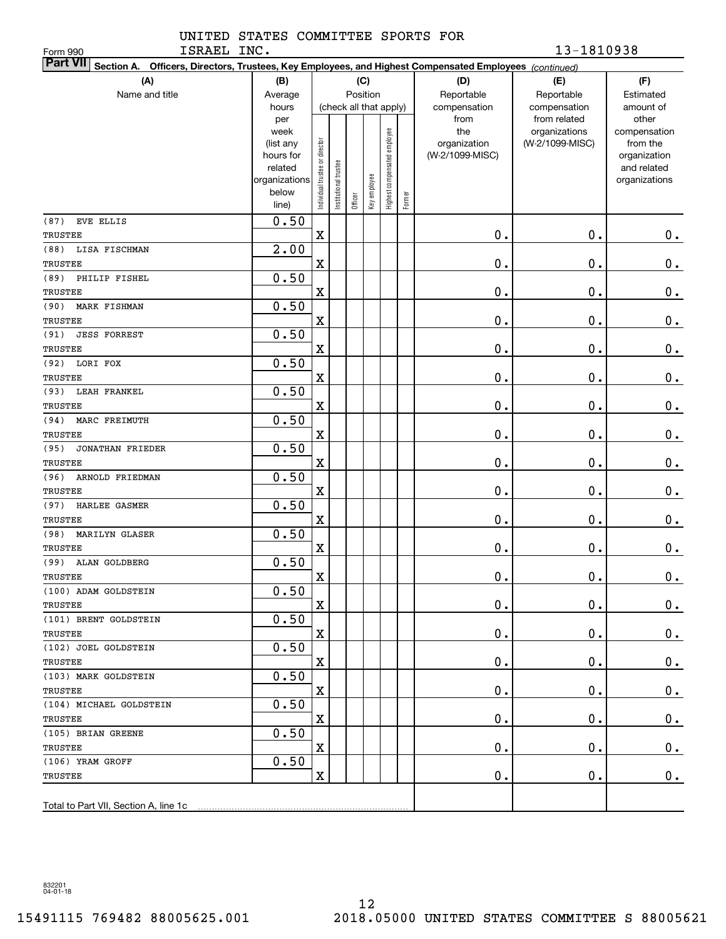|             | UNITED STATES COMMITTEE SPORTS FOR |  |            |
|-------------|------------------------------------|--|------------|
| ISRAEL INC. |                                    |  | 13-1810938 |

| Part VII Section A. Officers, Directors, Trustees, Key Employees, and Highest Compensated Employees (continued) |                        |                                |                        |         |              |                              |        |                                 |                 |                          |
|-----------------------------------------------------------------------------------------------------------------|------------------------|--------------------------------|------------------------|---------|--------------|------------------------------|--------|---------------------------------|-----------------|--------------------------|
| (A)                                                                                                             | (B)                    |                                |                        |         | (C)          |                              |        | (D)                             | (E)             | (F)                      |
| Name and title                                                                                                  | Average                |                                |                        |         | Position     |                              |        | Reportable                      | Reportable      | Estimated                |
|                                                                                                                 | hours                  |                                | (check all that apply) |         |              |                              |        | compensation                    | compensation    | amount of                |
|                                                                                                                 | per                    |                                |                        |         |              |                              |        | from                            | from related    | other                    |
|                                                                                                                 | week                   |                                |                        |         |              | Highest compensated employee |        | the                             | organizations   | compensation             |
|                                                                                                                 | (list any<br>hours for | Individual trustee or director |                        |         |              |                              |        | organization<br>(W-2/1099-MISC) | (W-2/1099-MISC) | from the<br>organization |
|                                                                                                                 | related                |                                |                        |         |              |                              |        |                                 |                 | and related              |
|                                                                                                                 | organizations          |                                |                        |         |              |                              |        |                                 |                 | organizations            |
|                                                                                                                 | below                  |                                | Institutional trustee  |         | Key employee |                              |        |                                 |                 |                          |
|                                                                                                                 | line)                  |                                |                        | Officer |              |                              | Former |                                 |                 |                          |
| <b>EVE ELLIS</b><br>(87)                                                                                        | 0.50                   |                                |                        |         |              |                              |        |                                 |                 |                          |
| <b>TRUSTEE</b>                                                                                                  |                        | $\mathbf X$                    |                        |         |              |                              |        | 0.                              | 0.              | $\mathbf 0$ .            |
| LISA FISCHMAN<br>(88)                                                                                           | 2.00                   |                                |                        |         |              |                              |        |                                 |                 |                          |
| <b>TRUSTEE</b>                                                                                                  |                        | $\mathbf X$                    |                        |         |              |                              |        | 0.                              | 0.              | $\mathbf 0$ .            |
| PHILIP FISHEL<br>(89)                                                                                           | 0.50                   |                                |                        |         |              |                              |        |                                 |                 |                          |
| <b>TRUSTEE</b>                                                                                                  |                        | $\mathbf X$                    |                        |         |              |                              |        | 0.                              | 0.              | $\mathbf 0$ .            |
| MARK FISHMAN<br>(90)                                                                                            | 0.50                   |                                |                        |         |              |                              |        |                                 |                 |                          |
| <b>TRUSTEE</b>                                                                                                  |                        | $\mathbf X$                    |                        |         |              |                              |        | 0.                              | 0.              | $\mathbf 0$ .            |
| <b>JESS FORREST</b><br>(91)                                                                                     | 0.50                   |                                |                        |         |              |                              |        |                                 |                 |                          |
| <b>TRUSTEE</b>                                                                                                  |                        | $\mathbf X$                    |                        |         |              |                              |        | 0.                              | 0.              | $\mathbf 0$ .            |
| LORI FOX<br>(92)                                                                                                | 0.50                   |                                |                        |         |              |                              |        |                                 |                 |                          |
| <b>TRUSTEE</b>                                                                                                  |                        | $\mathbf X$                    |                        |         |              |                              |        | 0.                              | 0.              | $\mathbf 0$ .            |
| <b>LEAH FRANKEL</b><br>(93)                                                                                     | 0.50                   |                                |                        |         |              |                              |        |                                 |                 |                          |
| <b>TRUSTEE</b>                                                                                                  |                        | $\mathbf X$                    |                        |         |              |                              |        | 0.                              | 0.              | $\mathbf 0$ .            |
| MARC FREIMUTH<br>(94)                                                                                           | 0.50                   |                                |                        |         |              |                              |        |                                 |                 |                          |
| <b>TRUSTEE</b>                                                                                                  |                        | $\mathbf X$                    |                        |         |              |                              |        | 0.                              | 0.              | $\mathbf 0$ .            |
| (95)<br>JONATHAN FRIEDER                                                                                        | 0.50                   |                                |                        |         |              |                              |        |                                 |                 |                          |
| <b>TRUSTEE</b>                                                                                                  |                        | $\mathbf X$                    |                        |         |              |                              |        | 0.                              | 0.              | $\mathbf 0$ .            |
| ARNOLD FRIEDMAN<br>(96)                                                                                         | 0.50                   |                                |                        |         |              |                              |        |                                 |                 |                          |
| <b>TRUSTEE</b>                                                                                                  |                        | $\mathbf X$                    |                        |         |              |                              |        | 0.                              | 0.              | $\mathbf 0$ .            |
| HARLEE GASMER<br>(97)                                                                                           | 0.50                   |                                |                        |         |              |                              |        |                                 |                 |                          |
| <b>TRUSTEE</b>                                                                                                  |                        | $\mathbf X$                    |                        |         |              |                              |        | 0.                              | 0.              | $\mathbf 0$ .            |
| MARILYN GLASER<br>(98)                                                                                          | 0.50                   |                                |                        |         |              |                              |        |                                 |                 |                          |
| <b>TRUSTEE</b>                                                                                                  |                        | $\mathbf X$                    |                        |         |              |                              |        | 0.                              | 0.              | $\mathbf 0$ .            |
| ALAN GOLDBERG<br>(99)                                                                                           | 0.50                   |                                |                        |         |              |                              |        |                                 |                 |                          |
| TRUSTEE                                                                                                         |                        | $\mathbf X$                    |                        |         |              |                              |        | $\mathbf 0$ .                   | 0.              | $\mathbf 0$ .            |
| (100) ADAM GOLDSTEIN                                                                                            | 0.50                   |                                |                        |         |              |                              |        |                                 |                 |                          |
| TRUSTEE                                                                                                         |                        | X                              |                        |         |              |                              |        | $0$ .                           | $0$ .           | $0_{.}$                  |
| (101) BRENT GOLDSTEIN                                                                                           | 0.50                   |                                |                        |         |              |                              |        |                                 |                 |                          |
| TRUSTEE                                                                                                         |                        | X                              |                        |         |              |                              |        | $\mathbf 0$ .                   | 0.              | $\mathbf 0$ .            |
| (102) JOEL GOLDSTEIN                                                                                            | 0.50                   |                                |                        |         |              |                              |        |                                 |                 |                          |
| TRUSTEE                                                                                                         |                        | X                              |                        |         |              |                              |        | $\mathbf 0$ .                   | 0.              | $\mathbf 0$ .            |
| (103) MARK GOLDSTEIN                                                                                            | 0.50                   | X                              |                        |         |              |                              |        |                                 |                 |                          |
| TRUSTEE                                                                                                         | 0.50                   |                                |                        |         |              |                              |        | $\mathbf 0$ .                   | 0.              | $\mathbf 0$ .            |
| (104) MICHAEL GOLDSTEIN<br>TRUSTEE                                                                              |                        | X                              |                        |         |              |                              |        | $\mathbf 0$ .                   | 0.              |                          |
| (105) BRIAN GREENE                                                                                              | 0.50                   |                                |                        |         |              |                              |        |                                 |                 | $\mathbf 0$ .            |
| TRUSTEE                                                                                                         |                        | X                              |                        |         |              |                              |        | $\mathbf 0$ .                   | 0.              | $0_{.}$                  |
| (106) YRAM GROFF                                                                                                | 0.50                   |                                |                        |         |              |                              |        |                                 |                 |                          |
| TRUSTEE                                                                                                         |                        | X                              |                        |         |              |                              |        | $\mathbf 0$ .                   | 0.              | $0$ .                    |
|                                                                                                                 |                        |                                |                        |         |              |                              |        |                                 |                 |                          |
| Total to Part VII, Section A, line 1c                                                                           |                        |                                |                        |         |              |                              |        |                                 |                 |                          |
|                                                                                                                 |                        |                                |                        |         |              |                              |        |                                 |                 |                          |

832201 04-01-18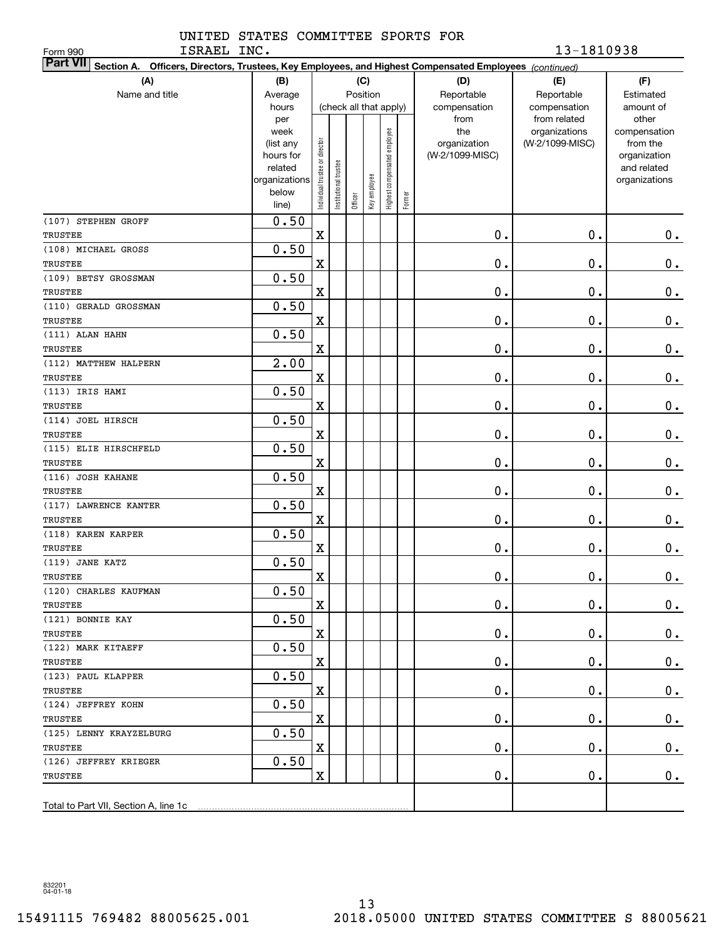## UNITED STATES COMMITTEE SPORTS FOR ISRAEL INC. 13-1810938

| <b>Part VII</b> Section A. Officers, Directors, Trustees, Key Employees, and Highest Compensated Employees (continued) |                   |                                |                       |         |              |                              |        |                     |                 |                          |
|------------------------------------------------------------------------------------------------------------------------|-------------------|--------------------------------|-----------------------|---------|--------------|------------------------------|--------|---------------------|-----------------|--------------------------|
| (A)                                                                                                                    | (B)               |                                |                       |         | (C)          |                              |        | (D)                 | (E)             | (F)                      |
| Name and title                                                                                                         | Average           |                                |                       |         | Position     |                              |        | Reportable          | Reportable      | Estimated                |
|                                                                                                                        | hours             |                                |                       |         |              | (check all that apply)       |        | compensation        | compensation    | amount of                |
|                                                                                                                        | per               |                                |                       |         |              |                              |        | from                | from related    | other                    |
|                                                                                                                        | week<br>(list any |                                |                       |         |              | Highest compensated employee |        | the<br>organization | organizations   | compensation             |
|                                                                                                                        | hours for         |                                |                       |         |              |                              |        | (W-2/1099-MISC)     | (W-2/1099-MISC) | from the<br>organization |
|                                                                                                                        | related           |                                |                       |         |              |                              |        |                     |                 | and related              |
|                                                                                                                        | organizations     |                                |                       |         |              |                              |        |                     |                 | organizations            |
|                                                                                                                        | below             | Individual trustee or director | Institutional trustee |         | Key employee |                              |        |                     |                 |                          |
|                                                                                                                        | line)             |                                |                       | Officer |              |                              | Former |                     |                 |                          |
| (107) STEPHEN GROFF                                                                                                    | 0.50              |                                |                       |         |              |                              |        |                     |                 |                          |
| <b>TRUSTEE</b>                                                                                                         |                   | $\mathbf X$                    |                       |         |              |                              |        | $\mathbf 0$ .       | $\mathbf 0$ .   | $\mathbf 0$ .            |
| (108) MICHAEL GROSS                                                                                                    | 0.50              |                                |                       |         |              |                              |        |                     |                 |                          |
| <b>TRUSTEE</b>                                                                                                         |                   | X                              |                       |         |              |                              |        | 0.                  | $\mathbf 0$ .   | $\mathbf 0$ .            |
| (109) BETSY GROSSMAN                                                                                                   | 0.50              |                                |                       |         |              |                              |        |                     |                 |                          |
| <b>TRUSTEE</b>                                                                                                         |                   | X                              |                       |         |              |                              |        | 0.                  | $\mathbf 0$ .   | $0_{.}$                  |
| (110) GERALD GROSSMAN                                                                                                  | 0.50              |                                |                       |         |              |                              |        |                     |                 |                          |
| <b>TRUSTEE</b>                                                                                                         |                   | X                              |                       |         |              |                              |        | 0.                  | $\mathbf 0$ .   | $0_{.}$                  |
| (111) ALAN HAHN                                                                                                        | 0.50              |                                |                       |         |              |                              |        |                     |                 |                          |
| <b>TRUSTEE</b>                                                                                                         |                   | $\mathbf X$                    |                       |         |              |                              |        | 0.                  | $\mathbf 0$ .   | $\mathbf 0$ .            |
| (112) MATTHEW HALPERN                                                                                                  | 2.00              |                                |                       |         |              |                              |        |                     |                 |                          |
| TRUSTEE                                                                                                                |                   | X                              |                       |         |              |                              |        | 0.                  | $\mathbf 0$ .   | $\mathbf 0$ .            |
| (113) IRIS HAMI                                                                                                        | 0.50              |                                |                       |         |              |                              |        |                     |                 |                          |
| <b>TRUSTEE</b>                                                                                                         |                   | X                              |                       |         |              |                              |        | 0.                  | $\mathbf 0$ .   | $\mathbf 0$ .            |
| (114) JOEL HIRSCH                                                                                                      | 0.50              |                                |                       |         |              |                              |        |                     |                 |                          |
| <b>TRUSTEE</b>                                                                                                         |                   | X                              |                       |         |              |                              |        | 0.                  | $\mathbf 0$ .   | $\mathbf 0$ .            |
| (115) ELIE HIRSCHFELD                                                                                                  | 0.50              |                                |                       |         |              |                              |        |                     |                 |                          |
| <b>TRUSTEE</b>                                                                                                         |                   | X                              |                       |         |              |                              |        | 0.                  | $\mathbf 0$ .   | $0_{.}$                  |
| (116) JOSH KAHANE                                                                                                      | 0.50              |                                |                       |         |              |                              |        |                     |                 |                          |
| <b>TRUSTEE</b>                                                                                                         |                   | X                              |                       |         |              |                              |        | 0.                  | $\mathbf 0$ .   | $\mathbf 0$ .            |
| (117) LAWRENCE KANTER                                                                                                  | 0.50              |                                |                       |         |              |                              |        |                     |                 |                          |
| <b>TRUSTEE</b>                                                                                                         |                   | $\mathbf X$                    |                       |         |              |                              |        | 0.                  | $\mathbf 0$ .   | $\mathbf 0$ .            |
| (118) KAREN KARPER                                                                                                     | 0.50              |                                |                       |         |              |                              |        |                     |                 |                          |
| <b>TRUSTEE</b>                                                                                                         |                   | X                              |                       |         |              |                              |        | 0.                  | $\mathbf 0$ .   | $\mathbf 0$ .            |
| (119) JANE KATZ                                                                                                        | 0.50              |                                |                       |         |              |                              |        |                     |                 |                          |
| TRUSTEE                                                                                                                |                   | X                              |                       |         |              |                              |        | 0.                  | $\mathbf 0$ .   | $0$ .                    |
| (120) CHARLES KAUFMAN                                                                                                  | 0.50              |                                |                       |         |              |                              |        |                     |                 |                          |
| TRUSTEE                                                                                                                |                   | $\mathbf X$                    |                       |         |              |                              |        | 0.                  | $\mathbf 0$ .   | $0_{\cdot}$              |
| (121) BONNIE KAY                                                                                                       | 0.50              |                                |                       |         |              |                              |        |                     |                 |                          |
| TRUSTEE                                                                                                                |                   | X                              |                       |         |              |                              |        | $\mathbf 0$ .       | $\mathbf 0$ .   | 0.                       |
| (122) MARK KITAEFF                                                                                                     | 0.50              |                                |                       |         |              |                              |        |                     |                 |                          |
| TRUSTEE                                                                                                                |                   | $\mathbf X$                    |                       |         |              |                              |        | $\mathbf 0$ .       | $\mathbf 0$ .   | 0.                       |
| (123) PAUL KLAPPER                                                                                                     | 0.50              |                                |                       |         |              |                              |        |                     |                 |                          |
| TRUSTEE                                                                                                                |                   | X                              |                       |         |              |                              |        | 0.                  | $\mathbf 0$ .   | 0.                       |
| (124) JEFFREY KOHN                                                                                                     | 0.50              |                                |                       |         |              |                              |        |                     |                 |                          |
| <b>TRUSTEE</b>                                                                                                         |                   | X                              |                       |         |              |                              |        | 0.                  | $\mathfrak o$ . | 0.                       |
| (125) LENNY KRAYZELBURG                                                                                                | 0.50              |                                |                       |         |              |                              |        |                     |                 |                          |
| TRUSTEE                                                                                                                |                   | X                              |                       |         |              |                              |        | 0.                  | $\mathfrak o$ . | $0_{.}$                  |
| (126) JEFFREY KRIEGER                                                                                                  | 0.50              |                                |                       |         |              |                              |        |                     |                 |                          |
| TRUSTEE                                                                                                                |                   | $\mathbf X$                    |                       |         |              |                              |        | 0.                  | $\mathfrak o$ . | 0.                       |
|                                                                                                                        |                   |                                |                       |         |              |                              |        |                     |                 |                          |
| Total to Part VII, Section A, line 1c                                                                                  |                   |                                |                       |         |              |                              |        |                     |                 |                          |

832201 04-01-18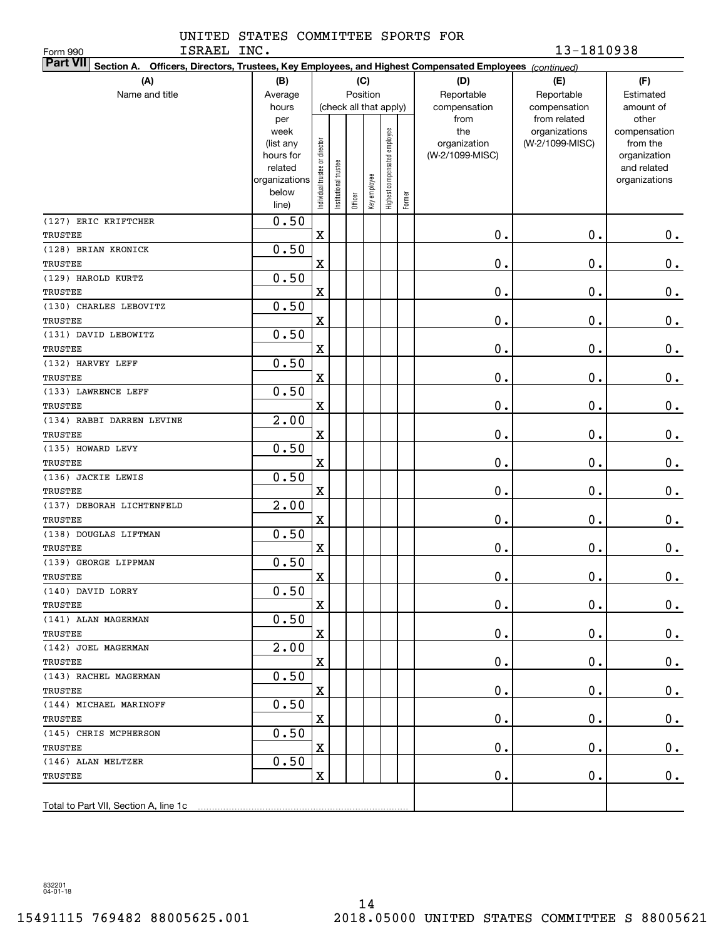|             | UNITED STATES COMMITTEE SPORTS FOR |  |            |
|-------------|------------------------------------|--|------------|
| ISRAEL INC. |                                    |  | 13-1810938 |

| ISRAEL INC.<br>Form 990                                                                                                   |                          |                                |                       |         |                        |                              |        |                 | 13-1810938      |                              |
|---------------------------------------------------------------------------------------------------------------------------|--------------------------|--------------------------------|-----------------------|---------|------------------------|------------------------------|--------|-----------------|-----------------|------------------------------|
| <b>Part VII</b><br>Section A. Officers, Directors, Trustees, Key Employees, and Highest Compensated Employees (continued) |                          |                                |                       |         |                        |                              |        |                 |                 |                              |
| (A)                                                                                                                       | (B)                      |                                |                       |         | (C)                    |                              |        | (D)             | (E)             | (F)                          |
| Name and title                                                                                                            | Average                  |                                |                       |         | Position               |                              |        | Reportable      | Reportable      | Estimated                    |
|                                                                                                                           | hours                    |                                |                       |         | (check all that apply) |                              |        | compensation    | compensation    | amount of                    |
|                                                                                                                           | per                      |                                |                       |         |                        |                              |        | from            | from related    | other                        |
|                                                                                                                           | week                     |                                |                       |         |                        |                              |        | the             | organizations   | compensation                 |
|                                                                                                                           | (list any                |                                |                       |         |                        |                              |        | organization    | (W-2/1099-MISC) | from the                     |
|                                                                                                                           | hours for                |                                |                       |         |                        |                              |        | (W-2/1099-MISC) |                 | organization                 |
|                                                                                                                           | related<br>organizations |                                |                       |         |                        |                              |        |                 |                 | and related<br>organizations |
|                                                                                                                           | below                    |                                |                       |         |                        |                              |        |                 |                 |                              |
|                                                                                                                           | line)                    | Individual trustee or director | Institutional trustee | Officer | Key employee           | Highest compensated employee | Former |                 |                 |                              |
| (127) ERIC KRIFTCHER                                                                                                      | 0.50                     |                                |                       |         |                        |                              |        |                 |                 |                              |
| <b>TRUSTEE</b>                                                                                                            |                          | X                              |                       |         |                        |                              |        | 0.              | $0$ .           | 0.                           |
| (128) BRIAN KRONICK                                                                                                       | 0.50                     |                                |                       |         |                        |                              |        |                 |                 |                              |
| <b>TRUSTEE</b>                                                                                                            |                          | X                              |                       |         |                        |                              |        | 0.              | $0$ .           | $\mathbf 0$ .                |
| (129) HAROLD KURTZ                                                                                                        | 0.50                     |                                |                       |         |                        |                              |        |                 |                 |                              |
| <b>TRUSTEE</b>                                                                                                            |                          | X                              |                       |         |                        |                              |        | 0.              | $0$ .           | $\mathbf 0$ .                |
| (130) CHARLES LEBOVITZ                                                                                                    | 0.50                     |                                |                       |         |                        |                              |        |                 |                 |                              |
| <b>TRUSTEE</b>                                                                                                            |                          | $\mathbf X$                    |                       |         |                        |                              |        | 0.              | $0$ .           | $\mathbf 0$ .                |
| (131) DAVID LEBOWITZ                                                                                                      | 0.50                     |                                |                       |         |                        |                              |        |                 |                 |                              |
| <b>TRUSTEE</b>                                                                                                            |                          | $\mathbf X$                    |                       |         |                        |                              |        | 0.              | $0$ .           | $\mathbf 0$ .                |
| (132) HARVEY LEFF                                                                                                         | 0.50                     |                                |                       |         |                        |                              |        |                 |                 |                              |
| <b>TRUSTEE</b>                                                                                                            |                          | $\mathbf X$                    |                       |         |                        |                              |        | 0.              | $0$ .           | $\mathbf 0$ .                |
| (133) LAWRENCE LEFF                                                                                                       | 0.50                     |                                |                       |         |                        |                              |        |                 |                 |                              |
| <b>TRUSTEE</b>                                                                                                            |                          | X                              |                       |         |                        |                              |        | 0.              | $0$ .           | $\mathbf 0$ .                |
| (134) RABBI DARREN LEVINE                                                                                                 | 2.00                     |                                |                       |         |                        |                              |        |                 |                 |                              |
| <b>TRUSTEE</b>                                                                                                            |                          | $\mathbf X$                    |                       |         |                        |                              |        | 0.              | $0$ .           | $\mathbf 0$ .                |
| (135) HOWARD LEVY                                                                                                         | 0.50                     |                                |                       |         |                        |                              |        |                 |                 |                              |
| <b>TRUSTEE</b>                                                                                                            |                          | $\mathbf X$                    |                       |         |                        |                              |        | 0.              | $0$ .           | $\mathbf 0$ .                |
| (136) JACKIE LEWIS                                                                                                        | 0.50                     |                                |                       |         |                        |                              |        |                 |                 |                              |
| <b>TRUSTEE</b>                                                                                                            |                          | X                              |                       |         |                        |                              |        | 0.              | $0$ .           | $\mathbf 0$ .                |
| (137) DEBORAH LICHTENFELD                                                                                                 | 2.00                     |                                |                       |         |                        |                              |        |                 |                 |                              |
| <b>TRUSTEE</b>                                                                                                            |                          | $\mathbf X$                    |                       |         |                        |                              |        | 0.              | $0$ .           | $\mathbf 0$ .                |
| (138) DOUGLAS LIFTMAN                                                                                                     | 0.50                     |                                |                       |         |                        |                              |        |                 |                 |                              |
| <b>TRUSTEE</b>                                                                                                            |                          | $\mathbf X$                    |                       |         |                        |                              |        | 0.              | 0.              | $\mathbf 0$ .                |
| (139) GEORGE LIPPMAN                                                                                                      | 0.50                     |                                |                       |         |                        |                              |        |                 |                 |                              |
| TRUSTEE                                                                                                                   |                          | $\overline{\textbf{X}}$        |                       |         |                        |                              |        | $\mathbf 0$ .   | $\mathbf 0$ .   | $\mathbf 0$ .                |
| (140) DAVID LORRY                                                                                                         | 0.50                     |                                |                       |         |                        |                              |        |                 |                 |                              |
| TRUSTEE                                                                                                                   |                          | X                              |                       |         |                        |                              |        | 0.              | $\mathbf 0$ .   | 0.                           |
| (141) ALAN MAGERMAN                                                                                                       | 0.50                     |                                |                       |         |                        |                              |        |                 |                 |                              |
| TRUSTEE                                                                                                                   |                          | X                              |                       |         |                        |                              |        | 0.              | $\mathbf 0$ .   | $\mathbf{0}$ .               |
| (142) JOEL MAGERMAN                                                                                                       | 2.00                     |                                |                       |         |                        |                              |        |                 |                 |                              |
| TRUSTEE                                                                                                                   |                          | $\mathbf X$                    |                       |         |                        |                              |        | 0.              | $\mathbf 0$ .   | $0_{.}$                      |
| (143) RACHEL MAGERMAN                                                                                                     | 0.50                     |                                |                       |         |                        |                              |        |                 |                 |                              |
| TRUSTEE                                                                                                                   |                          | $\mathbf X$                    |                       |         |                        |                              |        | 0.              | $\mathbf 0$ .   | $0_{.}$                      |
| (144) MICHAEL MARINOFF                                                                                                    | 0.50                     |                                |                       |         |                        |                              |        |                 |                 |                              |
| TRUSTEE                                                                                                                   |                          | X                              |                       |         |                        |                              |        | 0.              | $\mathbf 0$ .   | $0_{.}$                      |
| (145) CHRIS MCPHERSON                                                                                                     | 0.50                     |                                |                       |         |                        |                              |        |                 |                 |                              |
| TRUSTEE                                                                                                                   |                          | X                              |                       |         |                        |                              |        | 0.              | $\mathbf 0$ .   | 0.                           |
| (146) ALAN MELTZER                                                                                                        | 0.50                     |                                |                       |         |                        |                              |        |                 |                 |                              |
| TRUSTEE                                                                                                                   |                          | X                              |                       |         |                        |                              |        | $\mathbf 0$ .   | $\mathbf 0$ .   | 0.                           |
|                                                                                                                           |                          |                                |                       |         |                        |                              |        |                 |                 |                              |
| Total to Part VII, Section A, line 1c                                                                                     |                          |                                |                       |         |                        |                              |        |                 |                 |                              |
|                                                                                                                           |                          |                                |                       |         |                        |                              |        |                 |                 |                              |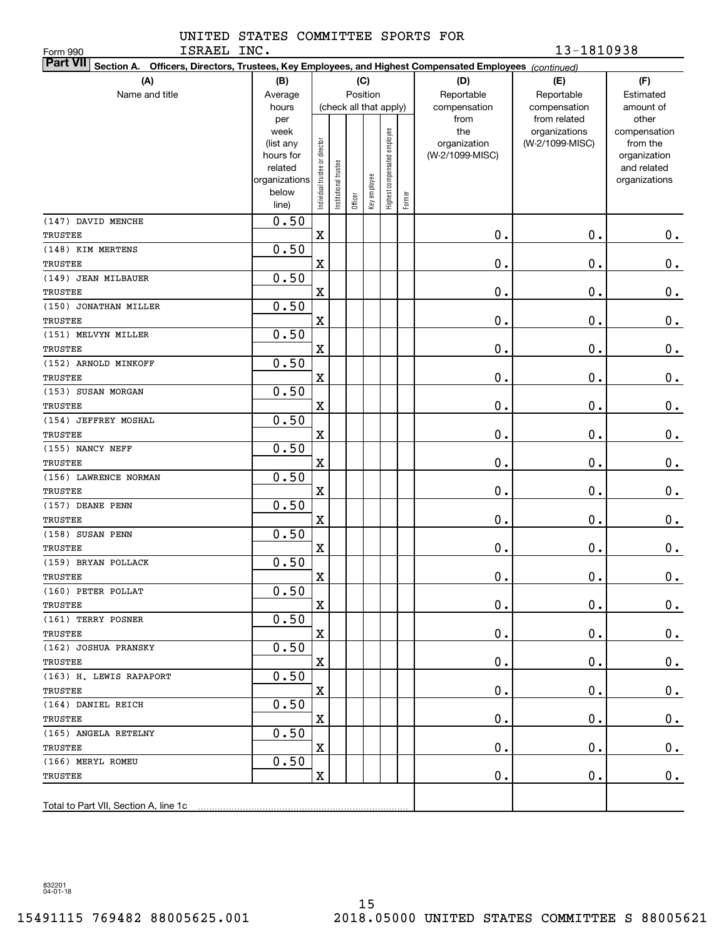|             | UNITED STATES COMMITTEE SPORTS FOR |  |            |
|-------------|------------------------------------|--|------------|
| ISRAEL INC. |                                    |  | 13-1810938 |

| Part VII Section A. Officers, Directors, Trustees, Key Employees, and Highest Compensated Employees (continued) |                   |                                |                        |         |              |                              |        |                     |                                  |                          |
|-----------------------------------------------------------------------------------------------------------------|-------------------|--------------------------------|------------------------|---------|--------------|------------------------------|--------|---------------------|----------------------------------|--------------------------|
| (A)                                                                                                             | (B)               | (C)                            |                        |         |              |                              |        | (D)                 | (E)                              | (F)                      |
| Name and title                                                                                                  | Average           |                                | Position               |         |              |                              |        | Reportable          | Reportable                       | Estimated                |
|                                                                                                                 | hours             |                                | (check all that apply) |         |              |                              |        | compensation        | compensation                     | amount of                |
|                                                                                                                 | per               |                                |                        |         |              |                              |        | from                | from related                     | other                    |
|                                                                                                                 | week<br>(list any |                                |                        |         |              |                              |        | the<br>organization | organizations<br>(W-2/1099-MISC) | compensation<br>from the |
|                                                                                                                 | hours for         |                                |                        |         |              |                              |        | (W-2/1099-MISC)     |                                  | organization             |
|                                                                                                                 | related           |                                |                        |         |              |                              |        |                     |                                  | and related              |
|                                                                                                                 | organizations     |                                |                        |         |              |                              |        |                     |                                  | organizations            |
|                                                                                                                 | below             | Individual trustee or director | Institutional trustee  | Officer | Key employee | Highest compensated employee | Former |                     |                                  |                          |
|                                                                                                                 | line)             |                                |                        |         |              |                              |        |                     |                                  |                          |
| (147) DAVID MENCHE                                                                                              | 0.50              |                                |                        |         |              |                              |        |                     |                                  |                          |
| TRUSTEE                                                                                                         |                   | $\mathbf X$                    |                        |         |              |                              |        | $\mathbf 0$ .       | $0$ .                            | $\mathbf 0$ .            |
| (148) KIM MERTENS                                                                                               | 0.50              |                                |                        |         |              |                              |        |                     |                                  |                          |
| TRUSTEE                                                                                                         |                   | $\mathbf X$                    |                        |         |              |                              |        | $\mathbf 0$ .       | 0.                               | $\mathbf 0$ .            |
| (149) JEAN MILBAUER                                                                                             | 0.50              |                                |                        |         |              |                              |        |                     |                                  |                          |
| TRUSTEE                                                                                                         |                   | $\mathbf X$                    |                        |         |              |                              |        | $\mathbf 0$ .       | $0$ .                            | $\mathbf 0$ .            |
| (150) JONATHAN MILLER                                                                                           | 0.50              |                                |                        |         |              |                              |        |                     |                                  |                          |
| <b>TRUSTEE</b>                                                                                                  |                   | $\mathbf X$                    |                        |         |              |                              |        | $\mathbf 0$ .       | $0$ .                            | $\mathbf 0$ .            |
| (151) MELVYN MILLER                                                                                             | 0.50              |                                |                        |         |              |                              |        |                     |                                  |                          |
| TRUSTEE                                                                                                         |                   | $\mathbf X$                    |                        |         |              |                              |        | $\mathbf 0$ .       | $0$ .                            | 0.                       |
| (152) ARNOLD MINKOFF                                                                                            | 0.50              |                                |                        |         |              |                              |        |                     |                                  |                          |
| TRUSTEE                                                                                                         |                   | $\mathbf X$                    |                        |         |              |                              |        | $\mathbf 0$ .       | $0$ .                            | $\mathbf 0$ .            |
| (153) SUSAN MORGAN                                                                                              | 0.50              |                                |                        |         |              |                              |        |                     |                                  |                          |
| TRUSTEE                                                                                                         |                   | $\mathbf X$                    |                        |         |              |                              |        | $\mathbf 0$ .       | $0$ .                            | $\mathbf 0$ .            |
| (154) JEFFREY MOSHAL                                                                                            | 0.50              |                                |                        |         |              |                              |        |                     |                                  |                          |
| TRUSTEE                                                                                                         |                   | X                              |                        |         |              |                              |        | $\mathbf 0$ .       | $0$ .                            | 0.                       |
| (155) NANCY NEFF                                                                                                | 0.50              |                                |                        |         |              |                              |        |                     |                                  |                          |
| TRUSTEE                                                                                                         |                   | X                              |                        |         |              |                              |        | $\mathbf 0$ .       | $0$ .                            | $\mathbf 0$ .            |
| (156) LAWRENCE NORMAN                                                                                           | 0.50              |                                |                        |         |              |                              |        |                     |                                  |                          |
| TRUSTEE                                                                                                         |                   | $\mathbf X$                    |                        |         |              |                              |        | $\mathbf 0$ .       | $0$ .                            | $\mathbf 0$ .            |
| (157) DEANE PENN                                                                                                | 0.50              |                                |                        |         |              |                              |        |                     |                                  |                          |
| TRUSTEE                                                                                                         |                   | $\mathbf X$                    |                        |         |              |                              |        | $\mathbf 0$ .       | $0$ .                            | $\mathbf 0$ .            |
| (158) SUSAN PENN                                                                                                | 0.50              |                                |                        |         |              |                              |        |                     |                                  |                          |
| <b>TRUSTEE</b>                                                                                                  | 0.50              | $\mathbf X$                    |                        |         |              |                              |        | $\mathbf 0$ .       | 0.                               | $\mathbf 0$ .            |
| (159) BRYAN POLLACK<br><b>TRUSTEE</b>                                                                           |                   |                                |                        |         |              |                              |        | $\mathbf 0$ .       | $0$ .                            |                          |
| (160) PETER POLLAT                                                                                              | 0.50              | X                              |                        |         |              |                              |        |                     |                                  | $\mathbf 0$ .            |
| TRUSTEE                                                                                                         |                   | X                              |                        |         |              |                              |        | $\mathbf 0$ .       | 0.                               |                          |
| (161) TERRY POSNER                                                                                              | 0.50              |                                |                        |         |              |                              |        |                     |                                  | $0$ .                    |
| TRUSTEE                                                                                                         |                   | X                              |                        |         |              |                              |        | $\mathbf 0$ .       | $\mathbf 0$ .                    | $0$ .                    |
| (162) JOSHUA PRANSKY                                                                                            | 0.50              |                                |                        |         |              |                              |        |                     |                                  |                          |
| TRUSTEE                                                                                                         |                   | X                              |                        |         |              |                              |        | $\mathbf 0$ .       | $\mathbf 0$ .                    | $\mathbf 0$ .            |
| (163) H. LEWIS RAPAPORT                                                                                         | 0.50              |                                |                        |         |              |                              |        |                     |                                  |                          |
| TRUSTEE                                                                                                         |                   | X                              |                        |         |              |                              |        | $\mathbf 0$ .       | $\mathbf 0$ .                    | $\mathbf 0$ .            |
| (164) DANIEL REICH                                                                                              | 0.50              |                                |                        |         |              |                              |        |                     |                                  |                          |
| TRUSTEE                                                                                                         |                   | X                              |                        |         |              |                              |        | $\mathbf 0$ .       | $\mathbf 0$ .                    | $\mathbf 0$ .            |
| (165) ANGELA RETELNY                                                                                            | 0.50              |                                |                        |         |              |                              |        |                     |                                  |                          |
| TRUSTEE                                                                                                         |                   | X                              |                        |         |              |                              |        | $\mathbf 0$ .       | $\mathbf 0$ .                    | $0_{.}$                  |
| (166) MERYL ROMEU                                                                                               | 0.50              |                                |                        |         |              |                              |        |                     |                                  |                          |
| TRUSTEE                                                                                                         |                   | $\mathbf X$                    |                        |         |              |                              |        | $\mathbf 0$ .       | 0.                               | 0.                       |
|                                                                                                                 |                   |                                |                        |         |              |                              |        |                     |                                  |                          |
| Total to Part VII, Section A, line 1c                                                                           |                   |                                |                        |         |              |                              |        |                     |                                  |                          |
|                                                                                                                 |                   |                                |                        |         |              |                              |        |                     |                                  |                          |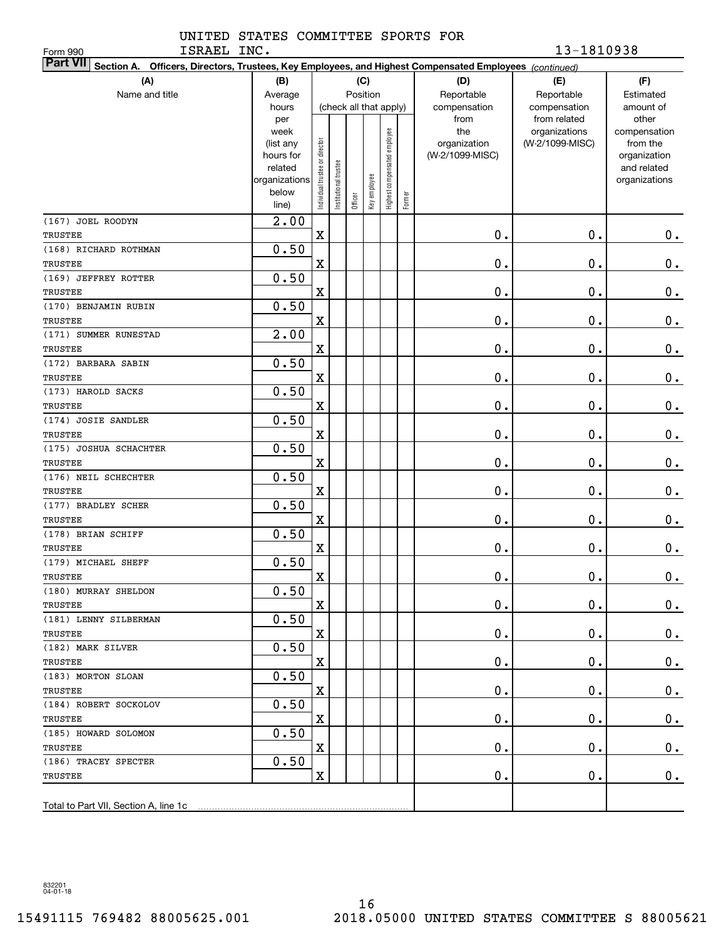|             | UNITED STATES COMMITTEE SPORTS FOR |  |            |
|-------------|------------------------------------|--|------------|
| ISRAEL INC. |                                    |  | 13-1810938 |

| Part VII Section A. Officers, Directors, Trustees, Key Employees, and Highest Compensated Employees (continued) |                      |                                           |                       |         |              |                              |        |                 |                 |                             |
|-----------------------------------------------------------------------------------------------------------------|----------------------|-------------------------------------------|-----------------------|---------|--------------|------------------------------|--------|-----------------|-----------------|-----------------------------|
| (A)                                                                                                             | (D)                  | (E)                                       | (F)                   |         |              |                              |        |                 |                 |                             |
| Name and title                                                                                                  | Average              | (C)<br>Position<br>(check all that apply) |                       |         |              |                              |        | Reportable      | Reportable      | Estimated                   |
|                                                                                                                 | hours                |                                           |                       |         |              |                              |        | compensation    | compensation    | amount of                   |
|                                                                                                                 | per                  |                                           |                       |         |              |                              |        | from            | from related    | other                       |
|                                                                                                                 | week                 |                                           |                       |         |              | Highest compensated employee |        | the             | organizations   | compensation                |
|                                                                                                                 | (list any            |                                           |                       |         |              |                              |        | organization    | (W-2/1099-MISC) | from the                    |
|                                                                                                                 | hours for<br>related |                                           |                       |         |              |                              |        | (W-2/1099-MISC) |                 | organization<br>and related |
|                                                                                                                 | organizations        |                                           |                       |         |              |                              |        |                 |                 | organizations               |
|                                                                                                                 | below                | Individual trustee or director            | Institutional trustee |         | Key employee |                              |        |                 |                 |                             |
|                                                                                                                 | line)                |                                           |                       | Officer |              |                              | Former |                 |                 |                             |
| (167) JOEL ROODYN                                                                                               | 2.00                 |                                           |                       |         |              |                              |        |                 |                 |                             |
| <b>TRUSTEE</b>                                                                                                  |                      | $\mathbf X$                               |                       |         |              |                              |        | 0.              | 0.              | 0.                          |
| (168) RICHARD ROTHMAN                                                                                           | 0.50                 |                                           |                       |         |              |                              |        |                 |                 |                             |
| <b>TRUSTEE</b>                                                                                                  |                      | $\mathbf X$                               |                       |         |              |                              |        | 0.              | 0.              | $\mathbf 0$ .               |
| (169) JEFFREY ROTTER                                                                                            | 0.50                 |                                           |                       |         |              |                              |        |                 |                 |                             |
| <b>TRUSTEE</b>                                                                                                  |                      | $\mathbf X$                               |                       |         |              |                              |        | 0.              | 0.              | $\mathbf 0$ .               |
| (170) BENJAMIN RUBIN                                                                                            | 0.50                 |                                           |                       |         |              |                              |        |                 |                 |                             |
| <b>TRUSTEE</b>                                                                                                  |                      | $\mathbf X$                               |                       |         |              |                              |        | 0.              | 0.              | $\mathbf 0$ .               |
| (171) SUMMER RUNESTAD                                                                                           | 2.00                 |                                           |                       |         |              |                              |        |                 |                 |                             |
| <b>TRUSTEE</b>                                                                                                  |                      | $\mathbf X$                               |                       |         |              |                              |        | 0.              | 0.              | $\mathbf 0$ .               |
| (172) BARBARA SABIN                                                                                             | 0.50                 |                                           |                       |         |              |                              |        |                 |                 |                             |
| <b>TRUSTEE</b>                                                                                                  |                      | $\mathbf X$                               |                       |         |              |                              |        | 0.              | 0.              | $\mathbf 0$ .               |
| (173) HAROLD SACKS                                                                                              | 0.50                 |                                           |                       |         |              |                              |        |                 |                 |                             |
| <b>TRUSTEE</b>                                                                                                  |                      | $\mathbf X$                               |                       |         |              |                              |        | 0.              | 0.              | $\mathbf 0$ .               |
| (174) JOSIE SANDLER                                                                                             | 0.50                 |                                           |                       |         |              |                              |        |                 |                 |                             |
| <b>TRUSTEE</b>                                                                                                  |                      | $\mathbf X$                               |                       |         |              |                              |        | 0.              | 0.              | $\mathbf 0$ .               |
| (175) JOSHUA SCHACHTER                                                                                          | 0.50                 |                                           |                       |         |              |                              |        |                 |                 |                             |
| <b>TRUSTEE</b>                                                                                                  |                      | $\mathbf X$                               |                       |         |              |                              |        | 0.              | 0.              | $\mathbf 0$ .               |
| (176) NEIL SCHECHTER                                                                                            | 0.50                 |                                           |                       |         |              |                              |        |                 |                 |                             |
| <b>TRUSTEE</b>                                                                                                  |                      | $\mathbf X$                               |                       |         |              |                              |        | 0.              | 0.              | $\mathbf 0$ .               |
| (177) BRADLEY SCHER                                                                                             | 0.50                 |                                           |                       |         |              |                              |        |                 |                 |                             |
| <b>TRUSTEE</b>                                                                                                  |                      | $\mathbf X$                               |                       |         |              |                              |        | 0.              | 0.              | $\mathbf 0$ .               |
| (178) BRIAN SCHIFF                                                                                              | 0.50                 |                                           |                       |         |              |                              |        |                 |                 |                             |
| <b>TRUSTEE</b>                                                                                                  |                      | $\mathbf X$                               |                       |         |              |                              |        | 0.              | 0.              | $\mathbf 0$ .               |
| (179) MICHAEL SHEFF                                                                                             | 0.50                 |                                           |                       |         |              |                              |        |                 |                 |                             |
| TRUSTEE                                                                                                         |                      | $\mathbf X$                               |                       |         |              |                              |        | $\mathbf 0$ .   | 0.              | $\mathbf 0$ .               |
| (180) MURRAY SHELDON                                                                                            | 0.50                 |                                           |                       |         |              |                              |        |                 |                 |                             |
| TRUSTEE                                                                                                         |                      | X                                         |                       |         |              |                              |        | $0$ .           | $0$ .           | $0_{.}$                     |
| (181) LENNY SILBERMAN                                                                                           | 0.50                 |                                           |                       |         |              |                              |        |                 |                 |                             |
| TRUSTEE                                                                                                         |                      | X                                         |                       |         |              |                              |        | $\mathbf 0$ .   | 0.              | $\mathbf 0$ .               |
| (182) MARK SILVER                                                                                               | 0.50                 |                                           |                       |         |              |                              |        |                 |                 |                             |
| TRUSTEE                                                                                                         |                      | X                                         |                       |         |              |                              |        | $\mathbf 0$ .   | 0.              | $\mathbf 0$ .               |
| (183) MORTON SLOAN                                                                                              | 0.50                 |                                           |                       |         |              |                              |        |                 |                 |                             |
| TRUSTEE                                                                                                         |                      | X                                         |                       |         |              |                              |        | $\mathbf 0$ .   | 0.              | $\mathbf 0$ .               |
| (184) ROBERT SOCKOLOV                                                                                           | 0.50                 |                                           |                       |         |              |                              |        |                 |                 |                             |
| TRUSTEE                                                                                                         |                      | X                                         |                       |         |              |                              |        | $\mathbf 0$ .   | 0.              | $\mathbf 0$ .               |
| (185) HOWARD SOLOMON                                                                                            | 0.50                 |                                           |                       |         |              |                              |        |                 |                 |                             |
| TRUSTEE                                                                                                         |                      | X                                         |                       |         |              |                              |        | $\mathbf 0$ .   | 0.              | $0_{.}$                     |
| (186) TRACEY SPECTER                                                                                            | 0.50                 | X                                         |                       |         |              |                              |        | $\mathbf 0$ .   | 0.              |                             |
| TRUSTEE                                                                                                         |                      |                                           |                       |         |              |                              |        |                 |                 | $0$ .                       |
|                                                                                                                 |                      |                                           |                       |         |              |                              |        |                 |                 |                             |
| Total to Part VII, Section A, line 1c                                                                           |                      |                                           |                       |         |              |                              |        |                 |                 |                             |

832201 04-01-18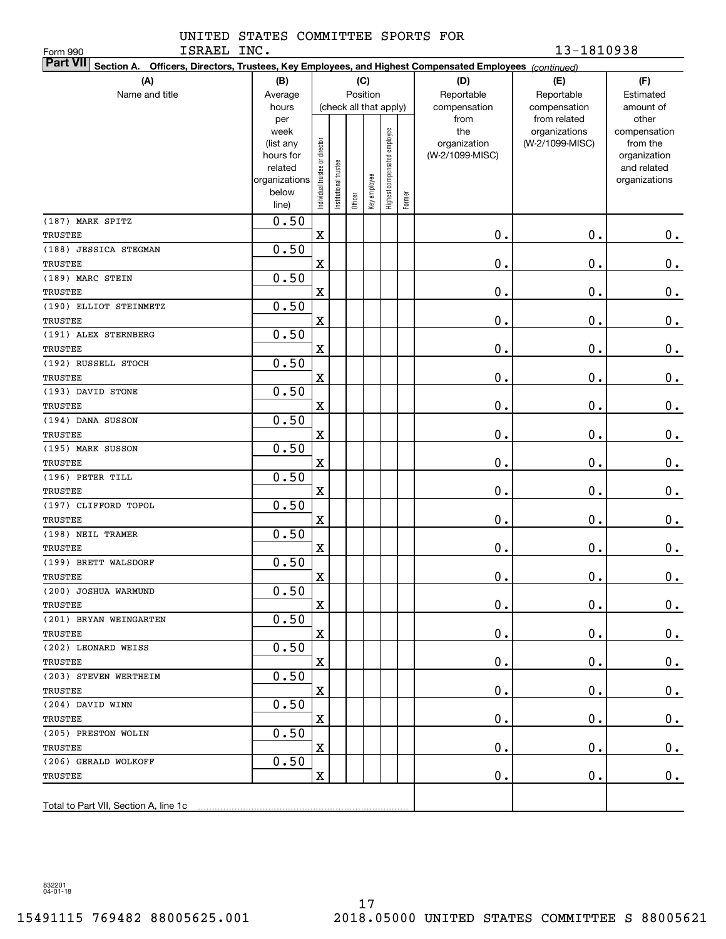| Part VII Section A. Officers, Directors, Trustees, Key Employees, and Highest Compensated Employees (continued)<br>(A)<br>(B)<br>(C) |                          |                                |                        |         |              |                              |            | (D)             | (E)             | (F)           |
|--------------------------------------------------------------------------------------------------------------------------------------|--------------------------|--------------------------------|------------------------|---------|--------------|------------------------------|------------|-----------------|-----------------|---------------|
| Name and title                                                                                                                       | Average                  | Position                       |                        |         |              |                              | Reportable | Reportable      | Estimated       |               |
|                                                                                                                                      | hours                    |                                | (check all that apply) |         |              |                              |            | compensation    | compensation    | amount of     |
|                                                                                                                                      | per                      |                                |                        |         |              |                              |            | from            | from related    | other         |
|                                                                                                                                      | week                     |                                |                        |         |              |                              |            | the             | organizations   | compensation  |
|                                                                                                                                      | (list any                |                                |                        |         |              |                              |            | organization    | (W-2/1099-MISC) | from the      |
|                                                                                                                                      | hours for                |                                |                        |         |              |                              |            | (W-2/1099-MISC) |                 | organization  |
|                                                                                                                                      | related<br>organizations |                                |                        |         |              |                              |            |                 |                 | and related   |
|                                                                                                                                      | below                    |                                |                        |         |              |                              |            |                 |                 | organizations |
|                                                                                                                                      | line)                    | Individual trustee or director | Institutional trustee  | Officer | Key employee | Highest compensated employee | Former     |                 |                 |               |
| (187) MARK SPITZ                                                                                                                     | 0.50                     |                                |                        |         |              |                              |            |                 |                 |               |
| TRUSTEE                                                                                                                              |                          | $\mathbf X$                    |                        |         |              |                              |            | 0.              | 0.              | 0.            |
| (188) JESSICA STEGMAN                                                                                                                | 0.50                     |                                |                        |         |              |                              |            |                 |                 |               |
| TRUSTEE                                                                                                                              |                          | $\mathbf X$                    |                        |         |              |                              |            | 0.              | 0.              | 0.            |
| (189) MARC STEIN                                                                                                                     | 0.50                     |                                |                        |         |              |                              |            |                 |                 |               |
| TRUSTEE                                                                                                                              |                          | $\mathbf X$                    |                        |         |              |                              |            | 0.              | 0.              | $0_{.}$       |
| (190) ELLIOT STEINMETZ                                                                                                               | 0.50                     |                                |                        |         |              |                              |            |                 |                 |               |
| TRUSTEE                                                                                                                              |                          | $\mathbf X$                    |                        |         |              |                              |            | 0.              | 0.              | $0_{.}$       |
| (191) ALEX STERNBERG                                                                                                                 | 0.50                     |                                |                        |         |              |                              |            |                 |                 |               |
| TRUSTEE                                                                                                                              |                          | $\mathbf X$                    |                        |         |              |                              |            | 0.              | 0.              | 0.            |
| (192) RUSSELL STOCH                                                                                                                  | 0.50                     |                                |                        |         |              |                              |            |                 |                 |               |
| <b>TRUSTEE</b>                                                                                                                       |                          | $\mathbf X$                    |                        |         |              |                              |            | 0.              | 0.              | 0.            |
| (193) DAVID STONE                                                                                                                    | 0.50                     |                                |                        |         |              |                              |            |                 |                 |               |
| TRUSTEE                                                                                                                              |                          | $\mathbf X$                    |                        |         |              |                              |            | 0.              | 0.              | $0_{.}$       |
| (194) DANA SUSSON                                                                                                                    | 0.50                     |                                |                        |         |              |                              |            |                 |                 |               |
| TRUSTEE                                                                                                                              |                          | $\mathbf X$                    |                        |         |              |                              |            | 0.              | 0.              | 0.            |
| (195) MARK SUSSON                                                                                                                    | 0.50                     |                                |                        |         |              |                              |            |                 |                 |               |
| TRUSTEE                                                                                                                              |                          | $\mathbf X$                    |                        |         |              |                              |            | 0.              | 0.              | 0.            |
| (196) PETER TILL                                                                                                                     | 0.50                     |                                |                        |         |              |                              |            |                 |                 |               |
| TRUSTEE                                                                                                                              |                          | $\mathbf X$                    |                        |         |              |                              |            | 0.              | 0.              | 0.            |
| (197) CLIFFORD TOPOL                                                                                                                 | 0.50                     |                                |                        |         |              |                              |            |                 |                 |               |
| TRUSTEE                                                                                                                              |                          | $\mathbf X$                    |                        |         |              |                              |            | 0.              | 0.              | 0.            |
| (198) NEIL TRAMER                                                                                                                    | 0.50                     |                                |                        |         |              |                              |            |                 |                 |               |
| TRUSTEE                                                                                                                              |                          | $\mathbf X$                    |                        |         |              |                              |            | 0.              | 0.              | $0$ .         |
| (199) BRETT WALSDORF                                                                                                                 | 0.50                     |                                |                        |         |              |                              |            |                 |                 |               |
| <b>TRUSTEE</b>                                                                                                                       |                          | $\mathbf X$                    |                        |         |              |                              |            | $0$ .           | 0.              | $\mathbf 0$ . |
| (200) JOSHUA WARMUND                                                                                                                 | 0.50                     |                                |                        |         |              |                              |            |                 |                 |               |
| TRUSTEE                                                                                                                              |                          | $\mathbf X$                    |                        |         |              |                              |            | $\mathbf 0$ .   | $\mathbf 0$ .   | $0_{.}$       |
| (201) BRYAN WEINGARTEN                                                                                                               | 0.50                     |                                |                        |         |              |                              |            |                 |                 |               |
| TRUSTEE                                                                                                                              |                          | $\mathbf X$                    |                        |         |              |                              |            | $\mathbf 0$ .   | $\mathbf 0$ .   | $0_{.}$       |
| (202) LEONARD WEISS                                                                                                                  | 0.50                     |                                |                        |         |              |                              |            |                 |                 |               |
| TRUSTEE                                                                                                                              |                          | $\mathbf X$                    |                        |         |              |                              |            | $\mathbf 0$ .   | $\mathbf 0$ .   | 0.            |
| (203) STEVEN WERTHEIM                                                                                                                | 0.50                     |                                |                        |         |              |                              |            |                 |                 |               |
| TRUSTEE                                                                                                                              |                          | $\mathbf X$                    |                        |         |              |                              |            | $\mathbf 0$ .   | $\mathbf 0$ .   | $\mathbf 0$ . |
| (204) DAVID WINN                                                                                                                     | 0.50                     |                                |                        |         |              |                              |            |                 |                 |               |
| TRUSTEE                                                                                                                              |                          | $\mathbf X$                    |                        |         |              |                              |            | $\mathbf 0$ .   | $\mathbf 0$ .   | $\mathbf 0$ . |
| (205) PRESTON WOLIN                                                                                                                  | 0.50                     |                                |                        |         |              |                              |            |                 |                 |               |
| TRUSTEE                                                                                                                              |                          | $\mathbf X$                    |                        |         |              |                              |            | $\mathbf 0$ .   | $\mathbf 0$ .   | 0.            |
| (206) GERALD WOLKOFF                                                                                                                 | 0.50                     |                                |                        |         |              |                              |            |                 |                 |               |
| TRUSTEE                                                                                                                              |                          | $\mathbf X$                    |                        |         |              |                              |            | 0.              | 0.              | 0.            |
|                                                                                                                                      |                          |                                |                        |         |              |                              |            |                 |                 |               |
| Total to Part VII, Section A, line 1c                                                                                                |                          |                                |                        |         |              |                              |            |                 |                 |               |

832201 04-01-18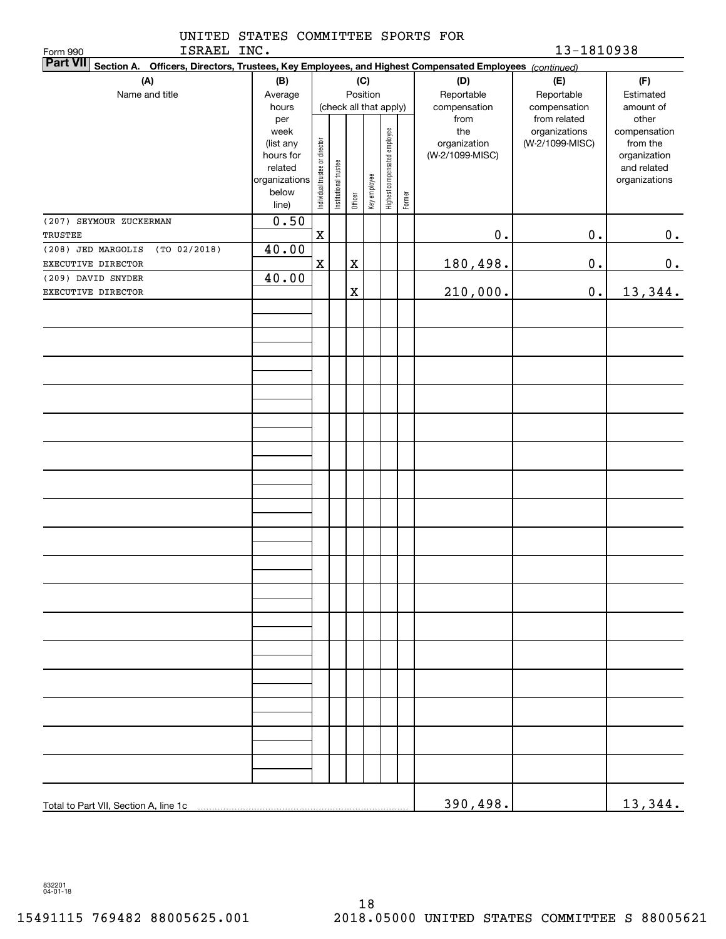| ISRAEL INC.<br>Form 990                                                                                                   | UNITED STATES COMMITTEE SPORTS FOR                      |                                |                       |             |                        |                              |        |                                             | 13-1810938                                                       |                                                |
|---------------------------------------------------------------------------------------------------------------------------|---------------------------------------------------------|--------------------------------|-----------------------|-------------|------------------------|------------------------------|--------|---------------------------------------------|------------------------------------------------------------------|------------------------------------------------|
| <b>Part VII</b><br>Section A. Officers, Directors, Trustees, Key Employees, and Highest Compensated Employees (continued) |                                                         |                                |                       |             |                        |                              |        |                                             |                                                                  |                                                |
| (A)                                                                                                                       | (B)                                                     |                                |                       |             | (C)                    |                              |        | (D)                                         | (E)                                                              | (F)                                            |
| Name and title                                                                                                            | Average                                                 |                                |                       |             | Position               |                              |        | Reportable                                  | Reportable                                                       | Estimated                                      |
|                                                                                                                           | hours<br>per<br>week<br>(list any                       |                                |                       |             | (check all that apply) |                              |        | compensation<br>from<br>the<br>organization | compensation<br>from related<br>organizations<br>(W-2/1099-MISC) | amount of<br>other<br>compensation<br>from the |
|                                                                                                                           | hours for<br>related<br>organizations<br>below<br>line) | Individual trustee or director | Institutional trustee | Officer     | Key employee           | Highest compensated employee | Former | (W-2/1099-MISC)                             |                                                                  | organization<br>and related<br>organizations   |
| (207) SEYMOUR ZUCKERMAN                                                                                                   | 0.50                                                    |                                |                       |             |                        |                              |        |                                             |                                                                  |                                                |
| TRUSTEE                                                                                                                   |                                                         | $\mathbf x$                    |                       |             |                        |                              |        | $0$ .                                       | $0$ .                                                            | 0.                                             |
| (TO 02/2018)<br>(208) JED MARGOLIS                                                                                        | 40.00                                                   |                                |                       |             |                        |                              |        |                                             |                                                                  |                                                |
| EXECUTIVE DIRECTOR                                                                                                        |                                                         | $\mathbf X$                    |                       | $\mathbf X$ |                        |                              |        | <u>180,498.</u>                             | 0.                                                               | $0_{.}$                                        |
| (209) DAVID SNYDER<br>EXECUTIVE DIRECTOR                                                                                  | 40.00                                                   |                                |                       | $\mathbf X$ |                        |                              |        | 210,000.                                    | $0$ .                                                            | 13,344.                                        |
|                                                                                                                           |                                                         |                                |                       |             |                        |                              |        |                                             |                                                                  |                                                |
|                                                                                                                           |                                                         |                                |                       |             |                        |                              |        |                                             |                                                                  |                                                |
|                                                                                                                           |                                                         |                                |                       |             |                        |                              |        |                                             |                                                                  |                                                |
|                                                                                                                           |                                                         |                                |                       |             |                        |                              |        |                                             |                                                                  |                                                |
|                                                                                                                           |                                                         |                                |                       |             |                        |                              |        |                                             |                                                                  |                                                |
|                                                                                                                           |                                                         |                                |                       |             |                        |                              |        |                                             |                                                                  |                                                |
|                                                                                                                           |                                                         |                                |                       |             |                        |                              |        |                                             |                                                                  |                                                |
|                                                                                                                           |                                                         |                                |                       |             |                        |                              |        |                                             |                                                                  |                                                |
|                                                                                                                           |                                                         |                                |                       |             |                        |                              |        |                                             |                                                                  |                                                |
|                                                                                                                           |                                                         |                                |                       |             |                        |                              |        |                                             |                                                                  |                                                |
|                                                                                                                           |                                                         |                                |                       |             |                        |                              |        |                                             |                                                                  |                                                |
|                                                                                                                           |                                                         |                                |                       |             |                        |                              |        |                                             |                                                                  |                                                |
|                                                                                                                           |                                                         |                                |                       |             |                        |                              |        |                                             |                                                                  |                                                |
|                                                                                                                           |                                                         |                                |                       |             |                        |                              |        |                                             |                                                                  |                                                |
|                                                                                                                           |                                                         |                                |                       |             |                        |                              |        |                                             |                                                                  |                                                |
|                                                                                                                           |                                                         |                                |                       |             |                        |                              |        | 390,498.                                    |                                                                  | 13,344.                                        |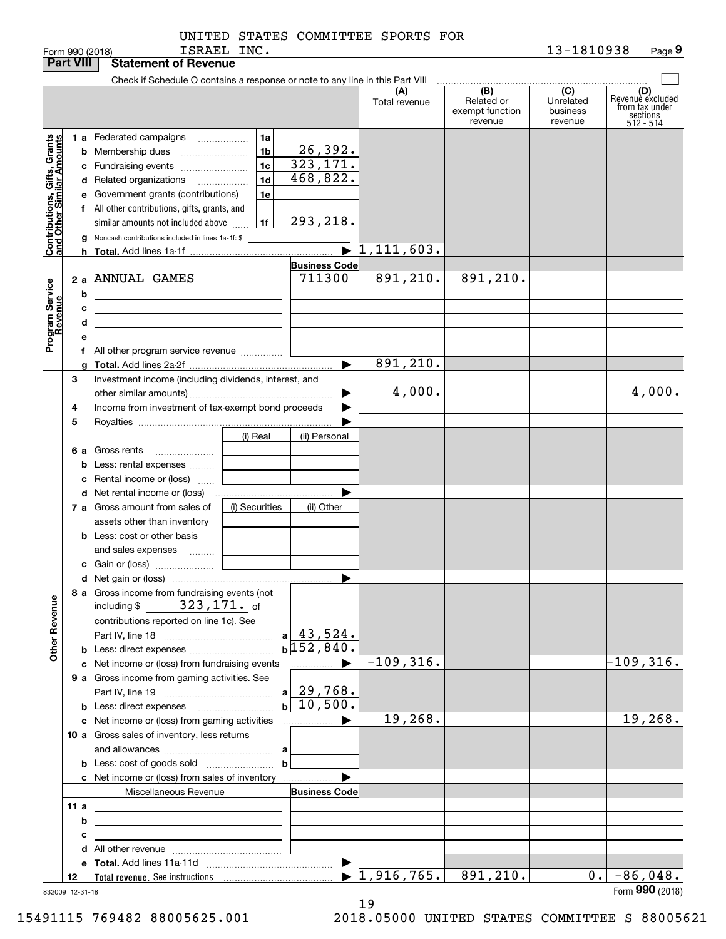|  | UNITED STATES COMMITTEE SPORTS FOR |  |  |
|--|------------------------------------|--|--|
|  |                                    |  |  |

|                                                           | <b>Part VIII</b> | <b>Statement of Revenue</b>                                                                                           |                |                                |                      |                                                 |                                         |                                                                    |
|-----------------------------------------------------------|------------------|-----------------------------------------------------------------------------------------------------------------------|----------------|--------------------------------|----------------------|-------------------------------------------------|-----------------------------------------|--------------------------------------------------------------------|
|                                                           |                  | Check if Schedule O contains a response or note to any line in this Part VIII                                         |                |                                |                      |                                                 |                                         |                                                                    |
|                                                           |                  |                                                                                                                       |                |                                | (A)<br>Total revenue | (B)<br>Related or<br>exempt function<br>revenue | (C)<br>Unrelated<br>business<br>revenue | (D)<br>Revenuè excluded<br>from tax under<br>sections<br>512 - 514 |
|                                                           |                  | 1 a Federated campaigns                                                                                               | 1a             |                                |                      |                                                 |                                         |                                                                    |
|                                                           |                  | <b>b</b> Membership dues                                                                                              | 1 <sub>b</sub> | $\overline{26,392}$ .          |                      |                                                 |                                         |                                                                    |
|                                                           |                  | c Fundraising events                                                                                                  | 1 <sub>c</sub> | 323, 171.                      |                      |                                                 |                                         |                                                                    |
|                                                           |                  |                                                                                                                       | 1d             | 468,822.                       |                      |                                                 |                                         |                                                                    |
|                                                           |                  | d Related organizations<br>$\overline{\phantom{a}}$                                                                   |                |                                |                      |                                                 |                                         |                                                                    |
|                                                           |                  | e Government grants (contributions)                                                                                   | 1e             |                                |                      |                                                 |                                         |                                                                    |
|                                                           |                  | f All other contributions, gifts, grants, and                                                                         |                |                                |                      |                                                 |                                         |                                                                    |
|                                                           |                  | similar amounts not included above                                                                                    | 1f             | 293,218.                       |                      |                                                 |                                         |                                                                    |
| Contributions, Gifts, Grants<br>and Other Similar Amounts |                  | <b>g</b> Noncash contributions included in lines 1a-1f: \$                                                            |                |                                |                      |                                                 |                                         |                                                                    |
|                                                           |                  |                                                                                                                       |                |                                |                      |                                                 |                                         |                                                                    |
|                                                           |                  | ANNUAL GAMES                                                                                                          |                | <b>Business Code</b><br>711300 | 891, 210.            | 891,210.                                        |                                         |                                                                    |
|                                                           | 2a               |                                                                                                                       |                |                                |                      |                                                 |                                         |                                                                    |
|                                                           | b                | <u> 1989 - Johann Barn, mars ann an t-Amhair an t-Amhair an t-Amhair an t-Amhair an t-Amhair an t-Amhair an t-Amh</u> |                |                                |                      |                                                 |                                         |                                                                    |
|                                                           | с                | <u> 1989 - Johann Stein, marwolaethau a bhann an t-Amhainn an t-Amhainn an t-Amhainn an t-Amhainn an t-Amhainn an</u> |                |                                |                      |                                                 |                                         |                                                                    |
|                                                           | d                | the contract of the contract of the contract of the contract of the                                                   |                |                                |                      |                                                 |                                         |                                                                    |
| Program Service<br>Revenue                                |                  |                                                                                                                       |                |                                |                      |                                                 |                                         |                                                                    |
|                                                           |                  | f All other program service revenue                                                                                   |                |                                | 891, 210.            |                                                 |                                         |                                                                    |
|                                                           |                  |                                                                                                                       |                | ▶                              |                      |                                                 |                                         |                                                                    |
|                                                           | 3                | Investment income (including dividends, interest, and                                                                 |                |                                | 4,000.               |                                                 |                                         | 4,000.                                                             |
|                                                           |                  |                                                                                                                       |                |                                |                      |                                                 |                                         |                                                                    |
|                                                           | 4                | Income from investment of tax-exempt bond proceeds                                                                    |                |                                |                      |                                                 |                                         |                                                                    |
|                                                           | 5                |                                                                                                                       |                |                                |                      |                                                 |                                         |                                                                    |
|                                                           |                  |                                                                                                                       | (i) Real       | (ii) Personal                  |                      |                                                 |                                         |                                                                    |
|                                                           |                  | 6 a Gross rents                                                                                                       |                |                                |                      |                                                 |                                         |                                                                    |
|                                                           | b                | Less: rental expenses                                                                                                 |                |                                |                      |                                                 |                                         |                                                                    |
|                                                           |                  | Rental income or (loss)                                                                                               |                |                                |                      |                                                 |                                         |                                                                    |
|                                                           |                  |                                                                                                                       |                |                                |                      |                                                 |                                         |                                                                    |
|                                                           |                  | 7 a Gross amount from sales of                                                                                        | (i) Securities | (ii) Other                     |                      |                                                 |                                         |                                                                    |
|                                                           |                  | assets other than inventory                                                                                           |                |                                |                      |                                                 |                                         |                                                                    |
|                                                           |                  | <b>b</b> Less: cost or other basis                                                                                    |                |                                |                      |                                                 |                                         |                                                                    |
|                                                           |                  | and sales expenses                                                                                                    |                |                                |                      |                                                 |                                         |                                                                    |
|                                                           |                  |                                                                                                                       |                |                                |                      |                                                 |                                         |                                                                    |
|                                                           |                  |                                                                                                                       |                |                                |                      |                                                 |                                         |                                                                    |
|                                                           |                  | 8 a Gross income from fundraising events (not                                                                         |                |                                |                      |                                                 |                                         |                                                                    |
| <b>Other Revenue</b>                                      |                  | including \$323, 171. of                                                                                              |                |                                |                      |                                                 |                                         |                                                                    |
|                                                           |                  | contributions reported on line 1c). See                                                                               |                |                                |                      |                                                 |                                         |                                                                    |
|                                                           |                  |                                                                                                                       |                | $a$ 43,524.                    |                      |                                                 |                                         |                                                                    |
|                                                           |                  |                                                                                                                       |                | $b\sqrt{152,840}$ .            |                      |                                                 |                                         |                                                                    |
|                                                           |                  | c Net income or (loss) from fundraising events                                                                        |                | <u></u> ▶                      | $-109, 316.$         |                                                 |                                         | $-109, 316.$                                                       |
|                                                           |                  | 9 a Gross income from gaming activities. See                                                                          |                |                                |                      |                                                 |                                         |                                                                    |
|                                                           |                  |                                                                                                                       | al             | 29,768.                        |                      |                                                 |                                         |                                                                    |
|                                                           |                  |                                                                                                                       | $\mathbf{b}$   | 10,500.                        |                      |                                                 |                                         |                                                                    |
|                                                           |                  | c Net income or (loss) from gaming activities                                                                         |                |                                | 19,268.              |                                                 |                                         | 19,268.                                                            |
|                                                           |                  | 10 a Gross sales of inventory, less returns                                                                           |                |                                |                      |                                                 |                                         |                                                                    |
|                                                           |                  |                                                                                                                       |                |                                |                      |                                                 |                                         |                                                                    |
|                                                           |                  |                                                                                                                       | b              |                                |                      |                                                 |                                         |                                                                    |
|                                                           |                  |                                                                                                                       |                |                                |                      |                                                 |                                         |                                                                    |
|                                                           |                  | Miscellaneous Revenue                                                                                                 |                | <b>Business Code</b>           |                      |                                                 |                                         |                                                                    |
|                                                           | 11a              | <u> 1989 - Johann Barn, amerikansk politiker (d. 1989)</u>                                                            |                |                                |                      |                                                 |                                         |                                                                    |
|                                                           | b                | <u> 1989 - Johann Stein, marwolaethau a bhann an t-Amhair an t-Amhair an t-Amhair an t-Amhair an t-Amhair an t-A</u>  |                |                                |                      |                                                 |                                         |                                                                    |
|                                                           | с                | <u> 1989 - Johann Stein, mars an deus Amerikaansk kommunister (</u>                                                   |                |                                |                      |                                                 |                                         |                                                                    |
|                                                           |                  |                                                                                                                       |                |                                |                      |                                                 |                                         |                                                                    |
|                                                           |                  |                                                                                                                       |                | $\blacktriangleright$          |                      |                                                 |                                         |                                                                    |
|                                                           | 12               |                                                                                                                       |                |                                | 1,916,765.           | 891,210.                                        | 0.                                      | $-86,048.$                                                         |
|                                                           | 832009 12-31-18  |                                                                                                                       |                |                                |                      |                                                 |                                         | Form 990 (2018)                                                    |

19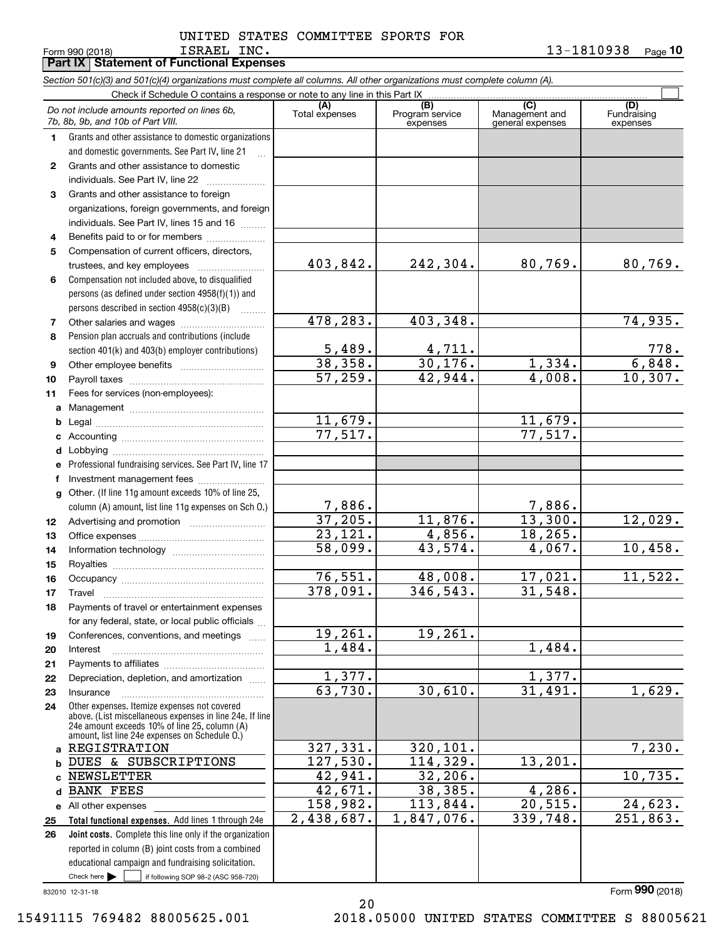**10**

 $\mathcal{L}^{\text{max}}$ 

|   | ISRAEL INC.<br>Form 990 (2018)                                                                                                         |                       |                                    |                                           | 13-1810938<br>Page             |
|---|----------------------------------------------------------------------------------------------------------------------------------------|-----------------------|------------------------------------|-------------------------------------------|--------------------------------|
|   | <b>Part IX   Statement of Functional Expenses</b>                                                                                      |                       |                                    |                                           |                                |
|   | Section 501(c)(3) and 501(c)(4) organizations must complete all columns. All other organizations must complete column (A).             |                       |                                    |                                           |                                |
|   | Check if Schedule O contains a response or note to any line in this Part IX                                                            |                       |                                    |                                           |                                |
|   | Do not include amounts reported on lines 6b,<br>7b, 8b, 9b, and 10b of Part VIII.                                                      | (A)<br>Total expenses | (B)<br>Program service<br>expenses | (C)<br>Management and<br>general expenses | (D)<br>Fundraising<br>expenses |
|   | Grants and other assistance to domestic organizations<br>and domestic governments. See Part IV, line 21                                |                       |                                    |                                           |                                |
| 2 | Grants and other assistance to domestic<br>individuals. See Part IV, line 22                                                           |                       |                                    |                                           |                                |
| 3 | Grants and other assistance to foreign<br>organizations, foreign governments, and foreign<br>individuals, See Part IV, lines 15 and 16 |                       |                                    |                                           |                                |

|    | $\frac{1}{2}$                                                                                            |            |                         |          |                     |
|----|----------------------------------------------------------------------------------------------------------|------------|-------------------------|----------|---------------------|
| 3  | Grants and other assistance to foreign                                                                   |            |                         |          |                     |
|    | organizations, foreign governments, and foreign                                                          |            |                         |          |                     |
|    | individuals. See Part IV, lines 15 and 16                                                                |            |                         |          |                     |
| 4  | Benefits paid to or for members                                                                          |            |                         |          |                     |
| 5  | Compensation of current officers, directors,                                                             |            |                         |          |                     |
|    | trustees, and key employees                                                                              | 403,842.   | 242,304.                | 80,769.  | 80,769.             |
| 6  | Compensation not included above, to disqualified                                                         |            |                         |          |                     |
|    | persons (as defined under section 4958(f)(1)) and                                                        |            |                         |          |                     |
|    | persons described in section 4958(c)(3)(B)                                                               |            |                         |          |                     |
| 7  |                                                                                                          | 478,283.   | 403,348.                |          | 74,935.             |
| 8  | Pension plan accruals and contributions (include                                                         |            |                         |          |                     |
|    | section 401(k) and 403(b) employer contributions)                                                        | 5,489.     | 4,711.                  |          |                     |
| 9  |                                                                                                          | 38,358.    | 30,176.                 | 1,334.   | $\frac{778}{6,848}$ |
| 10 |                                                                                                          | 57,259.    | 42,944.                 | 4,008.   | 10,307.             |
| 11 | Fees for services (non-employees):                                                                       |            |                         |          |                     |
| a  |                                                                                                          |            |                         |          |                     |
| b  |                                                                                                          | 11,679.    |                         | 11,679.  |                     |
|    |                                                                                                          | 77,517.    |                         | 77,517.  |                     |
| d  |                                                                                                          |            |                         |          |                     |
| е  | Professional fundraising services. See Part IV, line 17                                                  |            |                         |          |                     |
| f  | Investment management fees                                                                               |            |                         |          |                     |
| a  | Other. (If line 11g amount exceeds 10% of line 25,                                                       |            |                         |          |                     |
|    | column (A) amount, list line 11g expenses on Sch O.)                                                     | 7,886.     |                         | 7,886.   |                     |
| 12 |                                                                                                          | 37,205.    | 11,876.                 | 13,300.  | 12,029.             |
| 13 |                                                                                                          | 23,121.    | 4,856.                  | 18,265.  |                     |
| 14 |                                                                                                          | 58,099.    | 43,574.                 | 4,067.   | 10,458.             |
| 15 |                                                                                                          |            |                         |          |                     |
| 16 |                                                                                                          | 76, 551.   | 48,008.                 | 17,021.  | 11,522.             |
| 17 | Travel                                                                                                   | 378,091.   | $\overline{346, 543}$ . | 31,548.  |                     |
| 18 | Payments of travel or entertainment expenses                                                             |            |                         |          |                     |
|    | for any federal, state, or local public officials                                                        |            |                         |          |                     |
| 19 | Conferences, conventions, and meetings                                                                   | 19,261.    | 19,261.                 |          |                     |
| 20 | Interest                                                                                                 | 1,484.     |                         | 1,484.   |                     |
| 21 |                                                                                                          |            |                         |          |                     |
| 22 | Depreciation, depletion, and amortization                                                                | 1,377.     |                         | 1,377.   |                     |
| 23 | Insurance                                                                                                | 63,730.    | 30,610.                 | 31,491.  | 1,629.              |
| 24 | Other expenses. Itemize expenses not covered<br>above. (List miscellaneous expenses in line 24e. If line |            |                         |          |                     |
|    | 24e amount exceeds 10% of line 25, column (A)<br>amount, list line 24e expenses on Schedule O.)          |            |                         |          |                     |
| a  | REGISTRATION                                                                                             | 327,331.   | 320,101.                |          | 7,230.              |
| b  | DUES & SUBSCRIPTIONS                                                                                     | 127,530.   | 114,329.                | 13,201.  |                     |
| с  | <b>NEWSLETTER</b>                                                                                        | 42,941.    | 32,206.                 |          | 10,735.             |
| d  | <b>BANK FEES</b>                                                                                         | 42,671.    | 38,385.                 | 4,286.   |                     |
|    | e All other expenses                                                                                     | 158,982.   | 113,844.                | 20,515.  | 24,623.             |
| 25 | Total functional expenses. Add lines 1 through 24e                                                       | 2,438,687. | 1,847,076.              | 339,748. | 251,863.            |
| 26 | Joint costs. Complete this line only if the organization                                                 |            |                         |          |                     |
|    | reported in column (B) joint costs from a combined                                                       |            |                         |          |                     |
|    |                                                                                                          |            |                         |          |                     |

20

832010 12-31-18

 $Check here$ 

Check here  $\bullet$  if following SOP 98-2 (ASC 958-720)

educational campaign and fundraising solicitation.

Form (2018) **990**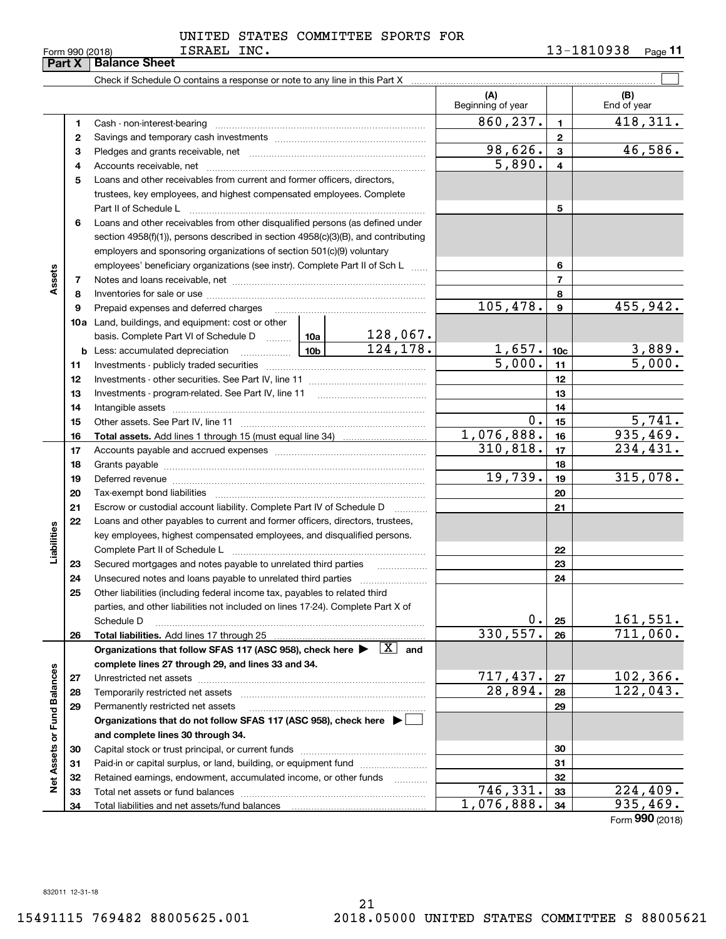| : <sub>Orm</sub> 990 (2018) |  |  |
|-----------------------------|--|--|

# ISRAEL INC. UNITED STATES COMMITTEE SPORTS FOR

|                             | Part X | <b>Balance Sheet</b>                                                                                                                                                                                                           |          |                                                                                                                                                                                                                                                                                                                                                                                                                                        |                          |                 |                         |
|-----------------------------|--------|--------------------------------------------------------------------------------------------------------------------------------------------------------------------------------------------------------------------------------|----------|----------------------------------------------------------------------------------------------------------------------------------------------------------------------------------------------------------------------------------------------------------------------------------------------------------------------------------------------------------------------------------------------------------------------------------------|--------------------------|-----------------|-------------------------|
|                             |        |                                                                                                                                                                                                                                |          |                                                                                                                                                                                                                                                                                                                                                                                                                                        |                          |                 |                         |
|                             |        |                                                                                                                                                                                                                                |          |                                                                                                                                                                                                                                                                                                                                                                                                                                        | (A)<br>Beginning of year |                 | (B)<br>End of year      |
|                             | 1      | Cash - non-interest-bearing                                                                                                                                                                                                    |          |                                                                                                                                                                                                                                                                                                                                                                                                                                        | 860,237.                 | $\mathbf{1}$    | $\overline{418}$ , 311. |
|                             | 2      |                                                                                                                                                                                                                                |          |                                                                                                                                                                                                                                                                                                                                                                                                                                        |                          | $\mathbf{2}$    |                         |
|                             | 3      |                                                                                                                                                                                                                                |          |                                                                                                                                                                                                                                                                                                                                                                                                                                        | 98,626.                  | 3               | 46,586.                 |
|                             | 4      |                                                                                                                                                                                                                                |          |                                                                                                                                                                                                                                                                                                                                                                                                                                        | 5,890.                   | 4               |                         |
|                             | 5      | Loans and other receivables from current and former officers, directors,                                                                                                                                                       |          |                                                                                                                                                                                                                                                                                                                                                                                                                                        |                          |                 |                         |
|                             |        | trustees, key employees, and highest compensated employees. Complete                                                                                                                                                           |          |                                                                                                                                                                                                                                                                                                                                                                                                                                        |                          |                 |                         |
|                             |        | Part II of Schedule L                                                                                                                                                                                                          |          |                                                                                                                                                                                                                                                                                                                                                                                                                                        |                          | 5               |                         |
|                             | 6      | Loans and other receivables from other disqualified persons (as defined under                                                                                                                                                  |          |                                                                                                                                                                                                                                                                                                                                                                                                                                        |                          |                 |                         |
|                             |        | section $4958(f)(1)$ , persons described in section $4958(c)(3)(B)$ , and contributing                                                                                                                                         |          |                                                                                                                                                                                                                                                                                                                                                                                                                                        |                          |                 |                         |
|                             |        | employers and sponsoring organizations of section 501(c)(9) voluntary                                                                                                                                                          |          |                                                                                                                                                                                                                                                                                                                                                                                                                                        |                          |                 |                         |
|                             |        | employees' beneficiary organizations (see instr). Complete Part II of Sch L                                                                                                                                                    |          | 6                                                                                                                                                                                                                                                                                                                                                                                                                                      |                          |                 |                         |
| Assets                      | 7      |                                                                                                                                                                                                                                |          | 7                                                                                                                                                                                                                                                                                                                                                                                                                                      |                          |                 |                         |
|                             | 8      |                                                                                                                                                                                                                                |          |                                                                                                                                                                                                                                                                                                                                                                                                                                        |                          | 8               |                         |
|                             | 9      | Prepaid expenses and deferred charges                                                                                                                                                                                          | 105,478. | 9                                                                                                                                                                                                                                                                                                                                                                                                                                      | 455,942.                 |                 |                         |
|                             |        | 10a Land, buildings, and equipment: cost or other                                                                                                                                                                              |          |                                                                                                                                                                                                                                                                                                                                                                                                                                        |                          |                 |                         |
|                             |        | basis. Complete Part VI of Schedule D  10a                                                                                                                                                                                     |          | 128,067.                                                                                                                                                                                                                                                                                                                                                                                                                               |                          |                 |                         |
|                             |        | │ 10b Do<br><b>b</b> Less: accumulated depreciation                                                                                                                                                                            |          | $\overline{124,178}$ .                                                                                                                                                                                                                                                                                                                                                                                                                 | 1,657.                   | 10 <sub>c</sub> | 3,889.                  |
|                             | 11     |                                                                                                                                                                                                                                |          |                                                                                                                                                                                                                                                                                                                                                                                                                                        | $\overline{5,000}$ .     | 11              | $\frac{1}{5,000}$ .     |
|                             | 12     |                                                                                                                                                                                                                                |          |                                                                                                                                                                                                                                                                                                                                                                                                                                        | 12                       |                 |                         |
|                             | 13     | Investments - program-related. See Part IV, line 11                                                                                                                                                                            |          |                                                                                                                                                                                                                                                                                                                                                                                                                                        | 13                       |                 |                         |
|                             | 14     |                                                                                                                                                                                                                                |          |                                                                                                                                                                                                                                                                                                                                                                                                                                        |                          | 14              |                         |
|                             | 15     |                                                                                                                                                                                                                                |          |                                                                                                                                                                                                                                                                                                                                                                                                                                        | 0.                       | 15              | 5,741.                  |
|                             | 16     |                                                                                                                                                                                                                                |          |                                                                                                                                                                                                                                                                                                                                                                                                                                        | 1,076,888.               | 16              | 935,469.                |
|                             | 17     |                                                                                                                                                                                                                                |          |                                                                                                                                                                                                                                                                                                                                                                                                                                        | 310,818.                 | 17              | 234,431.                |
|                             | 18     |                                                                                                                                                                                                                                |          | 18                                                                                                                                                                                                                                                                                                                                                                                                                                     |                          |                 |                         |
|                             | 19     |                                                                                                                                                                                                                                | 19,739.  | 19                                                                                                                                                                                                                                                                                                                                                                                                                                     | 315,078.                 |                 |                         |
|                             | 20     |                                                                                                                                                                                                                                |          |                                                                                                                                                                                                                                                                                                                                                                                                                                        | 20                       |                 |                         |
|                             | 21     | Escrow or custodial account liability. Complete Part IV of Schedule D                                                                                                                                                          |          |                                                                                                                                                                                                                                                                                                                                                                                                                                        | 21                       |                 |                         |
|                             | 22     | Loans and other payables to current and former officers, directors, trustees,                                                                                                                                                  |          |                                                                                                                                                                                                                                                                                                                                                                                                                                        |                          |                 |                         |
|                             |        | key employees, highest compensated employees, and disqualified persons.                                                                                                                                                        |          |                                                                                                                                                                                                                                                                                                                                                                                                                                        |                          |                 |                         |
| Liabilities                 |        | Complete Part II of Schedule L                                                                                                                                                                                                 |          | $\begin{minipage}{0.5\textwidth} \begin{tabular}{ l l l } \hline \multicolumn{1}{ l l l } \hline \multicolumn{1}{ l l } \multicolumn{1}{ l l } \multicolumn{1}{ l } \multicolumn{1}{ l } \multicolumn{1}{ l } \multicolumn{1}{ l } \multicolumn{1}{ l } \multicolumn{1}{ l } \multicolumn{1}{ l } \multicolumn{1}{ l } \multicolumn{1}{ l } \multicolumn{1}{ l } \multicolumn{1}{ l } \multicolumn{1}{ l } \multicolumn{1}{ l } \mult$ |                          | 22              |                         |
|                             | 23     | Secured mortgages and notes payable to unrelated third parties                                                                                                                                                                 |          |                                                                                                                                                                                                                                                                                                                                                                                                                                        |                          | 23              |                         |
|                             | 24     |                                                                                                                                                                                                                                |          |                                                                                                                                                                                                                                                                                                                                                                                                                                        |                          | 24              |                         |
|                             | 25     | Other liabilities (including federal income tax, payables to related third                                                                                                                                                     |          |                                                                                                                                                                                                                                                                                                                                                                                                                                        |                          |                 |                         |
|                             |        | parties, and other liabilities not included on lines 17-24). Complete Part X of                                                                                                                                                |          |                                                                                                                                                                                                                                                                                                                                                                                                                                        |                          |                 |                         |
|                             |        | Schedule D                                                                                                                                                                                                                     |          |                                                                                                                                                                                                                                                                                                                                                                                                                                        | $0$ .                    | 25              | 161,551.                |
|                             | 26     |                                                                                                                                                                                                                                |          |                                                                                                                                                                                                                                                                                                                                                                                                                                        | 330,557.                 | 26              | 711,060.                |
|                             |        | Organizations that follow SFAS 117 (ASC 958), check here $\blacktriangleright \begin{array}{ c } \hline X & \text{and} \end{array}$                                                                                            |          |                                                                                                                                                                                                                                                                                                                                                                                                                                        |                          |                 |                         |
|                             |        | complete lines 27 through 29, and lines 33 and 34.                                                                                                                                                                             |          |                                                                                                                                                                                                                                                                                                                                                                                                                                        |                          |                 |                         |
|                             | 27     |                                                                                                                                                                                                                                |          |                                                                                                                                                                                                                                                                                                                                                                                                                                        | 717,437.                 | 27              | 102, 366.               |
|                             | 28     | Temporarily restricted net assets [[11] matter contracts and restricted net assets [11] matter contracts and restricted net assets [11] matter contracts and restricted net assets and restricted net assets and restricted ne |          |                                                                                                                                                                                                                                                                                                                                                                                                                                        | 28,894.                  | 28              | 122,043.                |
|                             | 29     | Permanently restricted net assets                                                                                                                                                                                              |          |                                                                                                                                                                                                                                                                                                                                                                                                                                        |                          | 29              |                         |
|                             |        | Organizations that do not follow SFAS 117 (ASC 958), check here $\blacktriangleright$                                                                                                                                          |          |                                                                                                                                                                                                                                                                                                                                                                                                                                        |                          |                 |                         |
|                             |        | and complete lines 30 through 34.                                                                                                                                                                                              |          |                                                                                                                                                                                                                                                                                                                                                                                                                                        |                          |                 |                         |
| Net Assets or Fund Balances | 30     |                                                                                                                                                                                                                                |          |                                                                                                                                                                                                                                                                                                                                                                                                                                        |                          | 30              |                         |
|                             | 31     | Paid-in or capital surplus, or land, building, or equipment fund                                                                                                                                                               |          |                                                                                                                                                                                                                                                                                                                                                                                                                                        |                          | 31              |                         |
|                             | 32     | Retained earnings, endowment, accumulated income, or other funds                                                                                                                                                               |          | .                                                                                                                                                                                                                                                                                                                                                                                                                                      |                          | 32              |                         |
|                             | 33     |                                                                                                                                                                                                                                |          |                                                                                                                                                                                                                                                                                                                                                                                                                                        | 746,331.                 | 33              | 224,409.                |
|                             | 34     |                                                                                                                                                                                                                                |          |                                                                                                                                                                                                                                                                                                                                                                                                                                        | 1,076,888.               | 34              | 935,469.                |

Form (2018) **990**

832011 12-31-18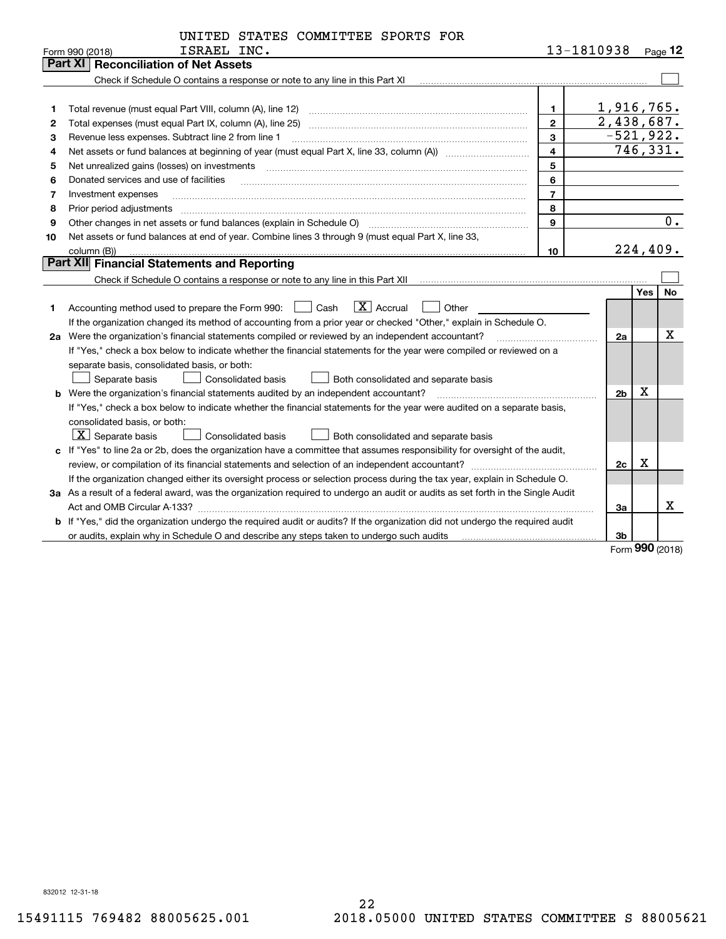|            | UNITED STATES COMMITTEE SPORTS FOR |  |                   |  |
|------------|------------------------------------|--|-------------------|--|
| TSRAFI TNC |                                    |  | $13 - 1810938$ p. |  |

|    | Form 990 (2018)<br>ISKAEL INC.                                                                                                                                                                                                                                                                                                                                                                                                                                             | 13-1810938       |                |            | Page 12   |
|----|----------------------------------------------------------------------------------------------------------------------------------------------------------------------------------------------------------------------------------------------------------------------------------------------------------------------------------------------------------------------------------------------------------------------------------------------------------------------------|------------------|----------------|------------|-----------|
|    | <b>Part XI   Reconciliation of Net Assets</b>                                                                                                                                                                                                                                                                                                                                                                                                                              |                  |                |            |           |
|    | Check if Schedule O contains a response or note to any line in this Part XI                                                                                                                                                                                                                                                                                                                                                                                                |                  |                |            |           |
|    |                                                                                                                                                                                                                                                                                                                                                                                                                                                                            |                  |                |            |           |
| 1  | Total revenue (must equal Part VIII, column (A), line 12)                                                                                                                                                                                                                                                                                                                                                                                                                  | $\mathbf{1}$     | 1,916,765.     |            |           |
| 2  |                                                                                                                                                                                                                                                                                                                                                                                                                                                                            | $\mathbf{2}$     | 2,438,687.     |            |           |
| 3  | Revenue less expenses. Subtract line 2 from line 1                                                                                                                                                                                                                                                                                                                                                                                                                         | $\overline{3}$   | $-521,922.$    |            |           |
| 4  |                                                                                                                                                                                                                                                                                                                                                                                                                                                                            | $\overline{4}$   |                |            | 746, 331. |
| 5  | Net unrealized gains (losses) on investments<br>$\overline{a_1, \ldots, a_n, \ldots, a_n, \ldots, a_n, \ldots, a_n, \ldots, a_n, \ldots, a_n, \ldots, a_n, \ldots, a_n, \ldots, a_n, \ldots, a_n, \ldots, a_n, \ldots, a_n, \ldots, a_n, \ldots, a_n, \ldots, a_n, \ldots, a_n, \ldots, a_n, \ldots, a_n, \ldots, a_n, \ldots, a_n, \ldots, a_n, \ldots, a_n, \ldots, a_n, \ldots, a_n, \ldots, a_n, \ldots, a_n, \ldots, a_n, \ldots, a_n, \ldots, a_n, \ldots, a_n, \ld$ | 5                |                |            |           |
| 6  | Donated services and use of facilities                                                                                                                                                                                                                                                                                                                                                                                                                                     | 6                |                |            |           |
| 7  | Investment expenses                                                                                                                                                                                                                                                                                                                                                                                                                                                        | $\overline{7}$   |                |            |           |
| 8  | Prior period adjustments                                                                                                                                                                                                                                                                                                                                                                                                                                                   | 8                |                |            |           |
| 9  | Other changes in net assets or fund balances (explain in Schedule O)                                                                                                                                                                                                                                                                                                                                                                                                       | 9                |                |            | 0.        |
| 10 | Net assets or fund balances at end of year. Combine lines 3 through 9 (must equal Part X, line 33,                                                                                                                                                                                                                                                                                                                                                                         |                  |                |            |           |
|    | column (B))                                                                                                                                                                                                                                                                                                                                                                                                                                                                | 10 <sup>10</sup> |                |            | 224, 409. |
|    | Part XII Financial Statements and Reporting                                                                                                                                                                                                                                                                                                                                                                                                                                |                  |                |            |           |
|    |                                                                                                                                                                                                                                                                                                                                                                                                                                                                            |                  |                |            |           |
|    |                                                                                                                                                                                                                                                                                                                                                                                                                                                                            |                  |                | <b>Yes</b> | <b>No</b> |
| 1. | Accounting method used to prepare the Form 990: $\Box$ Cash $\Box$ Accrual<br>Other<br>$\pm$ $\pm$                                                                                                                                                                                                                                                                                                                                                                         |                  |                |            |           |
|    | If the organization changed its method of accounting from a prior year or checked "Other," explain in Schedule O.                                                                                                                                                                                                                                                                                                                                                          |                  |                |            |           |
|    | 2a Were the organization's financial statements compiled or reviewed by an independent accountant?                                                                                                                                                                                                                                                                                                                                                                         |                  | 2a             |            | X         |
|    | If "Yes," check a box below to indicate whether the financial statements for the year were compiled or reviewed on a                                                                                                                                                                                                                                                                                                                                                       |                  |                |            |           |
|    | separate basis, consolidated basis, or both:                                                                                                                                                                                                                                                                                                                                                                                                                               |                  |                |            |           |
|    | Separate basis<br>Consolidated basis<br>Both consolidated and separate basis                                                                                                                                                                                                                                                                                                                                                                                               |                  |                |            |           |
|    | <b>b</b> Were the organization's financial statements audited by an independent accountant?                                                                                                                                                                                                                                                                                                                                                                                |                  | 2 <sub>b</sub> | X          |           |
|    | If "Yes," check a box below to indicate whether the financial statements for the year were audited on a separate basis,                                                                                                                                                                                                                                                                                                                                                    |                  |                |            |           |
|    | consolidated basis, or both:                                                                                                                                                                                                                                                                                                                                                                                                                                               |                  |                |            |           |
|    | $\lfloor x \rfloor$ Separate basis<br>Consolidated basis<br>Both consolidated and separate basis                                                                                                                                                                                                                                                                                                                                                                           |                  |                |            |           |
|    | c If "Yes" to line 2a or 2b, does the organization have a committee that assumes responsibility for oversight of the audit,                                                                                                                                                                                                                                                                                                                                                |                  |                |            |           |
|    |                                                                                                                                                                                                                                                                                                                                                                                                                                                                            |                  | 2c             | Х          |           |
|    | If the organization changed either its oversight process or selection process during the tax year, explain in Schedule O.                                                                                                                                                                                                                                                                                                                                                  |                  |                |            |           |
|    | 3a As a result of a federal award, was the organization required to undergo an audit or audits as set forth in the Single Audit                                                                                                                                                                                                                                                                                                                                            |                  |                |            |           |
|    |                                                                                                                                                                                                                                                                                                                                                                                                                                                                            |                  | За             |            | X         |
|    | b If "Yes," did the organization undergo the required audit or audits? If the organization did not undergo the required audit                                                                                                                                                                                                                                                                                                                                              |                  |                |            |           |
|    | or audits, explain why in Schedule O and describe any steps taken to undergo such audits                                                                                                                                                                                                                                                                                                                                                                                   |                  | 3b             |            |           |

Form (2018) **990**

832012 12-31-18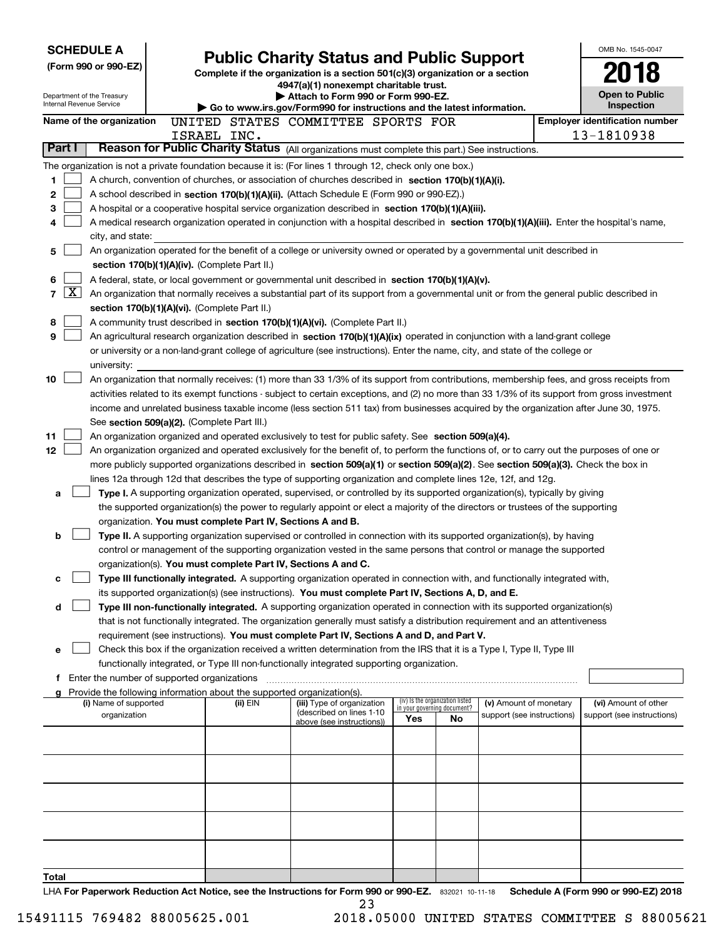| <b>SCHEDULE A</b><br><b>Public Charity Status and Public Support</b> |                                                                                                           |  |                                               |                                                                                                                                                                                                                                                                                  |     |                                 |                                                      | OMB No. 1545-0047 |                                                    |  |
|----------------------------------------------------------------------|-----------------------------------------------------------------------------------------------------------|--|-----------------------------------------------|----------------------------------------------------------------------------------------------------------------------------------------------------------------------------------------------------------------------------------------------------------------------------------|-----|---------------------------------|------------------------------------------------------|-------------------|----------------------------------------------------|--|
| (Form 990 or 990-EZ)                                                 |                                                                                                           |  |                                               | Complete if the organization is a section $501(c)(3)$ organization or a section                                                                                                                                                                                                  |     |                                 |                                                      |                   |                                                    |  |
|                                                                      |                                                                                                           |  |                                               | 4947(a)(1) nonexempt charitable trust.                                                                                                                                                                                                                                           |     |                                 |                                                      |                   |                                                    |  |
|                                                                      | Department of the Treasury<br>Internal Revenue Service                                                    |  |                                               | Attach to Form 990 or Form 990-EZ.                                                                                                                                                                                                                                               |     |                                 |                                                      |                   | <b>Open to Public</b><br>Inspection                |  |
|                                                                      | Name of the organization                                                                                  |  |                                               | Go to www.irs.gov/Form990 for instructions and the latest information.<br>UNITED STATES COMMITTEE SPORTS FOR                                                                                                                                                                     |     |                                 |                                                      |                   | <b>Employer identification number</b>              |  |
|                                                                      |                                                                                                           |  | ISRAEL INC.                                   |                                                                                                                                                                                                                                                                                  |     |                                 |                                                      |                   | 13-1810938                                         |  |
|                                                                      | Part I<br>Reason for Public Charity Status (All organizations must complete this part.) See instructions. |  |                                               |                                                                                                                                                                                                                                                                                  |     |                                 |                                                      |                   |                                                    |  |
|                                                                      |                                                                                                           |  |                                               | The organization is not a private foundation because it is: (For lines 1 through 12, check only one box.)                                                                                                                                                                        |     |                                 |                                                      |                   |                                                    |  |
| 1                                                                    |                                                                                                           |  |                                               | A church, convention of churches, or association of churches described in section 170(b)(1)(A)(i).                                                                                                                                                                               |     |                                 |                                                      |                   |                                                    |  |
| 2                                                                    |                                                                                                           |  |                                               | A school described in section 170(b)(1)(A)(ii). (Attach Schedule E (Form 990 or 990-EZ).)                                                                                                                                                                                        |     |                                 |                                                      |                   |                                                    |  |
| 3                                                                    |                                                                                                           |  |                                               | A hospital or a cooperative hospital service organization described in section $170(b)(1)(A)(iii)$ .                                                                                                                                                                             |     |                                 |                                                      |                   |                                                    |  |
| 4                                                                    |                                                                                                           |  |                                               | A medical research organization operated in conjunction with a hospital described in section 170(b)(1)(A)(iii). Enter the hospital's name,                                                                                                                                       |     |                                 |                                                      |                   |                                                    |  |
|                                                                      | city, and state:                                                                                          |  |                                               |                                                                                                                                                                                                                                                                                  |     |                                 |                                                      |                   |                                                    |  |
| 5                                                                    |                                                                                                           |  |                                               | An organization operated for the benefit of a college or university owned or operated by a governmental unit described in                                                                                                                                                        |     |                                 |                                                      |                   |                                                    |  |
|                                                                      |                                                                                                           |  | section 170(b)(1)(A)(iv). (Complete Part II.) |                                                                                                                                                                                                                                                                                  |     |                                 |                                                      |                   |                                                    |  |
| 6<br>7                                                               | $\overline{\mathbf{X}}$                                                                                   |  |                                               | A federal, state, or local government or governmental unit described in section 170(b)(1)(A)(v).<br>An organization that normally receives a substantial part of its support from a governmental unit or from the general public described in                                    |     |                                 |                                                      |                   |                                                    |  |
|                                                                      |                                                                                                           |  | section 170(b)(1)(A)(vi). (Complete Part II.) |                                                                                                                                                                                                                                                                                  |     |                                 |                                                      |                   |                                                    |  |
| 8                                                                    |                                                                                                           |  |                                               | A community trust described in section 170(b)(1)(A)(vi). (Complete Part II.)                                                                                                                                                                                                     |     |                                 |                                                      |                   |                                                    |  |
| 9                                                                    |                                                                                                           |  |                                               | An agricultural research organization described in section 170(b)(1)(A)(ix) operated in conjunction with a land-grant college                                                                                                                                                    |     |                                 |                                                      |                   |                                                    |  |
|                                                                      |                                                                                                           |  |                                               | or university or a non-land-grant college of agriculture (see instructions). Enter the name, city, and state of the college or                                                                                                                                                   |     |                                 |                                                      |                   |                                                    |  |
|                                                                      | university:                                                                                               |  |                                               |                                                                                                                                                                                                                                                                                  |     |                                 |                                                      |                   |                                                    |  |
| 10                                                                   |                                                                                                           |  |                                               | An organization that normally receives: (1) more than 33 1/3% of its support from contributions, membership fees, and gross receipts from                                                                                                                                        |     |                                 |                                                      |                   |                                                    |  |
|                                                                      |                                                                                                           |  |                                               | activities related to its exempt functions - subject to certain exceptions, and (2) no more than 33 1/3% of its support from gross investment                                                                                                                                    |     |                                 |                                                      |                   |                                                    |  |
|                                                                      |                                                                                                           |  |                                               | income and unrelated business taxable income (less section 511 tax) from businesses acquired by the organization after June 30, 1975.                                                                                                                                            |     |                                 |                                                      |                   |                                                    |  |
|                                                                      |                                                                                                           |  | See section 509(a)(2). (Complete Part III.)   |                                                                                                                                                                                                                                                                                  |     |                                 |                                                      |                   |                                                    |  |
| 11                                                                   |                                                                                                           |  |                                               | An organization organized and operated exclusively to test for public safety. See section 509(a)(4).                                                                                                                                                                             |     |                                 |                                                      |                   |                                                    |  |
| 12                                                                   |                                                                                                           |  |                                               | An organization organized and operated exclusively for the benefit of, to perform the functions of, or to carry out the purposes of one or<br>more publicly supported organizations described in section 509(a)(1) or section 509(a)(2). See section 509(a)(3). Check the box in |     |                                 |                                                      |                   |                                                    |  |
|                                                                      |                                                                                                           |  |                                               | lines 12a through 12d that describes the type of supporting organization and complete lines 12e, 12f, and 12g.                                                                                                                                                                   |     |                                 |                                                      |                   |                                                    |  |
| a                                                                    |                                                                                                           |  |                                               | Type I. A supporting organization operated, supervised, or controlled by its supported organization(s), typically by giving                                                                                                                                                      |     |                                 |                                                      |                   |                                                    |  |
|                                                                      |                                                                                                           |  |                                               | the supported organization(s) the power to regularly appoint or elect a majority of the directors or trustees of the supporting                                                                                                                                                  |     |                                 |                                                      |                   |                                                    |  |
|                                                                      |                                                                                                           |  |                                               | organization. You must complete Part IV, Sections A and B.                                                                                                                                                                                                                       |     |                                 |                                                      |                   |                                                    |  |
| b                                                                    |                                                                                                           |  |                                               | Type II. A supporting organization supervised or controlled in connection with its supported organization(s), by having                                                                                                                                                          |     |                                 |                                                      |                   |                                                    |  |
|                                                                      |                                                                                                           |  |                                               | control or management of the supporting organization vested in the same persons that control or manage the supported                                                                                                                                                             |     |                                 |                                                      |                   |                                                    |  |
|                                                                      |                                                                                                           |  |                                               | organization(s). You must complete Part IV, Sections A and C.                                                                                                                                                                                                                    |     |                                 |                                                      |                   |                                                    |  |
| c                                                                    |                                                                                                           |  |                                               | Type III functionally integrated. A supporting organization operated in connection with, and functionally integrated with,                                                                                                                                                       |     |                                 |                                                      |                   |                                                    |  |
| d                                                                    |                                                                                                           |  |                                               | its supported organization(s) (see instructions). You must complete Part IV, Sections A, D, and E.<br>Type III non-functionally integrated. A supporting organization operated in connection with its supported organization(s)                                                  |     |                                 |                                                      |                   |                                                    |  |
|                                                                      |                                                                                                           |  |                                               | that is not functionally integrated. The organization generally must satisfy a distribution requirement and an attentiveness                                                                                                                                                     |     |                                 |                                                      |                   |                                                    |  |
|                                                                      |                                                                                                           |  |                                               | requirement (see instructions). You must complete Part IV, Sections A and D, and Part V.                                                                                                                                                                                         |     |                                 |                                                      |                   |                                                    |  |
| е                                                                    |                                                                                                           |  |                                               | Check this box if the organization received a written determination from the IRS that it is a Type I, Type II, Type III                                                                                                                                                          |     |                                 |                                                      |                   |                                                    |  |
|                                                                      |                                                                                                           |  |                                               | functionally integrated, or Type III non-functionally integrated supporting organization.                                                                                                                                                                                        |     |                                 |                                                      |                   |                                                    |  |
| f                                                                    | Enter the number of supported organizations                                                               |  |                                               |                                                                                                                                                                                                                                                                                  |     |                                 |                                                      |                   |                                                    |  |
|                                                                      |                                                                                                           |  |                                               | Provide the following information about the supported organization(s).                                                                                                                                                                                                           |     | (iv) Is the organization listed |                                                      |                   |                                                    |  |
|                                                                      | (i) Name of supported<br>organization                                                                     |  | (ii) EIN                                      | (iii) Type of organization<br>(described on lines 1-10                                                                                                                                                                                                                           |     | in your governing document?     | (v) Amount of monetary<br>support (see instructions) |                   | (vi) Amount of other<br>support (see instructions) |  |
|                                                                      |                                                                                                           |  |                                               | above (see instructions))                                                                                                                                                                                                                                                        | Yes | No                              |                                                      |                   |                                                    |  |
|                                                                      |                                                                                                           |  |                                               |                                                                                                                                                                                                                                                                                  |     |                                 |                                                      |                   |                                                    |  |
|                                                                      |                                                                                                           |  |                                               |                                                                                                                                                                                                                                                                                  |     |                                 |                                                      |                   |                                                    |  |
|                                                                      |                                                                                                           |  |                                               |                                                                                                                                                                                                                                                                                  |     |                                 |                                                      |                   |                                                    |  |
|                                                                      |                                                                                                           |  |                                               |                                                                                                                                                                                                                                                                                  |     |                                 |                                                      |                   |                                                    |  |
|                                                                      |                                                                                                           |  |                                               |                                                                                                                                                                                                                                                                                  |     |                                 |                                                      |                   |                                                    |  |
|                                                                      |                                                                                                           |  |                                               |                                                                                                                                                                                                                                                                                  |     |                                 |                                                      |                   |                                                    |  |
|                                                                      |                                                                                                           |  |                                               |                                                                                                                                                                                                                                                                                  |     |                                 |                                                      |                   |                                                    |  |
|                                                                      |                                                                                                           |  |                                               |                                                                                                                                                                                                                                                                                  |     |                                 |                                                      |                   |                                                    |  |
|                                                                      |                                                                                                           |  |                                               |                                                                                                                                                                                                                                                                                  |     |                                 |                                                      |                   |                                                    |  |
| Total                                                                |                                                                                                           |  |                                               |                                                                                                                                                                                                                                                                                  |     |                                 |                                                      |                   | 000 EZI 0040                                       |  |

LHA For Paperwork Reduction Act Notice, see the Instructions for Form 990 or 990-EZ. 832021 10-11-18 Schedule A (Form 990 or 990-EZ) 2018 23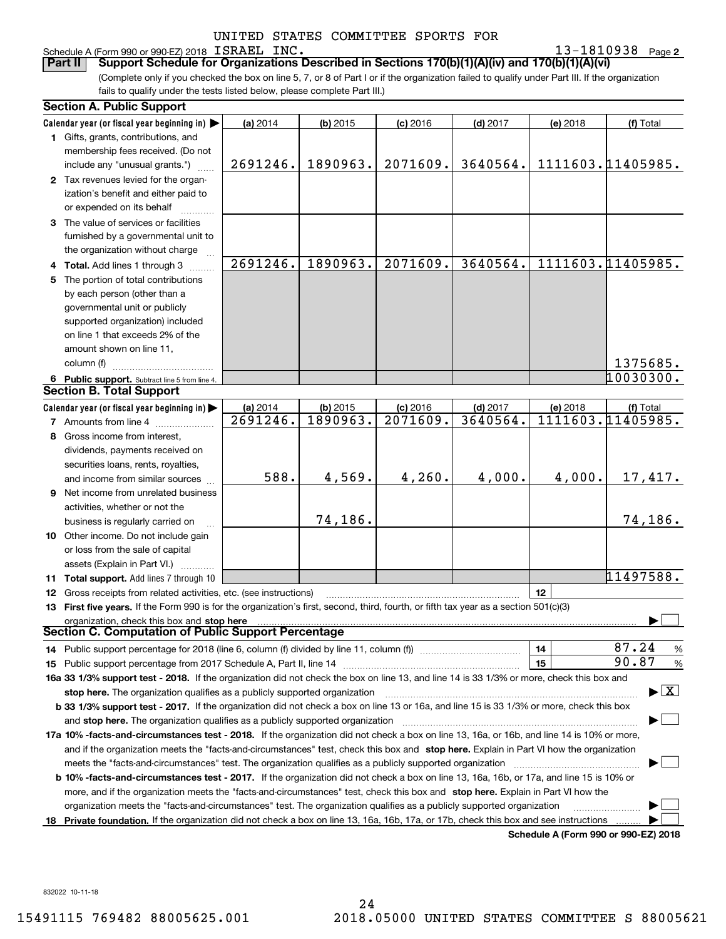## Schedule A (Form 990 or 990-EZ) 2018 Page ISRAEL INC. 13-1810938

13-1810938 Page 2

(Complete only if you checked the box on line 5, 7, or 8 of Part I or if the organization failed to qualify under Part III. If the organization fails to qualify under the tests listed below, please complete Part III.) **Part II Support Schedule for Organizations Described in Sections 170(b)(1)(A)(iv) and 170(b)(1)(A)(vi)**

|   | <b>Section A. Public Support</b>                                                                                                               |          |            |            |            |                                      |                                          |
|---|------------------------------------------------------------------------------------------------------------------------------------------------|----------|------------|------------|------------|--------------------------------------|------------------------------------------|
|   | Calendar year (or fiscal year beginning in) $\blacktriangleright$                                                                              | (a) 2014 | $(b)$ 2015 | $(c)$ 2016 | $(d)$ 2017 | (e) 2018                             | (f) Total                                |
|   | 1 Gifts, grants, contributions, and                                                                                                            |          |            |            |            |                                      |                                          |
|   | membership fees received. (Do not                                                                                                              |          |            |            |            |                                      |                                          |
|   | include any "unusual grants.")                                                                                                                 | 2691246. | 1890963.   | 2071609.   | 3640564.   |                                      | 1111603.11405985.                        |
|   | 2 Tax revenues levied for the organ-                                                                                                           |          |            |            |            |                                      |                                          |
|   | ization's benefit and either paid to                                                                                                           |          |            |            |            |                                      |                                          |
|   | or expended on its behalf                                                                                                                      |          |            |            |            |                                      |                                          |
|   | 3 The value of services or facilities                                                                                                          |          |            |            |            |                                      |                                          |
|   | furnished by a governmental unit to                                                                                                            |          |            |            |            |                                      |                                          |
|   | the organization without charge                                                                                                                |          |            |            |            |                                      |                                          |
|   | 4 Total. Add lines 1 through 3                                                                                                                 | 2691246. | 1890963.   | 2071609.   | 3640564.   |                                      | 1111603.11405985.                        |
| 5 | The portion of total contributions                                                                                                             |          |            |            |            |                                      |                                          |
|   | by each person (other than a                                                                                                                   |          |            |            |            |                                      |                                          |
|   | governmental unit or publicly                                                                                                                  |          |            |            |            |                                      |                                          |
|   | supported organization) included                                                                                                               |          |            |            |            |                                      |                                          |
|   | on line 1 that exceeds 2% of the                                                                                                               |          |            |            |            |                                      |                                          |
|   | amount shown on line 11,                                                                                                                       |          |            |            |            |                                      |                                          |
|   | column (f)                                                                                                                                     |          |            |            |            |                                      | 1375685.                                 |
|   | 6 Public support. Subtract line 5 from line 4.                                                                                                 |          |            |            |            |                                      | 10030300.                                |
|   | <b>Section B. Total Support</b>                                                                                                                |          |            |            |            |                                      |                                          |
|   | Calendar year (or fiscal year beginning in)                                                                                                    | (a) 2014 | $(b)$ 2015 | $(c)$ 2016 | $(d)$ 2017 | (e) 2018                             | (f) Total                                |
|   | <b>7</b> Amounts from line 4                                                                                                                   | 2691246. | 1890963.   | 2071609.   | 3640564.   |                                      | 1111603.11405985.                        |
|   | 8 Gross income from interest,                                                                                                                  |          |            |            |            |                                      |                                          |
|   | dividends, payments received on                                                                                                                |          |            |            |            |                                      |                                          |
|   | securities loans, rents, royalties,                                                                                                            |          |            |            |            |                                      |                                          |
|   | and income from similar sources                                                                                                                | 588.     | 4,569.     | 4,260.     | 4,000.     | 4,000.                               | 17,417.                                  |
|   | <b>9</b> Net income from unrelated business                                                                                                    |          |            |            |            |                                      |                                          |
|   | activities, whether or not the                                                                                                                 |          |            |            |            |                                      |                                          |
|   | business is regularly carried on                                                                                                               |          | 74,186.    |            |            |                                      | 74,186.                                  |
|   | 10 Other income. Do not include gain                                                                                                           |          |            |            |            |                                      |                                          |
|   | or loss from the sale of capital                                                                                                               |          |            |            |            |                                      |                                          |
|   | assets (Explain in Part VI.)                                                                                                                   |          |            |            |            |                                      |                                          |
|   | 11 Total support. Add lines 7 through 10                                                                                                       |          |            |            |            |                                      | 11497588.                                |
|   | 12 Gross receipts from related activities, etc. (see instructions)                                                                             |          |            |            |            | 12                                   |                                          |
|   | 13 First five years. If the Form 990 is for the organization's first, second, third, fourth, or fifth tax year as a section 501(c)(3)          |          |            |            |            |                                      |                                          |
|   | organization, check this box and stop here                                                                                                     |          |            |            |            |                                      |                                          |
|   | Section C. Computation of Public Support Percentage                                                                                            |          |            |            |            |                                      |                                          |
|   | 14 Public support percentage for 2018 (line 6, column (f) divided by line 11, column (f) <i>manumeronominimi</i> ng                            |          |            |            |            | 14                                   | 87.24<br>%                               |
|   |                                                                                                                                                |          |            |            |            | 15                                   | 90.87<br>%                               |
|   | 16a 33 1/3% support test - 2018. If the organization did not check the box on line 13, and line 14 is 33 1/3% or more, check this box and      |          |            |            |            |                                      |                                          |
|   | stop here. The organization qualifies as a publicly supported organization                                                                     |          |            |            |            |                                      | $\blacktriangleright$ $\boxed{\text{X}}$ |
|   | b 33 1/3% support test - 2017. If the organization did not check a box on line 13 or 16a, and line 15 is 33 1/3% or more, check this box       |          |            |            |            |                                      |                                          |
|   | and <b>stop here.</b> The organization qualifies as a publicly supported organization                                                          |          |            |            |            |                                      |                                          |
|   | 17a 10% -facts-and-circumstances test - 2018. If the organization did not check a box on line 13, 16a, or 16b, and line 14 is 10% or more,     |          |            |            |            |                                      |                                          |
|   | and if the organization meets the "facts-and-circumstances" test, check this box and stop here. Explain in Part VI how the organization        |          |            |            |            |                                      |                                          |
|   |                                                                                                                                                |          |            |            |            |                                      |                                          |
|   | <b>b 10% -facts-and-circumstances test - 2017.</b> If the organization did not check a box on line 13, 16a, 16b, or 17a, and line 15 is 10% or |          |            |            |            |                                      |                                          |
|   | more, and if the organization meets the "facts-and-circumstances" test, check this box and stop here. Explain in Part VI how the               |          |            |            |            |                                      |                                          |
|   | organization meets the "facts-and-circumstances" test. The organization qualifies as a publicly supported organization                         |          |            |            |            |                                      |                                          |
|   | 18 Private foundation. If the organization did not check a box on line 13, 16a, 16b, 17a, or 17b, check this box and see instructions          |          |            |            |            |                                      |                                          |
|   |                                                                                                                                                |          |            |            |            | Schodule A (Form 000 or 000 F7) 2019 |                                          |

**Schedule A (Form 990 or 990-EZ) 2018**

832022 10-11-18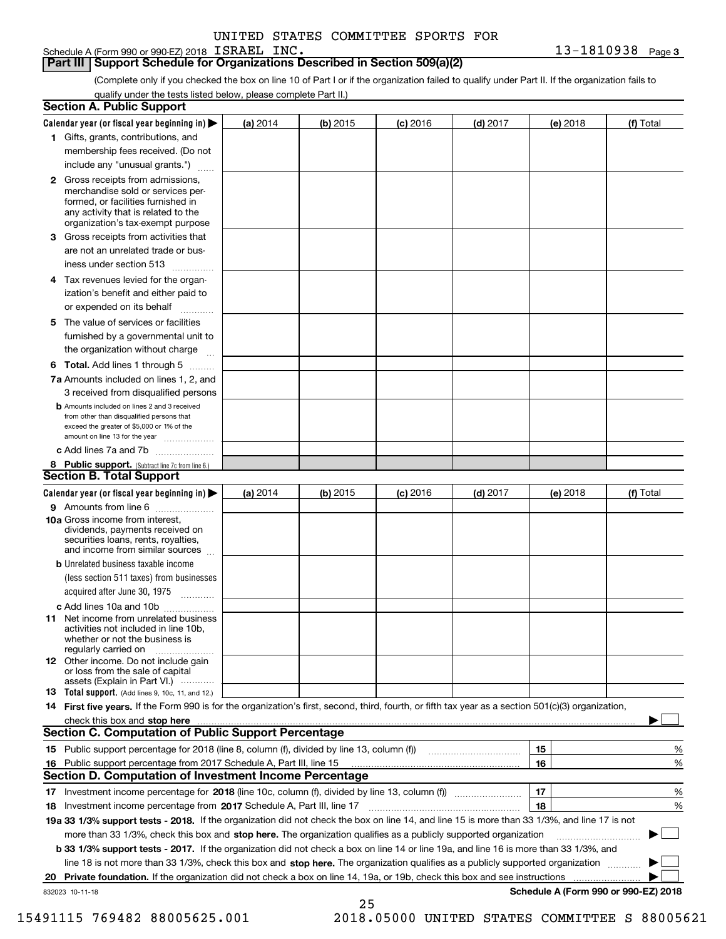|  | UNITED STATES COMMITTEE SPORTS FOR |  |  |
|--|------------------------------------|--|--|
|  |                                    |  |  |

Schedule A (Form 990 or 990-EZ) 2018 ISRAEL INC

(Complete only if you checked the box on line 10 of Part I or if the organization failed to qualify under Part II. If the organization fails to qualify under the tests listed below, please complete Part II.)

|    | <b>Section A. Public Support</b>                                                                                                                                                                                               |          |          |            |            |          |                                      |
|----|--------------------------------------------------------------------------------------------------------------------------------------------------------------------------------------------------------------------------------|----------|----------|------------|------------|----------|--------------------------------------|
|    | Calendar year (or fiscal year beginning in) $\blacktriangleright$                                                                                                                                                              | (a) 2014 | (b) 2015 | $(c)$ 2016 | $(d)$ 2017 | (e) 2018 | (f) Total                            |
|    | 1 Gifts, grants, contributions, and                                                                                                                                                                                            |          |          |            |            |          |                                      |
|    | membership fees received. (Do not                                                                                                                                                                                              |          |          |            |            |          |                                      |
|    | include any "unusual grants.")                                                                                                                                                                                                 |          |          |            |            |          |                                      |
|    | <b>2</b> Gross receipts from admissions,<br>merchandise sold or services per-<br>formed, or facilities furnished in<br>any activity that is related to the<br>organization's tax-exempt purpose                                |          |          |            |            |          |                                      |
|    | 3 Gross receipts from activities that<br>are not an unrelated trade or bus-                                                                                                                                                    |          |          |            |            |          |                                      |
|    | iness under section 513                                                                                                                                                                                                        |          |          |            |            |          |                                      |
|    | 4 Tax revenues levied for the organ-<br>ization's benefit and either paid to                                                                                                                                                   |          |          |            |            |          |                                      |
|    | or expended on its behalf<br>.                                                                                                                                                                                                 |          |          |            |            |          |                                      |
|    | 5 The value of services or facilities<br>furnished by a governmental unit to<br>the organization without charge                                                                                                                |          |          |            |            |          |                                      |
|    |                                                                                                                                                                                                                                |          |          |            |            |          |                                      |
|    | <b>6 Total.</b> Add lines 1 through 5<br>7a Amounts included on lines 1, 2, and<br>3 received from disqualified persons                                                                                                        |          |          |            |            |          |                                      |
|    | <b>b</b> Amounts included on lines 2 and 3 received<br>from other than disqualified persons that<br>exceed the greater of \$5,000 or 1% of the<br>amount on line 13 for the year                                               |          |          |            |            |          |                                      |
|    | c Add lines 7a and 7b                                                                                                                                                                                                          |          |          |            |            |          |                                      |
|    | 8 Public support. (Subtract line 7c from line 6.)<br><b>Section B. Total Support</b>                                                                                                                                           |          |          |            |            |          |                                      |
|    | Calendar year (or fiscal year beginning in) $\blacktriangleright$                                                                                                                                                              | (a) 2014 | (b) 2015 | $(c)$ 2016 | $(d)$ 2017 | (e) 2018 | (f) Total                            |
|    | 9 Amounts from line 6                                                                                                                                                                                                          |          |          |            |            |          |                                      |
|    | 10a Gross income from interest,<br>dividends, payments received on<br>securities loans, rents, royalties,<br>and income from similar sources                                                                                   |          |          |            |            |          |                                      |
|    | <b>b</b> Unrelated business taxable income<br>(less section 511 taxes) from businesses                                                                                                                                         |          |          |            |            |          |                                      |
|    | acquired after June 30, 1975                                                                                                                                                                                                   |          |          |            |            |          |                                      |
|    | c Add lines 10a and 10b<br>11 Net income from unrelated business<br>activities not included in line 10b,<br>whether or not the business is<br>regularly carried on                                                             |          |          |            |            |          |                                      |
|    | 12 Other income. Do not include gain<br>or loss from the sale of capital<br>assets (Explain in Part VI.)                                                                                                                       |          |          |            |            |          |                                      |
|    | 13 Total support. (Add lines 9, 10c, 11, and 12.)                                                                                                                                                                              |          |          |            |            |          |                                      |
|    | 14 First five years. If the Form 990 is for the organization's first, second, third, fourth, or fifth tax year as a section 501(c)(3) organization,                                                                            |          |          |            |            |          |                                      |
|    | check this box and stop here measurements are all the state of the state of the state of the state of the state of the state of the state of the state of the state of the state of the state of the state of the state of the |          |          |            |            |          |                                      |
|    | <b>Section C. Computation of Public Support Percentage</b>                                                                                                                                                                     |          |          |            |            |          |                                      |
|    | 15 Public support percentage for 2018 (line 8, column (f), divided by line 13, column (f))                                                                                                                                     |          |          |            |            | 15       | %                                    |
| 16 | Public support percentage from 2017 Schedule A, Part III, line 15                                                                                                                                                              |          |          |            |            | 16       | %                                    |
|    | <b>Section D. Computation of Investment Income Percentage</b>                                                                                                                                                                  |          |          |            |            |          |                                      |
|    | 17 Investment income percentage for 2018 (line 10c, column (f), divided by line 13, column (f))<br>18 Investment income percentage from 2017 Schedule A, Part III, line 17                                                     |          |          |            |            | 17<br>18 | %<br>%                               |
|    | 19a 33 1/3% support tests - 2018. If the organization did not check the box on line 14, and line 15 is more than 33 1/3%, and line 17 is not                                                                                   |          |          |            |            |          |                                      |
|    | more than 33 1/3%, check this box and stop here. The organization qualifies as a publicly supported organization                                                                                                               |          |          |            |            |          |                                      |
|    | <b>b 33 1/3% support tests - 2017.</b> If the organization did not check a box on line 14 or line 19a, and line 16 is more than 33 1/3%, and                                                                                   |          |          |            |            |          |                                      |
|    | line 18 is not more than 33 1/3%, check this box and stop here. The organization qualifies as a publicly supported organization                                                                                                |          |          |            |            |          |                                      |
| 20 | Private foundation. If the organization did not check a box on line 14, 19a, or 19b, check this box and see instructions                                                                                                       |          |          |            |            |          | .                                    |
|    | 832023 10-11-18                                                                                                                                                                                                                |          |          |            |            |          | Schedule A (Form 990 or 990-EZ) 2018 |
|    |                                                                                                                                                                                                                                |          | 25       |            |            |          |                                      |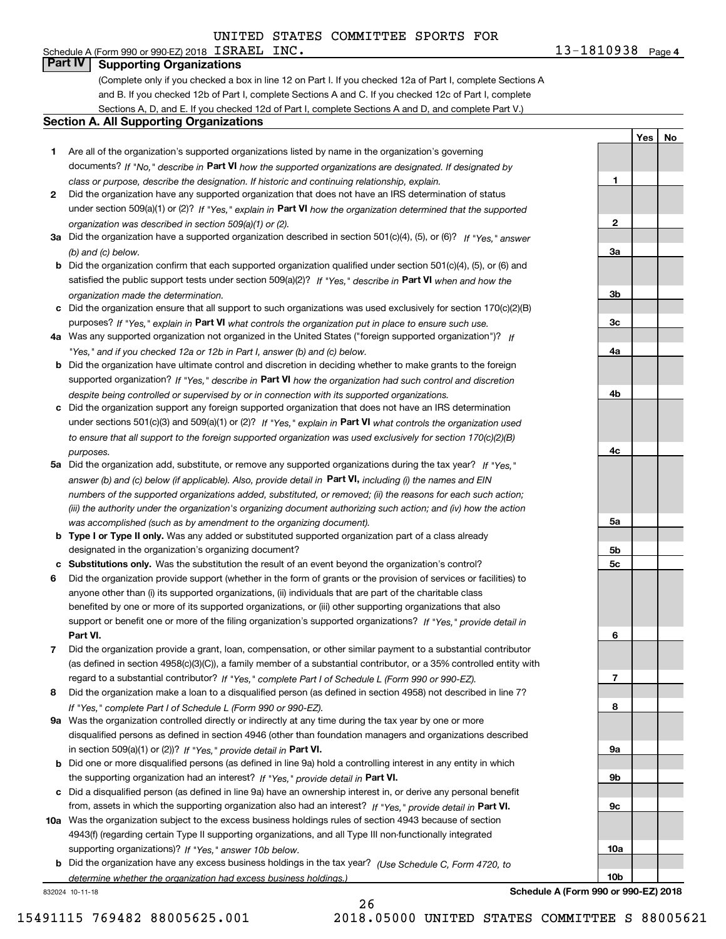### Schedule A (Form 990 or 990-EZ) 2018 Page ISRAEL INC. 13-1810938 **Part IV Supporting Organizations**

(Complete only if you checked a box in line 12 on Part I. If you checked 12a of Part I, complete Sections A and B. If you checked 12b of Part I, complete Sections A and C. If you checked 12c of Part I, complete Sections A, D, and E. If you checked 12d of Part I, complete Sections A and D, and complete Part V.)

### **Section A. All Supporting Organizations**

- **1** Are all of the organization's supported organizations listed by name in the organization's governing documents? If "No," describe in **Part VI** how the supported organizations are designated. If designated by *class or purpose, describe the designation. If historic and continuing relationship, explain.*
- **2** Did the organization have any supported organization that does not have an IRS determination of status under section 509(a)(1) or (2)? If "Yes," explain in Part VI how the organization determined that the supported *organization was described in section 509(a)(1) or (2).*
- **3a** Did the organization have a supported organization described in section 501(c)(4), (5), or (6)? If "Yes," answer *(b) and (c) below.*
- **b** Did the organization confirm that each supported organization qualified under section 501(c)(4), (5), or (6) and satisfied the public support tests under section 509(a)(2)? If "Yes," describe in **Part VI** when and how the *organization made the determination.*
- **c**Did the organization ensure that all support to such organizations was used exclusively for section 170(c)(2)(B) purposes? If "Yes," explain in **Part VI** what controls the organization put in place to ensure such use.
- **4a***If* Was any supported organization not organized in the United States ("foreign supported organization")? *"Yes," and if you checked 12a or 12b in Part I, answer (b) and (c) below.*
- **b** Did the organization have ultimate control and discretion in deciding whether to make grants to the foreign supported organization? If "Yes," describe in **Part VI** how the organization had such control and discretion *despite being controlled or supervised by or in connection with its supported organizations.*
- **c** Did the organization support any foreign supported organization that does not have an IRS determination under sections 501(c)(3) and 509(a)(1) or (2)? If "Yes," explain in **Part VI** what controls the organization used *to ensure that all support to the foreign supported organization was used exclusively for section 170(c)(2)(B) purposes.*
- **5a** Did the organization add, substitute, or remove any supported organizations during the tax year? If "Yes," answer (b) and (c) below (if applicable). Also, provide detail in **Part VI,** including (i) the names and EIN *numbers of the supported organizations added, substituted, or removed; (ii) the reasons for each such action; (iii) the authority under the organization's organizing document authorizing such action; and (iv) how the action was accomplished (such as by amendment to the organizing document).*
- **b** Type I or Type II only. Was any added or substituted supported organization part of a class already designated in the organization's organizing document?
- **cSubstitutions only.**  Was the substitution the result of an event beyond the organization's control?
- **6** Did the organization provide support (whether in the form of grants or the provision of services or facilities) to **Part VI.** *If "Yes," provide detail in* support or benefit one or more of the filing organization's supported organizations? anyone other than (i) its supported organizations, (ii) individuals that are part of the charitable class benefited by one or more of its supported organizations, or (iii) other supporting organizations that also
- **7**Did the organization provide a grant, loan, compensation, or other similar payment to a substantial contributor *If "Yes," complete Part I of Schedule L (Form 990 or 990-EZ).* regard to a substantial contributor? (as defined in section 4958(c)(3)(C)), a family member of a substantial contributor, or a 35% controlled entity with
- **8** Did the organization make a loan to a disqualified person (as defined in section 4958) not described in line 7? *If "Yes," complete Part I of Schedule L (Form 990 or 990-EZ).*
- **9a** Was the organization controlled directly or indirectly at any time during the tax year by one or more in section 509(a)(1) or (2))? If "Yes," *provide detail in* <code>Part VI.</code> disqualified persons as defined in section 4946 (other than foundation managers and organizations described
- **b** Did one or more disqualified persons (as defined in line 9a) hold a controlling interest in any entity in which the supporting organization had an interest? If "Yes," provide detail in P**art VI**.
- **c**Did a disqualified person (as defined in line 9a) have an ownership interest in, or derive any personal benefit from, assets in which the supporting organization also had an interest? If "Yes," provide detail in P**art VI.**
- **10a** Was the organization subject to the excess business holdings rules of section 4943 because of section supporting organizations)? If "Yes," answer 10b below. 4943(f) (regarding certain Type II supporting organizations, and all Type III non-functionally integrated
- **b** Did the organization have any excess business holdings in the tax year? (Use Schedule C, Form 4720, to *determine whether the organization had excess business holdings.)*

26

832024 10-11-18

**Schedule A (Form 990 or 990-EZ) 2018**

**4a4b4c5a 5b5c6789a 9b9c10a10b**

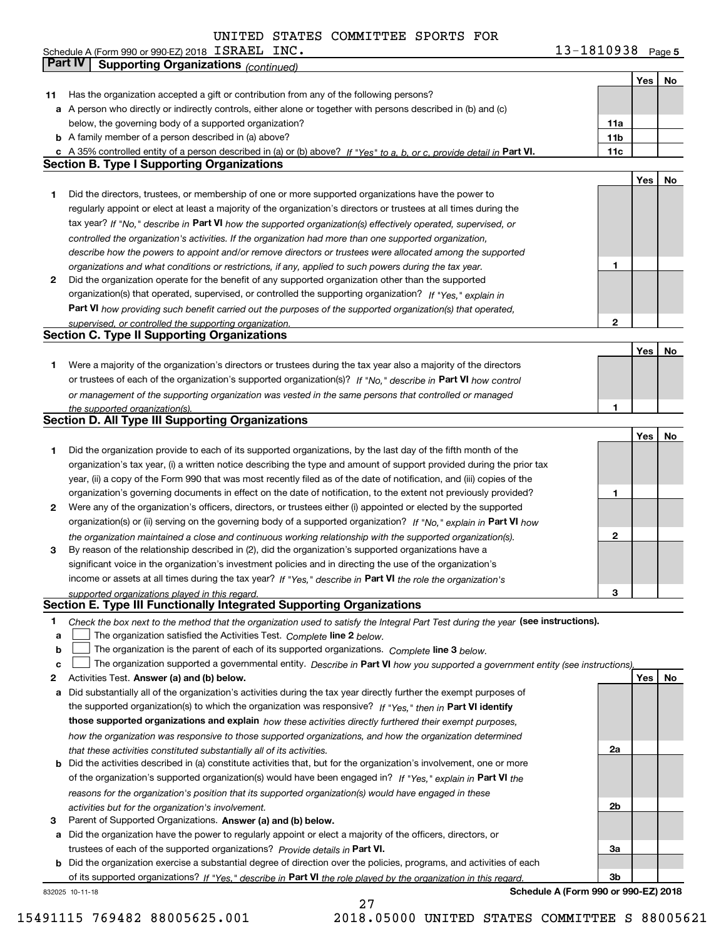| Schedule A (Form 990 or 990-EZ) 2018 $\,$ $\rm ISRAEL$<br>$\overline{\phantom{a}}$ inc. | $13 - 1810938$ Page 5 |  |
|-----------------------------------------------------------------------------------------|-----------------------|--|
|-----------------------------------------------------------------------------------------|-----------------------|--|

|              | Part IV<br><b>Supporting Organizations (continued)</b>                                                                            |              |     |    |
|--------------|-----------------------------------------------------------------------------------------------------------------------------------|--------------|-----|----|
|              |                                                                                                                                   |              | Yes | No |
| 11           | Has the organization accepted a gift or contribution from any of the following persons?                                           |              |     |    |
|              | a A person who directly or indirectly controls, either alone or together with persons described in (b) and (c)                    |              |     |    |
|              | below, the governing body of a supported organization?                                                                            | 11a          |     |    |
|              | <b>b</b> A family member of a person described in (a) above?                                                                      | 11b          |     |    |
|              | c A 35% controlled entity of a person described in (a) or (b) above? If "Yes" to a, b, or c, provide detail in Part VI.           | 11c          |     |    |
|              | <b>Section B. Type I Supporting Organizations</b>                                                                                 |              |     |    |
|              |                                                                                                                                   |              | Yes | No |
| 1            | Did the directors, trustees, or membership of one or more supported organizations have the power to                               |              |     |    |
|              | regularly appoint or elect at least a majority of the organization's directors or trustees at all times during the                |              |     |    |
|              | tax year? If "No," describe in Part VI how the supported organization(s) effectively operated, supervised, or                     |              |     |    |
|              | controlled the organization's activities. If the organization had more than one supported organization,                           |              |     |    |
|              | describe how the powers to appoint and/or remove directors or trustees were allocated among the supported                         |              |     |    |
|              | organizations and what conditions or restrictions, if any, applied to such powers during the tax year.                            | 1            |     |    |
| $\mathbf{2}$ | Did the organization operate for the benefit of any supported organization other than the supported                               |              |     |    |
|              | organization(s) that operated, supervised, or controlled the supporting organization? If "Yes," explain in                        |              |     |    |
|              | Part VI how providing such benefit carried out the purposes of the supported organization(s) that operated,                       |              |     |    |
|              | supervised, or controlled the supporting organization.                                                                            | 2            |     |    |
|              | <b>Section C. Type II Supporting Organizations</b>                                                                                |              |     |    |
|              |                                                                                                                                   |              | Yes | No |
| 1            | Were a majority of the organization's directors or trustees during the tax year also a majority of the directors                  |              |     |    |
|              | or trustees of each of the organization's supported organization(s)? If "No," describe in Part VI how control                     |              |     |    |
|              | or management of the supporting organization was vested in the same persons that controlled or managed                            |              |     |    |
|              | the supported organization(s).                                                                                                    | 1            |     |    |
|              | <b>Section D. All Type III Supporting Organizations</b>                                                                           |              |     |    |
|              |                                                                                                                                   |              | Yes | No |
| 1            | Did the organization provide to each of its supported organizations, by the last day of the fifth month of the                    |              |     |    |
|              | organization's tax year, (i) a written notice describing the type and amount of support provided during the prior tax             |              |     |    |
|              | year, (ii) a copy of the Form 990 that was most recently filed as of the date of notification, and (iii) copies of the            |              |     |    |
|              | organization's governing documents in effect on the date of notification, to the extent not previously provided?                  | 1            |     |    |
| 2            | Were any of the organization's officers, directors, or trustees either (i) appointed or elected by the supported                  |              |     |    |
|              | organization(s) or (ii) serving on the governing body of a supported organization? If "No," explain in Part VI how                |              |     |    |
|              | the organization maintained a close and continuous working relationship with the supported organization(s).                       | $\mathbf{2}$ |     |    |
| 3            | By reason of the relationship described in (2), did the organization's supported organizations have a                             |              |     |    |
|              | significant voice in the organization's investment policies and in directing the use of the organization's                        |              |     |    |
|              | income or assets at all times during the tax year? If "Yes," describe in Part VI the role the organization's                      |              |     |    |
|              | supported organizations played in this regard.                                                                                    | 3            |     |    |
|              | Section E. Type III Functionally Integrated Supporting Organizations                                                              |              |     |    |
| 1            | Check the box next to the method that the organization used to satisfy the Integral Part Test during the year (see instructions). |              |     |    |
| a            | The organization satisfied the Activities Test. Complete line 2 below.                                                            |              |     |    |
| b            | The organization is the parent of each of its supported organizations. Complete line 3 below.                                     |              |     |    |
| c            | The organization supported a governmental entity. Describe in Part VI how you supported a government entity (see instructions),   |              |     |    |
| 2            | Activities Test. Answer (a) and (b) below.                                                                                        |              | Yes | No |
| a            | Did substantially all of the organization's activities during the tax year directly further the exempt purposes of                |              |     |    |
|              | the supported organization(s) to which the organization was responsive? If "Yes," then in Part VI identify                        |              |     |    |
|              | those supported organizations and explain how these activities directly furthered their exempt purposes,                          |              |     |    |
|              | how the organization was responsive to those supported organizations, and how the organization determined                         |              |     |    |
|              | that these activities constituted substantially all of its activities.                                                            | 2a           |     |    |
|              | <b>b</b> Did the activities described in (a) constitute activities that, but for the organization's involvement, one or more      |              |     |    |
|              | of the organization's supported organization(s) would have been engaged in? If "Yes," explain in Part VI the                      |              |     |    |
|              | reasons for the organization's position that its supported organization(s) would have engaged in these                            |              |     |    |
|              | activities but for the organization's involvement.                                                                                | 2b           |     |    |
| 3            | Parent of Supported Organizations. Answer (a) and (b) below.                                                                      |              |     |    |
|              | a Did the organization have the power to regularly appoint or elect a majority of the officers, directors, or                     |              |     |    |
|              | trustees of each of the supported organizations? Provide details in Part VI.                                                      | За           |     |    |
|              | <b>b</b> Did the organization exercise a substantial degree of direction over the policies, programs, and activities of each      |              |     |    |
|              | of its supported organizations? If "Yes." describe in Part VI the role played by the organization in this regard                  | Зb           |     |    |
|              | Schedule A (Form 990 or 990-EZ) 2018<br>832025 10-11-18                                                                           |              |     |    |
|              |                                                                                                                                   |              |     |    |

27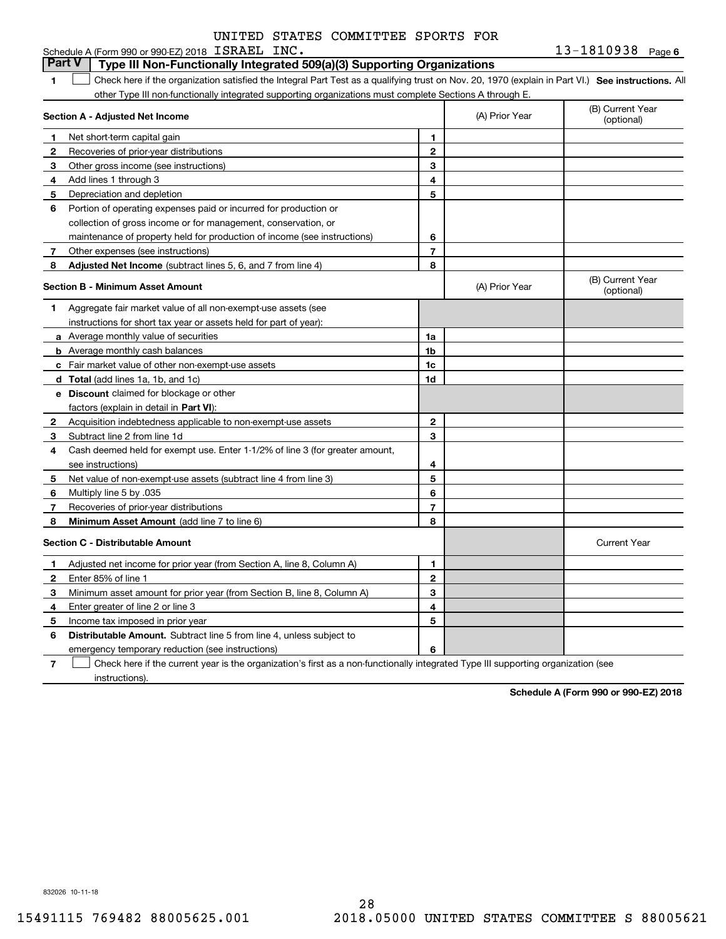|              | Schedule A (Form 990 or 990-EZ) 2018 ISRAEL INC.                                                                                                  |                |                | 13-1810938 Page 6              |
|--------------|---------------------------------------------------------------------------------------------------------------------------------------------------|----------------|----------------|--------------------------------|
|              | <b>Part V</b><br>Type III Non-Functionally Integrated 509(a)(3) Supporting Organizations                                                          |                |                |                                |
| 1            | Check here if the organization satisfied the Integral Part Test as a qualifying trust on Nov. 20, 1970 (explain in Part VI.) See instructions. Al |                |                |                                |
|              | other Type III non-functionally integrated supporting organizations must complete Sections A through E.                                           |                |                |                                |
|              | Section A - Adjusted Net Income                                                                                                                   |                | (A) Prior Year | (B) Current Year<br>(optional) |
| $\mathbf{1}$ | Net short-term capital gain                                                                                                                       | 1              |                |                                |
| 2            | Recoveries of prior-year distributions                                                                                                            | $\mathbf{2}$   |                |                                |
| 3            | Other gross income (see instructions)                                                                                                             | 3              |                |                                |
| 4            | Add lines 1 through 3                                                                                                                             | 4              |                |                                |
| 5            | Depreciation and depletion                                                                                                                        | 5              |                |                                |
| 6            | Portion of operating expenses paid or incurred for production or                                                                                  |                |                |                                |
|              | collection of gross income or for management, conservation, or                                                                                    |                |                |                                |
|              | maintenance of property held for production of income (see instructions)                                                                          | 6              |                |                                |
| 7            | Other expenses (see instructions)                                                                                                                 | $\overline{7}$ |                |                                |
| 8            | Adjusted Net Income (subtract lines 5, 6, and 7 from line 4)                                                                                      | 8              |                |                                |
|              | <b>Section B - Minimum Asset Amount</b>                                                                                                           |                | (A) Prior Year | (B) Current Year<br>(optional) |
| 1            | Aggregate fair market value of all non-exempt-use assets (see                                                                                     |                |                |                                |
|              | instructions for short tax year or assets held for part of year):                                                                                 |                |                |                                |
|              | a Average monthly value of securities                                                                                                             | 1a             |                |                                |
|              | <b>b</b> Average monthly cash balances                                                                                                            | 1 <sub>b</sub> |                |                                |
|              | c Fair market value of other non-exempt-use assets                                                                                                | 1c             |                |                                |
|              | d Total (add lines 1a, 1b, and 1c)                                                                                                                | 1d             |                |                                |
|              | <b>e</b> Discount claimed for blockage or other                                                                                                   |                |                |                                |
|              | factors (explain in detail in Part VI):                                                                                                           |                |                |                                |
| $\mathbf{2}$ | Acquisition indebtedness applicable to non-exempt-use assets                                                                                      | $\mathbf{2}$   |                |                                |
| 3            | Subtract line 2 from line 1d                                                                                                                      | 3              |                |                                |
| 4            | Cash deemed held for exempt use. Enter 1-1/2% of line 3 (for greater amount,                                                                      |                |                |                                |
|              | see instructions)                                                                                                                                 | 4              |                |                                |
| 5            | Net value of non-exempt-use assets (subtract line 4 from line 3)                                                                                  | 5              |                |                                |
| 6            | Multiply line 5 by .035                                                                                                                           | 6              |                |                                |
| 7            | Recoveries of prior-year distributions                                                                                                            | 7              |                |                                |
| 8            | <b>Minimum Asset Amount</b> (add line 7 to line 6)                                                                                                | 8              |                |                                |
|              | <b>Section C - Distributable Amount</b>                                                                                                           |                |                | <b>Current Year</b>            |
| 1            | Adjusted net income for prior year (from Section A, line 8, Column A)                                                                             | 1              |                |                                |
| $\mathbf{2}$ | Enter 85% of line 1                                                                                                                               | $\overline{2}$ |                |                                |
| 3            | Minimum asset amount for prior year (from Section B, line 8, Column A)                                                                            | 3              |                |                                |
| 4            | Enter greater of line 2 or line 3                                                                                                                 | 4              |                |                                |
| 5            | Income tax imposed in prior year                                                                                                                  | 5              |                |                                |
| 6            | <b>Distributable Amount.</b> Subtract line 5 from line 4, unless subject to                                                                       |                |                |                                |
|              | emergency temporary reduction (see instructions)                                                                                                  | 6              |                |                                |

**7**Check here if the current year is the organization's first as a non-functionally integrated Type III supporting organization (see instructions).

**Schedule A (Form 990 or 990-EZ) 2018**

832026 10-11-18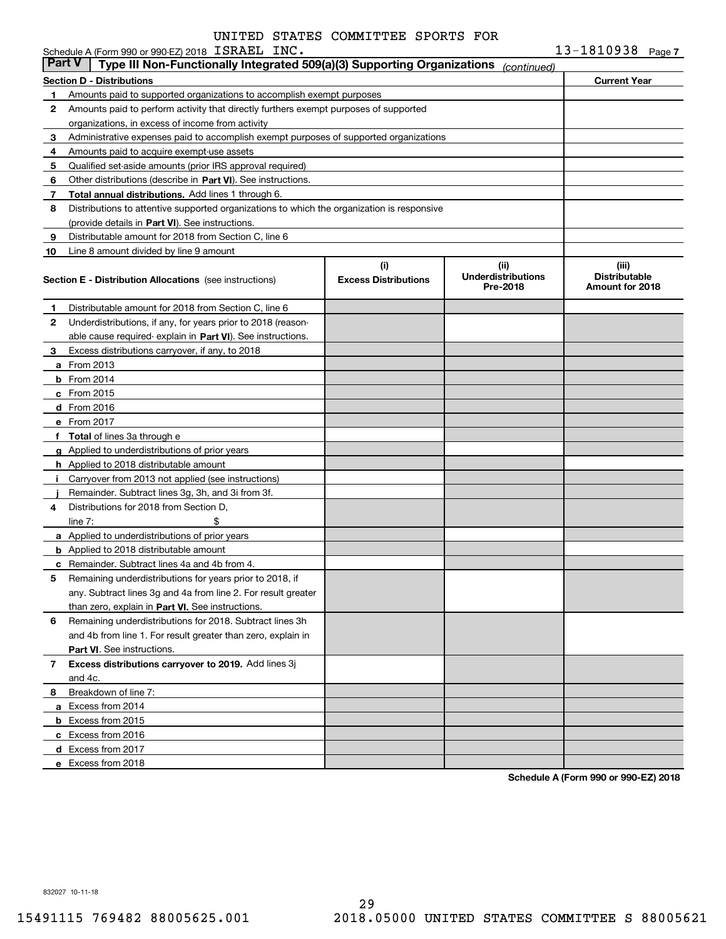| Part V | Schedule A (Form 990 or 990-EZ) 2018 ISRAEL INC.<br>Type III Non-Functionally Integrated 509(a)(3) Supporting Organizations                                   |                                    |                                               | 13-1810938 Page 7                                |
|--------|---------------------------------------------------------------------------------------------------------------------------------------------------------------|------------------------------------|-----------------------------------------------|--------------------------------------------------|
|        |                                                                                                                                                               |                                    | (continued)                                   | <b>Current Year</b>                              |
|        | <b>Section D - Distributions</b>                                                                                                                              |                                    |                                               |                                                  |
| 1<br>2 | Amounts paid to supported organizations to accomplish exempt purposes<br>Amounts paid to perform activity that directly furthers exempt purposes of supported |                                    |                                               |                                                  |
|        | organizations, in excess of income from activity                                                                                                              |                                    |                                               |                                                  |
| 3      | Administrative expenses paid to accomplish exempt purposes of supported organizations                                                                         |                                    |                                               |                                                  |
| 4      | Amounts paid to acquire exempt-use assets                                                                                                                     |                                    |                                               |                                                  |
| 5      | Qualified set-aside amounts (prior IRS approval required)                                                                                                     |                                    |                                               |                                                  |
| 6      | Other distributions (describe in Part VI). See instructions.                                                                                                  |                                    |                                               |                                                  |
| 7      | Total annual distributions. Add lines 1 through 6.                                                                                                            |                                    |                                               |                                                  |
| 8      | Distributions to attentive supported organizations to which the organization is responsive                                                                    |                                    |                                               |                                                  |
|        | (provide details in Part VI). See instructions.                                                                                                               |                                    |                                               |                                                  |
| 9      | Distributable amount for 2018 from Section C, line 6                                                                                                          |                                    |                                               |                                                  |
| 10     | Line 8 amount divided by line 9 amount                                                                                                                        |                                    |                                               |                                                  |
|        | <b>Section E - Distribution Allocations</b> (see instructions)                                                                                                | (i)<br><b>Excess Distributions</b> | (ii)<br><b>Underdistributions</b><br>Pre-2018 | (iii)<br><b>Distributable</b><br>Amount for 2018 |
| 1      | Distributable amount for 2018 from Section C, line 6                                                                                                          |                                    |                                               |                                                  |
| 2      | Underdistributions, if any, for years prior to 2018 (reason-                                                                                                  |                                    |                                               |                                                  |
|        | able cause required- explain in Part VI). See instructions.                                                                                                   |                                    |                                               |                                                  |
| 3      | Excess distributions carryover, if any, to 2018                                                                                                               |                                    |                                               |                                                  |
|        | <b>a</b> From 2013                                                                                                                                            |                                    |                                               |                                                  |
|        | <b>b</b> From 2014                                                                                                                                            |                                    |                                               |                                                  |
|        | $c$ From 2015                                                                                                                                                 |                                    |                                               |                                                  |
|        | d From 2016                                                                                                                                                   |                                    |                                               |                                                  |
|        | e From 2017                                                                                                                                                   |                                    |                                               |                                                  |
|        | f Total of lines 3a through e                                                                                                                                 |                                    |                                               |                                                  |
|        | g Applied to underdistributions of prior years                                                                                                                |                                    |                                               |                                                  |
|        | <b>h</b> Applied to 2018 distributable amount                                                                                                                 |                                    |                                               |                                                  |
| Ť.     | Carryover from 2013 not applied (see instructions)                                                                                                            |                                    |                                               |                                                  |
|        | Remainder. Subtract lines 3g, 3h, and 3i from 3f.                                                                                                             |                                    |                                               |                                                  |
| 4      | Distributions for 2018 from Section D,                                                                                                                        |                                    |                                               |                                                  |
|        | \$<br>line 7:                                                                                                                                                 |                                    |                                               |                                                  |
|        | <b>a</b> Applied to underdistributions of prior years                                                                                                         |                                    |                                               |                                                  |
|        | <b>b</b> Applied to 2018 distributable amount                                                                                                                 |                                    |                                               |                                                  |
|        | <b>c</b> Remainder. Subtract lines 4a and 4b from 4.                                                                                                          |                                    |                                               |                                                  |
| 5      | Remaining underdistributions for years prior to 2018, if                                                                                                      |                                    |                                               |                                                  |
|        | any. Subtract lines 3g and 4a from line 2. For result greater                                                                                                 |                                    |                                               |                                                  |
|        | than zero, explain in Part VI. See instructions.                                                                                                              |                                    |                                               |                                                  |
| 6      | Remaining underdistributions for 2018. Subtract lines 3h                                                                                                      |                                    |                                               |                                                  |
|        | and 4b from line 1. For result greater than zero, explain in                                                                                                  |                                    |                                               |                                                  |
|        | Part VI. See instructions.                                                                                                                                    |                                    |                                               |                                                  |
| 7      | Excess distributions carryover to 2019. Add lines 3j                                                                                                          |                                    |                                               |                                                  |
|        | and 4c.                                                                                                                                                       |                                    |                                               |                                                  |
| 8      | Breakdown of line 7:                                                                                                                                          |                                    |                                               |                                                  |
|        | a Excess from 2014                                                                                                                                            |                                    |                                               |                                                  |
|        | <b>b</b> Excess from 2015                                                                                                                                     |                                    |                                               |                                                  |
|        | c Excess from 2016                                                                                                                                            |                                    |                                               |                                                  |
|        | d Excess from 2017                                                                                                                                            |                                    |                                               |                                                  |
|        | e Excess from 2018                                                                                                                                            |                                    |                                               |                                                  |

**Schedule A (Form 990 or 990-EZ) 2018**

832027 10-11-18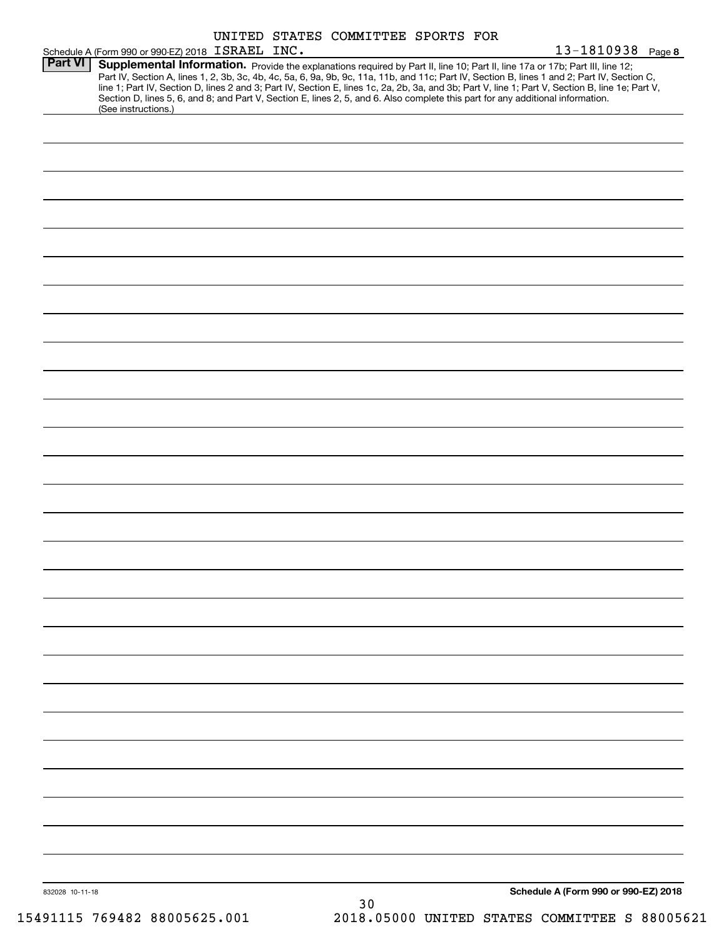|                 |                                                                                                                                                        |  | UNITED STATES COMMITTEE SPORTS FOR |  |                                                                                                                                                                                                                                                                                                  |  |
|-----------------|--------------------------------------------------------------------------------------------------------------------------------------------------------|--|------------------------------------|--|--------------------------------------------------------------------------------------------------------------------------------------------------------------------------------------------------------------------------------------------------------------------------------------------------|--|
|                 | Schedule A (Form 990 or 990-EZ) 2018 ISRAEL INC.                                                                                                       |  |                                    |  | 13-1810938 Page 8                                                                                                                                                                                                                                                                                |  |
| <b>Part VI</b>  | Supplemental Information. Provide the explanations required by Part II, line 10; Part II, line 17a or 17b; Part III, line 12;                          |  |                                    |  | Part IV, Section A, lines 1, 2, 3b, 3c, 4b, 4c, 5a, 6, 9a, 9b, 9c, 11a, 11b, and 11c; Part IV, Section B, lines 1 and 2; Part IV, Section C,<br>line 1; Part IV, Section D, lines 2 and 3; Part IV, Section E, lines 1c, 2a, 2b, 3a, and 3b; Part V, line 1; Part V, Section B, line 1e; Part V, |  |
|                 | Section D, lines 5, 6, and 8; and Part V, Section E, lines 2, 5, and 6. Also complete this part for any additional information.<br>(See instructions.) |  |                                    |  |                                                                                                                                                                                                                                                                                                  |  |
|                 |                                                                                                                                                        |  |                                    |  |                                                                                                                                                                                                                                                                                                  |  |
|                 |                                                                                                                                                        |  |                                    |  |                                                                                                                                                                                                                                                                                                  |  |
|                 |                                                                                                                                                        |  |                                    |  |                                                                                                                                                                                                                                                                                                  |  |
|                 |                                                                                                                                                        |  |                                    |  |                                                                                                                                                                                                                                                                                                  |  |
|                 |                                                                                                                                                        |  |                                    |  |                                                                                                                                                                                                                                                                                                  |  |
|                 |                                                                                                                                                        |  |                                    |  |                                                                                                                                                                                                                                                                                                  |  |
|                 |                                                                                                                                                        |  |                                    |  |                                                                                                                                                                                                                                                                                                  |  |
|                 |                                                                                                                                                        |  |                                    |  |                                                                                                                                                                                                                                                                                                  |  |
|                 |                                                                                                                                                        |  |                                    |  |                                                                                                                                                                                                                                                                                                  |  |
|                 |                                                                                                                                                        |  |                                    |  |                                                                                                                                                                                                                                                                                                  |  |
|                 |                                                                                                                                                        |  |                                    |  |                                                                                                                                                                                                                                                                                                  |  |
|                 |                                                                                                                                                        |  |                                    |  |                                                                                                                                                                                                                                                                                                  |  |
|                 |                                                                                                                                                        |  |                                    |  |                                                                                                                                                                                                                                                                                                  |  |
|                 |                                                                                                                                                        |  |                                    |  |                                                                                                                                                                                                                                                                                                  |  |
|                 |                                                                                                                                                        |  |                                    |  |                                                                                                                                                                                                                                                                                                  |  |
|                 |                                                                                                                                                        |  |                                    |  |                                                                                                                                                                                                                                                                                                  |  |
|                 |                                                                                                                                                        |  |                                    |  |                                                                                                                                                                                                                                                                                                  |  |
|                 |                                                                                                                                                        |  |                                    |  |                                                                                                                                                                                                                                                                                                  |  |
|                 |                                                                                                                                                        |  |                                    |  |                                                                                                                                                                                                                                                                                                  |  |
|                 |                                                                                                                                                        |  |                                    |  |                                                                                                                                                                                                                                                                                                  |  |
|                 |                                                                                                                                                        |  |                                    |  |                                                                                                                                                                                                                                                                                                  |  |
|                 |                                                                                                                                                        |  |                                    |  |                                                                                                                                                                                                                                                                                                  |  |
|                 |                                                                                                                                                        |  |                                    |  |                                                                                                                                                                                                                                                                                                  |  |
|                 |                                                                                                                                                        |  |                                    |  |                                                                                                                                                                                                                                                                                                  |  |
|                 |                                                                                                                                                        |  |                                    |  |                                                                                                                                                                                                                                                                                                  |  |
|                 |                                                                                                                                                        |  |                                    |  |                                                                                                                                                                                                                                                                                                  |  |
|                 |                                                                                                                                                        |  |                                    |  |                                                                                                                                                                                                                                                                                                  |  |
|                 |                                                                                                                                                        |  |                                    |  |                                                                                                                                                                                                                                                                                                  |  |
|                 |                                                                                                                                                        |  |                                    |  |                                                                                                                                                                                                                                                                                                  |  |
|                 |                                                                                                                                                        |  |                                    |  |                                                                                                                                                                                                                                                                                                  |  |
|                 |                                                                                                                                                        |  |                                    |  |                                                                                                                                                                                                                                                                                                  |  |
|                 |                                                                                                                                                        |  |                                    |  |                                                                                                                                                                                                                                                                                                  |  |
|                 |                                                                                                                                                        |  |                                    |  |                                                                                                                                                                                                                                                                                                  |  |
|                 |                                                                                                                                                        |  |                                    |  |                                                                                                                                                                                                                                                                                                  |  |
|                 |                                                                                                                                                        |  |                                    |  |                                                                                                                                                                                                                                                                                                  |  |
|                 |                                                                                                                                                        |  |                                    |  |                                                                                                                                                                                                                                                                                                  |  |
|                 |                                                                                                                                                        |  |                                    |  |                                                                                                                                                                                                                                                                                                  |  |
|                 |                                                                                                                                                        |  |                                    |  |                                                                                                                                                                                                                                                                                                  |  |
|                 |                                                                                                                                                        |  |                                    |  |                                                                                                                                                                                                                                                                                                  |  |
|                 |                                                                                                                                                        |  |                                    |  |                                                                                                                                                                                                                                                                                                  |  |
|                 |                                                                                                                                                        |  |                                    |  |                                                                                                                                                                                                                                                                                                  |  |
| 832028 10-11-18 |                                                                                                                                                        |  | 30                                 |  | Schedule A (Form 990 or 990-EZ) 2018                                                                                                                                                                                                                                                             |  |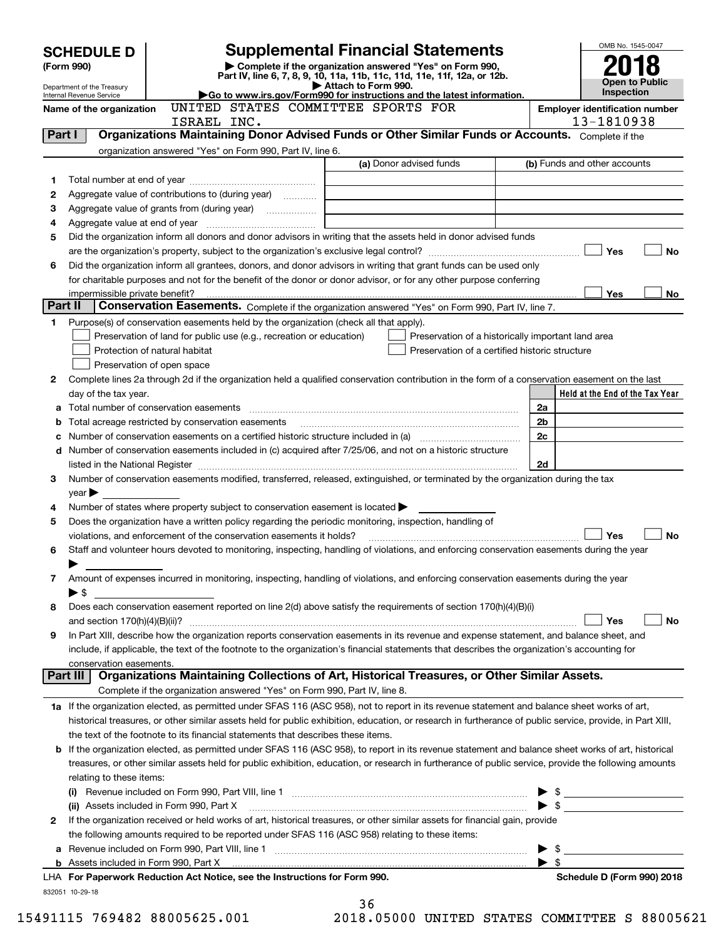|         | <b>SCHEDULE D</b>                                                                                                                        |                               |                                                                                                   |  | <b>Supplemental Financial Statements</b>                                                                                                                                                                                      |                                                    |  |                          | OMB No. 1545-0047                                   |           |
|---------|------------------------------------------------------------------------------------------------------------------------------------------|-------------------------------|---------------------------------------------------------------------------------------------------|--|-------------------------------------------------------------------------------------------------------------------------------------------------------------------------------------------------------------------------------|----------------------------------------------------|--|--------------------------|-----------------------------------------------------|-----------|
|         | (Form 990)                                                                                                                               |                               |                                                                                                   |  | Complete if the organization answered "Yes" on Form 990,                                                                                                                                                                      |                                                    |  |                          |                                                     |           |
|         | Department of the Treasury                                                                                                               |                               |                                                                                                   |  | Part IV, line 6, 7, 8, 9, 10, 11a, 11b, 11c, 11d, 11e, 11f, 12a, or 12b.<br>Attach to Form 990.                                                                                                                               |                                                    |  |                          | <b>Open to Public</b>                               |           |
|         | Go to www.irs.gov/Form990 for instructions and the latest information.<br>Internal Revenue Service<br>UNITED STATES COMMITTEE SPORTS FOR |                               |                                                                                                   |  |                                                                                                                                                                                                                               |                                                    |  |                          | Inspection                                          |           |
|         | Name of the organization                                                                                                                 |                               | ISRAEL INC.                                                                                       |  |                                                                                                                                                                                                                               |                                                    |  |                          | <b>Employer identification number</b><br>13-1810938 |           |
| Part I  |                                                                                                                                          |                               |                                                                                                   |  | Organizations Maintaining Donor Advised Funds or Other Similar Funds or Accounts. Complete if the                                                                                                                             |                                                    |  |                          |                                                     |           |
|         |                                                                                                                                          |                               | organization answered "Yes" on Form 990, Part IV, line 6.                                         |  |                                                                                                                                                                                                                               |                                                    |  |                          |                                                     |           |
|         |                                                                                                                                          |                               |                                                                                                   |  | (a) Donor advised funds                                                                                                                                                                                                       |                                                    |  |                          | (b) Funds and other accounts                        |           |
| 1       |                                                                                                                                          |                               |                                                                                                   |  |                                                                                                                                                                                                                               |                                                    |  |                          |                                                     |           |
| 2       |                                                                                                                                          |                               | Aggregate value of contributions to (during year)                                                 |  |                                                                                                                                                                                                                               |                                                    |  |                          |                                                     |           |
| з       |                                                                                                                                          |                               |                                                                                                   |  |                                                                                                                                                                                                                               |                                                    |  |                          |                                                     |           |
| 4       |                                                                                                                                          |                               |                                                                                                   |  |                                                                                                                                                                                                                               |                                                    |  |                          |                                                     |           |
| 5       |                                                                                                                                          |                               |                                                                                                   |  | Did the organization inform all donors and donor advisors in writing that the assets held in donor advised funds                                                                                                              |                                                    |  |                          |                                                     |           |
|         |                                                                                                                                          |                               |                                                                                                   |  |                                                                                                                                                                                                                               |                                                    |  |                          | Yes                                                 | No        |
| 6       |                                                                                                                                          |                               |                                                                                                   |  | Did the organization inform all grantees, donors, and donor advisors in writing that grant funds can be used only                                                                                                             |                                                    |  |                          |                                                     |           |
|         |                                                                                                                                          |                               |                                                                                                   |  | for charitable purposes and not for the benefit of the donor or donor advisor, or for any other purpose conferring                                                                                                            |                                                    |  |                          |                                                     |           |
| Part II | impermissible private benefit?                                                                                                           |                               |                                                                                                   |  | Conservation Easements. Complete if the organization answered "Yes" on Form 990, Part IV, line 7.                                                                                                                             |                                                    |  |                          | Yes                                                 | No        |
|         |                                                                                                                                          |                               |                                                                                                   |  |                                                                                                                                                                                                                               |                                                    |  |                          |                                                     |           |
| 1       |                                                                                                                                          |                               | Preservation of land for public use (e.g., recreation or education)                               |  | Purpose(s) of conservation easements held by the organization (check all that apply).                                                                                                                                         | Preservation of a historically important land area |  |                          |                                                     |           |
|         |                                                                                                                                          | Protection of natural habitat |                                                                                                   |  |                                                                                                                                                                                                                               | Preservation of a certified historic structure     |  |                          |                                                     |           |
|         |                                                                                                                                          | Preservation of open space    |                                                                                                   |  |                                                                                                                                                                                                                               |                                                    |  |                          |                                                     |           |
| 2       |                                                                                                                                          |                               |                                                                                                   |  | Complete lines 2a through 2d if the organization held a qualified conservation contribution in the form of a conservation easement on the last                                                                                |                                                    |  |                          |                                                     |           |
|         | day of the tax year.                                                                                                                     |                               |                                                                                                   |  |                                                                                                                                                                                                                               |                                                    |  |                          | Held at the End of the Tax Year                     |           |
|         |                                                                                                                                          |                               |                                                                                                   |  |                                                                                                                                                                                                                               |                                                    |  | 2a                       |                                                     |           |
| b       |                                                                                                                                          |                               |                                                                                                   |  |                                                                                                                                                                                                                               |                                                    |  | 2b                       |                                                     |           |
|         |                                                                                                                                          |                               |                                                                                                   |  | Number of conservation easements on a certified historic structure included in (a) manufacture included in (a)                                                                                                                |                                                    |  | 2c                       |                                                     |           |
| d       |                                                                                                                                          |                               |                                                                                                   |  | Number of conservation easements included in (c) acquired after 7/25/06, and not on a historic structure                                                                                                                      |                                                    |  |                          |                                                     |           |
|         |                                                                                                                                          |                               |                                                                                                   |  | listed in the National Register [[11] matter contract the state of the state of the National Register [11] matter state in the National Register [11] matter state in the National Register [11] matter state in the state of |                                                    |  | 2d                       |                                                     |           |
| 3       |                                                                                                                                          |                               |                                                                                                   |  | Number of conservation easements modified, transferred, released, extinguished, or terminated by the organization during the tax                                                                                              |                                                    |  |                          |                                                     |           |
|         | $year \blacktriangleright$                                                                                                               |                               |                                                                                                   |  |                                                                                                                                                                                                                               |                                                    |  |                          |                                                     |           |
| 4       |                                                                                                                                          |                               | Number of states where property subject to conservation easement is located $\blacktriangleright$ |  |                                                                                                                                                                                                                               |                                                    |  |                          |                                                     |           |
| 5       |                                                                                                                                          |                               | violations, and enforcement of the conservation easements it holds?                               |  | Does the organization have a written policy regarding the periodic monitoring, inspection, handling of                                                                                                                        |                                                    |  |                          | Yes                                                 | <b>No</b> |
| 6       |                                                                                                                                          |                               |                                                                                                   |  | Staff and volunteer hours devoted to monitoring, inspecting, handling of violations, and enforcing conservation easements during the year                                                                                     |                                                    |  |                          |                                                     |           |
|         |                                                                                                                                          |                               |                                                                                                   |  |                                                                                                                                                                                                                               |                                                    |  |                          |                                                     |           |
| 7       |                                                                                                                                          |                               |                                                                                                   |  | Amount of expenses incurred in monitoring, inspecting, handling of violations, and enforcing conservation easements during the year                                                                                           |                                                    |  |                          |                                                     |           |
|         | ▶ \$                                                                                                                                     |                               |                                                                                                   |  |                                                                                                                                                                                                                               |                                                    |  |                          |                                                     |           |
| 8       |                                                                                                                                          |                               |                                                                                                   |  | Does each conservation easement reported on line 2(d) above satisfy the requirements of section 170(h)(4)(B)(i)                                                                                                               |                                                    |  |                          |                                                     |           |
|         | and section $170(h)(4)(B)(ii)?$                                                                                                          |                               |                                                                                                   |  |                                                                                                                                                                                                                               |                                                    |  |                          | Yes                                                 | No        |
| 9       |                                                                                                                                          |                               |                                                                                                   |  | In Part XIII, describe how the organization reports conservation easements in its revenue and expense statement, and balance sheet, and                                                                                       |                                                    |  |                          |                                                     |           |
|         |                                                                                                                                          |                               |                                                                                                   |  | include, if applicable, the text of the footnote to the organization's financial statements that describes the organization's accounting for                                                                                  |                                                    |  |                          |                                                     |           |
|         | conservation easements.<br>Part III                                                                                                      |                               |                                                                                                   |  | Organizations Maintaining Collections of Art, Historical Treasures, or Other Similar Assets.                                                                                                                                  |                                                    |  |                          |                                                     |           |
|         |                                                                                                                                          |                               | Complete if the organization answered "Yes" on Form 990, Part IV, line 8.                         |  |                                                                                                                                                                                                                               |                                                    |  |                          |                                                     |           |
|         |                                                                                                                                          |                               |                                                                                                   |  | 1a If the organization elected, as permitted under SFAS 116 (ASC 958), not to report in its revenue statement and balance sheet works of art,                                                                                 |                                                    |  |                          |                                                     |           |
|         |                                                                                                                                          |                               |                                                                                                   |  | historical treasures, or other similar assets held for public exhibition, education, or research in furtherance of public service, provide, in Part XIII,                                                                     |                                                    |  |                          |                                                     |           |
|         |                                                                                                                                          |                               | the text of the footnote to its financial statements that describes these items.                  |  |                                                                                                                                                                                                                               |                                                    |  |                          |                                                     |           |
| b       |                                                                                                                                          |                               |                                                                                                   |  | If the organization elected, as permitted under SFAS 116 (ASC 958), to report in its revenue statement and balance sheet works of art, historical                                                                             |                                                    |  |                          |                                                     |           |
|         |                                                                                                                                          |                               |                                                                                                   |  | treasures, or other similar assets held for public exhibition, education, or research in furtherance of public service, provide the following amounts                                                                         |                                                    |  |                          |                                                     |           |
|         | relating to these items:                                                                                                                 |                               |                                                                                                   |  |                                                                                                                                                                                                                               |                                                    |  |                          |                                                     |           |
|         |                                                                                                                                          |                               |                                                                                                   |  |                                                                                                                                                                                                                               |                                                    |  |                          | $\triangleright$ \$                                 |           |
|         | (ii) Assets included in Form 990, Part X                                                                                                 |                               |                                                                                                   |  |                                                                                                                                                                                                                               |                                                    |  |                          | $\bullet$ \$                                        |           |
| 2       |                                                                                                                                          |                               |                                                                                                   |  | If the organization received or held works of art, historical treasures, or other similar assets for financial gain, provide                                                                                                  |                                                    |  |                          |                                                     |           |
|         |                                                                                                                                          |                               |                                                                                                   |  | the following amounts required to be reported under SFAS 116 (ASC 958) relating to these items:                                                                                                                               |                                                    |  |                          |                                                     |           |
| а       |                                                                                                                                          |                               |                                                                                                   |  |                                                                                                                                                                                                                               |                                                    |  | \$                       |                                                     |           |
| b       |                                                                                                                                          |                               |                                                                                                   |  |                                                                                                                                                                                                                               |                                                    |  | $\blacktriangleright$ \$ |                                                     |           |
|         |                                                                                                                                          |                               | LHA For Paperwork Reduction Act Notice, see the Instructions for Form 990.                        |  |                                                                                                                                                                                                                               |                                                    |  |                          | Schedule D (Form 990) 2018                          |           |
|         | 832051 10-29-18                                                                                                                          |                               |                                                                                                   |  | ግ ሮ                                                                                                                                                                                                                           |                                                    |  |                          |                                                     |           |

|        | 36 |    |  |
|--------|----|----|--|
| 10 م ( |    | ∩ҕ |  |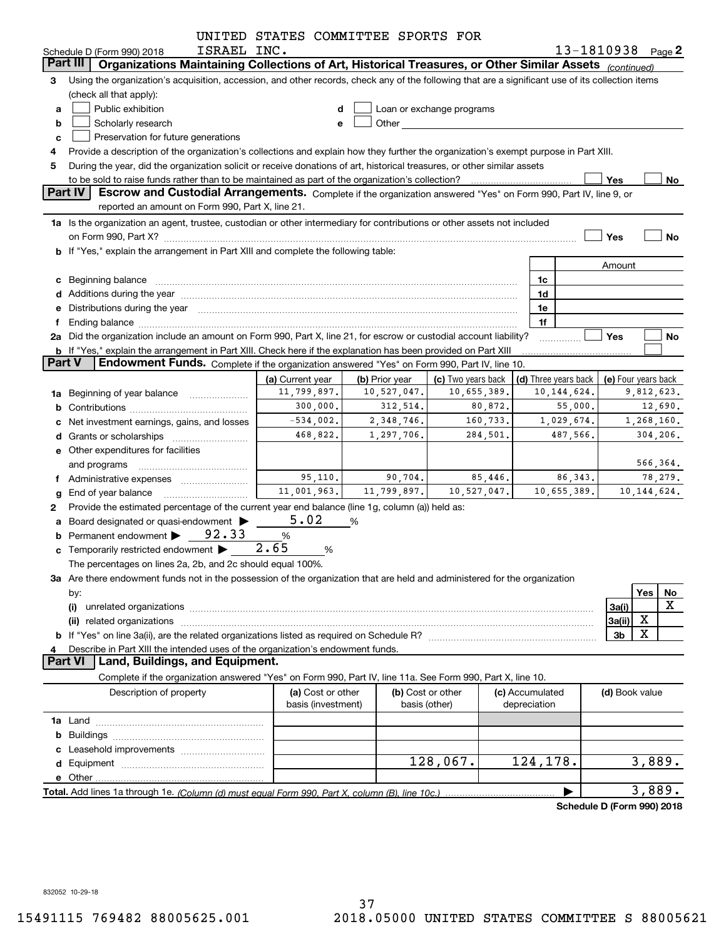|               |                                                                                                                                                                                                                                       | UNITED STATES COMMITTEE SPORTS FOR      |                |                                                                                                                                                                                                                               |              |                                 |          |                       |               |    |
|---------------|---------------------------------------------------------------------------------------------------------------------------------------------------------------------------------------------------------------------------------------|-----------------------------------------|----------------|-------------------------------------------------------------------------------------------------------------------------------------------------------------------------------------------------------------------------------|--------------|---------------------------------|----------|-----------------------|---------------|----|
|               | ISRAEL INC.<br>Schedule D (Form 990) 2018                                                                                                                                                                                             |                                         |                |                                                                                                                                                                                                                               |              |                                 |          | $13 - 1810938$ Page 2 |               |    |
| Part III      | Organizations Maintaining Collections of Art, Historical Treasures, or Other Similar Assets (continued)                                                                                                                               |                                         |                |                                                                                                                                                                                                                               |              |                                 |          |                       |               |    |
| 3             | Using the organization's acquisition, accession, and other records, check any of the following that are a significant use of its collection items<br>(check all that apply):                                                          |                                         |                |                                                                                                                                                                                                                               |              |                                 |          |                       |               |    |
|               | Public exhibition                                                                                                                                                                                                                     | d                                       |                | Loan or exchange programs                                                                                                                                                                                                     |              |                                 |          |                       |               |    |
| a             |                                                                                                                                                                                                                                       |                                         |                | Other and the contract of the contract of the contract of the contract of the contract of the contract of the contract of the contract of the contract of the contract of the contract of the contract of the contract of the |              |                                 |          |                       |               |    |
| b             | Scholarly research                                                                                                                                                                                                                    | e                                       |                |                                                                                                                                                                                                                               |              |                                 |          |                       |               |    |
| c             | Preservation for future generations                                                                                                                                                                                                   |                                         |                |                                                                                                                                                                                                                               |              |                                 |          |                       |               |    |
|               | Provide a description of the organization's collections and explain how they further the organization's exempt purpose in Part XIII.                                                                                                  |                                         |                |                                                                                                                                                                                                                               |              |                                 |          |                       |               |    |
| 5             | During the year, did the organization solicit or receive donations of art, historical treasures, or other similar assets                                                                                                              |                                         |                |                                                                                                                                                                                                                               |              |                                 |          |                       |               |    |
|               | to be sold to raise funds rather than to be maintained as part of the organization's collection?<br><b>Part IV</b><br>Escrow and Custodial Arrangements. Complete if the organization answered "Yes" on Form 990, Part IV, line 9, or |                                         |                |                                                                                                                                                                                                                               | . <u>.</u> . |                                 |          | Yes                   |               | No |
|               | reported an amount on Form 990, Part X, line 21.                                                                                                                                                                                      |                                         |                |                                                                                                                                                                                                                               |              |                                 |          |                       |               |    |
|               | 1a Is the organization an agent, trustee, custodian or other intermediary for contributions or other assets not included                                                                                                              |                                         |                |                                                                                                                                                                                                                               |              |                                 |          |                       |               |    |
|               |                                                                                                                                                                                                                                       |                                         |                |                                                                                                                                                                                                                               |              |                                 |          | Yes                   |               | No |
|               | b If "Yes," explain the arrangement in Part XIII and complete the following table:                                                                                                                                                    |                                         |                |                                                                                                                                                                                                                               |              |                                 |          |                       |               |    |
|               |                                                                                                                                                                                                                                       |                                         |                |                                                                                                                                                                                                                               |              |                                 |          | Amount                |               |    |
|               |                                                                                                                                                                                                                                       |                                         |                |                                                                                                                                                                                                                               |              | 1c                              |          |                       |               |    |
|               |                                                                                                                                                                                                                                       |                                         |                |                                                                                                                                                                                                                               |              | 1d                              |          |                       |               |    |
|               | e Distributions during the year manufactured and contain an account of the year manufactured and the year manufactured and the year manufactured and the year manufactured and the year manufactured and the year manufactured        |                                         |                |                                                                                                                                                                                                                               |              | 1e                              |          |                       |               |    |
|               | Ending balance manufactured and contract the contract of the contract of the contract of the contract of the contract of the contract of the contract of the contract of the contract of the contract of the contract of the c        |                                         |                |                                                                                                                                                                                                                               |              | 1f                              |          |                       |               |    |
|               | 2a Did the organization include an amount on Form 990, Part X, line 21, for escrow or custodial account liability?                                                                                                                    |                                         |                |                                                                                                                                                                                                                               |              |                                 |          | Yes                   |               | No |
|               | <b>b</b> If "Yes," explain the arrangement in Part XIII. Check here if the explanation has been provided on Part XIII                                                                                                                 |                                         |                |                                                                                                                                                                                                                               |              |                                 |          |                       |               |    |
| <b>Part V</b> | Endowment Funds. Complete if the organization answered "Yes" on Form 990, Part IV, line 10.                                                                                                                                           |                                         |                |                                                                                                                                                                                                                               |              |                                 |          |                       |               |    |
|               |                                                                                                                                                                                                                                       | (a) Current year                        | (b) Prior year | (c) Two years back                                                                                                                                                                                                            |              | (d) Three years back            |          | (e) Four years back   |               |    |
| 1a            | Beginning of year balance                                                                                                                                                                                                             | 11,799,897.                             | 10,527,047.    | 10,655,389.                                                                                                                                                                                                                   |              | 10, 144, 624.                   |          |                       | 9,812,623.    |    |
| b             |                                                                                                                                                                                                                                       | 300,000.                                | 312,514.       |                                                                                                                                                                                                                               | 80,872.      |                                 | 55,000.  |                       | 12,690.       |    |
|               | Net investment earnings, gains, and losses                                                                                                                                                                                            | $-534,002.$                             | 2,348,746.     |                                                                                                                                                                                                                               | 160,733.     | 1,029,674.                      |          |                       | 1,268,160.    |    |
|               | Grants or scholarships                                                                                                                                                                                                                | 468,822.                                | 1,297,706.     |                                                                                                                                                                                                                               | 284,501.     |                                 | 487,566. |                       | 304,206.      |    |
|               | e Other expenditures for facilities                                                                                                                                                                                                   |                                         |                |                                                                                                                                                                                                                               |              |                                 |          |                       |               |    |
|               | and programs                                                                                                                                                                                                                          |                                         |                |                                                                                                                                                                                                                               |              |                                 |          |                       | 566,364.      |    |
|               | f Administrative expenses                                                                                                                                                                                                             | 95,110.                                 | 90,704.        |                                                                                                                                                                                                                               | 85,446.      |                                 | 86, 343. |                       | 78,279.       |    |
| g             | End of year balance                                                                                                                                                                                                                   | 11,001,963.                             | 11,799,897.    | 10,527,047.                                                                                                                                                                                                                   |              | 10,655,389.                     |          |                       | 10, 144, 624. |    |
| 2             | Provide the estimated percentage of the current year end balance (line 1g, column (a)) held as:                                                                                                                                       |                                         |                |                                                                                                                                                                                                                               |              |                                 |          |                       |               |    |
|               | Board designated or quasi-endowment                                                                                                                                                                                                   | 5.02                                    | %              |                                                                                                                                                                                                                               |              |                                 |          |                       |               |    |
|               | Permanent endowment > 92.33                                                                                                                                                                                                           | %                                       |                |                                                                                                                                                                                                                               |              |                                 |          |                       |               |    |
|               | c Temporarily restricted endowment $\blacktriangleright$                                                                                                                                                                              | 2.65<br>%                               |                |                                                                                                                                                                                                                               |              |                                 |          |                       |               |    |
|               | The percentages on lines 2a, 2b, and 2c should equal 100%.                                                                                                                                                                            |                                         |                |                                                                                                                                                                                                                               |              |                                 |          |                       |               |    |
|               | 3a Are there endowment funds not in the possession of the organization that are held and administered for the organization                                                                                                            |                                         |                |                                                                                                                                                                                                                               |              |                                 |          |                       |               |    |
|               | by:                                                                                                                                                                                                                                   |                                         |                |                                                                                                                                                                                                                               |              |                                 |          |                       | Yes           | No |
|               | (i)                                                                                                                                                                                                                                   |                                         |                |                                                                                                                                                                                                                               |              |                                 |          | 3a(i)                 |               | X  |
|               | related organizations<br>(ii)                                                                                                                                                                                                         |                                         |                |                                                                                                                                                                                                                               |              |                                 |          | 3a(ii)                | х             |    |
|               |                                                                                                                                                                                                                                       |                                         |                |                                                                                                                                                                                                                               |              |                                 |          | 3b                    | X             |    |
|               | Describe in Part XIII the intended uses of the organization's endowment funds.                                                                                                                                                        |                                         |                |                                                                                                                                                                                                                               |              |                                 |          |                       |               |    |
|               | Land, Buildings, and Equipment.<br><b>Part VI</b>                                                                                                                                                                                     |                                         |                |                                                                                                                                                                                                                               |              |                                 |          |                       |               |    |
|               | Complete if the organization answered "Yes" on Form 990, Part IV, line 11a. See Form 990, Part X, line 10.                                                                                                                            |                                         |                |                                                                                                                                                                                                                               |              |                                 |          |                       |               |    |
|               | Description of property                                                                                                                                                                                                               | (a) Cost or other<br>basis (investment) |                | (b) Cost or other<br>basis (other)                                                                                                                                                                                            |              | (c) Accumulated<br>depreciation |          | (d) Book value        |               |    |
|               |                                                                                                                                                                                                                                       |                                         |                |                                                                                                                                                                                                                               |              |                                 |          |                       |               |    |
| b             |                                                                                                                                                                                                                                       |                                         |                |                                                                                                                                                                                                                               |              |                                 |          |                       |               |    |
|               |                                                                                                                                                                                                                                       |                                         |                |                                                                                                                                                                                                                               |              |                                 |          |                       |               |    |
|               |                                                                                                                                                                                                                                       |                                         |                | 128,067.                                                                                                                                                                                                                      |              | 124,178.                        |          |                       | 3,889.        |    |
|               |                                                                                                                                                                                                                                       |                                         |                |                                                                                                                                                                                                                               |              |                                 |          |                       |               |    |
|               |                                                                                                                                                                                                                                       |                                         |                |                                                                                                                                                                                                                               |              |                                 |          |                       | 3,889.        |    |
|               |                                                                                                                                                                                                                                       |                                         |                |                                                                                                                                                                                                                               |              |                                 |          |                       |               |    |

**Schedule D (Form 990) 2018**

832052 10-29-18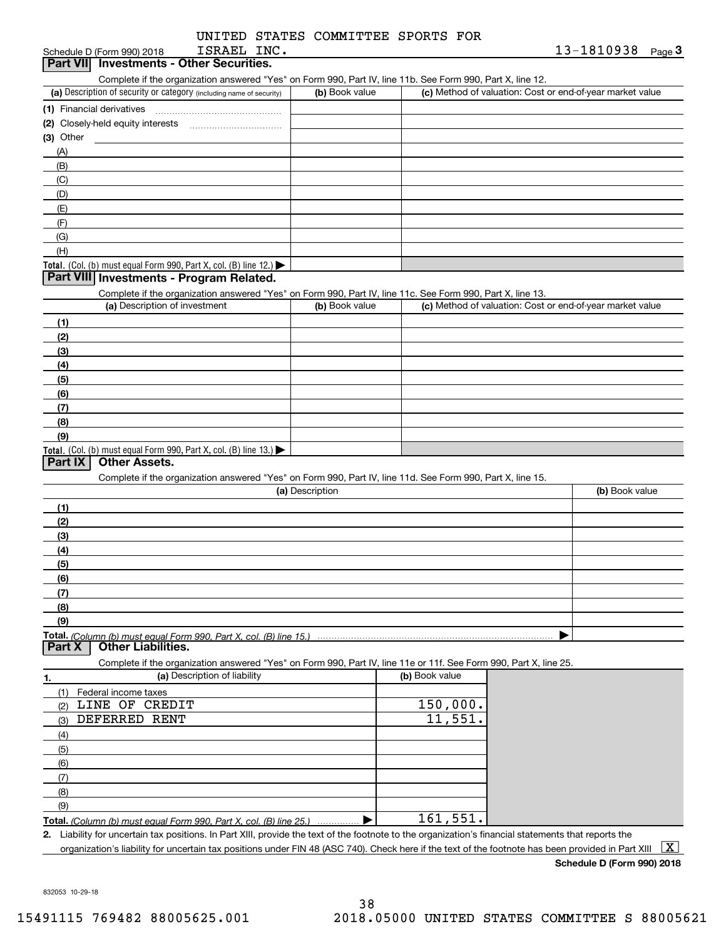| Part VIII        | ISRAEL INC.<br>Schedule D (Form 990) 2018                                                                         |                 |                | 13-1810938                                                | Page $3$ |
|------------------|-------------------------------------------------------------------------------------------------------------------|-----------------|----------------|-----------------------------------------------------------|----------|
|                  | <b>Investments - Other Securities.</b>                                                                            |                 |                |                                                           |          |
|                  | Complete if the organization answered "Yes" on Form 990, Part IV, line 11b. See Form 990, Part X, line 12.        |                 |                |                                                           |          |
|                  | (a) Description of security or category (including name of security)                                              | (b) Book value  |                | (c) Method of valuation: Cost or end-of-year market value |          |
|                  | (1) Financial derivatives                                                                                         |                 |                |                                                           |          |
|                  |                                                                                                                   |                 |                |                                                           |          |
| $(3)$ Other      |                                                                                                                   |                 |                |                                                           |          |
| (A)              |                                                                                                                   |                 |                |                                                           |          |
| (B)              |                                                                                                                   |                 |                |                                                           |          |
| (C)              |                                                                                                                   |                 |                |                                                           |          |
| (D)              |                                                                                                                   |                 |                |                                                           |          |
| (E)              |                                                                                                                   |                 |                |                                                           |          |
| (F)              |                                                                                                                   |                 |                |                                                           |          |
| (G)              |                                                                                                                   |                 |                |                                                           |          |
| (H)              |                                                                                                                   |                 |                |                                                           |          |
|                  | Total. (Col. (b) must equal Form 990, Part X, col. (B) line 12.)                                                  |                 |                |                                                           |          |
|                  | Part VIII Investments - Program Related.                                                                          |                 |                |                                                           |          |
|                  | Complete if the organization answered "Yes" on Form 990, Part IV, line 11c. See Form 990, Part X, line 13.        |                 |                |                                                           |          |
|                  | (a) Description of investment                                                                                     | (b) Book value  |                | (c) Method of valuation: Cost or end-of-year market value |          |
| (1)              |                                                                                                                   |                 |                |                                                           |          |
| (2)              |                                                                                                                   |                 |                |                                                           |          |
| (3)              |                                                                                                                   |                 |                |                                                           |          |
| (4)              |                                                                                                                   |                 |                |                                                           |          |
| (5)              |                                                                                                                   |                 |                |                                                           |          |
| (6)              |                                                                                                                   |                 |                |                                                           |          |
| (7)              |                                                                                                                   |                 |                |                                                           |          |
|                  |                                                                                                                   |                 |                |                                                           |          |
|                  |                                                                                                                   |                 |                |                                                           |          |
| (8)              |                                                                                                                   |                 |                |                                                           |          |
| (9)              |                                                                                                                   |                 |                |                                                           |          |
|                  | Total. (Col. (b) must equal Form 990, Part X, col. (B) line 13.)                                                  |                 |                |                                                           |          |
|                  | <b>Other Assets.</b>                                                                                              |                 |                |                                                           |          |
|                  | Complete if the organization answered "Yes" on Form 990, Part IV, line 11d. See Form 990, Part X, line 15.        |                 |                |                                                           |          |
|                  |                                                                                                                   | (a) Description |                | (b) Book value                                            |          |
| (1)              |                                                                                                                   |                 |                |                                                           |          |
| (2)              |                                                                                                                   |                 |                |                                                           |          |
| (3)              |                                                                                                                   |                 |                |                                                           |          |
| (4)              |                                                                                                                   |                 |                |                                                           |          |
| (5)              |                                                                                                                   |                 |                |                                                           |          |
| (6)              |                                                                                                                   |                 |                |                                                           |          |
| (7)              |                                                                                                                   |                 |                |                                                           |          |
| (8)              |                                                                                                                   |                 |                |                                                           |          |
| Part IX<br>(9)   |                                                                                                                   |                 |                |                                                           |          |
|                  | <b>Total.</b> (Column (b) must equal Form 990. Part X, col. (B) line 15.)                                         |                 |                |                                                           |          |
| Part X           | <b>Other Liabilities.</b>                                                                                         |                 |                |                                                           |          |
|                  | Complete if the organization answered "Yes" on Form 990, Part IV, line 11e or 11f. See Form 990, Part X, line 25. |                 |                |                                                           |          |
|                  | (a) Description of liability                                                                                      |                 | (b) Book value |                                                           |          |
| (1)              | Federal income taxes                                                                                              |                 |                |                                                           |          |
| (2)              | LINE OF CREDIT                                                                                                    |                 | 150,000.       |                                                           |          |
| (3)              | DEFERRED RENT                                                                                                     |                 | 11,551.        |                                                           |          |
| (4)              |                                                                                                                   |                 |                |                                                           |          |
|                  |                                                                                                                   |                 |                |                                                           |          |
| (5)              |                                                                                                                   |                 |                |                                                           |          |
| (6)              |                                                                                                                   |                 |                |                                                           |          |
| (7)              |                                                                                                                   |                 |                |                                                           |          |
| 1.<br>(8)<br>(9) |                                                                                                                   |                 |                |                                                           |          |

**2.**Liability for uncertain tax positions. In Part XIII, provide the text of the footnote to the organization's financial statements that reports the organization's liability for uncertain tax positions under FIN 48 (ASC 740). Check here if the text of the footnote has been provided in Part XIII  $~\boxed{\rm X}$ 

832053 10-29-18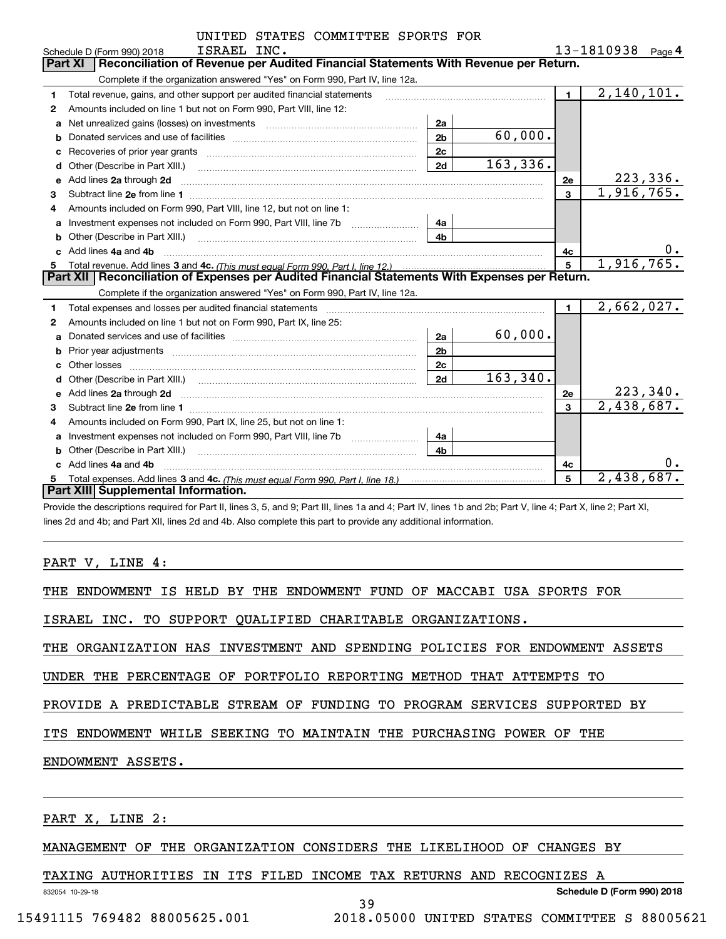|    | UNITED STATES COMMITTEE SPORTS FOR                                                                                         |                |           |                |                         |
|----|----------------------------------------------------------------------------------------------------------------------------|----------------|-----------|----------------|-------------------------|
|    | ISRAEL INC.<br>Schedule D (Form 990) 2018                                                                                  |                |           |                | 13-1810938 Page 4       |
|    | Reconciliation of Revenue per Audited Financial Statements With Revenue per Return.<br>Part XI                             |                |           |                |                         |
|    | Complete if the organization answered "Yes" on Form 990, Part IV, line 12a.                                                |                |           |                |                         |
| 1  | Total revenue, gains, and other support per audited financial statements                                                   |                |           | $\blacksquare$ | $\overline{2,140,101}.$ |
| 2  | Amounts included on line 1 but not on Form 990, Part VIII, line 12:                                                        |                |           |                |                         |
| a  | Net unrealized gains (losses) on investments [11] matter contracts and the unrealized gains (losses) on investments        | 2a             |           |                |                         |
| b  |                                                                                                                            | 2 <sub>b</sub> | 60,000.   |                |                         |
| с  |                                                                                                                            | 2c             |           |                |                         |
|    | Other (Describe in Part XIII.) <b>COLOGIST:</b> (2010)                                                                     | 2d             | 163,336.  |                |                         |
| e  | Add lines 2a through 2d                                                                                                    |                |           | 2e             | 223, 336.               |
| 3  | Subtract line 2e from line 1 <b>manufacture in the contract of the 2e</b> from line 1                                      |                |           | 3              | 1,916,765.              |
| 4  | Amounts included on Form 990, Part VIII, line 12, but not on line 1:                                                       |                |           |                |                         |
| a  | Investment expenses not included on Form 990, Part VIII, line 7b                                                           | 4a             |           |                |                         |
| b  | Other (Describe in Part XIII.) <b>Construction Contract Construction</b> Chemistry Chemistry Chemistry Chemistry Chemistry | 4 <sub>h</sub> |           |                |                         |
| C. | Add lines 4a and 4b                                                                                                        |                |           | 4c             | $0$ .                   |
|    |                                                                                                                            |                |           | 5              | 1,916,765.              |
|    | Part XII   Reconciliation of Expenses per Audited Financial Statements With Expenses per Return.                           |                |           |                |                         |
|    | Complete if the organization answered "Yes" on Form 990, Part IV, line 12a.                                                |                |           |                |                         |
| 1  | Total expenses and losses per audited financial statements                                                                 |                |           | $\mathbf{1}$   | 2,662,027.              |
| 2  | Amounts included on line 1 but not on Form 990, Part IX, line 25:                                                          |                |           |                |                         |
| a  |                                                                                                                            | 2a             | 60,000.   |                |                         |
| b  | Prior year adjustments <i>www.www.www.www.www.www.www.www.www.</i> ww.                                                     | 2 <sub>b</sub> |           |                |                         |
|    | Other losses                                                                                                               | 2c             |           |                |                         |
|    |                                                                                                                            | 2d             | 163, 340. |                |                         |
| e  | Add lines 2a through 2d <b>must be a constructed as the constant of the constant of the constant of the construction</b>   |                |           | 2е             | 223, 340.               |
| 3  |                                                                                                                            |                |           | $\mathbf{a}$   | 2,438,687.              |
| 4  | Amounts included on Form 990, Part IX, line 25, but not on line 1:                                                         |                |           |                |                         |
| a  | Investment expenses not included on Form 990, Part VIII, line 7b [100] [100] [100] [100] [100] [100] [100] [10             | 4a             |           |                |                         |
| b  |                                                                                                                            | 4b             |           |                |                         |
|    | Add lines 4a and 4b                                                                                                        |                |           | 4c             | 0.                      |
|    |                                                                                                                            |                |           | 5              | 2,438,687.              |
|    | Part XIII Supplemental Information.                                                                                        |                |           |                |                         |

Provide the descriptions required for Part II, lines 3, 5, and 9; Part III, lines 1a and 4; Part IV, lines 1b and 2b; Part V, line 4; Part X, line 2; Part XI, lines 2d and 4b; and Part XII, lines 2d and 4b. Also complete this part to provide any additional information.

PART V, LINE 4:

THE ENDOWMENT IS HELD BY THE ENDOWMENT FUND OF MACCABI USA SPORTS FOR

ISRAEL INC. TO SUPPORT QUALIFIED CHARITABLE ORGANIZATIONS.

THE ORGANIZATION HAS INVESTMENT AND SPENDING POLICIES FOR ENDOWMENT ASSETS

UNDER THE PERCENTAGE OF PORTFOLIO REPORTING METHOD THAT ATTEMPTS TO

PROVIDE A PREDICTABLE STREAM OF FUNDING TO PROGRAM SERVICES SUPPORTED BY

ITS ENDOWMENT WHILE SEEKING TO MAINTAIN THE PURCHASING POWER OF THE

ENDOWMENT ASSETS.

PART X, LINE 2:

832054 10-29-18

MANAGEMENT OF THE ORGANIZATION CONSIDERS THE LIKELIHOOD OF CHANGES BY

TAXING AUTHORITIES IN ITS FILED INCOME TAX RETURNS AND RECOGNIZES A

**Schedule D (Form 990) 2018**

39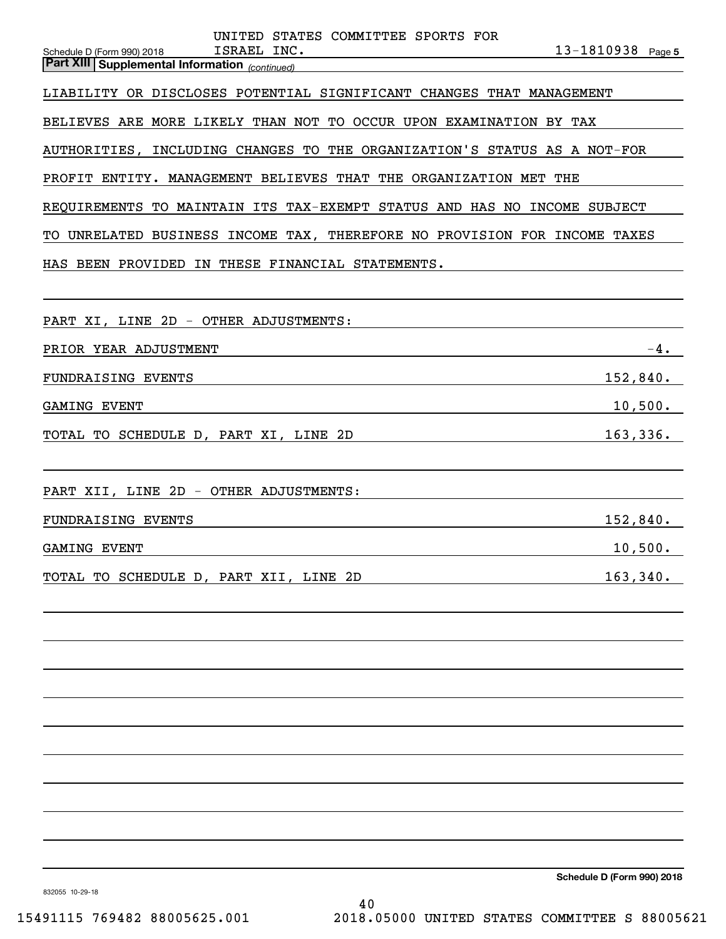| UNITED STATES COMMITTEE SPORTS FOR<br>13-1810938 Page 5<br>ISRAEL INC.<br>Schedule D (Form 990) 2018                                                |
|-----------------------------------------------------------------------------------------------------------------------------------------------------|
| <b>Part XIII Supplemental Information</b> (continued)                                                                                               |
| LIABILITY OR DISCLOSES POTENTIAL SIGNIFICANT CHANGES THAT MANAGEMENT                                                                                |
| BELIEVES ARE MORE LIKELY THAN NOT TO OCCUR UPON EXAMINATION BY TAX                                                                                  |
| AUTHORITIES, INCLUDING CHANGES TO THE ORGANIZATION'S STATUS AS A NOT-FOR                                                                            |
| PROFIT ENTITY. MANAGEMENT BELIEVES THAT THE ORGANIZATION MET THE                                                                                    |
| REQUIREMENTS TO MAINTAIN ITS TAX-EXEMPT STATUS AND HAS NO INCOME SUBJECT                                                                            |
| UNRELATED BUSINESS INCOME TAX, THEREFORE NO PROVISION FOR INCOME TAXES<br>TO.                                                                       |
| HAS BEEN PROVIDED IN THESE FINANCIAL STATEMENTS.                                                                                                    |
|                                                                                                                                                     |
| PART XI, LINE 2D - OTHER ADJUSTMENTS:                                                                                                               |
| PRIOR YEAR ADJUSTMENT<br>$-4$ .<br>and the control of the control of the control of the control of the control of the control of the control of the |
| 152,840.<br>FUNDRAISING EVENTS                                                                                                                      |
| 10,500.<br><b>GAMING EVENT</b>                                                                                                                      |
| 163,336.<br>TOTAL TO SCHEDULE D, PART XI, LINE 2D                                                                                                   |
|                                                                                                                                                     |
| PART XII, LINE 2D - OTHER ADJUSTMENTS:                                                                                                              |
| 152,840.<br>FUNDRAISING EVENTS                                                                                                                      |
| 10,500.<br><b>GAMING EVENT</b>                                                                                                                      |
| TOTAL TO SCHEDULE D, PART XII, LINE 2D<br>163,340.                                                                                                  |
|                                                                                                                                                     |
|                                                                                                                                                     |
|                                                                                                                                                     |
|                                                                                                                                                     |
|                                                                                                                                                     |
|                                                                                                                                                     |
|                                                                                                                                                     |
|                                                                                                                                                     |
|                                                                                                                                                     |
|                                                                                                                                                     |

**Schedule D (Form 990) 2018**

832055 10-29-18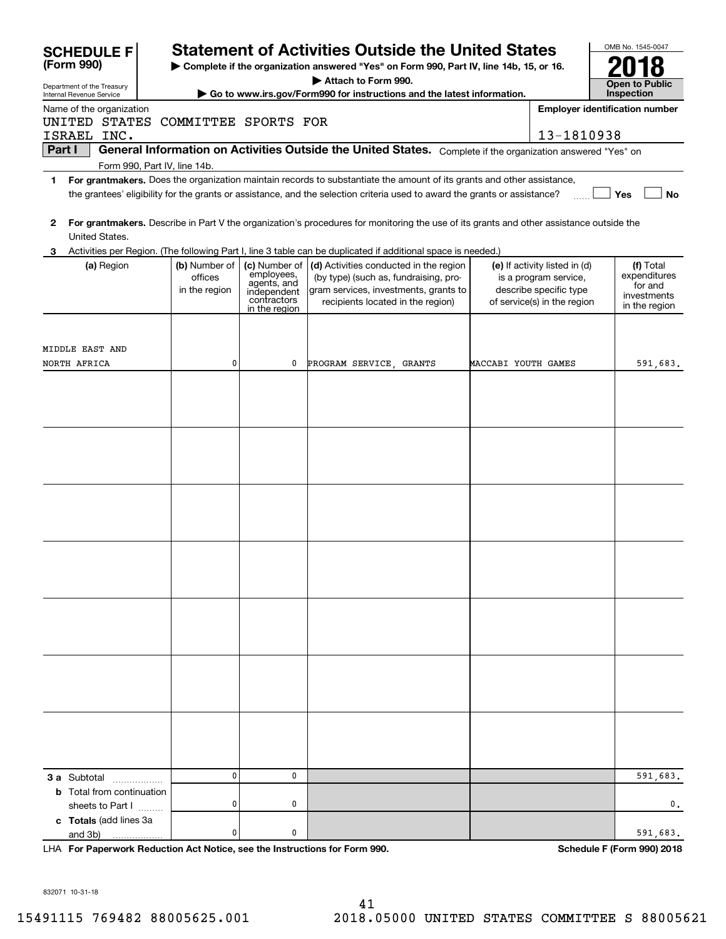|   | <b>SCHEDULE F</b>                                    |                                           |                                                                                           | <b>Statement of Activities Outside the United States</b>                                                                                                                                                                                             |                     |                                                                                                                 | OMB No. 1545-0047                                                    |
|---|------------------------------------------------------|-------------------------------------------|-------------------------------------------------------------------------------------------|------------------------------------------------------------------------------------------------------------------------------------------------------------------------------------------------------------------------------------------------------|---------------------|-----------------------------------------------------------------------------------------------------------------|----------------------------------------------------------------------|
|   | (Form 990)                                           |                                           |                                                                                           | Complete if the organization answered "Yes" on Form 990, Part IV, line 14b, 15, or 16.                                                                                                                                                               |                     |                                                                                                                 |                                                                      |
|   | Department of the Treasury                           |                                           |                                                                                           | Attach to Form 990.                                                                                                                                                                                                                                  |                     |                                                                                                                 | <b>Open to Public</b><br>Inspection                                  |
|   | Internal Revenue Service<br>Name of the organization |                                           |                                                                                           | Go to www.irs.gov/Form990 for instructions and the latest information.                                                                                                                                                                               |                     |                                                                                                                 | <b>Employer identification number</b>                                |
|   | UNITED STATES                                        | COMMITTEE SPORTS FOR                      |                                                                                           |                                                                                                                                                                                                                                                      |                     |                                                                                                                 |                                                                      |
|   | ISRAEL INC.<br>Part I                                |                                           |                                                                                           | General Information on Activities Outside the United States. Complete if the organization answered "Yes" on                                                                                                                                          |                     | 13-1810938                                                                                                      |                                                                      |
|   |                                                      | Form 990, Part IV, line 14b.              |                                                                                           |                                                                                                                                                                                                                                                      |                     |                                                                                                                 |                                                                      |
| 1 |                                                      |                                           |                                                                                           | For grantmakers. Does the organization maintain records to substantiate the amount of its grants and other assistance,<br>the grantees' eligibility for the grants or assistance, and the selection criteria used to award the grants or assistance? |                     |                                                                                                                 | Yes<br>No                                                            |
| 2 | United States.                                       |                                           |                                                                                           | For grantmakers. Describe in Part V the organization's procedures for monitoring the use of its grants and other assistance outside the                                                                                                              |                     |                                                                                                                 |                                                                      |
|   |                                                      |                                           |                                                                                           | Activities per Region. (The following Part I, line 3 table can be duplicated if additional space is needed.)                                                                                                                                         |                     |                                                                                                                 |                                                                      |
|   | (a) Region                                           | (b) Number of<br>offices<br>in the region | (c) Number of<br>employees,<br>agents, and<br>independent<br>contractors<br>in the region | (d) Activities conducted in the region<br>(by type) (such as, fundraising, pro-<br>gram services, investments, grants to<br>recipients located in the region)                                                                                        |                     | (e) If activity listed in (d)<br>is a program service,<br>describe specific type<br>of service(s) in the region | (f) Total<br>expenditures<br>for and<br>investments<br>in the region |
|   | MIDDLE EAST AND                                      |                                           |                                                                                           |                                                                                                                                                                                                                                                      |                     |                                                                                                                 |                                                                      |
|   | NORTH AFRICA                                         | 0                                         | 0                                                                                         | PROGRAM SERVICE, GRANTS                                                                                                                                                                                                                              | MACCABI YOUTH GAMES |                                                                                                                 | 591,683.                                                             |
|   |                                                      |                                           |                                                                                           |                                                                                                                                                                                                                                                      |                     |                                                                                                                 |                                                                      |
|   |                                                      |                                           |                                                                                           |                                                                                                                                                                                                                                                      |                     |                                                                                                                 |                                                                      |
|   |                                                      |                                           |                                                                                           |                                                                                                                                                                                                                                                      |                     |                                                                                                                 |                                                                      |
|   |                                                      |                                           |                                                                                           |                                                                                                                                                                                                                                                      |                     |                                                                                                                 |                                                                      |
|   |                                                      |                                           |                                                                                           |                                                                                                                                                                                                                                                      |                     |                                                                                                                 |                                                                      |
|   |                                                      |                                           |                                                                                           |                                                                                                                                                                                                                                                      |                     |                                                                                                                 |                                                                      |
|   |                                                      |                                           |                                                                                           |                                                                                                                                                                                                                                                      |                     |                                                                                                                 |                                                                      |
|   |                                                      |                                           |                                                                                           |                                                                                                                                                                                                                                                      |                     |                                                                                                                 |                                                                      |
|   |                                                      |                                           |                                                                                           |                                                                                                                                                                                                                                                      |                     |                                                                                                                 |                                                                      |
|   |                                                      |                                           |                                                                                           |                                                                                                                                                                                                                                                      |                     |                                                                                                                 |                                                                      |
|   | <b>3 a</b> Subtotal<br>.                             | 0                                         | 0                                                                                         |                                                                                                                                                                                                                                                      |                     |                                                                                                                 | 591,683.                                                             |
|   | <b>b</b> Total from continuation<br>sheets to Part I | 0                                         | 0                                                                                         |                                                                                                                                                                                                                                                      |                     |                                                                                                                 | 0.                                                                   |
|   | c Totals (add lines 3a<br>and 3b)                    | 0                                         | 0                                                                                         |                                                                                                                                                                                                                                                      |                     |                                                                                                                 | 591,683.                                                             |

**For Paperwork Reduction Act Notice, see the Instructions for Form 990. Schedule F (Form 990) 2018** LHA

832071 10-31-18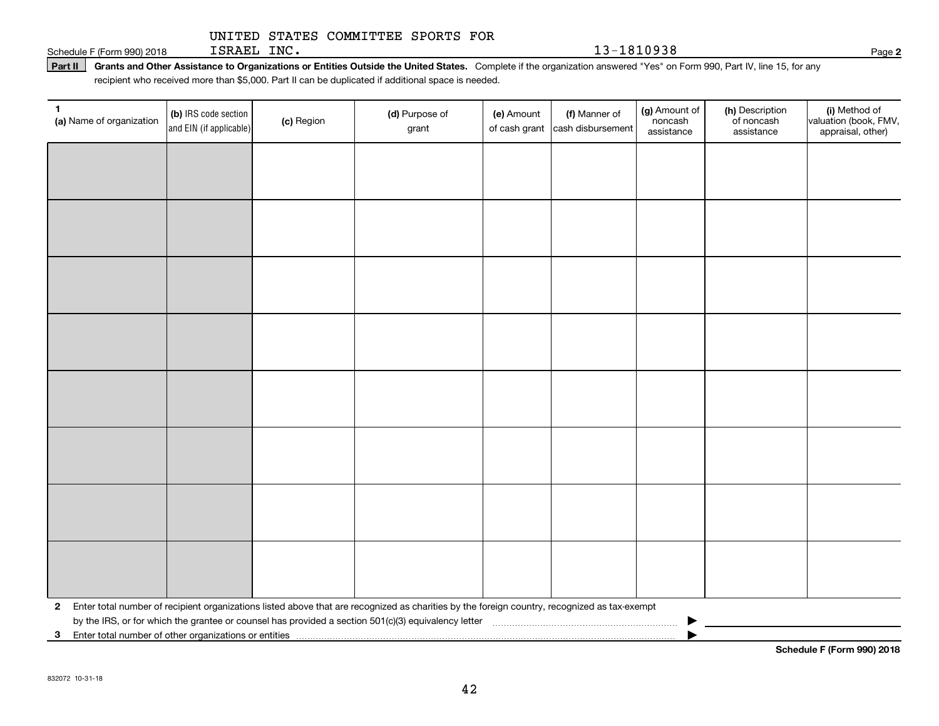Schedule F (Form 990) 2018  $I$ SRAEL INC.  $13-1810938$ ISRAEL INC.

Part II | Grants and Other Assistance to Organizations or Entities Outside the United States. Complete if the organization answered "Yes" on Form 990, Part IV, line 15, for any recipient who received more than \$5,000. Part II can be duplicated if additional space is needed.

| 1<br>(a) Name of organization | (b) IRS code section<br>and EIN (if applicable)         | (c) Region | (d) Purpose of<br>grant                                                                                                                      | (e) Amount | (f) Manner of<br>of cash grant cash disbursement | (g) Amount of<br>noncash<br>assistance | (h) Description<br>of noncash<br>assistance | (i) Method of<br>valuation (book, FMV,<br>appraisal, other) |  |
|-------------------------------|---------------------------------------------------------|------------|----------------------------------------------------------------------------------------------------------------------------------------------|------------|--------------------------------------------------|----------------------------------------|---------------------------------------------|-------------------------------------------------------------|--|
|                               |                                                         |            |                                                                                                                                              |            |                                                  |                                        |                                             |                                                             |  |
|                               |                                                         |            |                                                                                                                                              |            |                                                  |                                        |                                             |                                                             |  |
|                               |                                                         |            |                                                                                                                                              |            |                                                  |                                        |                                             |                                                             |  |
|                               |                                                         |            |                                                                                                                                              |            |                                                  |                                        |                                             |                                                             |  |
|                               |                                                         |            |                                                                                                                                              |            |                                                  |                                        |                                             |                                                             |  |
|                               |                                                         |            |                                                                                                                                              |            |                                                  |                                        |                                             |                                                             |  |
|                               |                                                         |            |                                                                                                                                              |            |                                                  |                                        |                                             |                                                             |  |
|                               |                                                         |            |                                                                                                                                              |            |                                                  |                                        |                                             |                                                             |  |
|                               |                                                         |            |                                                                                                                                              |            |                                                  |                                        |                                             |                                                             |  |
|                               |                                                         |            |                                                                                                                                              |            |                                                  |                                        |                                             |                                                             |  |
|                               |                                                         |            |                                                                                                                                              |            |                                                  |                                        |                                             |                                                             |  |
|                               |                                                         |            |                                                                                                                                              |            |                                                  |                                        |                                             |                                                             |  |
|                               |                                                         |            |                                                                                                                                              |            |                                                  |                                        |                                             |                                                             |  |
|                               |                                                         |            |                                                                                                                                              |            |                                                  |                                        |                                             |                                                             |  |
|                               |                                                         |            |                                                                                                                                              |            |                                                  |                                        |                                             |                                                             |  |
|                               |                                                         |            |                                                                                                                                              |            |                                                  |                                        |                                             |                                                             |  |
| $\mathbf{2}$                  |                                                         |            | Enter total number of recipient organizations listed above that are recognized as charities by the foreign country, recognized as tax-exempt |            |                                                  |                                        |                                             |                                                             |  |
|                               | 3 Enter total number of other organizations or entities |            |                                                                                                                                              |            |                                                  |                                        |                                             |                                                             |  |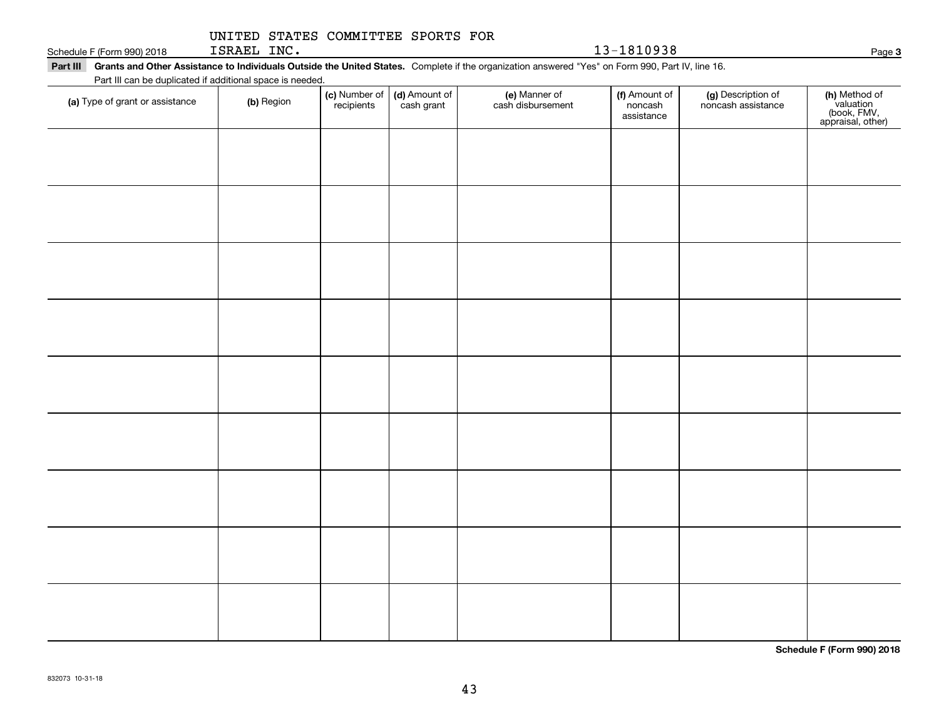## 832073 10-31-18

| Schedule F (Form 990) 2018                                | ISRAEL INC. | 13-1810938                                                                                                                                                | Page |
|-----------------------------------------------------------|-------------|-----------------------------------------------------------------------------------------------------------------------------------------------------------|------|
|                                                           |             | Part III Grants and Other Assistance to Individuals Outside the United States. Complete if the organization answered "Yes" on Form 990, Part IV, line 16. |      |
| Part III can be duplicated if additional space is needed. |             |                                                                                                                                                           |      |

UNITED STATES COMMITTEE SPORTS FOR

| (a) Type of grant or assistance | (b) Region | (c) Number of<br>recipients | (d) Amount of<br>cash grant | (e) Manner of<br>cash disbursement | (f) Amount of<br>noncash<br>assistance | (g) Description of<br>noncash assistance | (h) Method of<br>valuation<br>(book, FMV,<br>appraisal, other) |
|---------------------------------|------------|-----------------------------|-----------------------------|------------------------------------|----------------------------------------|------------------------------------------|----------------------------------------------------------------|
|                                 |            |                             |                             |                                    |                                        |                                          |                                                                |
|                                 |            |                             |                             |                                    |                                        |                                          |                                                                |
|                                 |            |                             |                             |                                    |                                        |                                          |                                                                |
|                                 |            |                             |                             |                                    |                                        |                                          |                                                                |
|                                 |            |                             |                             |                                    |                                        |                                          |                                                                |
|                                 |            |                             |                             |                                    |                                        |                                          |                                                                |
|                                 |            |                             |                             |                                    |                                        |                                          |                                                                |
|                                 |            |                             |                             |                                    |                                        |                                          |                                                                |
|                                 |            |                             |                             |                                    |                                        |                                          |                                                                |
|                                 |            |                             |                             |                                    |                                        |                                          |                                                                |
|                                 |            |                             |                             |                                    |                                        |                                          |                                                                |
|                                 |            |                             |                             |                                    |                                        |                                          | $\sim$ $\sim$ $\sim$ $\sim$                                    |

**Schedule F (Form 990) 2018**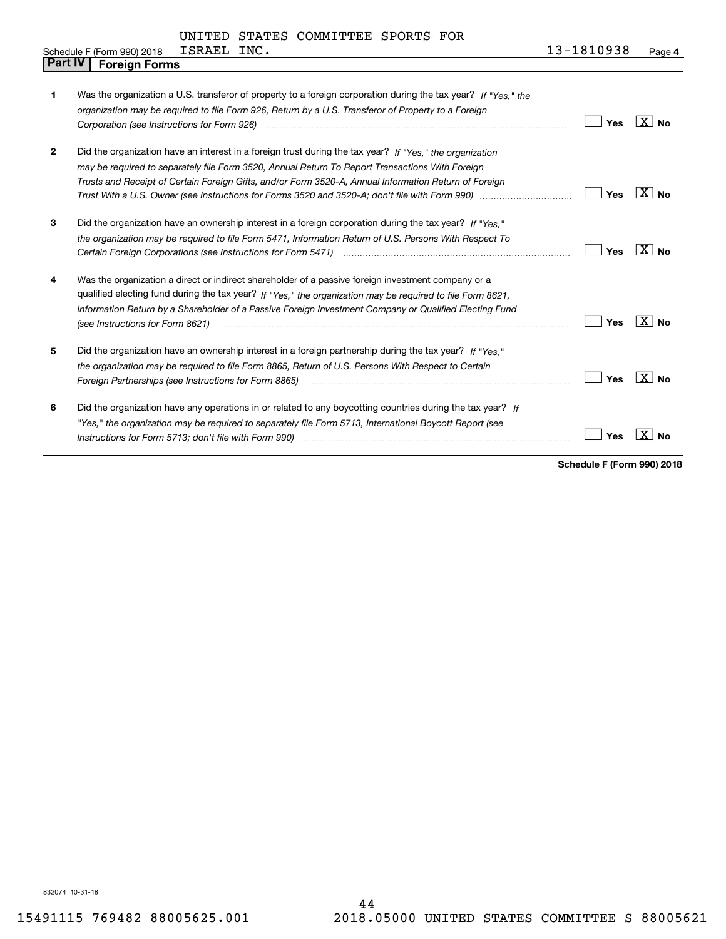|                | ISRAEL INC.<br>Schedule F (Form 990) 2018                                                                                                                                                                                                                                                                                                                      | 13-1810938 | Page 4         |
|----------------|----------------------------------------------------------------------------------------------------------------------------------------------------------------------------------------------------------------------------------------------------------------------------------------------------------------------------------------------------------------|------------|----------------|
| <b>Part IV</b> | <b>Foreign Forms</b>                                                                                                                                                                                                                                                                                                                                           |            |                |
| 1              | Was the organization a U.S. transferor of property to a foreign corporation during the tax year? If "Yes," the<br>organization may be required to file Form 926, Return by a U.S. Transferor of Property to a Foreign                                                                                                                                          | Yes        | $ X $ No       |
| $\mathbf{2}$   | Did the organization have an interest in a foreign trust during the tax year? If "Yes." the organization                                                                                                                                                                                                                                                       |            |                |
|                | may be required to separately file Form 3520, Annual Return To Report Transactions With Foreign<br>Trusts and Receipt of Certain Foreign Gifts, and/or Form 3520-A, Annual Information Return of Foreign                                                                                                                                                       | <b>Yes</b> | $X \mid No$    |
| 3              | Did the organization have an ownership interest in a foreign corporation during the tax year? If "Yes."<br>the organization may be required to file Form 5471, Information Return of U.S. Persons With Respect To                                                                                                                                              | Yes        | $X \mid N_{0}$ |
| 4              | Was the organization a direct or indirect shareholder of a passive foreign investment company or a<br>qualified electing fund during the tax year? If "Yes," the organization may be required to file Form 8621,<br>Information Return by a Shareholder of a Passive Foreign Investment Company or Qualified Electing Fund<br>(see Instructions for Form 8621) | <b>Yes</b> | $X \mid No$    |
| 5              | Did the organization have an ownership interest in a foreign partnership during the tax year? If "Yes."<br>the organization may be required to file Form 8865, Return of U.S. Persons With Respect to Certain                                                                                                                                                  | <b>Yes</b> | $X \mid No$    |
| 6              | Did the organization have any operations in or related to any boycotting countries during the tax year? If<br>"Yes," the organization may be required to separately file Form 5713, International Boycott Report (see                                                                                                                                          | Yes        |                |

**Schedule F (Form 990) 2018**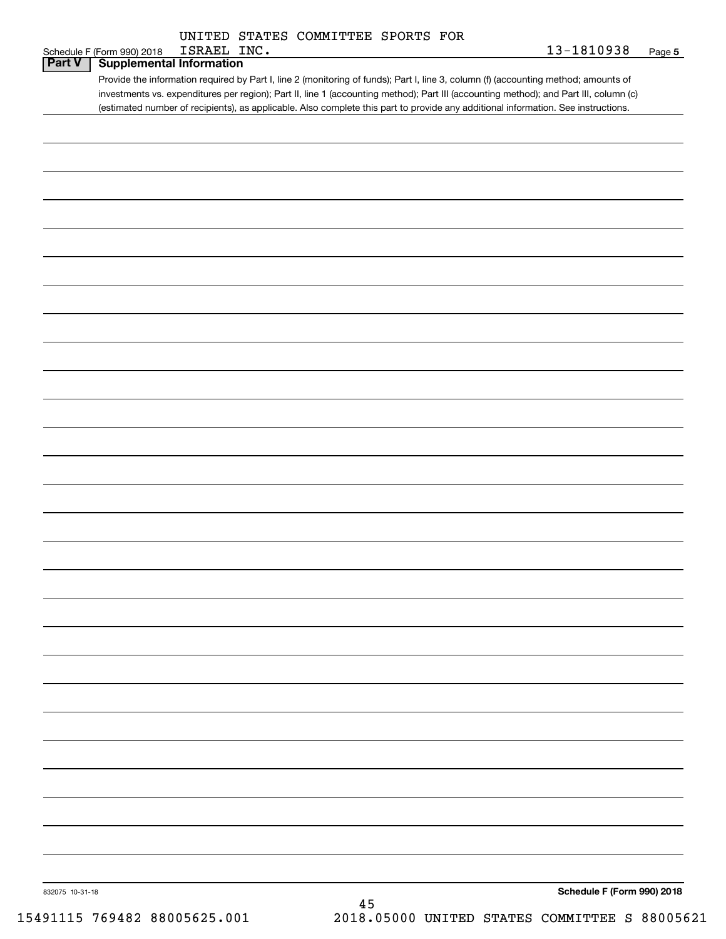|                 | Schedule F (Form 990) 2018      | ISRAEL INC. |    | 13-1810938                                                                                                                                                                                                                                                                 | Page 5 |
|-----------------|---------------------------------|-------------|----|----------------------------------------------------------------------------------------------------------------------------------------------------------------------------------------------------------------------------------------------------------------------------|--------|
| Part V          | <b>Supplemental Information</b> |             |    |                                                                                                                                                                                                                                                                            |        |
|                 |                                 |             |    | Provide the information required by Part I, line 2 (monitoring of funds); Part I, line 3, column (f) (accounting method; amounts of                                                                                                                                        |        |
|                 |                                 |             |    | investments vs. expenditures per region); Part II, line 1 (accounting method); Part III (accounting method); and Part III, column (c)<br>(estimated number of recipients), as applicable. Also complete this part to provide any additional information. See instructions. |        |
|                 |                                 |             |    |                                                                                                                                                                                                                                                                            |        |
|                 |                                 |             |    |                                                                                                                                                                                                                                                                            |        |
|                 |                                 |             |    |                                                                                                                                                                                                                                                                            |        |
|                 |                                 |             |    |                                                                                                                                                                                                                                                                            |        |
|                 |                                 |             |    |                                                                                                                                                                                                                                                                            |        |
|                 |                                 |             |    |                                                                                                                                                                                                                                                                            |        |
|                 |                                 |             |    |                                                                                                                                                                                                                                                                            |        |
|                 |                                 |             |    |                                                                                                                                                                                                                                                                            |        |
|                 |                                 |             |    |                                                                                                                                                                                                                                                                            |        |
|                 |                                 |             |    |                                                                                                                                                                                                                                                                            |        |
|                 |                                 |             |    |                                                                                                                                                                                                                                                                            |        |
|                 |                                 |             |    |                                                                                                                                                                                                                                                                            |        |
|                 |                                 |             |    |                                                                                                                                                                                                                                                                            |        |
|                 |                                 |             |    |                                                                                                                                                                                                                                                                            |        |
|                 |                                 |             |    |                                                                                                                                                                                                                                                                            |        |
|                 |                                 |             |    |                                                                                                                                                                                                                                                                            |        |
|                 |                                 |             |    |                                                                                                                                                                                                                                                                            |        |
|                 |                                 |             |    |                                                                                                                                                                                                                                                                            |        |
|                 |                                 |             |    |                                                                                                                                                                                                                                                                            |        |
|                 |                                 |             |    |                                                                                                                                                                                                                                                                            |        |
|                 |                                 |             |    |                                                                                                                                                                                                                                                                            |        |
|                 |                                 |             |    |                                                                                                                                                                                                                                                                            |        |
|                 |                                 |             |    |                                                                                                                                                                                                                                                                            |        |
|                 |                                 |             |    |                                                                                                                                                                                                                                                                            |        |
|                 |                                 |             |    |                                                                                                                                                                                                                                                                            |        |
|                 |                                 |             |    |                                                                                                                                                                                                                                                                            |        |
|                 |                                 |             |    |                                                                                                                                                                                                                                                                            |        |
|                 |                                 |             |    |                                                                                                                                                                                                                                                                            |        |
|                 |                                 |             |    |                                                                                                                                                                                                                                                                            |        |
|                 |                                 |             |    |                                                                                                                                                                                                                                                                            |        |
|                 |                                 |             |    |                                                                                                                                                                                                                                                                            |        |
|                 |                                 |             |    |                                                                                                                                                                                                                                                                            |        |
|                 |                                 |             |    |                                                                                                                                                                                                                                                                            |        |
|                 |                                 |             |    |                                                                                                                                                                                                                                                                            |        |
|                 |                                 |             |    |                                                                                                                                                                                                                                                                            |        |
|                 |                                 |             |    |                                                                                                                                                                                                                                                                            |        |
|                 |                                 |             |    |                                                                                                                                                                                                                                                                            |        |
|                 |                                 |             |    |                                                                                                                                                                                                                                                                            |        |
|                 |                                 |             |    |                                                                                                                                                                                                                                                                            |        |
|                 |                                 |             |    |                                                                                                                                                                                                                                                                            |        |
|                 |                                 |             |    |                                                                                                                                                                                                                                                                            |        |
|                 |                                 |             |    |                                                                                                                                                                                                                                                                            |        |
|                 |                                 |             |    |                                                                                                                                                                                                                                                                            |        |
| 832075 10-31-18 |                                 |             |    | Schedule F (Form 990) 2018                                                                                                                                                                                                                                                 |        |
|                 |                                 |             | 45 |                                                                                                                                                                                                                                                                            |        |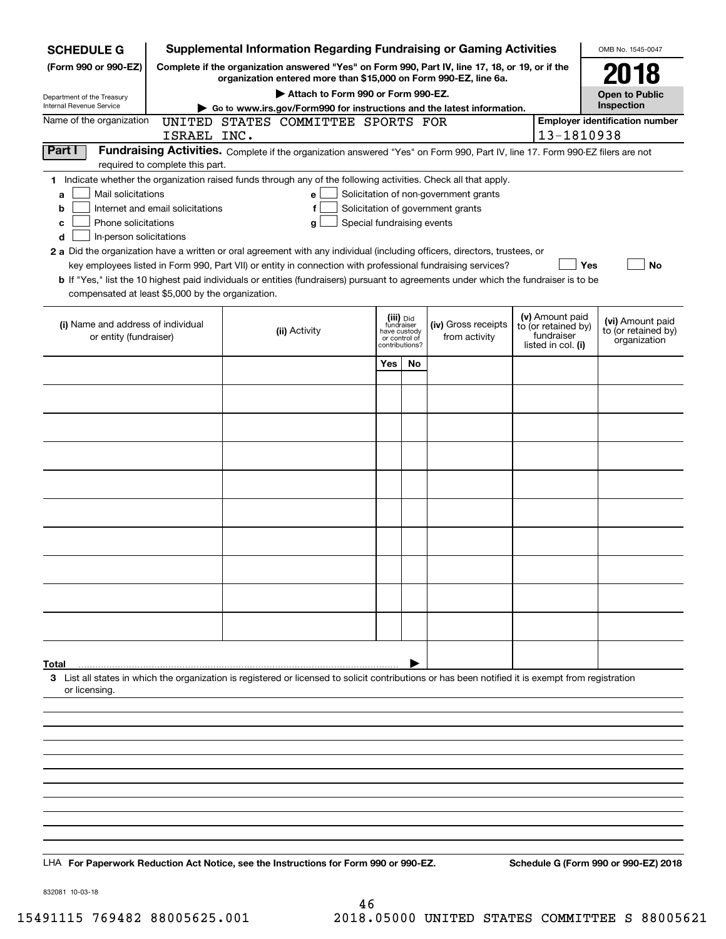| <b>SCHEDULE G</b>                                                                                                                                           |                                  | <b>Supplemental Information Regarding Fundraising or Gaming Activities</b>                                                                   |                                         |    |                                                                            |                                   | OMB No. 1545-0047                       |
|-------------------------------------------------------------------------------------------------------------------------------------------------------------|----------------------------------|----------------------------------------------------------------------------------------------------------------------------------------------|-----------------------------------------|----|----------------------------------------------------------------------------|-----------------------------------|-----------------------------------------|
| (Form 990 or 990-EZ)                                                                                                                                        |                                  | Complete if the organization answered "Yes" on Form 990, Part IV, line 17, 18, or 19, or if the                                              |                                         |    |                                                                            |                                   | 2018                                    |
|                                                                                                                                                             |                                  | organization entered more than \$15,000 on Form 990-EZ, line 6a.<br>Attach to Form 990 or Form 990-EZ.                                       |                                         |    |                                                                            |                                   | <b>Open to Public</b>                   |
| Department of the Treasury<br>Internal Revenue Service                                                                                                      |                                  | Go to www.irs.gov/Form990 for instructions and the latest information.                                                                       |                                         |    |                                                                            |                                   | Inspection                              |
| Name of the organization                                                                                                                                    | ISRAEL INC.                      | UNITED STATES COMMITTEE SPORTS FOR                                                                                                           |                                         |    |                                                                            | 13-1810938                        | <b>Employer identification number</b>   |
| Part I                                                                                                                                                      |                                  | Fundraising Activities. Complete if the organization answered "Yes" on Form 990, Part IV, line 17. Form 990-EZ filers are not                |                                         |    |                                                                            |                                   |                                         |
|                                                                                                                                                             | required to complete this part.  |                                                                                                                                              |                                         |    |                                                                            |                                   |                                         |
| 1 Indicate whether the organization raised funds through any of the following activities. Check all that apply.                                             |                                  |                                                                                                                                              |                                         |    |                                                                            |                                   |                                         |
| Mail solicitations<br>a<br>b                                                                                                                                | Internet and email solicitations | e<br>f                                                                                                                                       |                                         |    | Solicitation of non-government grants<br>Solicitation of government grants |                                   |                                         |
| Phone solicitations<br>с                                                                                                                                    |                                  | Special fundraising events<br>g                                                                                                              |                                         |    |                                                                            |                                   |                                         |
| In-person solicitations<br>d                                                                                                                                |                                  |                                                                                                                                              |                                         |    |                                                                            |                                   |                                         |
| 2 a Did the organization have a written or oral agreement with any individual (including officers, directors, trustees, or                                  |                                  |                                                                                                                                              |                                         |    |                                                                            |                                   |                                         |
|                                                                                                                                                             |                                  | key employees listed in Form 990, Part VII) or entity in connection with professional fundraising services?                                  |                                         |    |                                                                            | Yes                               | No                                      |
| compensated at least \$5,000 by the organization.                                                                                                           |                                  | <b>b</b> If "Yes," list the 10 highest paid individuals or entities (fundraisers) pursuant to agreements under which the fundraiser is to be |                                         |    |                                                                            |                                   |                                         |
|                                                                                                                                                             |                                  |                                                                                                                                              |                                         |    |                                                                            | (v) Amount paid                   |                                         |
| (i) Name and address of individual                                                                                                                          |                                  | (ii) Activity                                                                                                                                | (iii) Did<br>fundraiser<br>have custody |    | (iv) Gross receipts                                                        | to (or retained by)<br>fundraiser | (vi) Amount paid<br>to (or retained by) |
| or entity (fundraiser)                                                                                                                                      |                                  |                                                                                                                                              | or control of<br>contributions?         |    | from activity                                                              | listed in col. (i)                | organization                            |
|                                                                                                                                                             |                                  |                                                                                                                                              | Yes                                     | No |                                                                            |                                   |                                         |
|                                                                                                                                                             |                                  |                                                                                                                                              |                                         |    |                                                                            |                                   |                                         |
|                                                                                                                                                             |                                  |                                                                                                                                              |                                         |    |                                                                            |                                   |                                         |
|                                                                                                                                                             |                                  |                                                                                                                                              |                                         |    |                                                                            |                                   |                                         |
|                                                                                                                                                             |                                  |                                                                                                                                              |                                         |    |                                                                            |                                   |                                         |
|                                                                                                                                                             |                                  |                                                                                                                                              |                                         |    |                                                                            |                                   |                                         |
|                                                                                                                                                             |                                  |                                                                                                                                              |                                         |    |                                                                            |                                   |                                         |
|                                                                                                                                                             |                                  |                                                                                                                                              |                                         |    |                                                                            |                                   |                                         |
|                                                                                                                                                             |                                  |                                                                                                                                              |                                         |    |                                                                            |                                   |                                         |
|                                                                                                                                                             |                                  |                                                                                                                                              |                                         |    |                                                                            |                                   |                                         |
|                                                                                                                                                             |                                  |                                                                                                                                              |                                         |    |                                                                            |                                   |                                         |
|                                                                                                                                                             |                                  |                                                                                                                                              |                                         |    |                                                                            |                                   |                                         |
|                                                                                                                                                             |                                  |                                                                                                                                              |                                         |    |                                                                            |                                   |                                         |
|                                                                                                                                                             |                                  |                                                                                                                                              |                                         |    |                                                                            |                                   |                                         |
|                                                                                                                                                             |                                  |                                                                                                                                              |                                         |    |                                                                            |                                   |                                         |
|                                                                                                                                                             |                                  |                                                                                                                                              |                                         |    |                                                                            |                                   |                                         |
| Total<br>3 List all states in which the organization is registered or licensed to solicit contributions or has been notified it is exempt from registration |                                  |                                                                                                                                              |                                         |    |                                                                            |                                   |                                         |
| or licensing.                                                                                                                                               |                                  |                                                                                                                                              |                                         |    |                                                                            |                                   |                                         |
|                                                                                                                                                             |                                  |                                                                                                                                              |                                         |    |                                                                            |                                   |                                         |
|                                                                                                                                                             |                                  |                                                                                                                                              |                                         |    |                                                                            |                                   |                                         |
|                                                                                                                                                             |                                  |                                                                                                                                              |                                         |    |                                                                            |                                   |                                         |
|                                                                                                                                                             |                                  |                                                                                                                                              |                                         |    |                                                                            |                                   |                                         |
|                                                                                                                                                             |                                  |                                                                                                                                              |                                         |    |                                                                            |                                   |                                         |
|                                                                                                                                                             |                                  |                                                                                                                                              |                                         |    |                                                                            |                                   |                                         |
|                                                                                                                                                             |                                  |                                                                                                                                              |                                         |    |                                                                            |                                   |                                         |
|                                                                                                                                                             |                                  |                                                                                                                                              |                                         |    |                                                                            |                                   |                                         |
| LHA For Paperwork Reduction Act Notice, see the Instructions for Form 990 or 990-EZ.                                                                        |                                  |                                                                                                                                              |                                         |    |                                                                            |                                   | Schedule G (Form 990 or 990-EZ) 2018    |

832081 10-03-18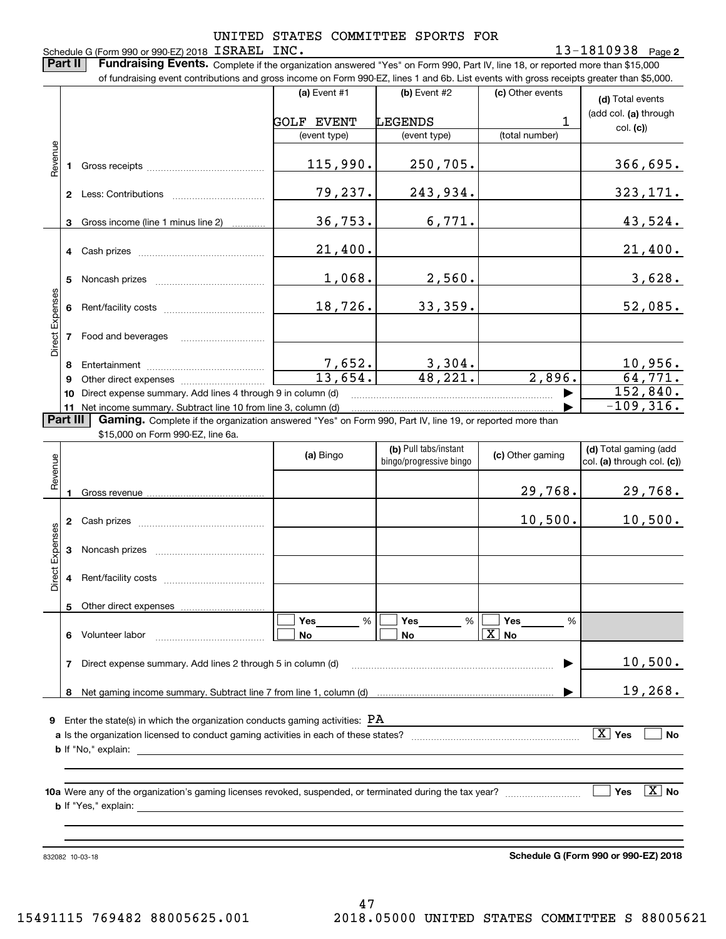13-1810938 Page 2

UNITED STATES COMMITTEE SPORTS FOR Schedule G (Form 990 or 990-EZ) 2018 Page ISRAEL INC. 13-1810938 **Part II** | Fundraising Events. Complete if the organization answered "Yes" on Form 990, Part IV, line 18, or reported more than \$15,000 of fundraising event contributions and gross income on Form 990-EZ, lines 1 and 6b. List events with gross receipts greater than \$5,000. **(a)** Event #1  $\vert$  **(b)** Event #2 (c) Other events **(d)**  Total events (add col. **(a)** through GOLF EVENT LEGENDS 1 col. **(c)**) (event type) (event type) (total number) Revenue Revenue 115,990. 250,705. 366,695. **1**Gross receipts 79,237. 243,934. 323,171. **2** Less: Contributions ................................ 36,753. Gross income (line 1 minus line 2) 6,771. 43,524. **3**. . . . . . . . . . . . 21,400. 21,400. **4** Cash prizes <sub>……………………………………</sub> 1,068. 2,560. 3,628. **5** Noncash prizes \_\_\_\_\_\_\_\_\_\_\_\_\_\_\_\_\_\_\_\_\_\_\_\_\_\_\_\_ Direct Expenses Direct Expense: 18,726. 33,359. 52,085. **6**Rent/facility costs ~~~~~~~~~~~~**7**Food and beverages 3,304. 7,652. 10,956. **8**Entertainment <sub>……………………………………</sub> 13,654. 48,221. 2,896. 64,771. Other direct expenses ~~~~~~~~~~ **9**152,840.  $\blacktriangleright$ **10** Direct expense summary. Add lines 4 through 9 in column (d) -109,316. …… ▶ **11** Net income summary. Subtract line 10 from line 3, column (d) **Part III | Gaming.** Complete if the organization answered "Yes" on Form 990, Part IV, line 19, or reported more than \$15,000 on Form 990-EZ, line 6a. **(b)**  Pull tabs/instant **(d)**  Total gaming (add **(a)**  Revenue Bingo **Contract of Contract Contract Contract Contract Contract Contract Contract Contract Contract Contract Contract Contract Contract Contract Contract Contract Contract Contract Contract Contract Contract Contract Contr** Revenue bingo/progressive bingo col. **(a)** through col. **(c)**) 29,768. 29,768. **1**Gross revenue 10,500. 10,500. **2** Cash prizes <sub>……………………………………</sub> Direct Expenses Direct Expenses **3**Noncash prizes **4**Rent/facility costs ~~~~~~~~~~~~**5**Other direct expenses  $\boxed{\Box}$  Yes \_\_\_\_\_\_\_ %  $\boxed{\Box}$  Yes \_\_\_\_\_\_\_ %  $\boxed{\Box}$  $\mathcal{L}^{\text{max}}$ %**Yes Yes Yes** % %  $\overline{\mathbf{X}}$   $\mathcal{L}^{\text{max}}$ **6** Volunteer labor **No No No** Direct expense summary. Add lines 2 through 5 in column (d) 10,500. **7** | 19,268. …… ▶ **8**Net gaming income summary. Subtract line 7 from line 1, column (d) **9**Enter the state(s) in which the organization conducts gaming activities: PA **Yes** X **No a**Is the organization licensed to conduct gaming activities in each of these states? ~~~~~~~~~~~~~~~~~~~~**b**If "No," explain: **Yes** es  $|\,\texttt{X}\,|$  No **10a**Were any of the organization's gaming licenses revoked, suspended, or terminated during the tax year? **b** If "Yes," explain:

832082 10-03-18

**Schedule G (Form 990 or 990-EZ) 2018**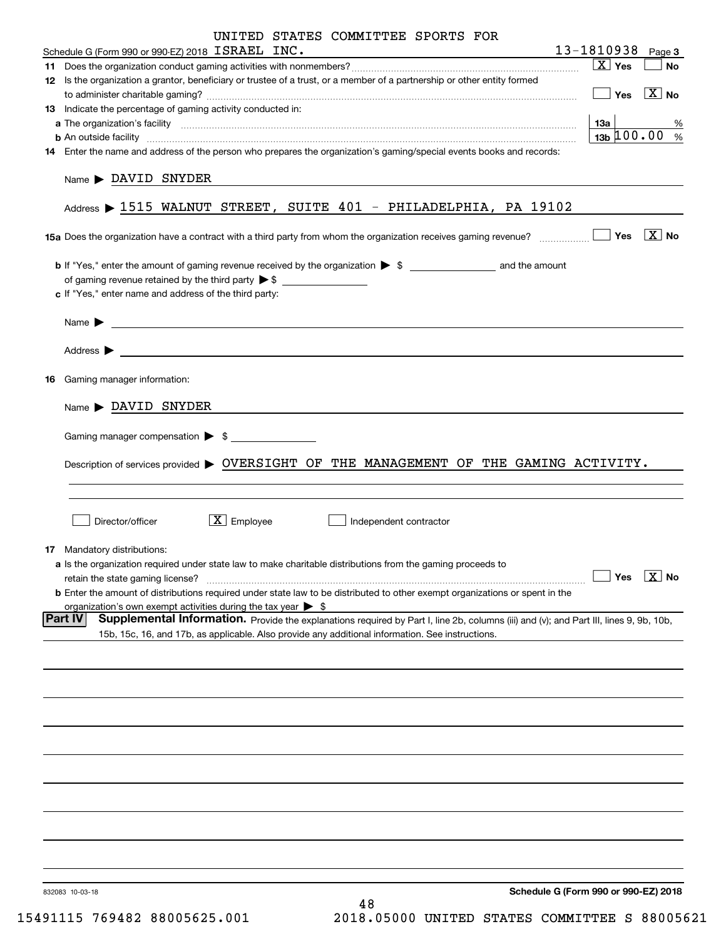|                                                                                                                                                                                                                                                              | UNITED STATES COMMITTEE SPORTS FOR |                                      |                         |
|--------------------------------------------------------------------------------------------------------------------------------------------------------------------------------------------------------------------------------------------------------------|------------------------------------|--------------------------------------|-------------------------|
| Schedule G (Form 990 or 990-EZ) 2018 ISRAEL INC.                                                                                                                                                                                                             |                                    | 13-1810938                           | Page 3                  |
|                                                                                                                                                                                                                                                              |                                    | $\boxed{\text{X}}$ Yes               | <b>No</b>               |
| 12 Is the organization a grantor, beneficiary or trustee of a trust, or a member of a partnership or other entity formed                                                                                                                                     |                                    |                                      |                         |
|                                                                                                                                                                                                                                                              |                                    | Yes                                  | $\boxed{\text{X}}$ No   |
| 13 Indicate the percentage of gaming activity conducted in:                                                                                                                                                                                                  |                                    |                                      |                         |
| a The organization's facility <b>continuum continuum continuum continuum continuum continuum continuum continuum</b>                                                                                                                                         |                                    | 13а                                  | %                       |
| <b>b</b> An outside facility <i>www.communicality www.communicality.communicality www.communicality www.communicality.com</i>                                                                                                                                |                                    | $13b \, 100.00$                      | %                       |
| 14 Enter the name and address of the person who prepares the organization's gaming/special events books and records:<br>Name > DAVID SNYDER                                                                                                                  |                                    |                                      |                         |
| Address > 1515 WALNUT STREET, SUITE 401 - PHILADELPHIA, PA 19102                                                                                                                                                                                             |                                    |                                      |                         |
| 15a Does the organization have a contract with a third party from whom the organization receives gaming revenue?                                                                                                                                             |                                    | Yes                                  | $\boxed{\text{X}}$ No   |
| of gaming revenue retained by the third party $\triangleright$ \$<br>c If "Yes," enter name and address of the third party:                                                                                                                                  |                                    |                                      |                         |
| Name $\blacktriangleright$                                                                                                                                                                                                                                   |                                    |                                      |                         |
| Address $\blacktriangleright$                                                                                                                                                                                                                                |                                    |                                      |                         |
| Gaming manager information:<br>16                                                                                                                                                                                                                            |                                    |                                      |                         |
| Name > DAVID SNYDER                                                                                                                                                                                                                                          |                                    |                                      |                         |
| Gaming manager compensation $\triangleright$ \$                                                                                                                                                                                                              |                                    |                                      |                         |
| Description of services provided > OVERSIGHT OF THE MANAGEMENT OF THE GAMING ACTIVITY.                                                                                                                                                                       |                                    |                                      |                         |
|                                                                                                                                                                                                                                                              |                                    |                                      |                         |
| $X$ Employee<br>Director/officer                                                                                                                                                                                                                             | Independent contractor             |                                      |                         |
| <b>17</b> Mandatory distributions:                                                                                                                                                                                                                           |                                    |                                      |                         |
| a Is the organization required under state law to make charitable distributions from the gaming proceeds to                                                                                                                                                  |                                    |                                      |                         |
| retain the state gaming license?                                                                                                                                                                                                                             |                                    | <b>Yes</b>                           | $\boxed{\mathbf{X}}$ No |
| <b>b</b> Enter the amount of distributions required under state law to be distributed to other exempt organizations or spent in the                                                                                                                          |                                    |                                      |                         |
| organization's own exempt activities during the tax year $\triangleright$ \$                                                                                                                                                                                 |                                    |                                      |                         |
| <b>Part IV</b><br>Supplemental Information. Provide the explanations required by Part I, line 2b, columns (iii) and (v); and Part III, lines 9, 9b, 10b,<br>15b, 15c, 16, and 17b, as applicable. Also provide any additional information. See instructions. |                                    |                                      |                         |
|                                                                                                                                                                                                                                                              |                                    |                                      |                         |
|                                                                                                                                                                                                                                                              |                                    |                                      |                         |
|                                                                                                                                                                                                                                                              |                                    |                                      |                         |
|                                                                                                                                                                                                                                                              |                                    |                                      |                         |
|                                                                                                                                                                                                                                                              |                                    |                                      |                         |
|                                                                                                                                                                                                                                                              |                                    |                                      |                         |
|                                                                                                                                                                                                                                                              |                                    |                                      |                         |
|                                                                                                                                                                                                                                                              |                                    |                                      |                         |
|                                                                                                                                                                                                                                                              |                                    |                                      |                         |
|                                                                                                                                                                                                                                                              |                                    | Schedule G (Form 990 or 990-EZ) 2018 |                         |
| 832083 10-03-18                                                                                                                                                                                                                                              | 48                                 |                                      |                         |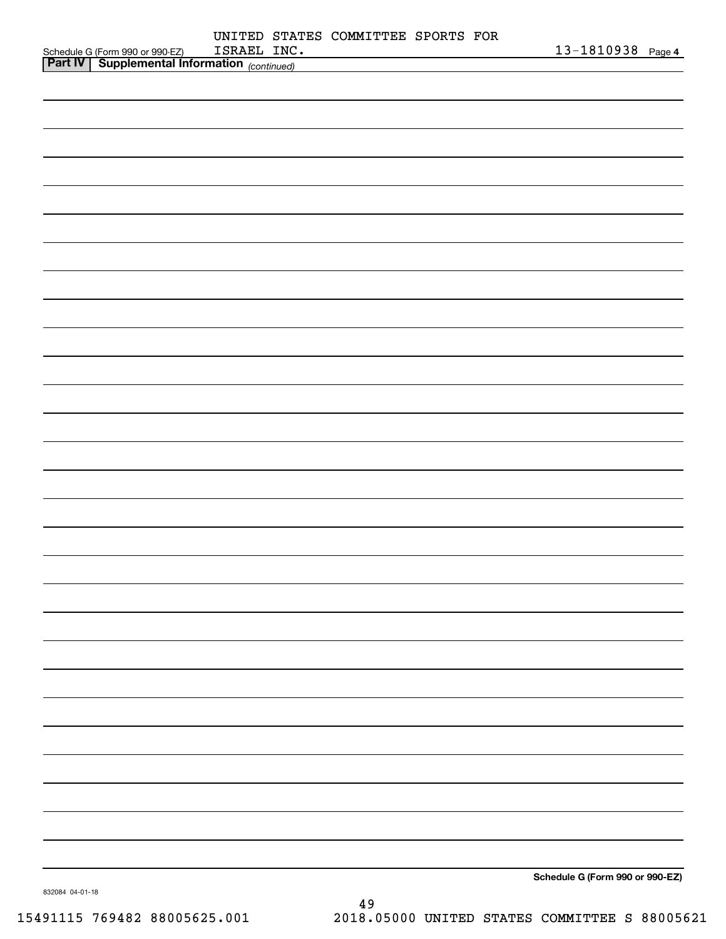|                        |                                                                                            | ISRAEL INC. | UNITED STATES COMMITTEE SPORTS FOR |  | 13-1810938 Page 4               |  |
|------------------------|--------------------------------------------------------------------------------------------|-------------|------------------------------------|--|---------------------------------|--|
|                        | Schedule G (Form 990 or 990-EZ) ISRAEL INC<br>Part IV Supplemental Information (continued) |             |                                    |  |                                 |  |
|                        |                                                                                            |             |                                    |  |                                 |  |
|                        |                                                                                            |             |                                    |  |                                 |  |
|                        |                                                                                            |             |                                    |  |                                 |  |
|                        |                                                                                            |             |                                    |  |                                 |  |
|                        |                                                                                            |             |                                    |  |                                 |  |
|                        |                                                                                            |             |                                    |  |                                 |  |
|                        |                                                                                            |             |                                    |  |                                 |  |
|                        |                                                                                            |             |                                    |  |                                 |  |
|                        |                                                                                            |             |                                    |  |                                 |  |
|                        |                                                                                            |             |                                    |  |                                 |  |
|                        |                                                                                            |             |                                    |  |                                 |  |
|                        |                                                                                            |             |                                    |  |                                 |  |
|                        |                                                                                            |             |                                    |  |                                 |  |
|                        |                                                                                            |             |                                    |  |                                 |  |
|                        |                                                                                            |             |                                    |  |                                 |  |
|                        |                                                                                            |             |                                    |  |                                 |  |
|                        |                                                                                            |             |                                    |  |                                 |  |
|                        |                                                                                            |             |                                    |  |                                 |  |
|                        |                                                                                            |             |                                    |  |                                 |  |
|                        |                                                                                            |             |                                    |  |                                 |  |
|                        |                                                                                            |             |                                    |  |                                 |  |
|                        |                                                                                            |             |                                    |  |                                 |  |
|                        |                                                                                            |             |                                    |  |                                 |  |
|                        |                                                                                            |             |                                    |  |                                 |  |
|                        |                                                                                            |             |                                    |  |                                 |  |
|                        |                                                                                            |             |                                    |  |                                 |  |
|                        |                                                                                            |             |                                    |  |                                 |  |
|                        |                                                                                            |             |                                    |  |                                 |  |
|                        |                                                                                            |             |                                    |  |                                 |  |
|                        |                                                                                            |             |                                    |  |                                 |  |
|                        |                                                                                            |             |                                    |  |                                 |  |
|                        |                                                                                            |             |                                    |  |                                 |  |
|                        |                                                                                            |             |                                    |  |                                 |  |
|                        |                                                                                            |             |                                    |  |                                 |  |
|                        |                                                                                            |             |                                    |  |                                 |  |
|                        |                                                                                            |             |                                    |  |                                 |  |
|                        |                                                                                            |             |                                    |  |                                 |  |
|                        |                                                                                            |             |                                    |  |                                 |  |
|                        |                                                                                            |             |                                    |  |                                 |  |
|                        |                                                                                            |             |                                    |  |                                 |  |
|                        |                                                                                            |             |                                    |  |                                 |  |
|                        |                                                                                            |             |                                    |  |                                 |  |
|                        |                                                                                            |             |                                    |  |                                 |  |
|                        |                                                                                            |             |                                    |  |                                 |  |
|                        |                                                                                            |             |                                    |  |                                 |  |
|                        |                                                                                            |             |                                    |  |                                 |  |
|                        |                                                                                            |             |                                    |  |                                 |  |
|                        |                                                                                            |             |                                    |  |                                 |  |
|                        |                                                                                            |             |                                    |  |                                 |  |
|                        |                                                                                            |             |                                    |  |                                 |  |
|                        |                                                                                            |             |                                    |  |                                 |  |
|                        |                                                                                            |             |                                    |  |                                 |  |
|                        |                                                                                            |             |                                    |  |                                 |  |
|                        |                                                                                            |             |                                    |  |                                 |  |
|                        |                                                                                            |             |                                    |  | Schedule G (Form 990 or 990-EZ) |  |
| <b>932094 04-01-19</b> |                                                                                            |             |                                    |  |                                 |  |

832084 04-01-18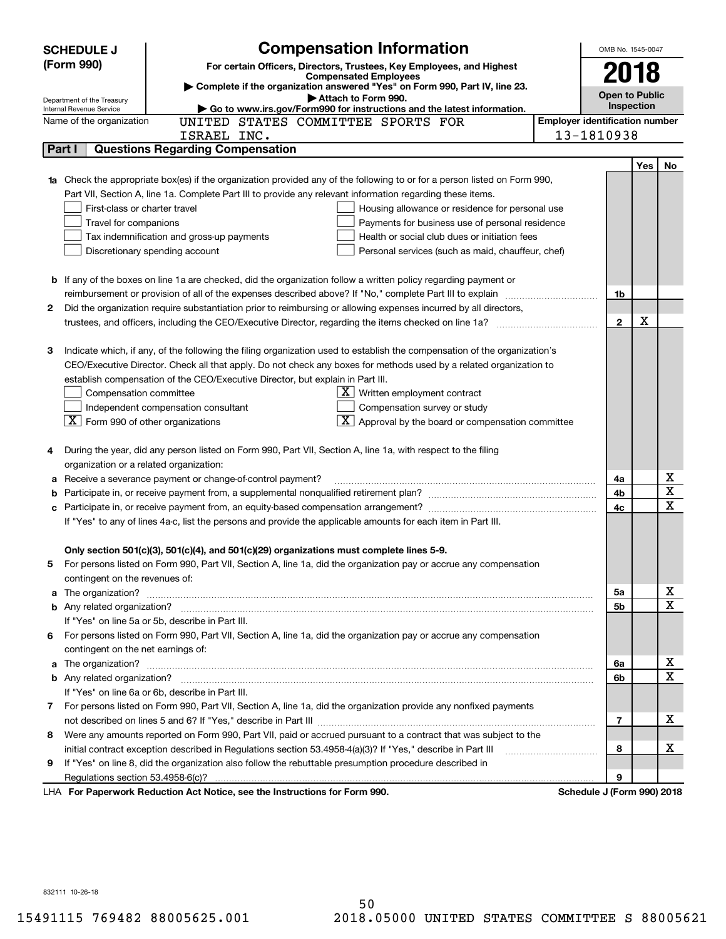|    | <b>SCHEDULE J</b>                                      | <b>Compensation Information</b>                                                                                                                                                                                                      |                                       | OMB No. 1545-0047          |     |                              |
|----|--------------------------------------------------------|--------------------------------------------------------------------------------------------------------------------------------------------------------------------------------------------------------------------------------------|---------------------------------------|----------------------------|-----|------------------------------|
|    | (Form 990)                                             | For certain Officers, Directors, Trustees, Key Employees, and Highest                                                                                                                                                                |                                       |                            |     |                              |
|    |                                                        | <b>Compensated Employees</b>                                                                                                                                                                                                         |                                       | 2018                       |     |                              |
|    |                                                        | Complete if the organization answered "Yes" on Form 990, Part IV, line 23.<br>Attach to Form 990.                                                                                                                                    |                                       | <b>Open to Public</b>      |     |                              |
|    | Department of the Treasury<br>Internal Revenue Service | Go to www.irs.gov/Form990 for instructions and the latest information.                                                                                                                                                               |                                       | Inspection                 |     |                              |
|    | Name of the organization                               | UNITED STATES COMMITTEE SPORTS FOR                                                                                                                                                                                                   | <b>Employer identification number</b> |                            |     |                              |
|    |                                                        | ISRAEL INC.                                                                                                                                                                                                                          |                                       | 13-1810938                 |     |                              |
|    | Part I                                                 | <b>Questions Regarding Compensation</b>                                                                                                                                                                                              |                                       |                            |     |                              |
|    |                                                        |                                                                                                                                                                                                                                      |                                       |                            | Yes | No                           |
|    |                                                        | <b>1a</b> Check the appropriate box(es) if the organization provided any of the following to or for a person listed on Form 990,                                                                                                     |                                       |                            |     |                              |
|    |                                                        | Part VII, Section A, line 1a. Complete Part III to provide any relevant information regarding these items.                                                                                                                           |                                       |                            |     |                              |
|    | First-class or charter travel                          | Housing allowance or residence for personal use                                                                                                                                                                                      |                                       |                            |     |                              |
|    | Travel for companions                                  | Payments for business use of personal residence                                                                                                                                                                                      |                                       |                            |     |                              |
|    |                                                        | Tax indemnification and gross-up payments<br>Health or social club dues or initiation fees                                                                                                                                           |                                       |                            |     |                              |
|    |                                                        | Discretionary spending account<br>Personal services (such as maid, chauffeur, chef)                                                                                                                                                  |                                       |                            |     |                              |
|    |                                                        |                                                                                                                                                                                                                                      |                                       |                            |     |                              |
|    |                                                        | <b>b</b> If any of the boxes on line 1a are checked, did the organization follow a written policy regarding payment or                                                                                                               |                                       |                            |     |                              |
|    |                                                        | reimbursement or provision of all of the expenses described above? If "No," complete Part III to explain                                                                                                                             |                                       | 1b                         |     |                              |
| 2  |                                                        | Did the organization require substantiation prior to reimbursing or allowing expenses incurred by all directors,                                                                                                                     |                                       |                            |     |                              |
|    |                                                        |                                                                                                                                                                                                                                      |                                       | $\mathbf{2}$               | х   |                              |
|    |                                                        |                                                                                                                                                                                                                                      |                                       |                            |     |                              |
| З  |                                                        | Indicate which, if any, of the following the filing organization used to establish the compensation of the organization's                                                                                                            |                                       |                            |     |                              |
|    |                                                        | CEO/Executive Director. Check all that apply. Do not check any boxes for methods used by a related organization to                                                                                                                   |                                       |                            |     |                              |
|    |                                                        | establish compensation of the CEO/Executive Director, but explain in Part III.                                                                                                                                                       |                                       |                            |     |                              |
|    | Compensation committee                                 | $X$ Written employment contract                                                                                                                                                                                                      |                                       |                            |     |                              |
|    |                                                        | Compensation survey or study<br>Independent compensation consultant                                                                                                                                                                  |                                       |                            |     |                              |
|    | $\boxed{\textbf{X}}$ Form 990 of other organizations   | Approval by the board or compensation committee                                                                                                                                                                                      |                                       |                            |     |                              |
|    |                                                        |                                                                                                                                                                                                                                      |                                       |                            |     |                              |
|    |                                                        | During the year, did any person listed on Form 990, Part VII, Section A, line 1a, with respect to the filing                                                                                                                         |                                       |                            |     |                              |
|    | organization or a related organization:                |                                                                                                                                                                                                                                      |                                       |                            |     |                              |
|    |                                                        | Receive a severance payment or change-of-control payment?                                                                                                                                                                            |                                       | 4a                         |     | х<br>$\overline{\textbf{X}}$ |
|    |                                                        |                                                                                                                                                                                                                                      |                                       | 4b                         |     | X                            |
|    |                                                        |                                                                                                                                                                                                                                      |                                       | 4c                         |     |                              |
|    |                                                        | If "Yes" to any of lines 4a-c, list the persons and provide the applicable amounts for each item in Part III.                                                                                                                        |                                       |                            |     |                              |
|    |                                                        |                                                                                                                                                                                                                                      |                                       |                            |     |                              |
|    |                                                        | Only section 501(c)(3), 501(c)(4), and 501(c)(29) organizations must complete lines 5-9.                                                                                                                                             |                                       |                            |     |                              |
| 5. |                                                        | For persons listed on Form 990, Part VII, Section A, line 1a, did the organization pay or accrue any compensation                                                                                                                    |                                       |                            |     |                              |
|    | contingent on the revenues of:                         |                                                                                                                                                                                                                                      |                                       | 5а                         |     | X                            |
|    |                                                        | a The organization? <b>Entitled Strategies and Strategies and Strategies and Strategies and Strategies and Strategies and Strategies and Strategies and Strategies and Strategies and Strategies and Strategies and Strategies a</b> |                                       | 5b                         |     | $\overline{\mathbf{x}}$      |
|    |                                                        | If "Yes" on line 5a or 5b, describe in Part III.                                                                                                                                                                                     |                                       |                            |     |                              |
| 6. |                                                        | For persons listed on Form 990, Part VII, Section A, line 1a, did the organization pay or accrue any compensation                                                                                                                    |                                       |                            |     |                              |
|    | contingent on the net earnings of:                     |                                                                                                                                                                                                                                      |                                       |                            |     |                              |
|    |                                                        |                                                                                                                                                                                                                                      |                                       | 6a                         |     | X                            |
|    |                                                        |                                                                                                                                                                                                                                      |                                       | 6b                         |     | $\overline{\mathbf{x}}$      |
|    |                                                        | If "Yes" on line 6a or 6b, describe in Part III.                                                                                                                                                                                     |                                       |                            |     |                              |
|    |                                                        | 7 For persons listed on Form 990, Part VII, Section A, line 1a, did the organization provide any nonfixed payments                                                                                                                   |                                       |                            |     |                              |
|    |                                                        |                                                                                                                                                                                                                                      |                                       | 7                          |     | х                            |
| 8  |                                                        | Were any amounts reported on Form 990, Part VII, paid or accrued pursuant to a contract that was subject to the                                                                                                                      |                                       |                            |     |                              |
|    |                                                        |                                                                                                                                                                                                                                      |                                       | 8                          |     | х                            |
| 9  |                                                        | If "Yes" on line 8, did the organization also follow the rebuttable presumption procedure described in                                                                                                                               |                                       |                            |     |                              |
|    |                                                        |                                                                                                                                                                                                                                      |                                       | 9                          |     |                              |
|    |                                                        | LHA For Paperwork Reduction Act Notice, see the Instructions for Form 990.                                                                                                                                                           |                                       | Schedule J (Form 990) 2018 |     |                              |

832111 10-26-18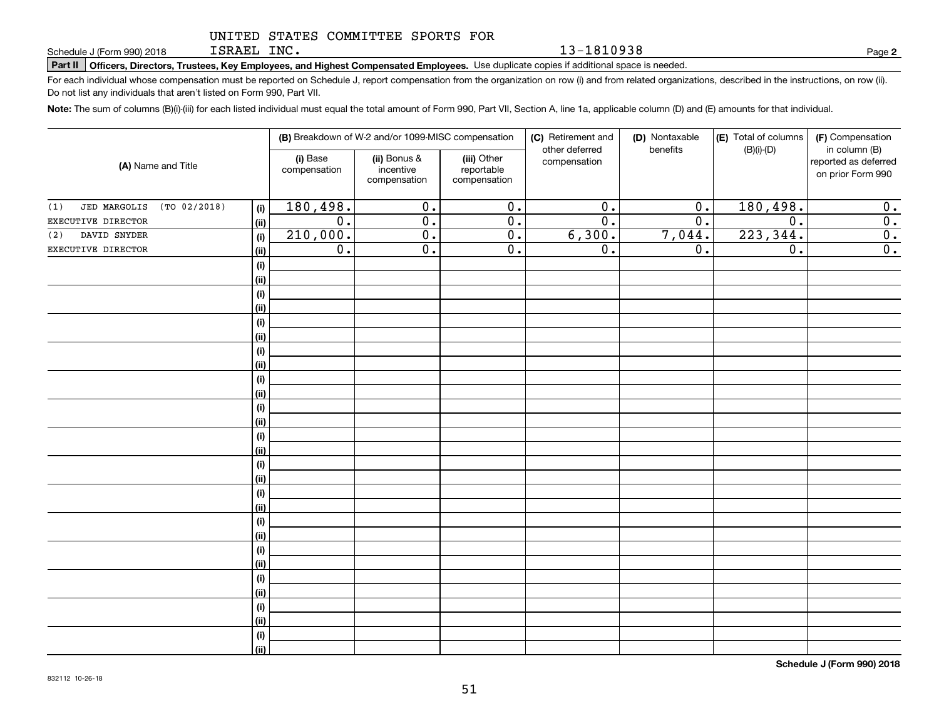| ISRAEL | INC. |
|--------|------|
|        |      |

13-1810938

**2**

**Part II Officers, Directors, Trustees, Key Employees, and Highest Compensated Employees.**  Schedule J (Form 990) 2018 Page Use duplicate copies if additional space is needed.

For each individual whose compensation must be reported on Schedule J, report compensation from the organization on row (i) and from related organizations, described in the instructions, on row (ii). Do not list any individuals that aren't listed on Form 990, Part VII.

**Note:**  The sum of columns (B)(i)-(iii) for each listed individual must equal the total amount of Form 990, Part VII, Section A, line 1a, applicable column (D) and (E) amounts for that individual.

|                                            |                              | (B) Breakdown of W-2 and/or 1099-MISC compensation |                                           | (C) Retirement and             | (D) Nontaxable   | (E) Total of columns | (F) Compensation<br>in column (B)         |
|--------------------------------------------|------------------------------|----------------------------------------------------|-------------------------------------------|--------------------------------|------------------|----------------------|-------------------------------------------|
| (A) Name and Title                         | (i) Base<br>compensation     | (ii) Bonus &<br>incentive<br>compensation          | (iii) Other<br>reportable<br>compensation | other deferred<br>compensation | benefits         | $(B)(i)-(D)$         | reported as deferred<br>on prior Form 990 |
| <b>JED MARGOLIS</b><br>(TO 02/2018)<br>(1) | 180,498.<br>(i)              | $\overline{0}$ .                                   | $\overline{0}$ .                          | $\overline{0}$ .               | $\overline{0}$ . | 180,498.             | 0.                                        |
| EXECUTIVE DIRECTOR<br><u>(ii)</u>          | $\overline{0}$ .             | $\overline{0}$ .                                   | $\overline{0}$ .                          | $\overline{0}$ .               | $\overline{0}$ . | $\overline{0}$ .     | $\overline{0}$ .                          |
| DAVID SNYDER<br>(2)                        | 210,000.<br>(i)              | $\overline{0}$ .                                   | $\overline{0}$ .                          | 6,300.                         | 7,044.           | 223, 344.            | $\overline{0}$ .                          |
| EXECUTIVE DIRECTOR<br>(ii)                 | $\overline{0}$ .             | $\overline{0}$ .                                   | $\overline{0}$ .                          | $\overline{0}$ .               | $\overline{0}$ . | $\overline{0}$ .     | $\overline{0}$ .                          |
|                                            | (i)                          |                                                    |                                           |                                |                  |                      |                                           |
| (ii)                                       |                              |                                                    |                                           |                                |                  |                      |                                           |
|                                            | (i)                          |                                                    |                                           |                                |                  |                      |                                           |
| (ii)                                       |                              |                                                    |                                           |                                |                  |                      |                                           |
|                                            | (i)                          |                                                    |                                           |                                |                  |                      |                                           |
|                                            | (ii)                         |                                                    |                                           |                                |                  |                      |                                           |
|                                            | (i)                          |                                                    |                                           |                                |                  |                      |                                           |
|                                            | (ii)                         |                                                    |                                           |                                |                  |                      |                                           |
|                                            | (i)                          |                                                    |                                           |                                |                  |                      |                                           |
|                                            | (ii)                         |                                                    |                                           |                                |                  |                      |                                           |
|                                            | (i)                          |                                                    |                                           |                                |                  |                      |                                           |
|                                            | (ii)                         |                                                    |                                           |                                |                  |                      |                                           |
|                                            | (i)                          |                                                    |                                           |                                |                  |                      |                                           |
|                                            | (ii)                         |                                                    |                                           |                                |                  |                      |                                           |
|                                            | (i)<br>(ii)                  |                                                    |                                           |                                |                  |                      |                                           |
|                                            | (i)                          |                                                    |                                           |                                |                  |                      |                                           |
|                                            | (ii)                         |                                                    |                                           |                                |                  |                      |                                           |
|                                            | (i)                          |                                                    |                                           |                                |                  |                      |                                           |
|                                            | (ii)                         |                                                    |                                           |                                |                  |                      |                                           |
|                                            | (i)                          |                                                    |                                           |                                |                  |                      |                                           |
|                                            | (ii)                         |                                                    |                                           |                                |                  |                      |                                           |
|                                            | (i)                          |                                                    |                                           |                                |                  |                      |                                           |
|                                            | (ii)                         |                                                    |                                           |                                |                  |                      |                                           |
|                                            | (i)                          |                                                    |                                           |                                |                  |                      |                                           |
|                                            | (ii)                         |                                                    |                                           |                                |                  |                      |                                           |
|                                            | $\qquad \qquad \textbf{(i)}$ |                                                    |                                           |                                |                  |                      |                                           |
|                                            | (ii)                         |                                                    |                                           |                                |                  |                      |                                           |

**Schedule J (Form 990) 2018**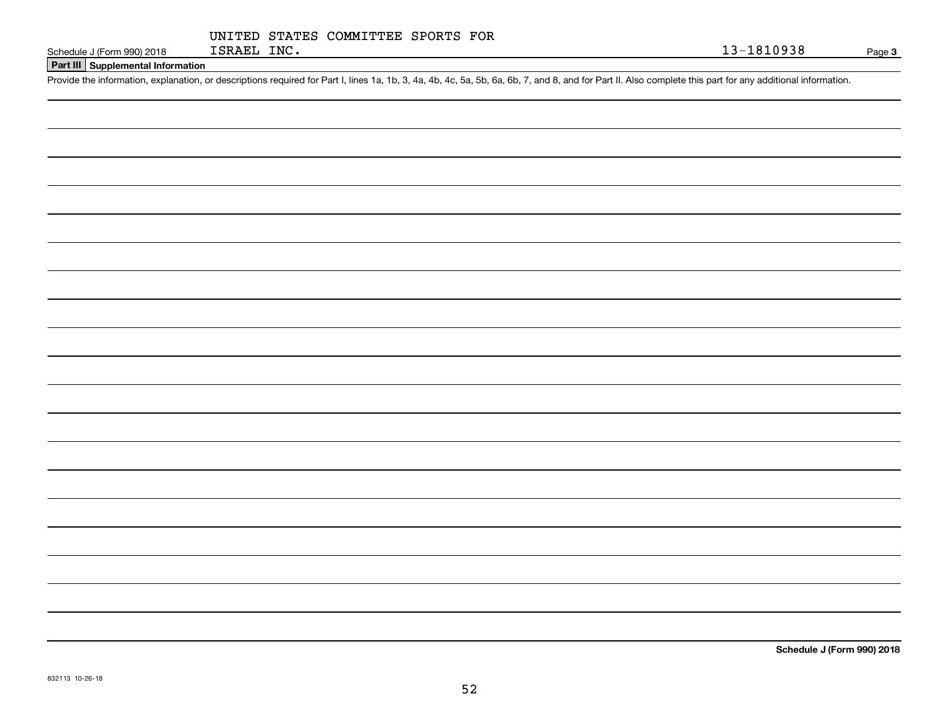|  |  | v. |
|--|--|----|
|  |  |    |
|  |  |    |

UNITED STATES COMMITTEE SPORTS FOR ISRAEL INC.

**Part III Supplemental Information**

Schedule J (Form 990) 2018 ISRAEL INC.<br>Part III Supplemental Information<br>Provide the information, explanation, or descriptions required for Part I, lines 1a, 1b, 3, 4a, 4b, 4c, 5a, 5b, 6a, 6b, 7, and 8, and for Part II. Al

**Schedule J (Form 990) 2018**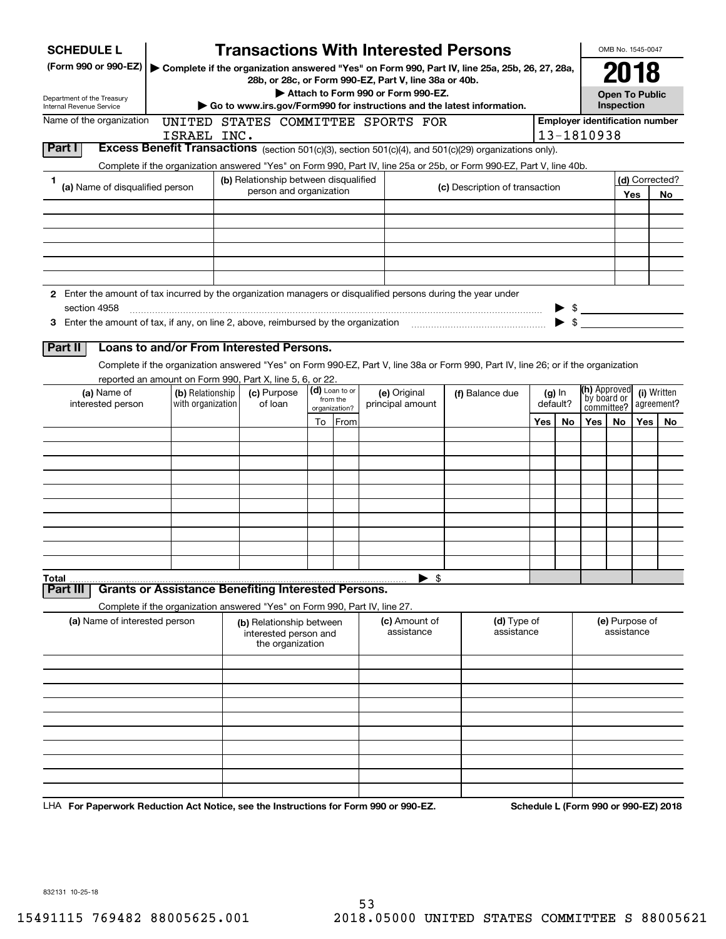| <b>SCHEDULE L</b>                                                                                             |                                                                               | <b>Transactions With Interested Persons</b>                           |    |                           |                                    |                                                                                                                                    |     |          |                                                     | OMB No. 1545-0047                       |     |                |
|---------------------------------------------------------------------------------------------------------------|-------------------------------------------------------------------------------|-----------------------------------------------------------------------|----|---------------------------|------------------------------------|------------------------------------------------------------------------------------------------------------------------------------|-----|----------|-----------------------------------------------------|-----------------------------------------|-----|----------------|
| (Form 990 or 990-EZ)                                                                                          |                                                                               | 28b, or 28c, or Form 990-EZ, Part V, line 38a or 40b.                 |    |                           |                                    | Complete if the organization answered "Yes" on Form 990, Part IV, line 25a, 25b, 26, 27, 28a,                                      |     |          |                                                     | 2018                                    |     |                |
| Department of the Treasury                                                                                    |                                                                               |                                                                       |    |                           | Attach to Form 990 or Form 990-EZ. |                                                                                                                                    |     |          |                                                     | <b>Open To Public</b>                   |     |                |
| Internal Revenue Service                                                                                      |                                                                               |                                                                       |    |                           |                                    | Go to www.irs.gov/Form990 for instructions and the latest information.                                                             |     |          |                                                     | Inspection                              |     |                |
| Name of the organization                                                                                      | ISRAEL INC.                                                                   | UNITED STATES COMMITTEE SPORTS FOR                                    |    |                           |                                    |                                                                                                                                    |     |          | <b>Employer identification number</b><br>13-1810938 |                                         |     |                |
| Part I                                                                                                        |                                                                               |                                                                       |    |                           |                                    | Excess Benefit Transactions (section 501(c)(3), section 501(c)(4), and 501(c)(29) organizations only).                             |     |          |                                                     |                                         |     |                |
|                                                                                                               |                                                                               |                                                                       |    |                           |                                    | Complete if the organization answered "Yes" on Form 990, Part IV, line 25a or 25b, or Form 990-EZ, Part V, line 40b.               |     |          |                                                     |                                         |     |                |
| 1<br>(a) Name of disqualified person                                                                          |                                                                               | (b) Relationship between disqualified<br>person and organization      |    |                           |                                    | (c) Description of transaction                                                                                                     |     |          |                                                     |                                         |     | (d) Corrected? |
|                                                                                                               |                                                                               |                                                                       |    |                           |                                    |                                                                                                                                    |     |          |                                                     |                                         | Yes | No.            |
|                                                                                                               |                                                                               |                                                                       |    |                           |                                    |                                                                                                                                    |     |          |                                                     |                                         |     |                |
|                                                                                                               |                                                                               |                                                                       |    |                           |                                    |                                                                                                                                    |     |          |                                                     |                                         |     |                |
|                                                                                                               |                                                                               |                                                                       |    |                           |                                    |                                                                                                                                    |     |          |                                                     |                                         |     |                |
|                                                                                                               |                                                                               |                                                                       |    |                           |                                    |                                                                                                                                    |     |          |                                                     |                                         |     |                |
| 2 Enter the amount of tax incurred by the organization managers or disqualified persons during the year under |                                                                               |                                                                       |    |                           |                                    |                                                                                                                                    |     |          |                                                     |                                         |     |                |
| section 4958                                                                                                  |                                                                               |                                                                       |    |                           |                                    |                                                                                                                                    |     |          |                                                     |                                         |     |                |
|                                                                                                               |                                                                               |                                                                       |    |                           |                                    |                                                                                                                                    |     |          | $\triangleright$ \$                                 |                                         |     |                |
| Part II                                                                                                       | Loans to and/or From Interested Persons.                                      |                                                                       |    |                           |                                    |                                                                                                                                    |     |          |                                                     |                                         |     |                |
|                                                                                                               |                                                                               |                                                                       |    |                           |                                    | Complete if the organization answered "Yes" on Form 990-EZ, Part V, line 38a or Form 990, Part IV, line 26; or if the organization |     |          |                                                     |                                         |     |                |
| (a) Name of                                                                                                   | reported an amount on Form 990, Part X, line 5, 6, or 22.<br>(b) Relationship | (c) Purpose                                                           |    | (d) Loan to or            | (e) Original                       | (f) Balance due                                                                                                                    |     | $(g)$ In | (h) Approved                                        |                                         |     | (i) Written    |
| interested person                                                                                             | with organization                                                             | of loan                                                               |    | from the<br>organization? | principal amount                   |                                                                                                                                    |     | default? |                                                     | by board or<br>agreement?<br>committee? |     |                |
|                                                                                                               |                                                                               |                                                                       | To | From                      |                                    |                                                                                                                                    | Yes | No.      | Yes                                                 | No                                      | Yes | No             |
|                                                                                                               |                                                                               |                                                                       |    |                           |                                    |                                                                                                                                    |     |          |                                                     |                                         |     |                |
|                                                                                                               |                                                                               |                                                                       |    |                           |                                    |                                                                                                                                    |     |          |                                                     |                                         |     |                |
|                                                                                                               |                                                                               |                                                                       |    |                           |                                    |                                                                                                                                    |     |          |                                                     |                                         |     |                |
|                                                                                                               |                                                                               |                                                                       |    |                           |                                    |                                                                                                                                    |     |          |                                                     |                                         |     |                |
|                                                                                                               |                                                                               |                                                                       |    |                           |                                    |                                                                                                                                    |     |          |                                                     |                                         |     |                |
|                                                                                                               |                                                                               |                                                                       |    |                           |                                    |                                                                                                                                    |     |          |                                                     |                                         |     |                |
|                                                                                                               |                                                                               |                                                                       |    |                           |                                    |                                                                                                                                    |     |          |                                                     |                                         |     |                |
|                                                                                                               |                                                                               |                                                                       |    |                           |                                    |                                                                                                                                    |     |          |                                                     |                                         |     |                |
| Total<br>Part III                                                                                             | <b>Grants or Assistance Benefiting Interested Persons.</b>                    |                                                                       |    |                           | \$                                 |                                                                                                                                    |     |          |                                                     |                                         |     |                |
|                                                                                                               | Complete if the organization answered "Yes" on Form 990, Part IV, line 27.    |                                                                       |    |                           |                                    |                                                                                                                                    |     |          |                                                     |                                         |     |                |
| (a) Name of interested person                                                                                 |                                                                               | (b) Relationship between<br>interested person and<br>the organization |    |                           | (c) Amount of<br>assistance        | (d) Type of<br>assistance                                                                                                          |     |          |                                                     | (e) Purpose of<br>assistance            |     |                |
|                                                                                                               |                                                                               |                                                                       |    |                           |                                    |                                                                                                                                    |     |          |                                                     |                                         |     |                |
|                                                                                                               |                                                                               |                                                                       |    |                           |                                    |                                                                                                                                    |     |          |                                                     |                                         |     |                |
|                                                                                                               |                                                                               |                                                                       |    |                           |                                    |                                                                                                                                    |     |          |                                                     |                                         |     |                |
|                                                                                                               |                                                                               |                                                                       |    |                           |                                    |                                                                                                                                    |     |          |                                                     |                                         |     |                |
|                                                                                                               |                                                                               |                                                                       |    |                           |                                    |                                                                                                                                    |     |          |                                                     |                                         |     |                |
|                                                                                                               |                                                                               |                                                                       |    |                           |                                    |                                                                                                                                    |     |          |                                                     |                                         |     |                |
|                                                                                                               |                                                                               |                                                                       |    |                           |                                    |                                                                                                                                    |     |          |                                                     |                                         |     |                |
|                                                                                                               |                                                                               |                                                                       |    |                           |                                    |                                                                                                                                    |     |          |                                                     |                                         |     |                |
|                                                                                                               |                                                                               |                                                                       |    |                           |                                    |                                                                                                                                    |     |          |                                                     |                                         |     |                |

LHA For Paperwork Reduction Act Notice, see the Instructions for Form 990 or 990-EZ. Schedule L (Form 990 or 990-EZ) 2018

832131 10-25-18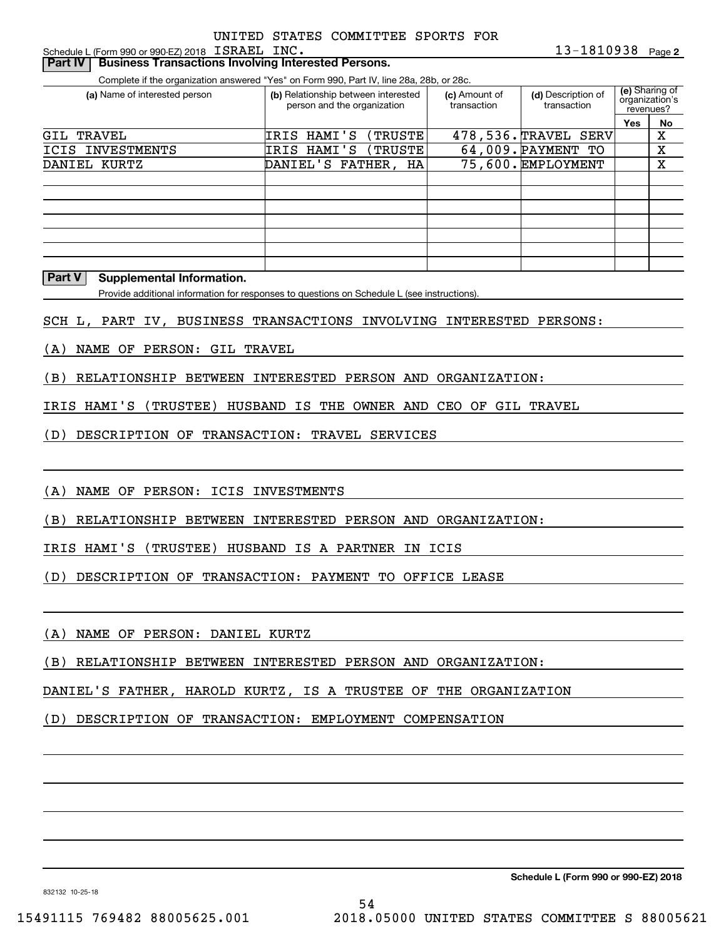Schedule L (Form 990 or 990-EZ) 2018 Page ISRAEL INC.

### **Part IV** Business Transactions Involving Interested Persons.

Complete if the organization answered "Yes" on Form 990, Part IV, line 28a, 28b, or 28c.

| (a) Name of interested person | (b) Relationship between interested<br>person and the organization | (c) Amount of<br>transaction | (d) Description of<br>transaction | (e) Sharing of<br>organization's<br>revenues? |    |
|-------------------------------|--------------------------------------------------------------------|------------------------------|-----------------------------------|-----------------------------------------------|----|
|                               |                                                                    |                              |                                   | Yes                                           | No |
| TRAVEL<br>GIL                 | IRIS HAMI'S<br>(TRUSTE)                                            |                              | 478,536. TRAVEL SERV              |                                               | X  |
| INVESTMENTS<br>ICIS           | IRIS HAMI'S<br>(TRUSTE)                                            |                              | 64,009. PAYMENT TO                |                                               | х  |
| DANIEL KURTZ                  | DANIEL'S FATHER,<br>HA                                             |                              | 75,600. EMPLOYMENT                |                                               | X  |
|                               |                                                                    |                              |                                   |                                               |    |
|                               |                                                                    |                              |                                   |                                               |    |
|                               |                                                                    |                              |                                   |                                               |    |
|                               |                                                                    |                              |                                   |                                               |    |
|                               |                                                                    |                              |                                   |                                               |    |
|                               |                                                                    |                              |                                   |                                               |    |
|                               |                                                                    |                              |                                   |                                               |    |

### **Part V Supplemental Information.**

Provide additional information for responses to questions on Schedule L (see instructions).

SCH L, PART IV, BUSINESS TRANSACTIONS INVOLVING INTERESTED PERSONS:

(A) NAME OF PERSON: GIL TRAVEL

(B) RELATIONSHIP BETWEEN INTERESTED PERSON AND ORGANIZATION:

IRIS HAMI'S (TRUSTEE) HUSBAND IS THE OWNER AND CEO OF GIL TRAVEL

(D) DESCRIPTION OF TRANSACTION: TRAVEL SERVICES

(A) NAME OF PERSON: ICIS INVESTMENTS

(B) RELATIONSHIP BETWEEN INTERESTED PERSON AND ORGANIZATION:

IRIS HAMI'S (TRUSTEE) HUSBAND IS A PARTNER IN ICIS

(D) DESCRIPTION OF TRANSACTION: PAYMENT TO OFFICE LEASE

### (A) NAME OF PERSON: DANIEL KURTZ

(B) RELATIONSHIP BETWEEN INTERESTED PERSON AND ORGANIZATION:

DANIEL'S FATHER, HAROLD KURTZ, IS A TRUSTEE OF THE ORGANIZATION

(D) DESCRIPTION OF TRANSACTION: EMPLOYMENT COMPENSATION

**Schedule L (Form 990 or 990-EZ) 2018**

832132 10-25-18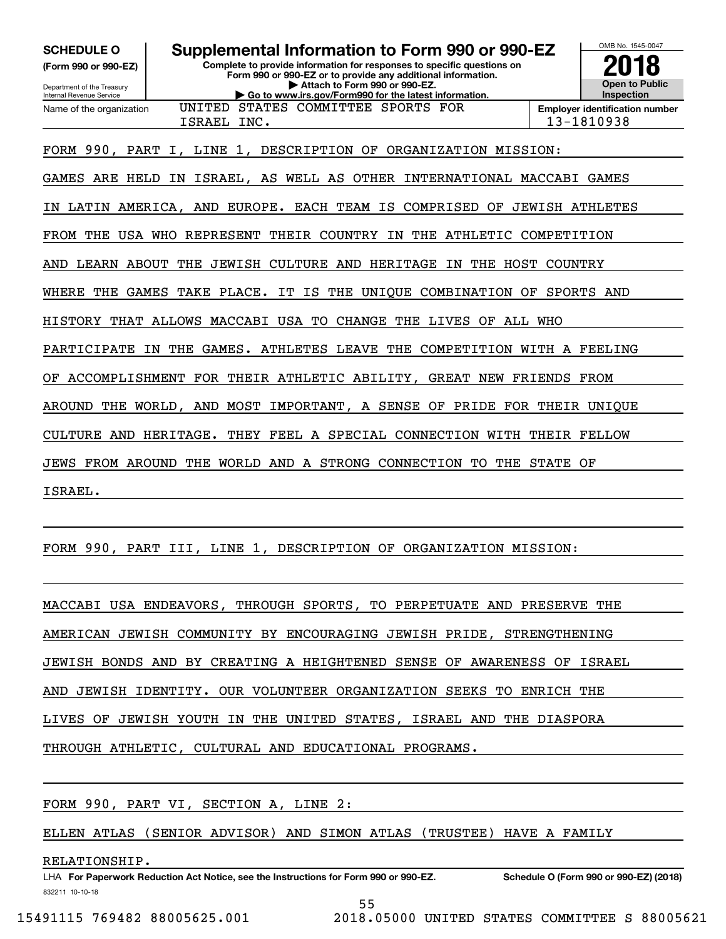**(Form 990 or 990-EZ) SCHEDULE O Supplemental Information to Form 990 or 990-EZ**

Department of the Treasury Internal Revenue Service

Name of the organization

**Complete to provide information for responses to specific questions on Form 990 or 990-EZ or to provide any additional information. | Attach to Form 990 or 990-EZ. | Go to www.irs.gov/Form990 for the latest information.**



ISRAEL INC. 13-1810938

FORM 990, PART I, LINE 1, DESCRIPTION OF ORGANIZATION MISSION:

UNITED STATES COMMITTEE SPORTS FOR

GAMES ARE HELD IN ISRAEL, AS WELL AS OTHER INTERNATIONAL MACCABI GAMES

IN LATIN AMERICA, AND EUROPE. EACH TEAM IS COMPRISED OF JEWISH ATHLETES

FROM THE USA WHO REPRESENT THEIR COUNTRY IN THE ATHLETIC COMPETITION

AND LEARN ABOUT THE JEWISH CULTURE AND HERITAGE IN THE HOST COUNTRY

WHERE THE GAMES TAKE PLACE. IT IS THE UNIQUE COMBINATION OF SPORTS AND

HISTORY THAT ALLOWS MACCABI USA TO CHANGE THE LIVES OF ALL WHO

PARTICIPATE IN THE GAMES. ATHLETES LEAVE THE COMPETITION WITH A FEELING

OF ACCOMPLISHMENT FOR THEIR ATHLETIC ABILITY, GREAT NEW FRIENDS FROM

AROUND THE WORLD, AND MOST IMPORTANT, A SENSE OF PRIDE FOR THEIR UNIQUE

CULTURE AND HERITAGE. THEY FEEL A SPECIAL CONNECTION WITH THEIR FELLOW

JEWS FROM AROUND THE WORLD AND A STRONG CONNECTION TO THE STATE OF

ISRAEL.

FORM 990, PART III, LINE 1, DESCRIPTION OF ORGANIZATION MISSION:

MACCABI USA ENDEAVORS, THROUGH SPORTS, TO PERPETUATE AND PRESERVE THE

AMERICAN JEWISH COMMUNITY BY ENCOURAGING JEWISH PRIDE, STRENGTHENING

JEWISH BONDS AND BY CREATING A HEIGHTENED SENSE OF AWARENESS OF ISRAEL

AND JEWISH IDENTITY. OUR VOLUNTEER ORGANIZATION SEEKS TO ENRICH THE

LIVES OF JEWISH YOUTH IN THE UNITED STATES, ISRAEL AND THE DIASPORA

THROUGH ATHLETIC, CULTURAL AND EDUCATIONAL PROGRAMS.

FORM 990, PART VI, SECTION A, LINE 2:

ELLEN ATLAS (SENIOR ADVISOR) AND SIMON ATLAS (TRUSTEE) HAVE A FAMILY

RELATIONSHIP.

832211 10-10-18 LHA For Paperwork Reduction Act Notice, see the Instructions for Form 990 or 990-EZ. Schedule O (Form 990 or 990-EZ) (2018)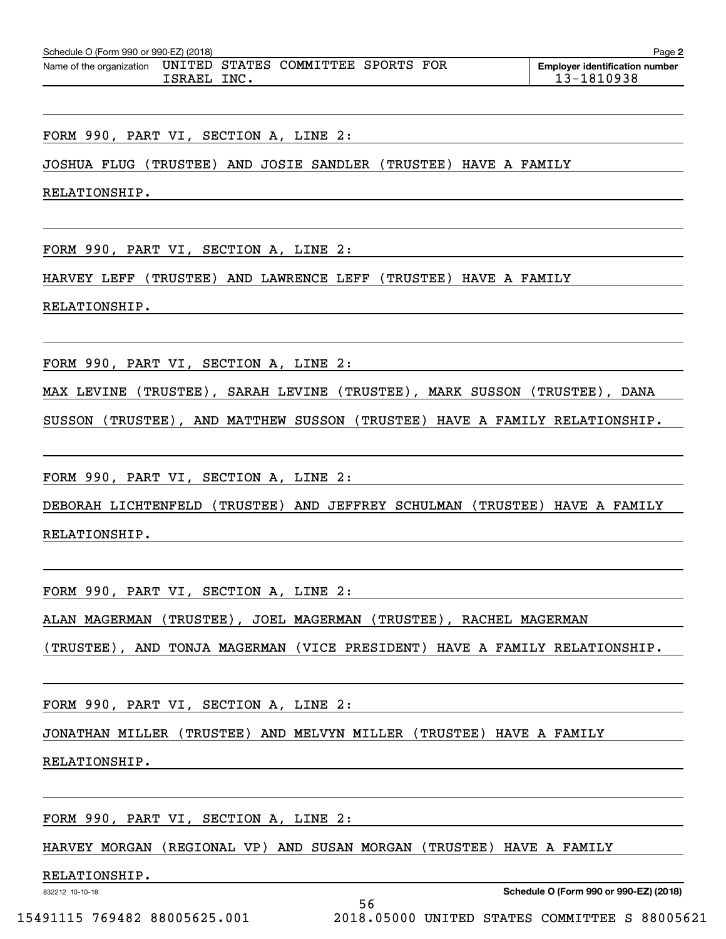| Schedule O (Form 990 or 990-EZ) (2018) |             |                                    |  | Page 2                                              |
|----------------------------------------|-------------|------------------------------------|--|-----------------------------------------------------|
| Name of the organization               | ISRAEL INC. | UNITED STATES COMMITTEE SPORTS FOR |  | <b>Employer identification number</b><br>13-1810938 |

FORM 990, PART VI, SECTION A, LINE 2:

JOSHUA FLUG (TRUSTEE) AND JOSIE SANDLER (TRUSTEE) HAVE A FAMILY

RELATIONSHIP.

FORM 990, PART VI, SECTION A, LINE 2:

HARVEY LEFF (TRUSTEE) AND LAWRENCE LEFF (TRUSTEE) HAVE A FAMILY

RELATIONSHIP.

FORM 990, PART VI, SECTION A, LINE 2:

MAX LEVINE (TRUSTEE), SARAH LEVINE (TRUSTEE), MARK SUSSON (TRUSTEE), DANA

SUSSON (TRUSTEE), AND MATTHEW SUSSON (TRUSTEE) HAVE A FAMILY RELATIONSHIP.

FORM 990, PART VI, SECTION A, LINE 2:

DEBORAH LICHTENFELD (TRUSTEE) AND JEFFREY SCHULMAN (TRUSTEE) HAVE A FAMILY RELATIONSHIP.

FORM 990, PART VI, SECTION A, LINE 2:

ALAN MAGERMAN (TRUSTEE), JOEL MAGERMAN (TRUSTEE), RACHEL MAGERMAN

(TRUSTEE), AND TONJA MAGERMAN (VICE PRESIDENT) HAVE A FAMILY RELATIONSHIP.

FORM 990, PART VI, SECTION A, LINE 2:

JONATHAN MILLER (TRUSTEE) AND MELVYN MILLER (TRUSTEE) HAVE A FAMILY

RELATIONSHIP.

FORM 990, PART VI, SECTION A, LINE 2:

HARVEY MORGAN (REGIONAL VP) AND SUSAN MORGAN (TRUSTEE) HAVE A FAMILY

56

RELATIONSHIP.

832212 10-10-18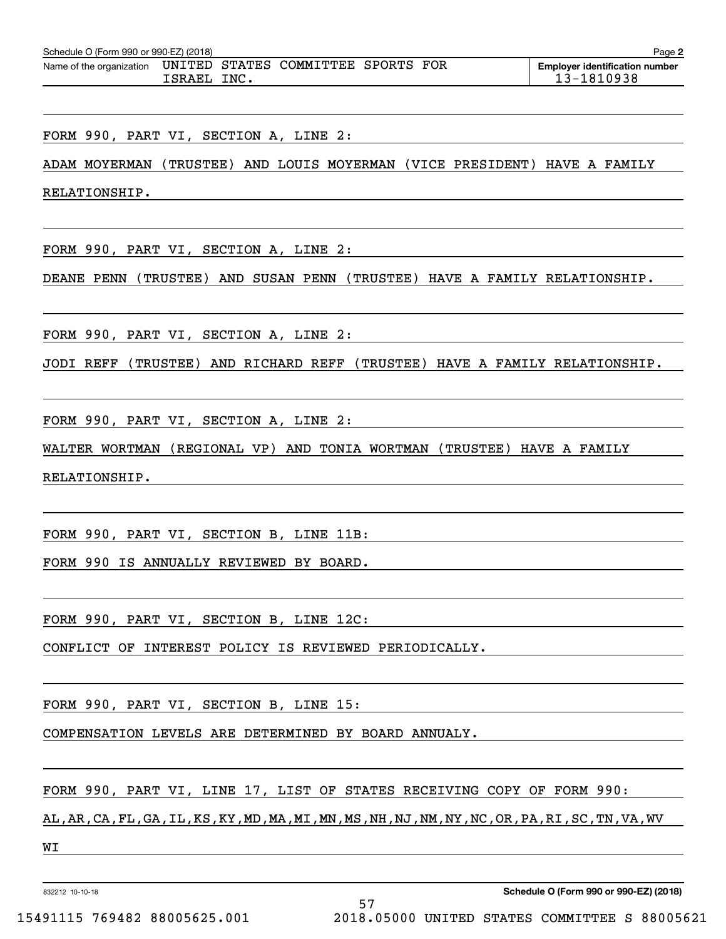| Schedule O (Form 990 or 990-EZ) (2018) |        |      |                                    |  | Page 2                                              |
|----------------------------------------|--------|------|------------------------------------|--|-----------------------------------------------------|
| Name of the organization               | ISRAEL | INC. | UNITED STATES COMMITTEE SPORTS FOR |  | <b>Employer identification number</b><br>13-1810938 |

FORM 990, PART VI, SECTION A, LINE 2:

ADAM MOYERMAN (TRUSTEE) AND LOUIS MOYERMAN (VICE PRESIDENT) HAVE A FAMILY

RELATIONSHIP.

FORM 990, PART VI, SECTION A, LINE 2:

DEANE PENN (TRUSTEE) AND SUSAN PENN (TRUSTEE) HAVE A FAMILY RELATIONSHIP.

FORM 990, PART VI, SECTION A, LINE 2:

JODI REFF (TRUSTEE) AND RICHARD REFF (TRUSTEE) HAVE A FAMILY RELATIONSHIP.

FORM 990, PART VI, SECTION A, LINE 2:

WALTER WORTMAN (REGIONAL VP) AND TONIA WORTMAN (TRUSTEE) HAVE A FAMILY

RELATIONSHIP.

FORM 990, PART VI, SECTION B, LINE 11B:

FORM 990 IS ANNUALLY REVIEWED BY BOARD.

FORM 990, PART VI, SECTION B, LINE 12C:

CONFLICT OF INTEREST POLICY IS REVIEWED PERIODICALLY.

FORM 990, PART VI, SECTION B, LINE 15:

COMPENSATION LEVELS ARE DETERMINED BY BOARD ANNUALY.

FORM 990, PART VI, LINE 17, LIST OF STATES RECEIVING COPY OF FORM 990:

AL,AR,CA,FL,GA,IL,KS,KY,MD,MA,MI,MN,MS,NH,NJ,NM,NY,NC,OR,PA,RI,SC,TN,VA,WV

57

WI

832212 10-10-18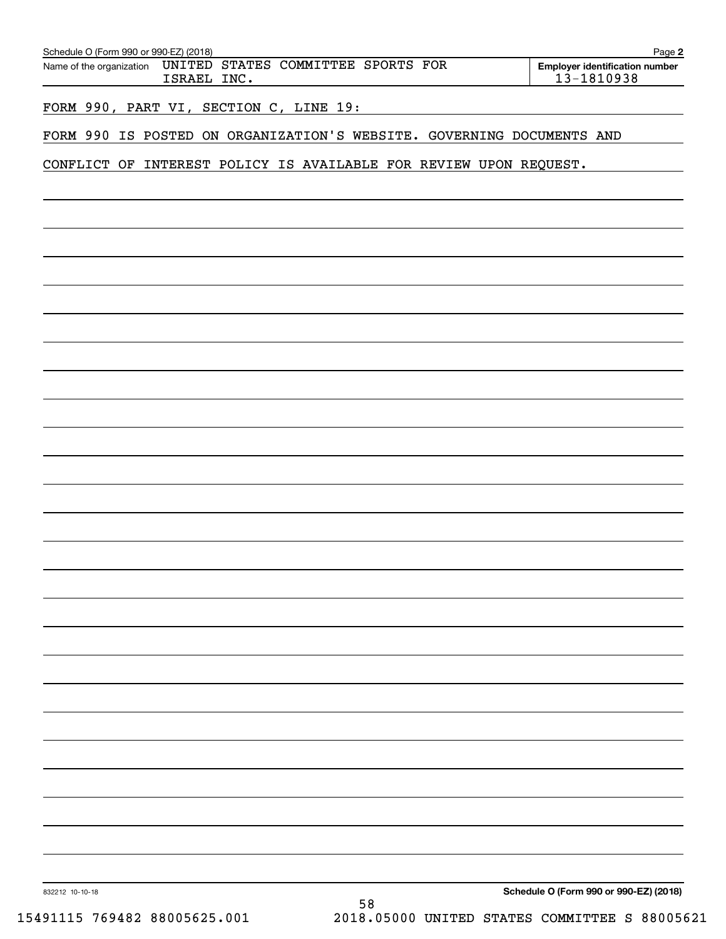| Schedule O (Form 990 or 990-EZ) (2018)<br>Name of the organization<br>ISRAEL INC. | UNITED STATES COMMITTEE SPORTS FOR | <b>Employer identification number</b><br>13-1810938 |
|-----------------------------------------------------------------------------------|------------------------------------|-----------------------------------------------------|
|                                                                                   |                                    |                                                     |
| FORM 990, PART VI, SECTION C, LINE 19:                                            |                                    |                                                     |
| FORM 990 IS POSTED ON ORGANIZATION'S WEBSITE. GOVERNING DOCUMENTS AND             |                                    |                                                     |
| CONFLICT OF INTEREST POLICY IS AVAILABLE FOR REVIEW UPON REQUEST.                 |                                    |                                                     |
|                                                                                   |                                    |                                                     |
|                                                                                   |                                    |                                                     |
|                                                                                   |                                    |                                                     |
|                                                                                   |                                    |                                                     |
|                                                                                   |                                    |                                                     |
|                                                                                   |                                    |                                                     |
|                                                                                   |                                    |                                                     |
|                                                                                   |                                    |                                                     |
|                                                                                   |                                    |                                                     |
|                                                                                   |                                    |                                                     |
|                                                                                   |                                    |                                                     |
|                                                                                   |                                    |                                                     |
|                                                                                   |                                    |                                                     |
|                                                                                   |                                    |                                                     |
|                                                                                   |                                    |                                                     |
|                                                                                   |                                    |                                                     |
|                                                                                   |                                    |                                                     |
|                                                                                   |                                    |                                                     |
|                                                                                   |                                    |                                                     |
|                                                                                   |                                    |                                                     |
|                                                                                   |                                    |                                                     |
|                                                                                   |                                    |                                                     |
|                                                                                   |                                    |                                                     |
|                                                                                   |                                    |                                                     |
|                                                                                   |                                    |                                                     |
|                                                                                   |                                    |                                                     |
|                                                                                   |                                    |                                                     |
|                                                                                   |                                    |                                                     |
|                                                                                   |                                    |                                                     |
|                                                                                   |                                    |                                                     |
|                                                                                   |                                    |                                                     |
| 832212 10-10-18                                                                   |                                    | Schedule O (Form 990 or 990-EZ) (2018)              |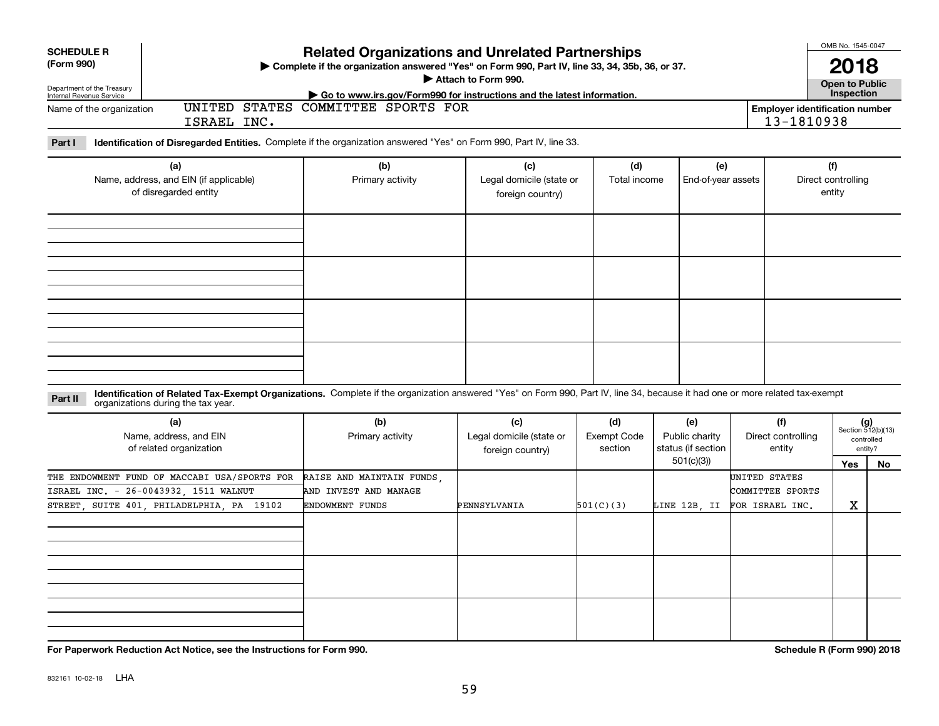| <b>SCHEDULE R</b><br>(Form 990)                                        | Complete if the organization answered "Yes" on Form 990, Part IV, line 33, 34, 35b, 36, or 37.                                                                               |                                                                              |                                                     | OMB No. 1545-0047<br>2018<br><b>Open to Public</b> |                                                          |                                     |                                     |                            |                                                            |  |  |  |  |
|------------------------------------------------------------------------|------------------------------------------------------------------------------------------------------------------------------------------------------------------------------|------------------------------------------------------------------------------|-----------------------------------------------------|----------------------------------------------------|----------------------------------------------------------|-------------------------------------|-------------------------------------|----------------------------|------------------------------------------------------------|--|--|--|--|
| Department of the Treasury<br>Internal Revenue Service                 | Attach to Form 990.<br>Go to www.irs.gov/Form990 for instructions and the latest information.                                                                                |                                                                              |                                                     |                                                    |                                                          |                                     |                                     |                            |                                                            |  |  |  |  |
| Name of the organization                                               | UNITED STATES COMMITTEE SPORTS FOR<br><b>Employer identification number</b><br>13-1810938<br>ISRAEL INC.                                                                     |                                                                              |                                                     |                                                    |                                                          |                                     |                                     |                            |                                                            |  |  |  |  |
| Part I                                                                 | Identification of Disregarded Entities. Complete if the organization answered "Yes" on Form 990, Part IV, line 33.                                                           |                                                                              |                                                     |                                                    |                                                          |                                     |                                     |                            |                                                            |  |  |  |  |
| (a)<br>Name, address, and EIN (if applicable)<br>of disregarded entity |                                                                                                                                                                              | (b)<br>Primary activity                                                      | (c)<br>Legal domicile (state or<br>foreign country) | (d)<br>Total income                                | (e)<br>End-of-year assets                                |                                     | (f)<br>Direct controlling<br>entity |                            |                                                            |  |  |  |  |
|                                                                        |                                                                                                                                                                              |                                                                              |                                                     |                                                    |                                                          |                                     |                                     |                            |                                                            |  |  |  |  |
|                                                                        |                                                                                                                                                                              |                                                                              |                                                     |                                                    |                                                          |                                     |                                     |                            |                                                            |  |  |  |  |
|                                                                        | Identification of Related Tax-Exempt Organizations. Complete if the organization answered "Yes" on Form 990, Part IV, line 34, because it had one or more related tax-exempt |                                                                              |                                                     |                                                    |                                                          |                                     |                                     |                            |                                                            |  |  |  |  |
| Part II                                                                | organizations during the tax year.                                                                                                                                           |                                                                              |                                                     |                                                    |                                                          |                                     |                                     |                            |                                                            |  |  |  |  |
| (a)<br>Name, address, and EIN<br>of related organization               |                                                                                                                                                                              | (b)<br>Primary activity                                                      | (c)<br>Legal domicile (state or<br>foreign country) | (d)<br><b>Exempt Code</b><br>section               | (e)<br>Public charity<br>status (if section<br>501(c)(3) | (f)<br>Direct controlling<br>entity |                                     | Yes                        | $(g)$<br>Section 512(b)(13)<br>controlled<br>entity?<br>No |  |  |  |  |
|                                                                        | THE ENDOWMENT FUND OF MACCABI USA/SPORTS FOR<br>ISRAEL INC. - 26-0043932, 1511 WALNUT<br>STREET, SUITE 401, PHILADELPHIA, PA 19102                                           | RAISE AND MAINTAIN FUNDS.<br>AND INVEST AND MANAGE<br><b>ENDOWMENT FUNDS</b> | PENNSYLVANIA                                        | 501(C)(3)                                          | LINE 12B, II                                             | UNITED STATES<br>FOR ISRAEL INC.    | COMMITTEE SPORTS                    | X                          |                                                            |  |  |  |  |
|                                                                        |                                                                                                                                                                              |                                                                              |                                                     |                                                    |                                                          |                                     |                                     |                            |                                                            |  |  |  |  |
|                                                                        |                                                                                                                                                                              |                                                                              |                                                     |                                                    |                                                          |                                     |                                     |                            |                                                            |  |  |  |  |
|                                                                        | For Paperwork Reduction Act Notice, see the Instructions for Form 990.                                                                                                       |                                                                              |                                                     |                                                    |                                                          |                                     |                                     | Schedule R (Form 990) 2018 |                                                            |  |  |  |  |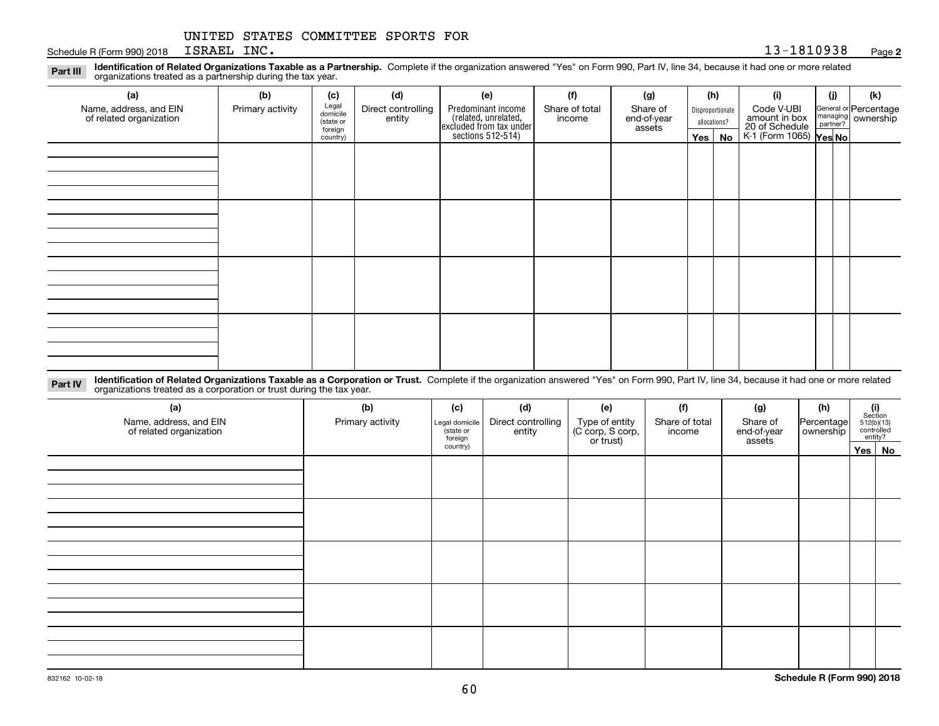### Schedule R (Form 990) 2018  $I$  SRAEL INC  $\cdot$   $13-1810938$ ISRAEL INC.

### **2**

**Identification of Related Organizations Taxable as a Partnership.** Complete if the organization answered "Yes" on Form 990, Part IV, line 34, because it had one or more related **Part III** organizations treated as a partnership during the tax year.

| (a)                                               | (b)              | (c)                  | (d)                          | (e)                                                                 | (f)                      | (g)                     | (h)              | (i)                                      | (j) | (k)                   |
|---------------------------------------------------|------------------|----------------------|------------------------------|---------------------------------------------------------------------|--------------------------|-------------------------|------------------|------------------------------------------|-----|-----------------------|
| Name, address, and EIN<br>of related organization | Primary activity | Legal<br>domicile    | Direct controlling<br>entity | Predominant income                                                  | Share of total<br>income | Share of<br>end-of-year | Disproportionate | Code V-UBI<br>amount in box              |     | General or Percentage |
|                                                   |                  | (state or<br>foreign |                              |                                                                     |                          | assets                  | allocations?     |                                          |     | managing ownership    |
|                                                   |                  | country)             |                              | related, unrelated,<br>excluded from tax under<br>sections 512-514) |                          |                         | Yes   No         | 20 of Schedule<br>K-1 (Form 1065) Yes No |     |                       |
|                                                   |                  |                      |                              |                                                                     |                          |                         |                  |                                          |     |                       |
|                                                   |                  |                      |                              |                                                                     |                          |                         |                  |                                          |     |                       |
|                                                   |                  |                      |                              |                                                                     |                          |                         |                  |                                          |     |                       |
|                                                   |                  |                      |                              |                                                                     |                          |                         |                  |                                          |     |                       |
|                                                   |                  |                      |                              |                                                                     |                          |                         |                  |                                          |     |                       |
|                                                   |                  |                      |                              |                                                                     |                          |                         |                  |                                          |     |                       |
|                                                   |                  |                      |                              |                                                                     |                          |                         |                  |                                          |     |                       |
|                                                   |                  |                      |                              |                                                                     |                          |                         |                  |                                          |     |                       |
|                                                   |                  |                      |                              |                                                                     |                          |                         |                  |                                          |     |                       |
|                                                   |                  |                      |                              |                                                                     |                          |                         |                  |                                          |     |                       |
|                                                   |                  |                      |                              |                                                                     |                          |                         |                  |                                          |     |                       |
|                                                   |                  |                      |                              |                                                                     |                          |                         |                  |                                          |     |                       |
|                                                   |                  |                      |                              |                                                                     |                          |                         |                  |                                          |     |                       |
|                                                   |                  |                      |                              |                                                                     |                          |                         |                  |                                          |     |                       |
|                                                   |                  |                      |                              |                                                                     |                          |                         |                  |                                          |     |                       |
|                                                   |                  |                      |                              |                                                                     |                          |                         |                  |                                          |     |                       |
|                                                   |                  |                      |                              |                                                                     |                          |                         |                  |                                          |     |                       |

**Identification of Related Organizations Taxable as a Corporation or Trust.** Complete if the organization answered "Yes" on Form 990, Part IV, line 34, because it had one or more related **Part IV** organizations treated as a corporation or trust during the tax year.

| (a)<br>Name, address, and EIN<br>of related organization | (b)<br>Primary activity | (c)<br>Legal domicile<br>(state or<br>foreign | (d)<br>Direct controlling<br>entity | (e)<br>Type of entity<br>(C corp, S corp,<br>or trust) | (f)<br>Share of total<br>income | (g)<br>Share of<br>end-of-year<br>assets | (h)<br>Percentage<br>ownership | $\begin{array}{c} \textbf{(i)}\\ \text{Section}\\ 512 \text{(b)} \text{(13)}\\ \text{controlled}\\ \text{entity?} \end{array}$ |  |
|----------------------------------------------------------|-------------------------|-----------------------------------------------|-------------------------------------|--------------------------------------------------------|---------------------------------|------------------------------------------|--------------------------------|--------------------------------------------------------------------------------------------------------------------------------|--|
|                                                          |                         | country)                                      |                                     |                                                        |                                 |                                          |                                | Yes No                                                                                                                         |  |
|                                                          |                         |                                               |                                     |                                                        |                                 |                                          |                                |                                                                                                                                |  |
|                                                          |                         |                                               |                                     |                                                        |                                 |                                          |                                |                                                                                                                                |  |
|                                                          |                         |                                               |                                     |                                                        |                                 |                                          |                                |                                                                                                                                |  |
|                                                          |                         |                                               |                                     |                                                        |                                 |                                          |                                |                                                                                                                                |  |
|                                                          |                         |                                               |                                     |                                                        |                                 |                                          |                                |                                                                                                                                |  |
|                                                          |                         |                                               |                                     |                                                        |                                 |                                          |                                |                                                                                                                                |  |
|                                                          |                         |                                               |                                     |                                                        |                                 |                                          |                                |                                                                                                                                |  |
|                                                          |                         |                                               |                                     |                                                        |                                 |                                          |                                |                                                                                                                                |  |
|                                                          |                         |                                               |                                     |                                                        |                                 |                                          |                                |                                                                                                                                |  |
|                                                          |                         |                                               |                                     |                                                        |                                 |                                          |                                |                                                                                                                                |  |
|                                                          |                         |                                               |                                     |                                                        |                                 |                                          |                                |                                                                                                                                |  |
|                                                          |                         |                                               |                                     |                                                        |                                 |                                          |                                |                                                                                                                                |  |
|                                                          |                         |                                               |                                     |                                                        |                                 |                                          |                                |                                                                                                                                |  |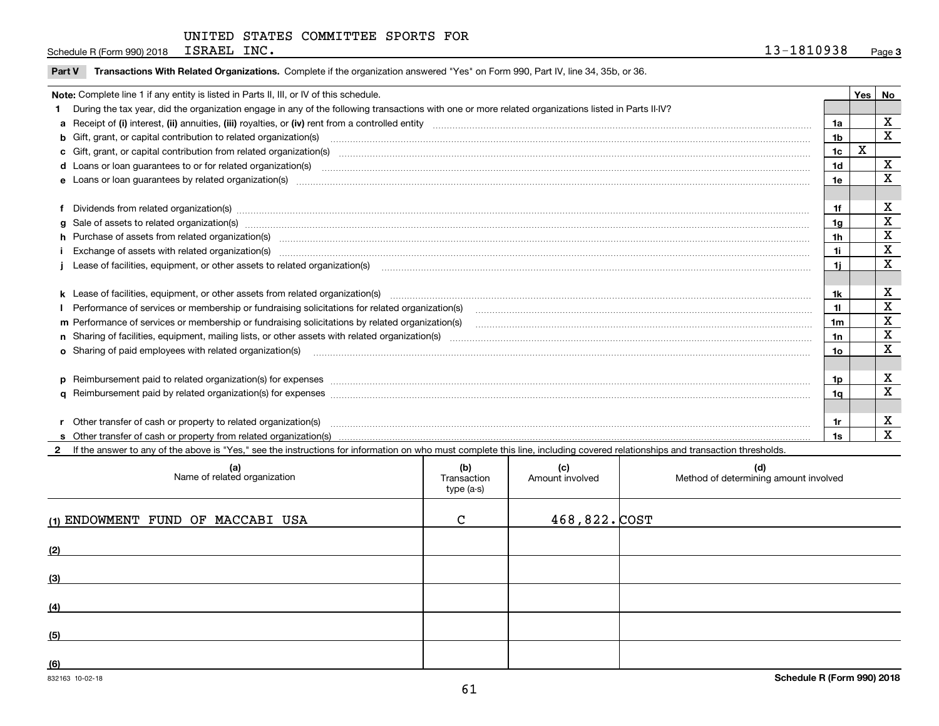| Schedule R (Form 990) 2018 | ISRAEL<br>INC. | 1810938 | Page |
|----------------------------|----------------|---------|------|
|----------------------------|----------------|---------|------|

|  | Part V Transactions With Related Organizations. Complete if the organization answered "Yes" on Form 990, Part IV, line 34, 35b, or 36 |  |  |
|--|---------------------------------------------------------------------------------------------------------------------------------------|--|--|
|--|---------------------------------------------------------------------------------------------------------------------------------------|--|--|

| Note: Complete line 1 if any entity is listed in Parts II, III, or IV of this schedule.                                                                                                                                        |     | Yes | No                      |
|--------------------------------------------------------------------------------------------------------------------------------------------------------------------------------------------------------------------------------|-----|-----|-------------------------|
| 1 During the tax year, did the organization engage in any of the following transactions with one or more related organizations listed in Parts II-IV?                                                                          |     |     |                         |
|                                                                                                                                                                                                                                | 1a  |     | X                       |
| <b>b</b> Gift, grant, or capital contribution to related organization(s)                                                                                                                                                       | 1b  |     | X                       |
| c Gift, grant, or capital contribution from related organization(s) manufaction contribution from related organization(s) manufaction contribution from related organization(s) manufaction contribution from related organiza | 1c  | X   |                         |
| <b>d</b> Loans or loan quarantees to or for related organization(s)                                                                                                                                                            | 1d  |     | X                       |
| <b>e</b> Loans or loan quarantees by related organization(s)                                                                                                                                                                   | 1e  |     | X                       |
|                                                                                                                                                                                                                                |     |     |                         |
| f Dividends from related organization(s) material content and content and content and content and content and content and content and content and content and content and content and content and content and content and cont | 1f  |     | X                       |
|                                                                                                                                                                                                                                | 1g  |     | X                       |
|                                                                                                                                                                                                                                | 1h  |     | X                       |
| Exchange of assets with related organization(s) www.array.com/www.array.com/www.array.com/www.array.com/www.array.com/www.array.com/www.array.com/www.array.com/www.array.com/www.array.com/www.array.com/www.array.com/www.ar | 1i. |     | X                       |
|                                                                                                                                                                                                                                | 1i  |     | $\overline{\mathbf{X}}$ |
|                                                                                                                                                                                                                                |     |     |                         |
|                                                                                                                                                                                                                                | 1k  |     | х                       |
| Performance of services or membership or fundraising solicitations for related organization(s)                                                                                                                                 | 11  |     | $\mathbf X$             |
| m Performance of services or membership or fundraising solicitations by related organization(s)                                                                                                                                | 1m  |     | х                       |
|                                                                                                                                                                                                                                | 1n  |     | X                       |
| o Sharing of paid employees with related organization(s)                                                                                                                                                                       | 10  |     | X                       |
|                                                                                                                                                                                                                                |     |     |                         |
| p Reimbursement paid to related organization(s) for expenses [1111] and the content of the content of the content of the content of the content of the content of the content of the content of the content of the content of  | 1p  |     | х                       |
|                                                                                                                                                                                                                                | 1a  |     | X                       |
|                                                                                                                                                                                                                                |     |     |                         |
| r Other transfer of cash or property to related organization(s)                                                                                                                                                                |     |     | х                       |
| <b>s</b> Other transfer of cash or property from related organization(s)                                                                                                                                                       | 1s  |     | X                       |

**2**If the answer to any of the above is "Yes," see the instructions for information on who must complete this line, including covered relationships and transaction thresholds.

| (a)<br>Name of related organization | (b)<br>Transaction<br>type (a-s) | (c)<br>Amount involved | (d)<br>Method of determining amount involved |
|-------------------------------------|----------------------------------|------------------------|----------------------------------------------|
| (1) ENDOWMENT FUND OF MACCABI USA   | $\mathcal{C}$                    | $468,822.$ COST        |                                              |
| (2)                                 |                                  |                        |                                              |
| (3)                                 |                                  |                        |                                              |
| (4)                                 |                                  |                        |                                              |
| (5)                                 |                                  |                        |                                              |
| (6)                                 |                                  |                        |                                              |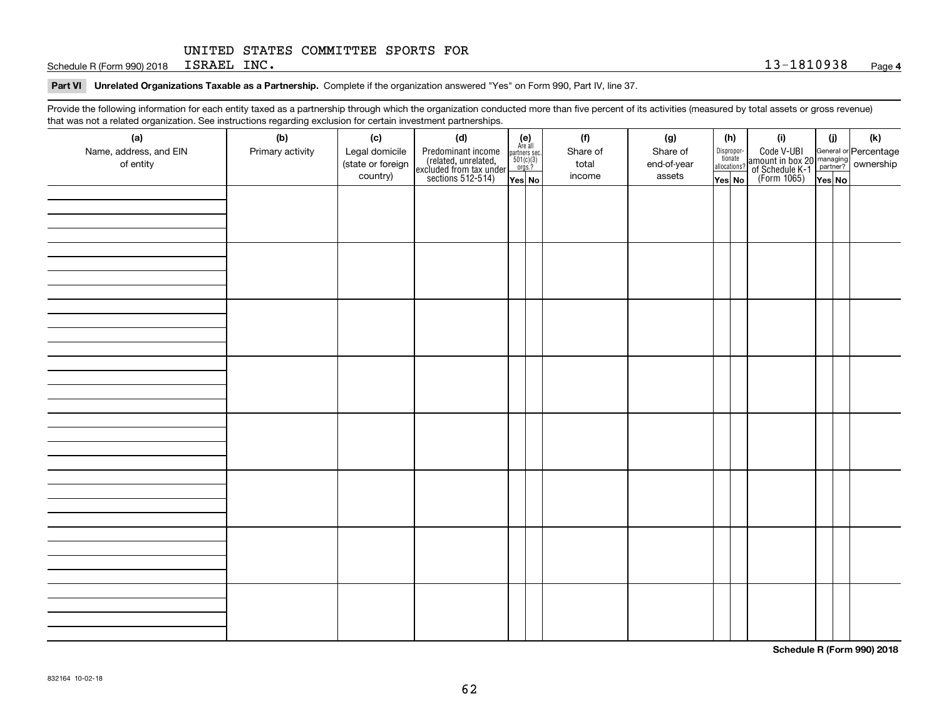Schedule R (Form 990) 2018 Page ISRAEL INC. 13-1810938

### **Part VI Unrelated Organizations Taxable as a Partnership. Complete if the organization answered "Yes" on Form 990, Part IV, line 37.**

Provide the following information for each entity taxed as a partnership through which the organization conducted more than five percent of its activities (measured by total assets or gross revenue) that was not a related organization. See instructions regarding exclusion for certain investment partnerships.

| (a)                                 | י יש שיש יש יש<br>(b) | (c)                                 | <br>(d)                                                                                    |                                                          |  | (f)               | (g)                     |                                  | (h)                   | (i)                                                                                          | (i)    | (k) |
|-------------------------------------|-----------------------|-------------------------------------|--------------------------------------------------------------------------------------------|----------------------------------------------------------|--|-------------------|-------------------------|----------------------------------|-----------------------|----------------------------------------------------------------------------------------------|--------|-----|
| Name, address, and EIN<br>of entity | Primary activity      | Legal domicile<br>(state or foreign | Predominant income<br>(related, unrelated,<br>excluded from tax under<br>sections 512-514) | (e)<br>Are all<br>partners sec.<br>$501(c)(3)$<br>orgs.? |  | Share of<br>total | Share of<br>end-of-year |                                  | Dispropor-<br>tionate | Code V-UBI<br>amount in box 20 managing<br>of Schedule K-1 partner?<br>(Form 1065)<br>ves No |        |     |
|                                     |                       | country)                            |                                                                                            | Yes No                                                   |  | income            | assets                  | allocations?<br>$\sqrt{Y}$ es No |                       |                                                                                              | Yes No |     |
|                                     |                       |                                     |                                                                                            |                                                          |  |                   |                         |                                  |                       |                                                                                              |        |     |
|                                     |                       |                                     |                                                                                            |                                                          |  |                   |                         |                                  |                       |                                                                                              |        |     |
|                                     |                       |                                     |                                                                                            |                                                          |  |                   |                         |                                  |                       |                                                                                              |        |     |
|                                     |                       |                                     |                                                                                            |                                                          |  |                   |                         |                                  |                       |                                                                                              |        |     |
|                                     |                       |                                     |                                                                                            |                                                          |  |                   |                         |                                  |                       |                                                                                              |        |     |
|                                     |                       |                                     |                                                                                            |                                                          |  |                   |                         |                                  |                       |                                                                                              |        |     |
|                                     |                       |                                     |                                                                                            |                                                          |  |                   |                         |                                  |                       |                                                                                              |        |     |
|                                     |                       |                                     |                                                                                            |                                                          |  |                   |                         |                                  |                       |                                                                                              |        |     |
|                                     |                       |                                     |                                                                                            |                                                          |  |                   |                         |                                  |                       |                                                                                              |        |     |
|                                     |                       |                                     |                                                                                            |                                                          |  |                   |                         |                                  |                       |                                                                                              |        |     |
|                                     |                       |                                     |                                                                                            |                                                          |  |                   |                         |                                  |                       |                                                                                              |        |     |
|                                     |                       |                                     |                                                                                            |                                                          |  |                   |                         |                                  |                       |                                                                                              |        |     |
|                                     |                       |                                     |                                                                                            |                                                          |  |                   |                         |                                  |                       |                                                                                              |        |     |
|                                     |                       |                                     |                                                                                            |                                                          |  |                   |                         |                                  |                       |                                                                                              |        |     |
|                                     |                       |                                     |                                                                                            |                                                          |  |                   |                         |                                  |                       |                                                                                              |        |     |
|                                     |                       |                                     |                                                                                            |                                                          |  |                   |                         |                                  |                       |                                                                                              |        |     |
|                                     |                       |                                     |                                                                                            |                                                          |  |                   |                         |                                  |                       |                                                                                              |        |     |
|                                     |                       |                                     |                                                                                            |                                                          |  |                   |                         |                                  |                       |                                                                                              |        |     |
|                                     |                       |                                     |                                                                                            |                                                          |  |                   |                         |                                  |                       |                                                                                              |        |     |
|                                     |                       |                                     |                                                                                            |                                                          |  |                   |                         |                                  |                       |                                                                                              |        |     |
|                                     |                       |                                     |                                                                                            |                                                          |  |                   |                         |                                  |                       |                                                                                              |        |     |
|                                     |                       |                                     |                                                                                            |                                                          |  |                   |                         |                                  |                       |                                                                                              |        |     |
|                                     |                       |                                     |                                                                                            |                                                          |  |                   |                         |                                  |                       |                                                                                              |        |     |
|                                     |                       |                                     |                                                                                            |                                                          |  |                   |                         |                                  |                       |                                                                                              |        |     |
|                                     |                       |                                     |                                                                                            |                                                          |  |                   |                         |                                  |                       |                                                                                              |        |     |
|                                     |                       |                                     |                                                                                            |                                                          |  |                   |                         |                                  |                       |                                                                                              |        |     |

**Schedule R (Form 990) 2018**